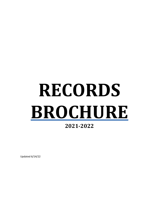# **RECORDS BROCHURE**

### **2021-2022**

Updated 6/14/22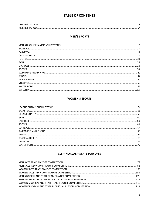#### **TABLE OF CONTENTS**

| MF |  |
|----|--|

#### **MEN'S SPORTS**

#### **WOMEN'S SPORTS**

### CCS - NORCAL - STATE PLAYOFFS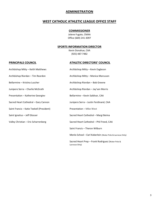#### **ADMINISTRATION**

#### **WEST CATHOLIC ATHLETIC LEAGUE OFFICE STAFF**

#### **COMMISSIONER**

Jolene Fugate, CMAA Office (669) 241-3097

#### **SPORTS INFORMATION DIRECTOR**

Kevin Donahue, CAA (925) 487-7482

#### **PRINCIPALS COUNCIL ATHLETIC DIRECTORS' COUNCIL**

| Archbishop Mitty – Keith Matthews         | Archbishop Mitty - Kevin Eagleson                                   |
|-------------------------------------------|---------------------------------------------------------------------|
| Archbishop Riordan - Tim Reardon          | Archbishop Mitty - Monica Marcuson                                  |
| Bellarmine – Kristina Luscher             | Archbishop Riordan - Bob Greene                                     |
| Junipero Serra – Charlie McGrath          | Archbishop Riordan - Jay'sen Morris                                 |
| Presentation - Katherine Georgiev         | Bellarmine - Kevin Saldivar, CAA                                    |
| Sacred Heart Cathedral - Gary Cannon      | Junipero Serra - Justin Ferdinand, CAA                              |
| Saint Francis – Katie Teekell (President) | Presentation - Mike West                                            |
| Saint Ignatius – Jeff Glosser             | Sacred Heart Cathedral - Margi Beima                                |
| Valley Christian - Eric Scharrenberg      | Sacred Heart Cathedral - Phil Freed, CAA                            |
|                                           | Saint Francis - Theron Wilburn                                      |
|                                           | Menlo School - Earl Koberlein (Water Polo & Lacrosse Only)          |
|                                           | Sacred Heart Prep - Frank Rodriguez (Water Polo &<br>Lacrosse Only) |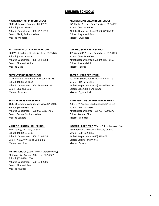### **MEMBER SCHOOLS**

#### **ARCHBISHOP MITTY HIGH SCHOOL**

5000 Mitty Way, San Jose, CA 95129 School: (408) 252-6610 Athletic Department: (408) 252-6610 Colors: Black, Golf and White Mascot: Monarchs

#### **BELLARMINE COLLEGE PREPARATORY**

960 West Hedding Street, San Jose, CA 95126 School: (408) 294-1894 Athletic Department: (408) 294-1664 Colors: Blue and White Mascot: Bells

#### **PRESENTATION HIGH SCHOOL**

2281 Plummer Avenue, San Jose, CA 95125 School: (408) 264-1664 Athletic Department: (408) 264-1664 x21 Colors: Blue and Gold Mascot: Panthers

#### **SAINT FRANCIS HIGH SCHOOL**

1885 Miramonte Avenue, Mt. View, CA 94040 School: (650) 968-1213 Athletic Department: (650)968-1213 x455 Colors: Brown, Gold and White Mascot: Lancers

#### **VALLEY CHRISTIAN HIGH SCHOOL**

100 Skyway, San Jose, CA 95111 School: (408) 513-2400 Athletic Department: (408) 513-2455 Colors: Navy, White and Columbia Mascot: Warriors

**MENLO SCHOOL** (Water Polo & Lacrosse Only) 50 Valparaiso Avenue, Atherton, CA 94027 School: (650)330-2000 Athletic Department; (650) 330-2000 Colors: Blue and Gold Mascot: Knights

#### **ARCHBISHOP RIORDAN HIGH SCHOOL**

175 Phelan Avenue, San Francisco, CA 94112 School: (415) 586-8200 Athletic Department: (415) 586-8200 x238 Colors: Purple and Gold Mascot: Crusaders

#### **JUNIPERO SERRA HIGH SCHOOL**

451 West 20<sup>th</sup> Avenue, San Mateo, CA 94403 School: (650) 345-8207 Athletic Department: (650) 345-8207 x160 Colors: Blue and Gold Mascot: Padres

#### **SACRED HEART CATHEDRAL**

1075 Ellis Street, San Francisco, CA 94109 School: (415) 775-6626 Athletic Department: (415) 775-6626 x737 Colors: Green, Blue and White Mascot: Fightin' Irish

#### **SAINT IGNATIUS COLLEGE PREPARATORY**

2001 37th Avenue, San Francisco, CA 94109 School: (415) 731-7500 Athletic Department: (415) 731-7500 x276 Colors: Red and Blue Mascot: Wildcats

#### **SACRED HEART PREP** (Water Polo & Lacrosse Only)

150 Valparaiso Avenue, Atherton, CA 94027 School: (650) 322-1866 Athletic Department: (650) 473-4031 Colors: Cardinal and White Mascot: Gators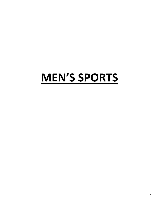## **MEN'S SPORTS**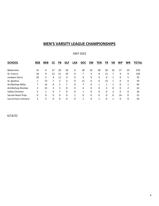### **MEN'S VARSITY LEAGUE CHAMPIONSHIPS**

#### 1967-2022

| <b>SCHOOL</b>          | <b>BSB</b> | <b>BKB</b> | СC | FB | <b>GLF</b> | <b>LAX</b> | <b>SOC</b> | <b>SW</b> | TEN | ΤR       | VB             | <b>WP</b> | <b>WR</b> | <b>TOTAL</b> |
|------------------------|------------|------------|----|----|------------|------------|------------|-----------|-----|----------|----------------|-----------|-----------|--------------|
|                        |            |            |    |    |            |            |            |           |     |          |                |           |           |              |
| Bellarmine             | 15         | 6          | 27 | 20 | 29         | 0          | 28         | 32        | 38  | 26       | 16             | 17        | 23        | 278          |
| St. Francis            | 18         | 9          | 12 | 21 | 19         | 0          |            | 3         | 8   | 11       |                | 4         | 9         | 128          |
| Junipero Serra         | 20         | 3          | 4  | 11 | 9          | 0          | 4          | 9         | 4   | 0        | 1              | 0         | 5         | 70           |
| St. Ignatius           | 1          | 13         |    | 3  | 4          | 9          | 11         | 0         | 6   | 15       | 1              | 0         | 0         | 70           |
| Archbishop Mitty       |            | 14         | 0  | 5  |            | 0          |            | 0         | 1   |          | 1              | 0         | 1         | 44           |
| Archbishop Riordan     |            | 15         | 3  | 3  | 0          | 0          | 4          | 0         | 0   | 3        | 0              | 0         |           | 32           |
| Valley Christian       | 5          |            | 0  |    | 0          | 0          | 1          | 0         | 0   | $\Omega$ | $\overline{2}$ | 0         | 0         | 16           |
| Sacred Heart Prep      | $\Omega$   | 0          | 0  | 0  | 0          | 1          | 0          | 0         | 0   | 0        | 0              | 14        | 0         | 15           |
| Sacred Heart Cathedral | 2          | 5          | 0  | 0  | 0          | 0          | 1          | 0         |     | 0        | 1              | 0         | 0         | 10           |

6/14/22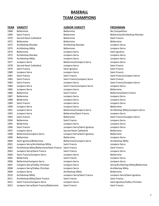### **BASEBALL TEAM CHAMPIONS**

| .    | .                                                       | , , , , , , , , , , , , , , , , , | .                 |
|------|---------------------------------------------------------|-----------------------------------|-------------------|
| 1968 | Bellarmine                                              | <b>Bellarmine</b>                 | No Competitic     |
| 1969 | Saint Francis                                           | <b>Bellarmine</b>                 | Bellarmine/Ar     |
| 1970 | Sacred Heart Cathedral                                  | Bellarmine                        | Saint Francis     |
| 1971 | Bellarmine                                              | <b>Bellarmine</b>                 | Bellarmine        |
| 1972 | Archbishop Riordan                                      | Archbishop Riordan                | Junipero Serra    |
| 1973 | Archbishop Mitty                                        | Bellarmine                        | Junipero Serra    |
| 1974 | Bellarmine                                              | Junipero Serra                    | Saint Ignatius    |
| 1975 | Archbishop Riordan                                      | Junipero Serra                    | Junipero Serra    |
| 1976 | Archbishop Mitty                                        | Junipero Serra                    | Junipero Serra    |
| 1977 | Junipero Serra                                          | Bellarmine/Junipero Serra         | Junipero Serra    |
| 1978 | Sacred Heart Cathedral                                  | Junipero Serra                    | Saint Francis     |
| 1979 | Saint Francis                                           | Saint Ignatius                    | Saint Francis     |
| 1980 | Junipero Serra                                          | Junipero Serra                    | Saint Francis     |
| 1981 | Saint Francis                                           | Saint Francis                     | Saint Francis/J   |
| 1982 | Saint Francis                                           | Saint Francis/Junipero Serra      | Saint Francis     |
| 1983 | Saint Francis                                           | Junipero Serra                    | Saint Francis/J   |
| 1984 | Junipero Serra                                          | Saint Francis/Junipero Serra      | Junipero Serra    |
| 1985 | Junipero Serra                                          | Junipero Serra                    | <b>Bellarmine</b> |
| 1986 | <b>Bellarmine</b>                                       | Saint Francis                     | Bellarmine/Sai    |
| 1987 | Bellarmine                                              | Junipero Serra                    | Junipero Serra    |
| 1988 | Bellarmine                                              | Junipero Serra                    | Junipero Serra    |
| 1989 | Saint Francis                                           | Junipero Serra                    | Junipero Serra    |
| 1990 | Junipero Serra                                          | Junipero Serra                    | Bellarmine        |
| 1991 | Junipero Serra                                          | Bellarmine/Junipero Serra         | Archbishop Mi     |
| 1992 | Junipero Serra                                          | <b>Bellarmine/Saint Francis</b>   | Junipero Serra    |
| 1993 | Saint Francis                                           | Bellarmine                        | Saint Francis/J   |
| 1994 | Bellarmine                                              | Saint Francis                     | Junipero Serra    |
| 1995 | Bellarmine                                              | Junipero Serra                    | Junipero Serra    |
| 1996 | Saint Francis                                           | Junipero Serra/Saint Ignatius     | Junipero Serra    |
| 1997 | Junipero Serra                                          | Sacred Heart Cathedral            | <b>Bellarmine</b> |
| 1998 | Bellarmine/Junipero Serra                               | Junipero Serra/Saint Ignatius     | <b>Bellarmine</b> |
| 1999 | Bellarmine                                              | <b>Bellarmine</b>                 | Junipero Serra    |
| 2000 | Saint Ignatius/Bellarmine                               | Bellarmine/Junipero Serra         | Archbishop Mi     |
| 2001 | Junipero Serra/Archbishop Mitty                         | Saint Francis                     | Junipero Serra    |
| 2002 | Archbishop Mitty/Bellarmine/Saint Francis Saint Francis |                                   | Saint Francis     |
| 2003 | Junipero Serra/Saint Francis                            | Saint Francis                     | Junipero Serra    |
| 2004 | Saint Francis/Junipero Serra                            | Junipero Serra                    | Bellarmine        |
| 2005 | Bellarmine                                              | Saint Francis                     | Junipero Serra    |
| 2006 | Bellarmine/Junipero Serra                               | Junipero Serra                    | Junipero Serra    |
| 2007 | Junipero Serra/Valley Christian                         | Junipero Serra                    | Serra/Archbish    |
| 2008 | Junipero Serra/Valley Christian                         | Junipero Serra                    | Archbishop Mi     |
| 2009 | Junipero Serra                                          | Archbishop Mitty                  | Bellarmine        |
| 2010 | Archbishop Mitty                                        | Junipero Serra/Saint Francis      | Junipero Serra    |
| 2011 | Archbishop Mitty/Saint Francis                          | Saint Francis                     | Saint Francis     |
| 2012 | Saint Francis/Junipero Serra                            | Junipero Serra                    | Saint Ignatius/   |
| 2013 | Junipero Serra/Saint Francis/Bellarmine                 | Saint Francis                     | Saint Francis     |

#### **YEAR VARSITY JUNIOR VARSITY FRESHMAN**

 Bellarmine Bellarmine No Competition Bellarmine **1969 Saint Francis Bellarmine** Bellarmine Archbishop Riordan Archbishop Riordan Archbishop Riordan Junipero Serra Bellarmine **1973** Junipero Serra Junipero Serra Saint Ignatius Archbishop Riordan Junipero Serra Junipero Serra Archbishop Mitty Junipero Serra Junipero Serra Bellarmine/Junipero Serra **Bellarmine/Junipero Serra 1978 Junipero Serra Saint Francis**  Saint Francis Saint Ignatius Saint Francis Junipero Serra Junipero Serra Saint Francis Saint Francis Saint Francis Saint Francis/Junipero Serra Saint Francis/Junipero Serra Saint Francis Saint Francis Junipero Serra Saint Francis/Junipero Serra Junipero Serra Saint Francis/Junipero Serra Junipero Serra Junipero Serra Junipero Serra Bellarmine Bellarmine Saint Francis Bellarmine/Saint Francis Bellarmine Junipero Serra Junipero Serra Saint Francis Junipero Serra Junipero Serra Junipero Serra Junipero Serra Bellarmine Junipero Serra Bellarmine/Saint Francis Junipero Serra Bellarmine **1993** Saint Francis/Junipero Serra **1994 Saint Francis Bellarmine Serra** Junipero Serra Bellarmine Junipero Serra Junipero Serra Junipero Serra/Saint Ignatius **Immero Serra** Sacred Heart Cathedral **Bellarmine**  Bellarmine/Junipero Serra Junipero Serra/Saint Ignatius Bellarmine Bellarmine Bellarmine Junipero Serra Bellarmine/Junipero Serra Archbishop Mitty Junipero Serra/Archbishop Mitty Saint Francis Junipero Serra Archbishop Mitty/Bellarmine/Saint Francis Saint Francis Saint Francis Saint Francis/Junipero Serra Junipero Serra Bellarmine Bellarmine/Junipero Serra Junipero Serra Junipero Serra **2008 Junipero Serra Archbishop Mitty** Archbishop Mitty **Bellarmine**  Archbishop Mitty Junipero Serra/Saint Francis Junipero Serra/Saint Ignatius Archbishop Mitty/Saint Francis Saint Francis Saint Francis Saint Francis/Junipero Serra Junipero Serra Saint Ignatius/Valley Christian

 Junipero Serra Bellarmine/Junipero Serra Archbishop Mitty/Junipero Serra Junipero Serra 2007 1007 Serra Serra Serra Serra Serra Archbishop Mitty/Bellarmine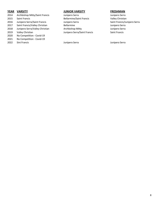- 2014 Archbishop Mitty/Saint Francis Junipero Serra Junipero Serra 2015 Saint Francis Bellarmine/Saint Francis Valley Christian 2016 Junipero Serra/Saint Francis Junipero Serra Saint Francis/Junipero Serra 2017 Saint Francis/Valley Christian Bellarmine Bellarmine Serra Junipero Serra 2018 Junipero Serra/Valley Christian Archbishop Mitty Christian Archuishop Mitty Junipero Serra
- 
- No Competition Covid-19
- 2021 No Competition Covid-19
- 

#### **YEAR VARSITY JUNIOR VARSITY FRESHMAN**

2019 Valley Christian Junipero Serra/Saint Francis Saint Francis<br>2020 No Competition - Covid-19

2022 Sint Francis Junipero Serra Junipero Serra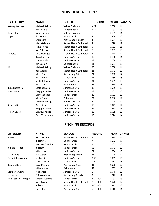### **INDIVIDUAL RECORDS**

| <b>CATEGORY</b>        | <b>NAME</b>            | <b>SCHOOL</b>                 | <b>RECORD</b> |      | <b>YEAR GAMES</b> |
|------------------------|------------------------|-------------------------------|---------------|------|-------------------|
| <b>Batting Average</b> | <b>Michael Reiling</b> | Valley Christian              | .622          | 2008 | 14                |
|                        | Jun Dasalla            | Saint Ignatius                | .554          | 1987 | 18                |
| <b>Home Runs</b>       | Nick Backlund          | Valley Christian              | 8             | 2009 | 14                |
| <b>Triples</b>         | Jim Winter             | Saint Francis                 | 4             | 1969 | 10                |
|                        | Chris Karp             | Archbishop Riordan            | 4             | 1974 | 12                |
|                        | <b>Matt Gallegos</b>   | Sacred Heart Cathedral        | 4             | 1978 | 12                |
|                        | <b>Steve Reyes</b>     | Sacred Heart Cathedral        | 5             | 1982 | 18                |
|                        | Joe Peterson           | Sacred Heart Cathedral        | 5             | 1983 | 18                |
| <b>Doubles</b>         | <b>Matt Gallegos</b>   | Sacred Heart Cathedral        | 8             | 1978 | 12                |
|                        | Ryan Palermo           | Junipero Serra                | 12            | 2006 | 14                |
|                        | Tony Renda             | Junipero Serra                | 12            | 2006 | 14                |
|                        | Jun Dasalla            | Saint Ignatius                | 11            | 1987 | 18                |
| <b>Hits</b>            | <b>Michael Reiling</b> | Valley Christian              | 28            | 2008 | 14                |
|                        | Ron Adams              | <b>Sacred Heart Cathedral</b> | 21            | 1972 | 12                |
|                        | Marc Coca              | Archbishop Mitty              | 21            | 1990 | 12                |
|                        | Jeff DiBono            | Saint Francis                 | 31            | 1984 | 18                |
|                        | Scott Delucchi         | Junipero Serra                | 31            | 1985 | 18                |
|                        | Jun Dasalla            | Saint Ignatius                | 31            | 1978 | 18                |
| <b>Runs Batted In</b>  | Scott Delucchi         | Junipero Serra                | 35            | 1985 | 18                |
| <b>Runs Scored</b>     | Gregg Jefferies        | Junipero Serra                | 29            | 1985 | 18                |
|                        | Mark Senegal           | <b>Saint Francis</b>          | 20            | 1992 | 12                |
|                        | Mark Canha             | <b>Bellarmine</b>             | 24            | 2006 | 14                |
|                        | <b>Michael Reiling</b> | Valley Christian              | 24            | 2008 | 14                |
| <b>Base on Balls</b>   | Dave Rosaia            | Junipero Serra                | 18            | 1977 | 12                |
|                        | Gregg Jefferies        | Junipero Serra                | 22            | 1985 | 18                |
| <b>Stolen Bases</b>    | Gregg Jefferies        | Junipero Serra                | 18            | 1985 | 18                |
|                        | Tyler Villaroman       | Junipero Serra                | 18            | 2016 | 14                |

### **PITCHING RECORDS**

| <b>CATEGORY</b>       | <b>NAME</b>           | <b>SCHOOL</b>          | <b>RECORD</b> | <b>YEAR</b> | <b>GAMES</b> |
|-----------------------|-----------------------|------------------------|---------------|-------------|--------------|
| Games Won             | John Cosmos           | Sacred Heart Cathedral | 7             | 1970        | 12           |
|                       | <b>Bill Harris</b>    | Saint Francis          | 7             | 1972        | 12           |
|                       | <b>Matt McCormick</b> | <b>Saint Francis</b>   | 8             | 1983        | 18           |
| Innings Pitched       | <b>Bill Harris</b>    | Saint Francis          | 53            | 1973        | 12           |
|                       | Mike Roza             | Junipero Serra         | 61            | 1984        | 18           |
| <b>Strike Outs</b>    | Jeff Walsh            | Archbishop Mitty       | 81            | 1976        | 12           |
| Earned Run Average    | Vic Lavoie            | Junipero Serra         | 0.63          | 1969        | 10           |
|                       | Kevin Gillette        | Saint Francis          | 0.24          | 1982        | 18           |
| Base on Balls         | Greg Dentino          | Archbishop Mitty       | 41            | 1978        | 12           |
|                       | Mike Briare           | <b>Bellarmine</b>      | 49            | 1982        | 18           |
| <b>Complete Games</b> | Vic Lavoie            | Junipero Serra         | 6             | 1970        | 12           |
| Shutouts              | Phil Weidinger        | Archbishop Riordan     | 5             | 1970        | 12           |
| Win/Loss Percentage   | <b>Matt McCormick</b> | Saint Francis          | 8-0 1.000     | 1983        | 18           |
|                       | John Cosmos           | Sacred Heart Cathedral | 7-0 1.000     | 1970        | 12           |
|                       | <b>Bill Harris</b>    | Saint Francis          | 7-0 1.000     | 1972        | 12           |
|                       | <b>Tyler Davis</b>    | Archbishop Mitty       | 5-0 1.000     | 2010        | 14           |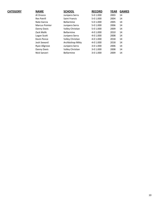#### $CATEGORY$

| <b>NAME</b>           | <b>SCHOOL</b>     | <b>RECORD</b> | <b>YEAR</b> | <b>GAMES</b> |
|-----------------------|-------------------|---------------|-------------|--------------|
| Al Orozco             | Junipero Serra    | 5-0 1.000     | 2003        | 14           |
| <b>Rex Patrill</b>    | Saint Francis     | 5-0 1.000     | 2004        | 14           |
| Nate Garcia           | <b>Bellarmine</b> | 5-0 1.000     | 2005        | 14           |
| <b>Marcus Pointer</b> | Junipero Serra    | 5-0 1.000     | 2006        | 14           |
| Danny Davis           | Valley Christian  | 5-0 1.000     | 2009        | 14           |
| Zack Malik            | <b>Bellarmine</b> | 4-0 1.000     | 2010        | 14           |
| Logan Scott           | Junipero Serra    | 4-0 1.000     | 2008        | 14           |
| Kevin Pence           | Valley Christian  | 4-0 1.000     | 2018        | 14           |
| Josh Seward           | Archbishop Mitty  | 4-0 1.000     | 2018        | 14           |
| Ryan Allgrove         | Junipero Serra    | 3-0 1.000     | 2006        | 14           |
| Danny Davis           | Valley Christian  | 3-0 1.000     | 2008        | 14           |
| Nick Sanzeri          | <b>Bellarmine</b> | 3-0 1.000     | 2009        | 14           |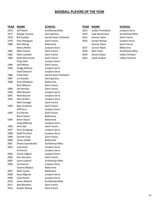### **BASEBALL PLAYERS OF THE YEAR**

| <b>YEAR</b> | <b>NAME</b>            | <u>SCHOOL</u>          | <b>YEAR</b> | <b>NAME</b>      | <b>SCHOOL</b>    |
|-------------|------------------------|------------------------|-------------|------------------|------------------|
| 1976        | Jeff Walsh             | Archbishop Mitty       | 2013        | Jordan Paroubeck | Junipero Serra   |
| 1977        | George Torassa         | Saint Ignatius         | 2014        | Luke Rasmussen   | Archbishop Mitty |
| 1978        | <b>Bill Scudder</b>    | Sacred Heart Cathedral | 2015        | Jeremy Ydens     | Saint Francis    |
| 1979        | Pete Rodriguez         | Saint Francis          | 2016        | Hunter Bishop    | Junipero Serra   |
| 1980        | <b>Rich Martig</b>     | <b>Bellarmine</b>      |             | Jeremy Ydens     | Saint Francis    |
|             | Marty Pletkin          | Junipero Serra         | 2017        | Connor Mack      | Bellarmine       |
| 1981        | Mike Dotzier           | Saint Francis          | 2018        | Nick Yorke       | Archbishop Mitty |
| 1982        | Mark Locatelli         | Saint Francis          | 2019        | Steven Zobac     | Valley Christian |
| 1983        | Matt McCormick         | Saint Francis          | 2022        | Jacob Hudson     | Valley Christian |
|             | <b>Greg Vella</b>      | Junipero Serra         |             |                  |                  |
| 1984        | Jeff DiBono            | Saint Francis          |             |                  |                  |
| 1985        | Gregg Jefferies        | Junipero Serra         |             |                  |                  |
|             | Scott Delucchi         | Junipero Serra         |             |                  |                  |
| 1986        | Frank Ortiz            | Sacred Heart Cathedral |             |                  |                  |
| 1987        | Jun Dasalia            | Saint Ignatius         |             |                  |                  |
| 1988        | Scott Mollahan         | Bellarmine             |             |                  |                  |
|             | Dirk Skillicorn        | Saint Francis          |             |                  |                  |
| 1989        | Joe Hensley            | Saint Francis          |             |                  |                  |
| 1990        | Matt Bazzani           | Junipero Serra         |             |                  |                  |
| 1991        | Matt Bazzani           | Junipero Serra         |             |                  |                  |
| 1992        | Dan Serafini           | Junipero Serra         |             |                  |                  |
|             | Mark Senegal           | Saint Francis          |             |                  |                  |
| 1993        | <b>Bob Tarantino</b>   | Saint Francis          |             |                  |                  |
|             | Jeff Perry             | Junipero Serra         |             |                  |                  |
| 1994        | <b>Eric Byrnes</b>     | Saint Francis          |             |                  |                  |
|             | <b>Brent Hoard</b>     | Bellarmine             |             |                  |                  |
| 1995        | <b>Brent Hoard</b>     | Bellarmine             |             |                  |                  |
|             | Greg Millichap         | Junipero Serra         |             |                  |                  |
| 1996        | John Gall              | Saint Francis          |             |                  |                  |
| 1997        | <b>Chris Scrogings</b> | Junipero Serra         |             |                  |                  |
| 1998        | Geoff Comfort          | Junipero Serra         |             |                  |                  |
| 1999        | Garrett Cook           | Saint Francis          |             |                  |                  |
| 2000        | James Holder           | Bellarmine             |             |                  |                  |
| 2001        | Shawn Ependendio       | Archbishop Mitty       |             |                  |                  |
| 2002        | Luke Kirby             | Junipero Serra         |             |                  |                  |
|             | Al Orozco              | Junipero Serra         |             |                  |                  |
| 2003        | Chuck Lofgren          | Junipero Serra         |             |                  |                  |
| 2004        | Dan Descalso           | Saint Francis          |             |                  |                  |
| 2005        | Jason Codiroli         | Archbishop Mitty       |             |                  |                  |
| 2006        | Jon Karcich            | Junipero Serra         |             |                  |                  |
|             | <b>Tommy Medica</b>    | <b>Bellarmine</b>      |             |                  |                  |
| 2007        | Mark Canha             | <b>Bellarmine</b>      |             |                  |                  |
| 2008        | Ryan Allgrove          | Junipero Serra         |             |                  |                  |
| 2009        | Tony Renda             | Junipero Serra         |             |                  |                  |
| 2010        | James Roberts          | Archbishop Mitty       |             |                  |                  |
| 2011        | Alex Blandino          | Saint Francis          |             |                  |                  |
| 2012        | Braden Bishop          | Saint Francis          |             |                  |                  |

| Archbishop Mitty       |
|------------------------|
| Saint Ignatius         |
| Sacred Heart Cathedral |
| Saint Francis          |
| Bellarmine             |
| Junipero Serra         |
| Saint Francis          |
| Saint Francis          |
| <b>Saint Francis</b>   |
| Junipero Serra         |
| <b>Saint Francis</b>   |
| Junipero Serra         |
| Junipero Serra         |
| Sacred Heart Cathedral |
| Saint Ignatius         |
| Bellarmine             |
| Saint Francis          |
| Saint Francis          |
| Junipero Serra         |
| Junipero Serra         |
| Junipero Serra         |
| <b>Saint Francis</b>   |
| <b>Saint Francis</b>   |
| Junipero Serra         |
| <b>Saint Francis</b>   |
| Bellarmine             |
| Bellarmine             |
| Junipero Serra         |
| Saint Francis          |
| Junipero Serra         |
| Junipero Serra         |
| <b>Saint Francis</b>   |
| Bellarmine             |
| Archbishop Mitty       |
| Junipero Serra         |
| Junipero Serra         |
| Junipero Serra         |
| Saint Francis          |
| Archbishop Mitty       |
| Junipero Serra         |
| Bellarmine             |
| Bellarmine             |

| IVAIVIE.            | JLNUUL                 | TEAN | <b>IVAIVIE</b>     | <b>JLNUUL</b> |
|---------------------|------------------------|------|--------------------|---------------|
| Jeff Walsh          | Archbishop Mitty       | 2013 | Jordan Paroubeck   | Junipero Se   |
| George Torassa      | Saint Ignatius         | 2014 | Luke Rasmussen     | Archbishop    |
| <b>Bill Scudder</b> | Sacred Heart Cathedral | 2015 | Jeremy Ydens       | Saint Franc   |
| Pete Rodriguez      | Saint Francis          | 2016 | Hunter Bishop      | Junipero Se   |
| Rich Martig         | <b>Bellarmine</b>      |      | Jeremy Ydens       | Saint Franc   |
| Marty Pletkin       | Junipero Serra         | 2017 | <b>Connor Mack</b> | Bellarmine    |
| Mike Dotzier        | Saint Francis          | 2018 | Nick Yorke         | Archbishop    |
| Mark Locatelli      | Saint Francis          | 2019 | Steven Zobac       | Valley Chri   |
| Matt McCormick      | Saint Francis          | 2022 | Jacob Hudson       | Valley Chris  |

| Junipero Serra   |
|------------------|
| Archbishop Mitty |
| Saint Francis    |
| Junipero Serra   |
| Saint Francis    |
| Bellarmine       |
| Archbishop Mitty |
| Valley Christian |
| Valley Christian |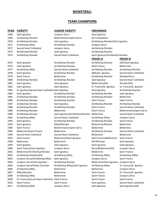#### **BASKETBALL**

### **TEAM CHAMPIONS**

| <b>YEAR</b> | <b>VARSITY</b>                                     | <b>JUNIOR VARSITY</b>                        | <b>FRESHMAN</b>                   |                               |
|-------------|----------------------------------------------------|----------------------------------------------|-----------------------------------|-------------------------------|
| 1968        | Saint Ignatius                                     | Junipero Serra                               | Saint Ignatius                    |                               |
| 1969        | Archbishop Riordan                                 | Bellarmine/Junipero Serra                    | No Competition                    |                               |
| 1970        | Archbishop Riordan                                 | Saint Ignatius                               | Archbishop Riordan/Saint Ignatius |                               |
| 1971        | Archbishop Mitty                                   | Archbishop Riordan                           | Junipero Serra                    |                               |
| 1972        | Sacred Heart Cathedral                             | Junipero Serra                               | Archbishop Riordan                |                               |
| 1973        | Archbishop Riordan                                 | Saint Ignatius                               | Archbishop Riordan                |                               |
| 1974        | Archbishop Riordan                                 | <b>Sacred Heart Cathedral</b>                | Saint Ignatius/Archbishop Riordan |                               |
|             |                                                    |                                              | <b>FROSH A</b>                    | <b>FROSH B</b>                |
| 1975        | Saint Ignatius                                     | Archbishop Riordan                           | Archbishop Riordan                | SHC/Saint Ignatius            |
| 1976        | Saint Ignatius                                     | Archbishop Riordan                           | Saint Francis                     | Bellarmine                    |
| 1977        | Archbishop Mitty                                   | Sacred Heart Cathedral                       | Archbishop Riordan                | Archbishop Riordan            |
| 1978        | Saint Ignatius                                     | Archbishop Riordan                           | Mitty/St. Ignatius                | <b>Sacred Heart Cathedral</b> |
| 1979        | Saint Francis                                      | <b>Bellarmine</b>                            | Archbishop Riordan                | Riordan/Serra                 |
| 1980        | Archbishop Riordan                                 | Archbishop Riordan                           | Saint Ignatius                    | Sacred Heart Cathedral        |
| 1981        | Saint Ignatius                                     | Saint Ignatius                               | Bellarmine/SHC                    | Riordan/SHC                   |
| 1982        | Saint Ignatius                                     | Saint Ignatius                               | St. Francis/St. Ignatius          | St. Francis/St. Ignatius      |
| 1983        | St. Ignatius/Sacred Heart Cathedral Saint Ignatius |                                              | Saint Ignatius                    | Archbishop Riordan            |
| 1984        | Saint Ignatius                                     | Archbishop Riordan                           | Archbishop Riordan                | Saint Ignatius                |
| 1985        | Archbishop Riordan                                 | Archbishop Riordan                           | Archbishop Riordan                | Bellarmine                    |
| 1986        | Archbishop Riordan                                 | Archbishop Riordan                           | Saint Francis                     | Saint Francis                 |
| 1987        | Archbishop Riordan                                 | Saint Ignatius                               | Archbishop Riordan                | Archbishop Riordan            |
| 1988        | Archbishop Riordan                                 | Archbishop Riordan                           | Saint Francis                     | Sacred Heart Cathedral        |
| 1989        | Archbishop Riordan                                 | <b>Bellarmine</b>                            | Saint Francis                     | Bellarmine/Junipero Serra     |
| 1990        | Archbishop Riordan                                 | Saint Ignatius/Archbishop Riordan Bellarmine |                                   | Sacred Heart Cathedral        |
| 1991        | Archbishop Mitty                                   | <b>Sacred Heart Cathedral</b>                | Archbishop Mitty                  | Junipero Serra                |
| 1992        | Saint Ignatius                                     | Archbishop Riordan                           | Archbishop Riordan                | Saint Francis                 |
| 1993        | Saint Ignatius                                     | Mitty/Riordan                                | Bellarmine/Riordan                | <b>Bellarmine</b>             |
| 1994        | Saint Francis                                      | Bellarmine/Junipero Serra                    | Bellarmine                        | Bellarmine                    |
| 1995        | <b>Bellarmine/Saint Francis</b>                    | <b>Bellarmine</b>                            | Archbishop Riordan                | Sacred Heart Cathedral        |
| 1996        | Sacred Heart Cathedral                             | Sacred Heart Cathedral                       | Bellarmine                        | Bellarmine                    |
| 1997        | Saint Francis                                      | <b>Bellarmine/Saint Ignatius</b>             | Saint Francis/Bellarmine          | Saint Francis                 |
| 1998        | Bellarmine                                         | Bellarmine                                   | SHC/Riordan                       | Saint Ignatius                |
| 1999        | Saint Ignatius                                     | Saint Ignatius                               | Saint Ignatius                    | Saint Ignatius                |
| 2000        | Saint Francis/Saint Ignatius                       | Junipero Serra                               | Serra/Bellarmine/SHC              | Junipero Serra                |
| 2001        | Bellarmine/Archbishop Riordan                      | Saint Ignatius                               | Bellarmine                        | Saint Francis                 |
| 2002        | Archbishop Riordan/SHC                             | Archbishop Mitty                             | Archbishop Mitty                  | Archbishop Mitty              |
| 2003        | Junipero Serra/Archbishop Mitty                    | Saint Ignatius                               | Junipero Serra                    | Saint Francis                 |
| 2004        | Junipero Serra/Saint Ignatius                      | Archbishop Riordan                           | <b>Bellarmine/Saint Ignatius</b>  | Junipero Serra                |
| 2005        | Junipero Serra/Valley Christian                    | Archbishop Mitty/Saint Ignatius              | Archbishop Mitty                  | St. Francis/St. Ignatius      |
| 2006        | Archbishop Mitty                                   | Bellarmine                                   | Bellarmine                        | Junipero Serra                |
| 2007        | Mitty/Riordan                                      | Bellarmine                                   | Saint Francis                     | St. Francis/St. Ignatius      |
| 2008        | Archbishop Mitty                                   | Bellarmine                                   | Saint Francis                     | Junipero Serra                |
| 2009        | St. Francis/Sacred Heart Cathedral Saint Francis   |                                              | Saint Francis                     | Saint Francis                 |
| 2010        | Saint Francis                                      | Saint Francis                                | Saint Ignatius                    | Sacred Heart Cathedral        |
| 2011        | Archbishop Mitty                                   | Junipero Serra                               | Saint Ignatius                    | Saint Ignatius/SHC            |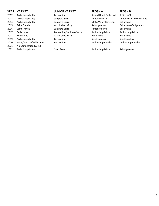| 2012 | Archbishop Mitty        |
|------|-------------------------|
| 2013 | Archbishop Mitty        |
| 2014 | Archbishop Mitty        |
| 2015 | Saint Francis           |
| 2016 | Saint Francis           |
| 2017 | Bellarmine              |
| 2018 | Bellarmine              |
| 2019 | Archbishop Mitty        |
| 2020 | Mitty/Riordan/Bellarmir |
| 2021 | No Competition (Covid)  |
| 2022 | Archbishop Mitty        |

#### **YEAR VARSITY JUNIOR VARSITY FROSH A FROSH B**

Bellarmine **2012 Sacred Heart Cathedral SI/Serra/SF** 2013 Archbishop Mitty Junipero Serra Junipero Serra Junipero Serra/Bellarmine Junipero Serra 2014 Mitty/Valley Christian Bellarmine Archbishop Mitty **Saint Ignatius** Bellarmine/St. Ignatius Bellarmine Junipero Serra **2016 Serra Serra Calcio Serra** Bellarmine Bellarmine/Junipero Serra Archbishop Mitty Archbishop Mitty Archbishop Mitty **Bellarmine** Bellarmine Bellarmine Bellarmine **2018 Archbishop Mitters Saint Ignatius** Saint Ignatius Saint Ignatius Saint Ignatius Saint Ignatius 2020 Mitter and Dellarmine **Bellarmine** Archbishop Riordan Archbishop Riordan Archbishop Riordan

**2022 Saint Francis** Archbishop Mitty Saint Ignatius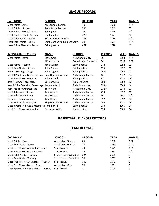### **LEAGUE RECORDS**

| <b>CATEGORY</b>                                  | <b>SCHOOL</b>                     | <b>RECORD</b>          | <b>YEAR</b>   |      | <b>GAMES</b> |
|--------------------------------------------------|-----------------------------------|------------------------|---------------|------|--------------|
| <b>Most Points - Game</b>                        | Archbishop Riordan                | 103                    | 1980          |      | N/A          |
| Most Points - Season                             | Archbishop Riordan                | 955                    | 1987          |      | 12           |
| Least Points Allowed - Game                      | Saint Ignatius                    | 12                     | 1974          |      | N/A          |
| Least Points Scored - Season                     | Saint Ignatius                    | 479                    | 1973          |      | 12           |
| Most Total Points - Game                         | SHC vs. Valley Christian          | 173                    | 2016          |      | N/A          |
| Least Total Points - Game                        | Saint Ignatius vs. Junipero Serra | 29                     | 1974          |      | N/A          |
| Least Points Allowed - Season                    | Saint Ignatius                    | 462                    | 1978          |      | 12           |
|                                                  |                                   |                        |               |      |              |
| <b>INDIVIDUAL RECORDS</b>                        | <b>NAME</b>                       | <b>SCHOOL</b>          | <b>RECORD</b> | YEAR | <b>GAMES</b> |
| Most Points - game                               | <b>Steve Gera</b>                 | Archbishop Mitty       | 50            | 1968 | N/A          |
|                                                  | <b>Alfred Hollins</b>             | Sacred Heart Cathedral | 50            | 2016 | N/A          |
| Most Points - Season                             | John Duggan                       | Saint Ignatius         | 348           | 1992 | 12           |
| Most Field Goals - Season                        | John Duggan                       | Saint Ignatius         | 125           | 1992 | 12           |
| <b>Highest Scoring Average</b>                   | John Duggan                       | Saint Ignatius         | 29.0          | 1992 | 12           |
| Most 3 Point Field Goals - Season                | King-Njhsanni Wilhite             | Archbishop Riordan     | 46            | 2022 | 14           |
| Most Free Throws - Season                        | Johnny Mrlik                      | Saint Ignatius         | 85            | 2010 | 14           |
| <b>Best Field Goal Percentage</b>                | Cas Banaszek                      | Junipero Serra         | 68.0%         | 1989 | 12           |
| Best 3 Point Field Goal Percentage Anthony Smith |                                   | Archbishop Mitty       | 53.8%         | 2008 | 14           |
| <b>Best Free Throw Percentage</b>                | <b>Terry Vane</b>                 | Archbishop Mitty       | 93.9%         | 1974 | 11           |
| Most Rebounds - Season                           | Jaha Wilson                       | Archbishop Riordan     | 234           | 1992 | 12           |
| Most Rebounds - Game                             | Jaha Wilson                       | Archbishop Riordan     | 30            | 1991 | N/A          |
| <b>Highest Rebound Average</b>                   | Jaha Wilson                       | Archbishop Riordan     | 19.5          | 1992 | 12           |
| Most Field Goals Attempted                       | King-Njhsanni Wilhite             | Archbishop Riordan     | 244           | 2022 | 14           |
| Most 3 Point Field Goals Attempted John Bonelli  |                                   | Saint Ignatius         | 113           | 2006 | 14           |
| Most Free Throws Attempted                       | Decensae White                    | Junipero Serra         | 124           | 2006 | 14           |

### **BASKETBALL PLAYOFF RECORDS**

### **TEAM RECORDS**

| <b>CATEGORY</b>                         | <b>SCHOOL</b>          | <b>RECORD</b> | <b>YEAR</b> | <b>GAMES</b> |
|-----------------------------------------|------------------------|---------------|-------------|--------------|
| Most Points – Game                      | Archbishop Riordan     | 85            | 1988        | N/A          |
| Most Field Goals - Game                 | Archbishop Riordan     | 37            | 1988        | N/A          |
| Most Free Throws Attempted - Game       | Saint Francis          | 44            | 1971        | N/A          |
| Most Free Throws Made – Game            | Saint Francis          | 34            | 1971        | N/A          |
| Most Total Points - Tourney             | Sacred Heart Cathedral | 224           | 2009        | 3            |
| Most Field Goals - Tourney              | Sacred Heart Cathedral | 78            | 2009        | 3            |
| Most Free Throws Attempted - Tourney    | Saint Francis          | 102           | 1971        | 3            |
| Most Free Throws Made - Tourney         | Archbishop Mitty       | 70            | 1991        | 3            |
| Most 3 point Field Goals Made - Tourney | <b>Saint Francis</b>   | 31            | 2009        | 3            |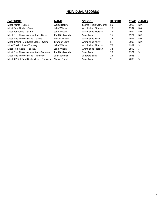#### **INDIVIDUAL RECORDS**

| <b>CATEGORY</b>                         | <b>NAME</b>           | <b>SCHOOL</b>          | <b>RECORD</b> | <b>YEAR</b> | <b>GAMES</b> |
|-----------------------------------------|-----------------------|------------------------|---------------|-------------|--------------|
| Most Points – Game                      | <b>Alfred Hollins</b> | Sacred Heart Cathedral | 50            | 2016        | N/A          |
| Most Field Goals – Game                 | Jaha Wilson           | Archbishop Riordan     | 15            | 1992        | N/A          |
| Most Rebounds - Game                    | Jaha Wilson           | Archbishop Riordan     | 18            | 1992        | N/A          |
| Most Free Throws Attempted - Game       | Paul Boskovitch       | Saint Francis          | 15            | 1971        | N/A          |
| Most Free Throws Made – Game            | Shawn Kernan          | Archbishop Mitty       | 12            | 1991        | N/A          |
| Most 3 Point Field Goals Made – Game    | <b>Brandon Scott</b>  | Archbishop Mitty       | 5             | 2009        | N/A          |
| Most Total Points - Tourney             | Jaha Wilson           | Archbishop Riordan     | 77            | 1992        | 3            |
| Most Field Goals - Tourney              | Jaha Wilson           | Archbishop Riordan     | 34            | 1992        | 3            |
| Most Free Throws Attempted - Tourney    | Paul Boskovitch       | <b>Saint Francis</b>   | 29            | 1971        | 3            |
| Most Free Throws Made - Tourney         | John Schmitz          | Junipero Serra         | 26            | 1968        | 3            |
| Most 3 Point Field Goals Made - Tourney | Shawn Grant           | <b>Saint Francis</b>   | 9             | 2009        | 3            |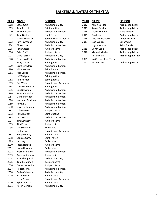### **BASKETBALL PLAYERS OF THE YEAR**

| <b>YEAR</b> | <b>NAME</b>             | <b>SCHOOL</b>          | <b>YEAR</b> | <b>NAME</b>            | <b>SCHOOL</b> |
|-------------|-------------------------|------------------------|-------------|------------------------|---------------|
| 1968        | <b>Steve Gera</b>       | Archbishop Mitty       | 2012        | Aaron Gordon           | Archbishop    |
| 1969        | <b>Tom Percell</b>      | Saint Ignatius         | 2013        | Aaron Gordon           | Archbishop    |
| 1970        | Kevin Restani           | Archbishop Riordan     | 2014        | <b>Trevor Dunbar</b>   | Saint Ignat   |
| 1971        | Tom Ganley              | Saint Francis          | 2015        | Ben Kone               | Archbishop    |
| 1972        | Glenn Hubbard           | Sacred Heart Cathedral | 2016        | Jake Killingsworth     | Junipero S    |
| 1973        | Ray Townsend            | Archbishop Mitty       | 2017        | Jake Wojcik            | Bellarmine    |
| 1974        | Elmer Love              | Archbishop Riordan     |             | Logan Johnson          | Saint Frand   |
| 1975        | John Casselli           | Junipero Serra         | 2019        | Devan Sapp             | Archbishop    |
| 1976        | <b>Brian Duffy</b>      | Junipero Serra         | 2020        | Michael Mitchell       | Archbishop    |
| 1977        | Dave Parrott            | Archbishop Mitty       |             | Je'Lani Clark          | Archbishop    |
| 1978        | Francisco Pepin         | Archbishop Riordan     | 2021        | No Competition (Covid) |               |
|             | Tony Zanze              | Saint Ignatius         | 2022        | Aidan Burke            | Archbishop    |
| 1979        | <b>Brett Crawford</b>   | Archbishop Riordan     |             |                        |               |
| 1980        | Mike Norman             | Saint Francis          |             |                        |               |
| 1981        | Alex Lopez              | Archbishop Riordan     |             |                        |               |
|             | Jeff Thilgen            | Saint Ignatius         |             |                        |               |
| 1982        | Paul Fortier            | Saint Ignatius         |             |                        |               |
| 1983        | Eric White              | Sacred Heart Cathedral |             |                        |               |
| 1984        | Levy Middlebrooks       | Saint Ignatius         |             |                        |               |
| 1985        | Eric Newman             | Archbishop Riordan     |             |                        |               |
| 1986        | <b>Terrance Mullin</b>  | Archbishop Riordan     |             |                        |               |
| 1987        | Denfield Wade           | Archbishop Riordan     |             |                        |               |
| 1988        | Wayman Strickland       | Archbishop Riordan     |             |                        |               |
| 1989        | Ray Kelly               | Archbishop Riordan     |             |                        |               |
| 1990        | Dwayne Fontana          | Archbishop Riordan     |             |                        |               |
| 1991        | John DeFoe              | Junipero Serra         |             |                        |               |
| 1992        | John Duggan             | Saint Ignatius         |             |                        |               |
| 1993        | Jaha Wilson             | Archbishop Riordan     |             |                        |               |
| 1994        | Tim Kennedy             | Junipero Serra         |             |                        |               |
| 1995        | Tim Kennedy             | Junipero Serra         |             |                        |               |
| 1996        | Cas Schneller           | Bellarmine             |             |                        |               |
|             | Justin Love             | Sacred Heart Cathedral |             |                        |               |
| 1997        | Senque Carey            | Saint Francis          |             |                        |               |
| 1998        | Senque Carey            | Saint Francis          |             |                        |               |
| 1999        | Jeb Ivey                | Bellarmine             |             |                        |               |
| 2000        | Jason Hardee            | Junipero Serra         |             |                        |               |
| 2001        | Jason Norman            | <b>Bellarmine</b>      |             |                        |               |
| 2002        | Marquis Kately          | Archbishop Riordan     |             |                        |               |
| 2003        | Andrew Kochevar         | Junipero Serra         |             |                        |               |
| 2004        | Paul Phangureh          | Archbishop Mitty       |             |                        |               |
| 2005        | Tom McMahon             | Junipero Serra         |             |                        |               |
| 2006        | Decensae White          | Junipero Serra         |             |                        |               |
| 2007        | Robert Jones            | Archbishop Riordan     |             |                        |               |
| 2008        | <b>Collin Chiverton</b> | Archbishop Mitty       |             |                        |               |
| 2009        | Shawn Grant             | Saint Francis          |             |                        |               |
|             | Jerry Brown             | Sacred Heart Cathedral |             |                        |               |
| 2010        | Tyler Johnson           | Saint Francis          |             |                        |               |
| $2011$      | aran Cardan             | $A$ robhichon $A$ ittu |             |                        |               |

| 1968         | Steve Gera               | Archbishop Mitty             |
|--------------|--------------------------|------------------------------|
| 1969         | Tom Percell              | Saint Ignatius               |
| 1970         | Kevin Restani            | Archbishop Riordan           |
| 1971         | <b>Tom Ganley</b>        | <b>Saint Francis</b>         |
| 1972         | Glenn Hubbard            | Sacred Heart Cathedral       |
| 1973         | Ray Townsend             | Archbishop Mitty             |
| 1974         | Elmer Love               | Archbishop Riordan           |
| 1975         | John Casselli            | Junipero Serra               |
| 1976         | <b>Brian Duffy</b>       | Junipero Serra               |
| 1977         | Dave Parrott             | Archbishop Mitty             |
| 1978         | <b>Francisco Pepin</b>   | Archbishop Riordan           |
|              | Tony Zanze               | Saint Ignatius               |
| 1979         | <b>Brett Crawford</b>    | Archbishop Riordan           |
| 1980         | Mike Norman              | <b>Saint Francis</b>         |
| 1981         | Alex Lopez               | Archbishop Riordan           |
|              | Jeff Thilgen             | Saint Ignatius               |
| 1982         | <b>Paul Fortier</b>      | Saint Ignatius               |
| 1983         | Eric White               | Sacred Heart Cathedral       |
| 1984         | Levy Middlebrooks        | Saint Ignatius               |
| 1985         | Eric Newman              | Archbishop Riordan           |
| 1986         | <b>Terrance Mullin</b>   | Archbishop Riordan           |
| 1987         | Denfield Wade            | Archbishop Riordan           |
| 1988         | Wayman Strickland        | Archbishop Riordan           |
| 1989         | Ray Kelly                | Archbishop Riordan           |
| 1990         | Dwayne Fontana           | Archbishop Riordan           |
| 1991         | John DeFoe               | Junipero Serra               |
| 1992         | John Duggan              | Saint Ignatius               |
| 1993         | Jaha Wilson              | Archbishop Riordan           |
| 1994         | Tim Kennedy              | Junipero Serra               |
| 1995         | Tim Kennedy              | Junipero Serra               |
| 1996         | Cas Schneller            | Bellarmine                   |
|              | Justin Love              | Sacred Heart Cathedral       |
|              |                          | <b>Saint Francis</b>         |
| 1997<br>1998 | Senque Carey             | Saint Francis                |
|              | Senque Carey             |                              |
| 1999         | Jeb Ivey<br>Jason Hardee | Bellarmine                   |
| 2000         |                          | Junipero Serra<br>Bellarmine |
| 2001         | Jason Norman             |                              |
| 2002         | Marquis Kately           | Archbishop Riordan           |
| 2003         | Andrew Kochevar          | Junipero Serra               |
| 2004         | Paul Phangureh           | Archbishop Mitty             |
| 2005         | Tom McMahon              | Junipero Serra               |
| 2006         | Decensae White           | Junipero Serra               |
| 2007         | Robert Jones             | Archbishop Riordan           |
| 2008         | <b>Collin Chiverton</b>  | Archbishop Mitty             |
| 2009         | Shawn Grant              | <b>Saint Francis</b>         |
|              | Jerry Brown              | Sacred Heart Cathedral       |
| 2010         | Tyler Johnson            | <b>Saint Francis</b>         |
| 2011         | Aaron Gordon             | Archbishop Mitty             |

| YEAR |  | <b>NAM</b> |
|------|--|------------|

| 1968 | Steve Gera         | Archbishop Mitty       | 2012 | Aaron Gordon            | Archbishop Mitty   |
|------|--------------------|------------------------|------|-------------------------|--------------------|
| 1969 | <b>Tom Percell</b> | Saint Ignatius         | 2013 | Aaron Gordon            | Archbishop Mitty   |
| 1970 | Kevin Restani      | Archbishop Riordan     | 2014 | <b>Trevor Dunbar</b>    | Saint Ignatius     |
| 1971 | Tom Ganley         | Saint Francis          | 2015 | Ben Kone                | Archbishop Mitty   |
| 1972 | Glenn Hubbard      | Sacred Heart Cathedral | 2016 | Jake Killingsworth      | Junipero Serra     |
| 1973 | Ray Townsend       | Archbishop Mitty       | 2017 | Jake Wojcik             | <b>Bellarmine</b>  |
| 1974 | Elmer Love         | Archbishop Riordan     |      | Logan Johnson           | Saint Francis      |
| 1975 | John Casselli      | Junipero Serra         | 2019 | Devan Sapp              | Archbishop Mitty   |
| 1976 | Brian Duffy        | Junipero Serra         | 2020 | <b>Michael Mitchell</b> | Archbishop Mitty   |
| 1977 | Dave Parrott       | Archbishop Mitty       |      | Je'Lani Clark           | Archbishop Riordan |
| 1978 | Francisco Pepin    | Archbishop Riordan     | 2021 | No Competition (Covid)  |                    |
|      | Tony Zanze         | Saint Ignatius         | 2022 | Aidan Burke             | Archbishop Mitty   |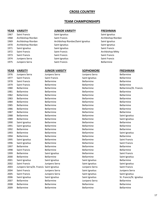#### **CROSS COUNTRY**

#### **TEAM CHAMPIONSHIPS**

1975 Junipero Serra Saint Francis Communication Bellarmine

1976 Junipero Serra Junipero Serra Junipero Serra Bellarmine 1977 Saint Francis Saint Francis Saint Ignatius Saint Ignatius Bellarmine 1978 Saint Francis **Bellarmine** Bellarmine Bellarmine Bellarmine Bellarmine 1979 Saint Francis **Bellarmine** Bellarmine Bellarmine Bellarmine Bellarmine 1980 Bellarmine Bellarmine Bellarmine Bellarmine/St. Francis 1981 Bellarmine Bellarmine Bellarmine Bellarmine Bellarmine Bellarmine 1982 Bellarmine Bellarmine Bellarmine Bellarmine Bellarmine Bellarmine 1983 Bellarmine Bellarmine Bellarmine Bellarmine Bellarmine Bellarmine 1984 Bellarmine Bellarmine Bellarmine Bellarmine Bellarmine Bellarmine 1985 Bellarmine Bellarmine Bellarmine Bellarmine Bellarmine Bellarmine 1986 Bellarmine Bellarmine Bellarmine Bellarmine Bellarmine Bellarmine 1987 Bellarmine Bellarmine Bellarmine Bellarmine Bellarmine Bellarmine 1988 Bellarmine Bellarmine Bellarmine Bellarmine Saint Ignatius 1989 Bellarmine Bellarmine Bellarmine Bellarmine Saint Ignatius 1990 Saint Ignatius Bellarmine Bellarmine Bellarmine Bellarmine Bellarmine 1991 Saint Ignatius Bellarmine Bellarmine Bellarmine Bellarmine Bellarmine 1992 Bellarmine Bellarmine Bellarmine Bellarmine Bellarmine Bellarmine 1993 Bellarmine Bellarmine Bellarmine Bellarmine Saint Ignatius 1994 Bellarmine Bellarmine Bellarmine Bellarmine Bellarmine Bellarmine 1995 Saint Ignatius **Bellarmine** Bellarmine Bellarmine Bellarmine Saint Francis 1996 Saint Ignatius **Bellarmine** Bellarmine Bellarmine Bellarmine Saint Francis 1997 Bellarmine Bellarmine Bellarmine Bellarmine Bellarmine Bellarmine 1998 Saint Francis **Bellarmine** Bellarmine Bellarmine Bellarmine Bellarmine 1999 Bellarmine Saint Ignatius Saint Ignatius Bellarmine Saint Francis 2000 Bellarmine Bellarmine Bellarmine Bellarmine Saint Ignatius 2001 Saint Ignatius Saint Ignatius Saint Ignatius Saint Ignatius Bellarmine 2002 Saint Francis **Saint Ignatius** Junipero Serra Saint Ignatius Saint Ignatius Saint Ignatius 2003 Junipero Serra/St. Francis Saint Ignatius Junipero Serra Saint Francis 2004 Saint Francis Saint Junipero Serra Saint Ignatius Saint Ignatius Serra Serra 2005 Saint Francis Sunipero Serra Saint Ignatius Saint Ignatius Saint Ignatius Saint Ignatius 2006 Saint Ignatius Saint Ignatius Saint Ignatius St. Francis/St. Ignatius 2007 Bellarmine Bellarmine Junipero Serra Bellarmine 2008 Bellarmine Bellarmine Bellarmine Bellarmine Bellarmine Bellarmine 2009 Bellarmine Bellarmine Bellarmine Bellarmine Bellarmine Bellarmine

#### **YEAR VARSITY JUNIOR VARSITY FRESHMAN**

 Saint Francis Saint Ignatius Saint Ignatius 1968 Archbishop Riordan Saint Francis Communication Saint Francis Archbishop Riordan Archbishop Riordan Archbishop Riordan/Saint Ignatius Saint Ignatius Archbishop Riordan Saint Ignatius Saint Ignatius Saint Ignatius Saint Ignatius Saint Francis 1972 Saint Francis **Saint Francis** Saint Francis **Saint Francis** Archbishop Mitty Saint Francis Saint Francis Saint Francis Junipero Serra Saint Ignatius Saint Francis

#### **YEAR VARSITY JUNIOR VARSITY SOPHOMORE FRESHMAN**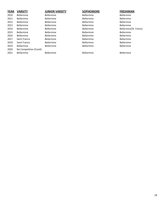| <b>YEAR</b> | <b>VARSITY</b>         | <b>JUNIOR VARSITY</b> | <b>SOPHOMORE</b>  | <b>FRESHMAN</b>        |
|-------------|------------------------|-----------------------|-------------------|------------------------|
| 2010        | <b>Bellarmine</b>      | <b>Bellarmine</b>     | <b>Bellarmine</b> | <b>Bellarmine</b>      |
| 2011        | <b>Bellarmine</b>      | <b>Bellarmine</b>     | Bellarmine        | <b>Bellarmine</b>      |
| 2012        | <b>Bellarmine</b>      | <b>Bellarmine</b>     | Bellarmine        | <b>Bellarmine</b>      |
| 2013        | <b>Bellarmine</b>      | <b>Bellarmine</b>     | Bellarmine        | <b>Bellarmine</b>      |
| 2014        | <b>Bellarmine</b>      | <b>Bellarmine</b>     | Bellarmine        | Bellarmine/St. Francis |
| 2015        | <b>Bellarmine</b>      | <b>Bellarmine</b>     | Bellarmine        | Bellarmine             |
| 2016        | <b>Bellarmine</b>      | <b>Bellarmine</b>     | Bellarmine        | <b>Bellarmine</b>      |
| 2017        | Saint Francis          | <b>Bellarmine</b>     | Bellarmine        | <b>Bellarmine</b>      |
| 2018        | Saint Francis          | <b>Bellarmine</b>     | Bellarmine        | <b>Bellarmine</b>      |
| 2019        | <b>Bellarmine</b>      | <b>Bellarmine</b>     | <b>Bellarmine</b> | Bellarmine             |
| 2020        | No Competition (Covid) |                       |                   |                        |
| 2021        | <b>Bellarmine</b>      | <b>Bellarmine</b>     | Bellarmine        | <b>Bellarmine</b>      |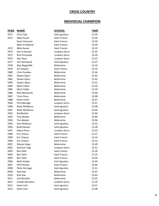### **CROSS COUNTRY**

### **INDIVIDUAL CHAMPION**

| <b>YEAR</b> | <b>NAME</b>          | <u>SCHOOL</u>        | <b>TIME</b> |
|-------------|----------------------|----------------------|-------------|
| 1971        | Chris Cole           | Saint Ignatius       | 15:24       |
| 1972        | Mike Kasser          | Saint Francis        | 15:59       |
|             | Kevin Donovan        | <b>Saint Francis</b> | 15:59       |
|             | Mike O'Halloran      | <b>Saint Francis</b> | 15:59       |
| 1973        | Mike Kasser          | Saint Francis        | 16:10       |
| 1974        | <b>Gerry Harnett</b> | Junipero Serra       | 15:35       |
| 1975        | <b>Rick Pincombe</b> | Junipero Serra       | 15:26       |
| 1976        | Stan Ross            | Junipero Serra       | 15:22       |
| 1977        | Jim Hannawait        | Saint Ignatius       | 15:27       |
| 1978        | Skip Wagstaffe       | <b>Bellarmine</b>    | 15:35       |
| 1979        | Jim Kaspari          | <b>Saint Francis</b> | 15:13       |
| 1980        | <b>Chris Peredes</b> | <b>Bellarmine</b>    | 15:36       |
| 1981        | Shawn Ayers          | <b>Bellarmine</b>    | 15:45       |
| 1982        | Shawn Ayers          | <b>Bellarmine</b>    | 15:42       |
| 1983        | Shawn Ayers          | <b>Bellarmine</b>    | 15:22       |
| 1984        | <b>Mark Callon</b>   | <b>Bellarmine</b>    | 15:30       |
| 1985        | <b>Mark Callon</b>   | <b>Bellarmine</b>    | 15:19       |
| 1986        | Rob Meinhardt        | <b>Bellarmine</b>    | 15:44       |
| 1987        | <b>Torre Pena</b>    | <b>Bellarmine</b>    | 15:08       |
| 1988        | Peter Fisher         | <b>Bellarmine</b>    | 15:47       |
| 1989        | Phil Kilbridge       | Junipero Serra       | 15:37       |
| 1990        | <b>Mark McManus</b>  | Saint Ignatius       | 15:38       |
| 1991        | Mark McManus         | Saint Ignatius       | 15:40       |
| 1992        | DanBoehle            | Junipero Serra       | 15:44       |
| 1993        | <b>Tom Becker</b>    | <b>Bellarmine</b>    | 15:40       |
| 1994        | <b>Tom Becker</b>    | <b>Bellarmine</b>    | 15:04       |
| 1995        | Paul Wellman         | Saint Ignatius       | 15:33       |
| 1996        | <b>Brad Hansen</b>   | Saint Ignatius       | 15:28       |
| 1997        | <b>Adam Perez</b>    | Junipero Serra       | 15:32       |
| 1998        | <b>Eric Chaves</b>   | Saint Francis        | 15:17       |
| 1999        | <b>Eric Chaves</b>   | <b>Saint Francis</b> | 15:14       |
| 2000        | <b>Eric Chavez</b>   | <b>Saint Francis</b> | 15:13       |
| 2001        | Wayne Hopp           | <b>Bellarmine</b>    | 15:49       |
| 2002        | Dominic Vogl         | Junipero Serra       | 15:52       |
| 2003        | <b>Ben Sitler</b>    | Saint Francis        | 15:28       |
| 2004        | <b>Ben Sitler</b>    | <b>Saint Francis</b> | 15:10       |
| 2005        | <b>Ben Sitler</b>    | Saint Francis        | 14:59       |
| 2006        | Matt Snyder          | Saint Ignatius       | 15:44       |
| 2007        | Phil Pompei          | Saint Francis        | 15:46       |
| 2008        | Peter Birsinger      | Saint Ignatius       | 15:11       |
| 2009        | Kyle Rae             | <b>Bellarmine</b>    | 15:47       |
| 2010        | Kyle Rae             | Bellarmine           | 15:43       |
| 2011        | Jack Bordoni         | <b>Bellarmine</b>    | 15:31       |
| 2012        | Joseph Berriatua     | Junipero Serra       | 15:19       |
| 2013        | Kevin Lehr           | Saint Ignatius       | 15:41       |
| 2014        | Kevin Lehr           | Saint Ignatius       | 15:38       |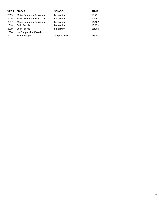| <b>YEAR</b> | <b>NAME</b>             | <b>SCHOOL</b>     | <b>TIME</b> |
|-------------|-------------------------|-------------------|-------------|
| 2015        | Meika Beaudoin-Rousseau | <b>Bellarmine</b> | 15:23       |
| 2016        | Meika Beaudoin-Rousseau | <b>Bellarmine</b> | 14:49       |
| 2017        | Meika Beaudoin-Rousseau | <b>Bellarmine</b> | 14:46.5     |
| 2018        | Colin Peattie           | <b>Bellarmine</b> | 15:15.4     |
| 2019        | <b>Colin Peattie</b>    | <b>Bellarmine</b> | 15:00.0     |
| 2020        | No Competition (Covid)  |                   |             |
| 2021        | <b>Tommy Rogers</b>     | Junipero Serra    | 15:20.7     |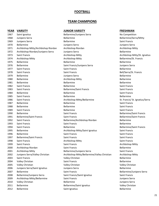#### **FOOTBALL**

#### **TEAM CHAMPIONS**

| <b>JUNIOR VARSITY</b> |
|-----------------------|
|-----------------------|

| <b>YEAR</b> | <b>VARSITY</b>                      | <b>JUNIOR VARSITY</b>                        | <b>FRESHMAN</b>   |
|-------------|-------------------------------------|----------------------------------------------|-------------------|
| 1967        | Saint Ignatius                      | Bellarmine/Junipero Serra                    | No Competitic     |
| 1968        | Junipero Serra                      | Bellarmine                                   | Bellarmine/Se     |
| 1969        | Junipero Serra                      | Bellarmine                                   | Saint Francis     |
| 1970        | <b>Bellarmine</b>                   | Junipero Serra                               | Junipero Serra    |
| 1971        | Archbishop Mitty/Archbishop Riordan | Archbishop Riordan                           | Archbishop Mi     |
| 1972        | Archbishop Riordan/Junipero Serra   | Junipero Serra                               | Bellarmine        |
| 1973        | <b>Saint Francis</b>                | Archbishop Mitty                             | Archbishop Mi     |
| 1974        | Archbishop Mitty                    | Archbishop Mitty                             | Bellarmine/St.    |
| 1975        | Bellarmine                          | Bellarmine                                   | Bellarmine        |
| 1976        | <b>Bellarmine</b>                   | Saint Francis/Junipero Serra                 | Junipero Serra    |
| 1977        | Saint Francis                       | <b>Saint Francis</b>                         | Bellarmine        |
| 1978        | Saint Francis                       | Saint Francis                                | Bell/Serra/St.    |
| 1979        | Bellarmine                          | Junipero Serra                               | <b>Bellarmine</b> |
| 1980        | Bellarmine                          | Archbishop Mitty                             | Bellarmine        |
| 1981        | <b>Bellarmine</b>                   | Bellarmine                                   | Bellarmine        |
| 1982        | Saint Francis                       | Bellarmine                                   | Saint Francis     |
| 1983        | Saint Francis                       | <b>Bellarmine/Saint Francis</b>              | Saint Francis     |
| 1984        | Bellarmine                          | <b>Bellarmine</b>                            | Saint Francis     |
| 1985        | Saint Francis                       | Bellarmine                                   | <b>Bellarmine</b> |
| 1986        | Saint Francis                       | Archbishop Mitty/Bellarmine                  | St. Francis/St.   |
| 1987        | Bellarmine                          | Bellarmine                                   | Saint Francis     |
| 1988        | Bellarmine                          | Bellarmine                                   | Saint Francis     |
| 1989        | Saint Francis                       | Bellarmine                                   | Saint Francis     |
| 1990        | Bellarmine                          | <b>Saint Francis</b>                         | Bellarmine/Sai    |
| 1991        | <b>Bellarmine/Saint Francis</b>     | <b>Saint Francis</b>                         | Bellarmine/Sai    |
| 1992        | Saint Francis                       | Bellarmine/Archbishop Riordan                | Bellarmine        |
| 1993        | Saint Francis                       | Saint Francis                                | Bellarmine        |
| 1994        | Saint Francis                       | <b>Bellarmine</b>                            | Bellarmine/Sai    |
| 1995        | <b>Bellarmine</b>                   | Archbishop Mitty/Saint Ignatius              | Saint Francis     |
| 1996        | Bellarmine                          | Saint Francis                                | Saint Francis     |
| 1997        | <b>Bellarmine/Saint Francis</b>     | <b>Saint Francis</b>                         | Saint Francis     |
| 1998        | Saint Francis                       | Archbishop Mitty                             | Saint Francis     |
| 1999        | Saint Francis                       | <b>Saint Francis</b>                         | Archbishop Mi     |
| 2000        | Archbishop Riordan                  | Saint Francis                                | Bellarmine        |
| 2001        | Archbishop Mitty                    | Bellarmine/Junipero Serra                    | Saint Francis     |
| 2002        | Junipero Serra/Valley Christian     | Archbishop Mitty/Bellarmine/Valley Christian | Archbishop Mi     |
| 2003        | Saint Francis                       | Valley Christian                             | Bellarmine        |
| 2004        | Valley Christian                    | Saint Francis                                | Bellarmine        |
| 2005        | Valley Christian                    | Valley Christian                             | Valley Christia   |
| 2006        | Junipero Serra/Saint Ignatius       | Junipero Serra                               | <b>Bellarmine</b> |
| 2007        | <b>Bellarmine</b>                   | Saint Francis                                | Bellarmine/Jur    |
| 2008        | Bellarmine/Junipero Serra           | Saint Francis/Saint Ignatius                 | Saint Francis     |
| 2009        | Archbishop Mitty/Bellarmine         | Saint Francis                                | Junipero Serra    |
| 2010        | Valley Christian                    | Bellarmine                                   | Junipero Serra    |
| 2011        | Bellarmine                          | <b>Bellarmine/Saint Ignatius</b>             | Valley Christia   |
| 2012        | Bellarmine                          | Saint Ignatius                               | Bellarmine        |

1970 Bellarmine Junipero Serra Junipero Serra 1971 Archbishop Riordan Archbishop Archbishop Mitty 1972 archbishop Riordan archibishop Riordan Bellarmine Archbishop Mitty **Archael Archbishop Mitty/St. Ignatius** Archbishop Mitty **Archause Archaeology** Bellarmine/St. Francis Saint Francis/Junipero Serra **1976 Bellarmine Serra di Serra di Serra di Serra di Serra di Serra di Serra di Se** 1978 Saint Francis Saint Francis Bell/Serra/St. Francis Archbishop Mitty **Bellarmine** 1983 Saint Francis Bellarmine/Saint Francis Saint Francis Archbishop Mitty/Bellarmine St. Francis/ St. Ignatius/Serra 1990 Bellarmine Saint Francis Bellarmine/Saint Francis 1991 Bellarmine/Saint Francis Saint Francis Bellarmine/Saint Francis Bellarmine/Archbishop Riordan Bellarmine 1994 Saint Francis Bellarmine Bellarmine/Saint Francis Archbishop Mitty/Saint Ignatius Saint Francis Archbishop Mitty **Saint Francis** Saint Francis **1999 Saint Francis** Saint Francis Archbishop Mitty Bellarmine/Junipero Serra Saint Francis Archbishop Mitty/Bellarmine/Valley Christian Archbishop Mitty Valley Christian **Bellarmine** 2005 Valley Christian Valley Christian Valley Christian 2007 Bellarmine Saint Francis Bellarmine/Junipero Serra **2008 Saint Francis/Saint Ignatius Saint Francis** Saint Francis 2010 Valley Christian Bellarmine Junipero Serra Bellarmine/Saint Ignatius Valley Christian

Bellarmine/Junipero Serra No Competition 1968 Bellarmine **1968 and 1968 Sellarmine** Bellarmine Serra Mitty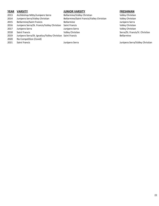#### **YEAR VARSITY JUNIOR VARSITY FRESHMAN**

- 
- 
- 
- 2016 Junipero Serra/St. Francis/Valley Christian Saint Francis Valley Christian Valley Christian
- 
- 
- 2019 Junipero Serra/St. Ignatius/Valley Christian Saint Francis **Bellamine** Bellarmine
- 2020 No Competition (Covid)
- 

2013 Archbishop Mitty/Junipero Serra Bellarmine/Valley Christian Valley Christian 2014 Junipero Serra/Valley Christian Bellarmine/Saint Francis/Valley Christian Valley Christian 2015 Bellarmine/Saint Francis Bellarmine Junipero Serra 2017 Junipero Serra Junipero Serra Valley Christian 2018 Saint Francis Saint Francis Serra/St. Francis/V. Christian Serra/St. Francis/V. Christian Serra/St. Francis/V. Christian

2021 Saint Francis Junipero Serra Junipero Serra/Valley Christian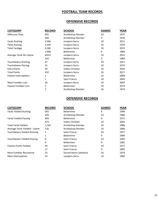### **FOOTBALL TEAM RECORDS**

#### **OFFENSIVE RECORDS**

| <b>CATEGORY</b>           | <b>RECORD</b> | <b>SCHOOL</b>        | <b>GAMES</b> | <b>YEAR</b> |
|---------------------------|---------------|----------------------|--------------|-------------|
| <b>Offensive Plays</b>    | 691           | Archbishop Riordan   | 10           | 1975        |
|                           | 646           | Archbishop Riordan   | 9            | 1970        |
| <b>Yards Rushing</b>      | 3,566         | Junipero Serra       | 10           | 2011        |
| Yards Passing             | 2,359         | Junipero Serra       | 10           | 1974        |
| <b>Total Yardage</b>      | 4,596         | Junipero Serra       | 10           | 2015        |
|                           | 2,908         | <b>Bellarmine</b>    | 9            | 1984        |
| Average Yards Per Game    | 459.6         | Junipero Serra       | 10           | 2015        |
|                           | 324           | <b>Bellarmine</b>    | 9            | 1984        |
| <b>Touchdowns Rushing</b> | 47            | Junipero Serra       | 10           | 2011        |
| <b>Touchdowns Passing</b> | 31            | Junipero Serra       | 10           | 1974        |
| <b>Extra Points</b>       | 50            | Valley Christian     | 10           | 2010        |
| <b>Total Points</b>       | 432           | Junipero Serra       | 10           | 2017        |
| Fewest Interceptions      | 1             | <b>Bellarmine</b>    | 10           | 2008        |
|                           | 1             | <b>Saint Francis</b> | 10           | 2003        |
| Most Fumbles Lost         | 26            | Junipero Serra       | 10           | 2003        |
| Fewest Fumbles Lost       | 2             | <b>Bellarmine</b>    | 10           | 1974        |
|                           | 2             | Archbishop Riordan   | 10           | 1974        |

#### **DEFENSIVE RECORDS**

| <b>CATEGORY</b>                   | <b>RECORD</b> | <b>SCHOOL</b>          | <b>GAMES</b> | <b>YEAR</b> |
|-----------------------------------|---------------|------------------------|--------------|-------------|
| Yards Yielded Rushing             | 392           | <b>Bellarmine</b>      | 9            | 1984        |
|                                   | 434           | Archbishop Riordan     | 10           | 1986        |
| <b>Yards Yielded Passing</b>      | 494           | <b>Bellarmine</b>      | 9            | 1972        |
|                                   | 473           | Valley Christian       | 10           | 2003        |
| <b>Total Yards Yielded</b>        | 1,162         | Archbishop Riordan     | 10           | 1986        |
| Average Yards Yielded - Game      | 116           | Archbishop Riordan     | 10           | 1986        |
| Touchdowns Yielded Rushing        | 1             | Saint Francis          | 10           | 1977        |
|                                   | 1             | <b>Bellarmine</b>      | 9            | 1984        |
| <b>Touchdowns Yielded Passing</b> | 0             | Saint Francis          | 10           | 1995        |
|                                   | 0             | <b>Bellarmine</b>      | 9            | 1981        |
| <b>Fewest Points Yielded</b>      | 34            | Saint Francis          | 10           | 1977        |
|                                   | 27            | <b>Saint Francis</b>   | 9            | 1983        |
| <b>Most Fumbles Recovered</b>     | 23            | Sacred Heart Cathedral | 10           | 1974        |
| Most Interceptions                | 23            | Junipero Serra         | 10           | 1982        |
|                                   |               |                        |              |             |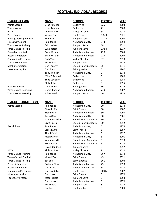#### **FOOTBALL INDIVIDUAL RECORDS**

| <b>LEAGUE-SEASON</b>          | <b>NAME</b>            | <b>SCHOOL</b>          | <b>RECORD</b> | <b>YEAR</b> |
|-------------------------------|------------------------|------------------------|---------------|-------------|
| Points Scored                 | Usua Amanan            | <b>Bellarmine</b>      | 126           | 2008        |
| Touchdowns                    | Usua Amanan            | <b>Bellarmine</b>      | 21            | 2008        |
| PAT's                         | <b>Phil Ramirez</b>    | Valley Christian       | 33            | 1010        |
| <b>Yards Rushing</b>          | Viliami Teu            | <b>Saint Francis</b>   | 1,449         | 2021        |
| Average Yards per Carry       | Ed Berry               | Junipero Serra         | 11.74         | 2005        |
| <b>Times Carried Ball</b>     | Paul Jones             | Archbishop Mitty       | 173           | 1094        |
| <b>Touchdowns Rushing</b>     | Erich Wilson           | Junipero Serra         | 18            | 2011        |
| <b>Yards Gained Passing</b>   | Luke Bottari           | Junipero Serra         | 1,494         | 2017        |
| Passed Attempted              | Evan Williams          | Archbishop Riordan     | 228           | 2009        |
| Passes Completed              | Evan Williams          | Archbishop Riordan     | 117           | 2009        |
| <b>Completion Percentage</b>  | Zach Viana             | Valley Christian       | 87%           | 2010        |
| <b>Touchdown Passes</b>       | Jim Freitas            | Junipero Serra         | 17            | 1974        |
| Most Interceptions            | Dan Fogarty            | Sacred Heart Cathedral | 15            | 1971        |
| Least Interceptions           | Dan Fouts              | Saint Ignatius         | 0             | 1967        |
|                               | <b>Tony Winkler</b>    | Archbishop Mitty       | 0             | 1974        |
|                               | Mike O'Donnell         | Bellarmine             | 0             | 1980        |
|                               | <b>Todd Locicero</b>   | <b>Bellarmine</b>      | 0             | 1983        |
|                               | <b>Blake Elliott</b>   | Bellarmine             | 0             | 1995        |
| Pass Receptions               | Danny Ryan             | Saint Ignatius         | 56            | 2019        |
| <b>Yards Gained Receiving</b> | Daniel Cannon          | Archbishop Riordan     | 740           | 2007        |
| <b>Touchdowns Receiving</b>   | John Casselli          | Junipero Serra         | 10            | 1974        |
|                               |                        |                        |               |             |
| <b>LEAGUE - SINGLE GAME</b>   | <b>NAME</b>            | <b>SCHOOL</b>          | <b>RECORD</b> | <b>YEAR</b> |
| <b>Points Scored</b>          | Paul Jones             | Archbishop Mitty       | 30            | 1974        |
|                               | <b>Steve Ruffin</b>    | <b>Saint Francis</b>   | 30            | 1987        |
|                               | Tipeti Paini           | Archbishop Riordan     | 30            | 1997        |
|                               | Jason Oliver           | Archbishop Mitty       | 30            | 2001        |
|                               | <b>Valentino Miles</b> | Sacred Heart Cathedral | 30            | 2010        |
|                               | <b>Brett Rasso</b>     | Sacred Heart Cathedral | 30            | 2012        |
| Touchdowns                    | Paul Jones             | Archbishop Mitty       | 5             | 1974        |
|                               | <b>Steve Ruffin</b>    | <b>Saint Francis</b>   | 5             | 1987        |
|                               | Tipeti Paini           | Archbishop Riordan     | 5             | 1997        |
|                               | Jason Oliver           | Archbishop Mitty       | 5             | 2001        |
|                               | <b>Valentino Miles</b> | Sacred Heart Cathedral | 5             | 2010        |
|                               | <b>Brett Rasso</b>     | Sacred Heart Cathedral | 5             | 2012        |
|                               | Isaiah Kendrick        | Junipero Serra         | 5             | 2017        |
| PAT's                         | <b>Phil Ramirez</b>    | Valley Christian       | 9             | 2010        |
| <b>Yards Gained Rushing</b>   | Paul Jones             | Archbishop Mitty       | 367           | 1974        |
| <b>Times Carried The Ball</b> | Viliami Teu            | Saint Francis          | 45            | 2021        |
| <b>Yards Gained Passing</b>   | Zac Lee                | Saint Ignatius         | 361           | 2004        |
| Passes Attempted              | Rodney Glover          | Archbishop Riordan     | 43            | 1990        |
| Passes Completed              | Dan Hayes              | Archbishop Riordan     | 33            | 1970        |
| <b>Completion Percentage</b>  | Sam Scudellari         | Saint Francis          | 100%          | 2007        |
| Most Interceptions            | Don Nava               | Saint Francis          | 5             | 1970        |
| <b>Touchdown Passes</b>       | Jesse Freitas          | Junipero Serra         | 5             | 1968        |
|                               | Dan Hayes              | Archbishop Riordan     | 5             | 1970        |
|                               | Jim Freitas            | Junipero Serra         | 5             | 1974        |
|                               | Zac Lee                | Saint Ignatius         | 5             | 2004        |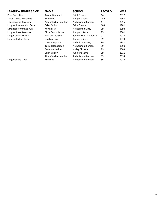| <b>LEAGUE - SINGLE GAME</b>   | <b>NAME</b>              | <b>SCHOOL</b>          | <b>RECORD</b> | <b>YEAR</b> |
|-------------------------------|--------------------------|------------------------|---------------|-------------|
| Pass Receptions               | Austin Woodard           | <b>Saint Francis</b>   | 14            | 2012        |
| <b>Yards Gained Receiving</b> | Tom Scott                | Junipero Serra         | 256           | 1968        |
| <b>Touchdowns Receiving</b>   | Aidan Verba-Hamilton     | Archbishop Riordan     | 4             | 2015        |
| Longest Interception Return   | <b>Brian Quinn</b>       | <b>Saint Francis</b>   | 103           | 1981        |
| Longest Scrimmage Run         | Kevin May                | Archbishop Mitty       | 99            | 1998        |
| Longest Pass Reception        | Chris Denny-Brown        | Junipero Serra         | 95            | 2001        |
| Longest Punt Return           | Michael Jackson          | Sacred Heart Cathedral | 97            | 1975        |
| Longest Kickoff Return        | Len Morrow               | Junipero Serra         | 99            | 1979        |
|                               | Dave Tanguary            | Archbishop Mitty       | 99            | 1981        |
|                               | <b>Terrell Henderson</b> | Archbishop Riordan     | 99            | 1990        |
|                               | <b>Brandon Harlow</b>    | Valley Christian       | 99            | 2003        |
|                               | Erich Wilson             | Junipero Serra         | 99            | 2011        |
|                               | Aidan Verba-Hamilton     | Archbishop Riordan     | 99            | 2014        |
| Longest Field Goal            | Eric Hipp                | Archbishop Riordan     | 56            | 1976        |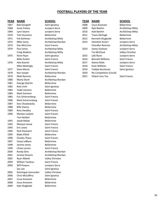### **FOOTBALL PLAYERS OF THE YEAR**

| <b>YEAR</b> | <b>NAME</b>           | <u>SCHOOL</u>      | YEAR | <b>NAME</b>             | <u>SCHOOL</u>     |
|-------------|-----------------------|--------------------|------|-------------------------|-------------------|
| 1967        | <b>Bob Giorgetti</b>  | Saint Ignatius     | 2008 | Usua Amanam             | Bellarmine        |
| 1968        | Jesse Freitas         | Junipero Serra     | 2009 | Kyle Boehm              | Archbisho         |
| 1969        | Lynn Swann            | Junipero Serra     | 2010 | Kyle Boehm              | Archbisho         |
| 1970        | Tom Duzanica          | Bellarmine         | 2011 | <b>Travis McHugh</b>    | Bellarmine        |
| 1971        | Pat Kohlman           | Archbishop Mitty   | 2012 | Kenneth Olugbode        | <b>Bellarmine</b> |
| 1972        | Mike Carey            | Archbishop Riordan | 2013 | Hamilton Anoa'l         | Junipero S        |
| 1973        | Dan McCrone           | Saint Francis      |      | <b>Chandler Ramirez</b> | Archbisho         |
| 1974        | Paul Jones            | Archbishop Mitty   | 2014 | James Outman            | Junipero S        |
|             | Craig Watkins         | Archbishop Mitty   |      | <b>Tre McCloud</b>      | Valley Chr        |
| 1975        | Kevin Ryan            | Saint Ignatius     | 2015 | Leki Nunn               | Junipero S        |
|             | Mike Guidry           | Saint Francis      | 2016 | <b>Bennett Williams</b> | Saint Fran        |
| 1976        | Alex Koontz           | Archbishop Mitty   | 2017 | Atonio Maki             | Junipero S        |
|             | <b>Mike Mattingly</b> | Saint Francis      | 2018 | Evan Williams           | Saint Fran        |
| 1977        | Dave Morze            | Saint Francis      | 2019 | Teddye Buchanan         | Saint Igna        |
| 1978        | Ken Joseph            | Archbishop Riordan | 2020 | No Competition (Covid)  |                   |
| 1979        | <b>Matt Ramirez</b>   | <b>Bellarmine</b>  | 2021 | Viliami JuJu Teu        | Saint Fran        |
| 1980        | Marty Storti          | Archbishop Riordan |      |                         |                   |
| 1981        | George Ebertin        | Bellarmine         |      |                         |                   |
| 1982        | Rob Urich             | Saint Ignatius     |      |                         |                   |
| 1983        | <b>Todd Locicero</b>  | Bellarmine         |      |                         |                   |
| 1984        | Mark Dumont           | Bellarmine         |      |                         |                   |
| 1985        | Eric Scharrenberg     | Saint Francis      |      |                         |                   |
| 1986        | Mark Scharrenberg     | Saint Francis      |      |                         |                   |
| 1987        | Dan Chowlowsky        | Bellarmine         |      |                         |                   |
| 1988        | <b>Billy Owens</b>    | Bellarmine         |      |                         |                   |
| 1989        | Ross Headley          | Saint Francis      |      |                         |                   |
| 1990        | Markee Lockett        | Saint Francis      |      |                         |                   |
|             | <b>Tom McNeil</b>     | Bellarmine         |      |                         |                   |
| 1991        | Jacob Malae           | <b>Bellarmine</b>  |      |                         |                   |
| 1992        | Marquis Jessie        | Saint Francis      |      |                         |                   |
| 1993        | Eric Lewis            | Saint Francis      |      |                         |                   |
| 1994        | Nick Pavlovich        | Saint Francis      |      |                         |                   |
| 1995        | <b>Blake Elliott</b>  | <b>Bellarmine</b>  |      |                         |                   |
| 1996        | Charles Tharp         | Saint Francis      |      |                         |                   |
| 1997        | Casey LeBlanc         | Bellarmine         |      |                         |                   |
| 1998        | Jeremy Jones          | Bellarmine         |      |                         |                   |
| 1999        | Chase Lyman           | Saint Francis      |      |                         |                   |
| 2000        | <b>Randy Sims</b>     | Archbishop Riordan |      |                         |                   |
| 2001        | Jeremy Konaris        | Archbishop Riordan |      |                         |                   |
| 2002        | Ryan Abbott           | Valley Christian   |      |                         |                   |
| 2003        | William Taufoou       | Saint Francis      |      |                         |                   |
| 2004        | <b>Will Powers</b>    | Junipero Serra     |      |                         |                   |
|             | Zac Lee               | Saint Ignatius     |      |                         |                   |
| 2005        | Domingue Hunsucker    | Valley Christian   |      |                         |                   |
| 2006        | Chris McCaffery       | Saint Ignatius     |      |                         |                   |
| 2007        | Usua Amanam           | Bellarmine         |      |                         |                   |
| 2008        | Usua Amanam           | Bellarmine         |      |                         |                   |
| 2009        | Kyle Olugbode         | Bellarmine         |      |                         |                   |

| Saint Ignatius          |
|-------------------------|
| unipero Serra           |
| unipero Serra           |
| Bellarmine              |
| Archbishop Mitty        |
| Archbishop Riordan      |
| Saint Francis           |
| Archbishop Mitty        |
| Archbishop Mitty        |
| Saint Ignatius          |
| Saint Francis           |
| Archbishop Mitty        |
| Saint Francis           |
| Saint Francis           |
| Archbishop Riordan      |
| Bellarmine              |
| Archbishop Riordan      |
| 3ellarmine              |
| Saint Ignatius          |
| Bellarmine              |
| Bellarmine              |
| Saint Francis           |
| Saint Francis           |
| 3ellarmine              |
| Bellarmine              |
| Saint Francis           |
| Saint Francis           |
| Bellarmine              |
| Bellarmine              |
| Saint Francis           |
| Saint Francis           |
| Saint Francis           |
| Bellarmine              |
| Saint Francis           |
| Bellarmine              |
| Bellarmine              |
| Saint Francis           |
| Archbishop Riordan      |
| Archbishop Riordan      |
| <b>Jalley Christian</b> |
| Saint Francis           |
| unipero Serra           |
| Saint Ignatius          |
| <b>Jalley Christian</b> |
| Saint Ignatius          |
| Bellarmine              |
| Bellarmine              |
| 3ellarmine              |
|                         |

| YEAR |  | NAN |  |
|------|--|-----|--|
|      |  |     |  |

| 1967 | <b>Bob Giorgetti</b> | Saint Ignatius     | 2008 | Usua Amanam             | <b>Bellarmine</b> |
|------|----------------------|--------------------|------|-------------------------|-------------------|
| 1968 | Jesse Freitas        | Junipero Serra     | 2009 | Kyle Boehm              | Archbishop Mitty  |
| 1969 | Lynn Swann           | Junipero Serra     | 2010 | Kyle Boehm              | Archbishop Mitty  |
| 1970 | <b>Tom Duzanica</b>  | <b>Bellarmine</b>  | 2011 | <b>Travis McHugh</b>    | <b>Bellarmine</b> |
| 1971 | Pat Kohlman          | Archbishop Mitty   | 2012 | Kenneth Olugbode        | <b>Bellarmine</b> |
| 1972 | Mike Carey           | Archbishop Riordan | 2013 | Hamilton Anoa'l         | Junipero Serra    |
| 1973 | Dan McCrone          | Saint Francis      |      | <b>Chandler Ramirez</b> | Archbishop Mitty  |
| 1974 | Paul Jones           | Archbishop Mitty   | 2014 | James Outman            | Junipero Serra    |
|      | Craig Watkins        | Archbishop Mitty   |      | Tre McCloud             | Valley Christian  |
| 1975 | Kevin Ryan           | Saint Ignatius     | 2015 | Leki Nunn               | Junipero Serra    |
|      | Mike Guidry          | Saint Francis      | 2016 | <b>Bennett Williams</b> | Saint Francis     |
| 1976 | Alex Koontz          | Archbishop Mitty   | 2017 | Atonio Maki             | Junipero Serra    |
|      | Mike Mattingly       | Saint Francis      | 2018 | Evan Williams           | Saint Francis     |
| 1977 | Dave Morze           | Saint Francis      | 2019 | Teddye Buchanan         | Saint Ignatius    |
| 1978 | Ken Joseph           | Archbishop Riordan | 2020 | No Competition (Covid)  |                   |
| 1979 | <b>Matt Ramirez</b>  | <b>Bellarmine</b>  | 2021 | Viliami JuJu Teu        | Saint Francis     |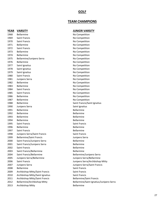#### **GOLF**

#### **TEAM CHAMPIONS**

#### **YEAR VARSITY JUNIOR VARSITY**

| I LAN | <u>VANJILI</u>                  |
|-------|---------------------------------|
| 1968  | <b>Bellarmine</b>               |
| 1969  | Saint Francis                   |
| 1970  | Saint Francis                   |
| 1971  | <b>Bellarmine</b>               |
| 1972  | <b>Saint Francis</b>            |
| 1973  | Bellarmine                      |
| 1974  | <b>Bellarmine</b>               |
| 1975  | Bellarmine/Junipero Serra       |
| 1976  | <b>Bellarmine</b>               |
| 1977  | Saint Ignatius                  |
| 1978  | Saint Ignatius                  |
| 1979  | Saint Ignatius                  |
| 1980  | Saint Francis                   |
| 1981  | Junipero Serra                  |
| 1982  | <b>Bellarmine</b>               |
| 1983  | Bellarmine                      |
| 1984  | <b>Saint Francis</b>            |
| 1985  | Saint Francis                   |
| 1986  | <b>Bellarmine</b>               |
| 1987  | <b>Bellarmine</b>               |
| 1988  | Bellarmine                      |
| 1990  | Junipero Serra                  |
| 1991  | <b>Bellarmine</b>               |
| 1992  | <b>Bellarmine</b>               |
| 1993  | Bellarmine                      |
| 1994  | Bellarmine                      |
| 1995  | Saint Francis                   |
| 1996  | <b>Bellarmine</b>               |
| 1997  | <b>Saint Francis</b>            |
| 1998  | Junipero Serra/Saint Frand      |
| 1999  | <b>Bellarmine/Saint Francis</b> |
| 2000  | Saint Francis/Junipero Ser      |
| 2001  | Saint Francis/Junipero Ser      |
| 2002  | Saint Francis                   |
| 2003  | Saint Francis/Bellarmine        |
| 2004  | Saint Francis/Bellarmine        |
| 2005  | Junipero Serra/Bellarmine       |
| 2006  | Saint Francis                   |
| 2007  | Junipero Serra                  |
| 2008  | Bellarmine                      |
| 2009  | Archbishop Mitty/Saint Fr       |
| 2010  | Archbishop Mitty/Saint Ig       |
| 2011  | Archbishop Mitty/Saint Fr       |
| 2012  | Bellarmine/Archbishop M         |
| 2013  | Archbishop Mitty                |

No Competition No Competition No Competition No Competition No Competition No Competition No Competition No Competition No Competition No Competition No Competition No Competition No Competition No Competition No Competition No Competition No Competition No Competition No Competition No Competition Saint Francis/Saint Ignatius Saint Ignatius **Bellarmine Bellarmine Bellarmine Bellarmine** Saint Francis **Bellarmine Bellarmine** 1998 Junipero Serra/Saint Francis Saint Francis Junipero Serra 2000 Saint Francis/Junipero Serra Bellarmine 2001 Saint Francis/Junipero Serra Bellarmine **Bellarmine Bellarmine** Bellarmine/Junipero Serra Junipero Serra/Bellarmine Junipero Serra/Archbishop Mitty Junipero Serra/Saint Francis Saint Francis 2009 Archbishop Mitty/Saint Francis Saint Francis 2010 Archbishop Mitty/Saint Ignatius Saint Francis 2011 Archbishop Mitty/Saint Francis Bellarmine/Saint Francis itty **2012 Bellarmine/Saint Ignatius/Junipero Serra** 2013 Archbishop Mitty Bellarmine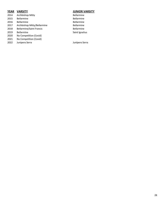#### **YEAR VARSITY JUNIOR VARSITY**

2021 No Competition (Covid)<br>2022 Junipero Serra

- 2014 Archbishop Mitty **Bellarmine** 2015 Bellarmine **Bellarmine** Bellarmine 2016 Bellarmine Bellarmine 2017 Archbishop Mitty/Bellarmine **Bellarmine** 2018 Bellarmine/Saint Francis **Bellarmine** 2019 Bellarmine Saint Ignatius 2020 No Competition (Covid)
	-

2022 Junipero Serra Junipero Serra

28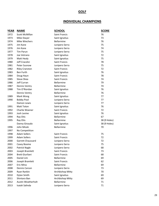### **GOLF**

### **INDIVIDUAL CHAMPIONS**

| <b>YEAR</b> | <b>NAME</b>            | <b>SCHOOL</b>        | <b>SCORE</b> |
|-------------|------------------------|----------------------|--------------|
| 1972        | Scott McMillan         | Saint Francis        | 76           |
| 1973        | Mike Dwyer             | Saint Ignatius       | 73           |
| 1974        | Mike Wiechers          | <b>Bellarmine</b>    | 76           |
| 1975        | Jim Kane               | Junipero Serra       | 75           |
| 1976        | Jim Kane               | Junipero Serra       | 74           |
| 1977        | <b>Tim Parun</b>       | Junipero Serra       | 75           |
| 1978        | Joe Vetrano            | Saint Ignatius       | 72           |
| 1979        | Matt Healy             | Saint Ignatius       | 75           |
| 1980        | Jeff Cracolici         | Saint Francis        | 78           |
| 1981        | Peter Susnow           | Junipero Serra       | 75           |
| 1982        | <b>Riley Cranston</b>  | <b>Saint Francis</b> | 72           |
| 1983        | <b>Ben Furth</b>       | Saint Ignatius       | 76           |
| 1984        | Doug Haun              | Saint Francis        | 78           |
| 1985        | Steve Shea             | Saint Francis        | 74           |
| 1986        | Jeff Curran            | Bellarmine           | 79           |
| 1987        | Dennis Ventry          | Bellarmine           | 74           |
| 1988        | Tim O'Riordan          | Saint Ignatius       | 76           |
|             | Dennis Ventry          | <b>Bellarmine</b>    | 76           |
| 1989        | Mark Wong              | Saint Ignatius       | 77           |
| 1990        | <b>Bobby Pool</b>      | Junipero Serra       | 77           |
|             | Damon Lewis            | Junipero Serra       | 77           |
| 1991        | <b>Matt Toton</b>      | Saint Ignatius       | 76           |
| 1992        | Charlie Woener         | Saint Francis        | 72           |
| 1993        | Josh Levine            | Saint Ignatius       | 76           |
| 1994        | Ray Otis               | Bellarmine           | 67           |
| 1995        | Ray Otis               | Bellarmine           | 38 (9 Holes) |
|             | Danny Giraudo          | Saint Ignatius       | 38 (9 Holes) |
| 1996        | John Micek             | Bellarmine           | 70           |
| 1997        | No Competition         |                      |              |
| 1998        | <b>Adam Sollers</b>    | Saint Francis        | 75           |
| 1999        | <b>Adam Sollers</b>    | <b>Saint Francis</b> | 72           |
| 2000        | Garrett Chaussard      | Junipero Serra       | 72           |
| 2001        | Casey Boome            | Junipero Serra       | 75           |
| 2002        | Patrick Nagle          | Junipero Serra       | 68           |
| 2003        | Joseph Bramlett        | Saint Francis        | 73           |
| 2004        | <b>Brett Giurliani</b> | Saint Francis        | 68           |
| 2005        | Daniel Lim             | Bellarmine           | 69           |
| 2006        | Joseph Bramlett        | Saint Francis        | 62           |
| 2007        | Eric Mina              | Bellarmine           | 69           |
| 2008        | Dennis Carson          | Junipero Serra       | 73           |
| 2009        | Ryan Rankin            | Archbishop Mitty     | 70           |
| 2010        | Dylan Smith            | Saint Ignatius       | 69           |
| 2011        | Shintaro Ban           | Archbishop Mitty     | 69           |
| 2012        | Austin Weatherholt     | Bellarmine           | 71           |
| 2013        | Isaiah Salinda         | Junipero Serra       | 71           |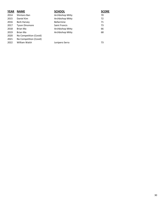| <b>YEAR</b> | <b>NAME</b>            | <b>SCHOOL</b>        | <b>SCORE</b> |
|-------------|------------------------|----------------------|--------------|
| 2014        | Shintaro Ban           | Archbishop Mitty     | 70           |
| 2015        | Daniel Kim             | Archbishop Mitty     | 72           |
| 2016        | Berk Harvey            | <b>Bellarmine</b>    | 71           |
| 2017        | <b>Tyson Dinsmore</b>  | <b>Saint Francis</b> | 73           |
| 2018        | Brian Ma               | Archbishop Mitty     | 66           |
| 2019        | Brian Ma               | Archbishop Mitty     | 68           |
| 2020        | No Competition (Covid) |                      |              |
| 2021        | No Competition (Covid) |                      |              |
| 2022        | William Walsh          | Junipero Serra       | 73           |
|             |                        |                      |              |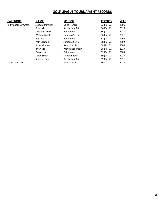### **GOLF LEAGUE TOURNAMENT RECORDS**

| <b>CATEGORY</b>             | <b>NAME</b>            | <b>SCHOOL</b>        | <b>RECORD</b> | <b>YEAR</b> |
|-----------------------------|------------------------|----------------------|---------------|-------------|
| <b>Individual Low Gross</b> | Joseph Bramlett        | <b>Saint Francis</b> | 62 (Par 72)   | 2006        |
|                             | Brian Ma               | Archbishop Mitty     | 66 (Par 72)   | 2018        |
|                             | <b>Matthew Kress</b>   | <b>Bellarmine</b>    | 66 (Par 72)   | 2021        |
|                             | William Walsh          | Junipero Serra       | 66 (Par 72)   | 2021        |
|                             | Ray Otis               | <b>Bellarmine</b>    | 67 (Par 72)   | 1994        |
|                             | Patrick Nagle          | Junipero Serra       | 68 (Par 72)   | 2002        |
|                             | <b>Brrett Giuliani</b> | <b>Saint Francis</b> | 68 (Par 72)   | 2004        |
|                             | Brian Ma               | Archbishop Mitty     | 68 (Par 72)   | 2019        |
|                             | Daniel Lim             | <b>Bellarmine</b>    | 69 (Par 72)   | 2005        |
|                             | Dylan Smith            | Saint Ignatius       | 69 (Par 72)   | 2010        |
|                             | Shintaro Ban           | Archbishop Mitty     | 69 (Par 72)   | 2011        |
| <b>Team Low Gross</b>       |                        | <b>Saint Francis</b> | 360           | 2018        |

31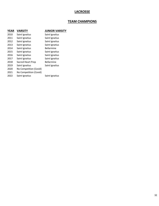### **LACROSSE**

### **TEAM CHAMPIONS**

| <b>YEAR</b> | <b>VARSITY</b>         | <b>JUNIOR VARSITY</b> |
|-------------|------------------------|-----------------------|
| 2010        | Saint Ignatius         | Saint Ignatius        |
| 2011        | Saint Ignatius         | Saint Ignatius        |
| 2012        | Saint Ignatius         | Saint Ignatius        |
| 2013        | Saint Ignatius         | Saint Ignatius        |
| 2014        | Saint Ignatius         | Bellarmine            |
| 2015        | Saint Ignatius         | Saint Ignatius        |
| 2016        | Saint Ignatius         | Saint Ignatius        |
| 2017        | Saint Ignatius         | Saint Ignatius        |
| 2018        | Sacred Heart Prep      | Bellarmine            |
| 2019        | Saint Ignatius         | Saint Ignatius        |
| 2020        | No Competition (Covid) |                       |
| 2021        | No Competition (Covid) |                       |
| 2022        | Saint Ignatius         | Saint Ignatius        |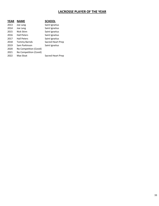### **LACROSSE PLAYER OF THE YEAR**

| YEAR | <b>NAME</b>            | <b>SCHOOL</b>     |
|------|------------------------|-------------------|
| 2013 | Joe Lang               | Saint Ignatius    |
| 2014 | Joe Lang               | Saint Ignatius    |
| 2015 | Nick Stinn             | Saint Ignatius    |
| 2016 | <b>Hall Peters</b>     | Saint Ignatius    |
| 2017 | <b>Hall Peters</b>     | Saint Ignatius    |
| 2018 | <b>Tommy Barnds</b>    | Sacred Heart Prep |
| 2019 | Sam Parkinson          | Saint Ignatius    |
| 2020 | No Competition (Covid) |                   |
| 2021 | No Competition (Covid) |                   |
| 2022 | Max Sloat              | Sacred Heart Prep |
|      |                        |                   |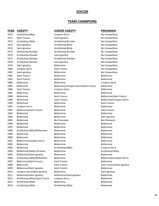#### **SOCCER**

#### **TEAM CHAMPIONS**

#### **YEAR VARSITY JUNIOR VARSITY FRESHMAN** 1970 Archbishop Mitty **State Archurds** Junipero Serra Number 1970 No Competition 1971 Saint Francis Saint Ignatius No Competition 1972 Archbishop Mitty Archbishop Riordan No Competition 1973 Saint Ignatius **Archbishop Mitty** Architecture No Competition 1974 Saint Ignatius **Archbishop Mitty** Architecture No Competition 1975 Archbishop Riordan Archbishop Riordan No Competition 1976 Archbishop Riordan Saint Ignatius No Competition 1977 Archbishop Riordan Archbishop Riordan No Competition 1978 Archbishop Riordan Saint Ignatius No Competition 1979 Saint Ignatius **Bellarmine** Bellarmine No Competition 1980 Junipero Serra **Saint Francis** Saint Francis No Competition 1981 Saint Ignatius **Bellarmine Bellarmine Research State Competition No Competition** 1982 Saint Francis Bellarmine Bellarmine 1983 Saint Francis Bellarmine Bellarmine 1984 Bellarmine Bellarmine Junipero Serra 1985 Bellarmine Bellarmine/Junipero Serra/Saint Francis Bellarmine 1986 Saint Francis Junipero Serra Bellarmine 1987 Bellarmine **Bellarmine** Bellarmine **Bellarmine** Bellarmine 1988 Bellarmine Saint Francis Bellarmine/Saint Francis 1989 Bellarmine Saint Francis Bellarmine/Junipero Serra 1990 Bellarmine Bellarmine Saint Francis 1991 Junipero Serra Bellarmine Bellarmine 1992 Bellarmine/Saint Francis Bellarmine Saint Francis 1993 Bellarmine Bellarmine Bellarmine 1994 Bellarmine Bellarmine Bellarmine Saint Ignatius 1995 Bellarmine No Champion No Champion 1996 Bellarmine **Bellarmine** Bellarmine **Bellarmine** Bellarmine 1997 Bellarmine **Bellarmine** Bellarmine **Bellarmine** Bellarmine 1998 Archbishop Mitty/Bellarmine Bellarmine Bellarmine 1999 Bellarmine **Bellarmine** Bellarmine **Bellarmine** Bellarmine 2000 Bellarmine Bellarmine Bellarmine 2001 Bellarmine/Junipero Serra Bellarmine Bellarmine 2002 Bellarmine Bellarmine Bellarmine 2003 Bellarmine **Archbishop Mitty** Archbishop Mitty Archores and Mitty Archores Berra 2004 Bellarmine/Valley Christian Bellarmine **Bellarmine** Archbishop Mitty 2005 Bellarmine/Saint Ignatius Bellarmine Bellarmine 2006 Archbishop Mitty/Bellarmine Bellarmine Bellarmine/Junipero Serra 2007 Bellarmine/Saint Francis Saint Francis Saint Saint Bellarmine 2008 Bellarmine Saint Francis Saint Francis/Saint Ignatius 2009 Bellarmine/Saint Ignatius Saint Francis Saint Francis Bellarmine 2010 Junipero Serra/Saint Ignatius Bellarmine Saint Ignatius Saint Ignatius 2011 Bellarmine/Saint Ignatius Bellarmine/Saint Ignatius Bellarmine 2012 Archbishop Mitty/Saint Francis Junipero Serra **Bellarmine** 2013 Archbishop Mitty Bellarmine Bellarmine

2014 Archbishop Mitty Archbishop Mitty Bellarmine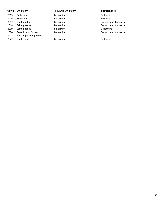| <b>YEAR</b> | <b>VARSITY</b>         | <b>JUNIOR VARSITY</b> | <b>FRESHMAN</b>        |
|-------------|------------------------|-----------------------|------------------------|
| 2015        | <b>Bellarmine</b>      | <b>Bellarmine</b>     | <b>Bellarmine</b>      |
| 2016        | <b>Bellarmine</b>      | <b>Bellarmine</b>     | <b>Bellarmine</b>      |
| 2017        | Saint Ignatius         | <b>Bellarmine</b>     | Sacred Heart Cathedral |
| 2018        | Saint Ignatius         | <b>Bellarmine</b>     | Sacred Heart Cathedral |
| 2019        | Saint Ignatius         | <b>Bellarmine</b>     | <b>Bellarmine</b>      |
| 2020        | Sacred Heart Cathedral | <b>Bellarmine</b>     | Sacred Heart Cathedral |
| 2021        | No Competition (Covid) |                       |                        |
| 2022        | Saint Francis          | <b>Bellarmine</b>     | <b>Bellarmine</b>      |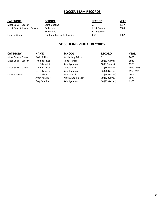### **SOCCER TEAM RECORDS**

| <b>CATEGORY</b>              | <b>SCHOOL</b>                 | <b>RECORD</b> | <b>YEAR</b> |
|------------------------------|-------------------------------|---------------|-------------|
| Most Goals - Season          | Saint Ignatius                | 58            | 2017        |
| Least Goals Allowed - Season | <b>Bellarmine</b>             | 1 (14 Games)  | 2003        |
|                              | <b>Bellarmine</b>             | 2 (12 Games)  |             |
| Longest Game                 | Saint Ignatius vs. Bellarmine | 4:56          | 1982        |

### **SOCCER INDIVIDUAL RECORDS**

| <b>CATEGORY</b>      | <b>NAME</b>          | <b>SCHOOL</b>      | <b>RECORD</b> | <b>YEAR</b> |
|----------------------|----------------------|--------------------|---------------|-------------|
| Most Goals - Game    | Kevin Atkins         | Archbishop Mitty   | 6             | 2008        |
| Most Goals – Season  | <b>Thomas Silvas</b> | Saint Francis      | 19 (12 Games) | 1983        |
|                      | Len Salvemini        | Saint Ignatius     | 18 (8 Games)  | 1970        |
| Most Goals – Career  | <b>Thomas Silvas</b> | Saint Francis      | 41 (36 Games) | 1980-1983   |
|                      | Len Salvemini        | Saint Ignatius     | 36 (28 Games) | 1969-1970   |
| <b>Most Shutouts</b> | Jacob Silva          | Saint Francis      | 11 (14 Games) | 2012        |
|                      | Aram Kardziar        | Archbishop Riordan | 10 (12 Games) | 1978        |
|                      | Greg Schulze         | Saint Ignatius     | 10 (12 Games) | 1973        |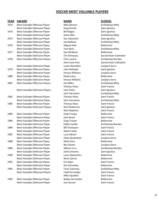### **SOCCER MOST VALUABLE PLAYERS**

### **YEAR AWARD NAME SCHOOL**

| <u>.</u> | <b>AVVAIL</b>                   | 1171111                | <u>JUITUL</u>     |
|----------|---------------------------------|------------------------|-------------------|
| 1973     | Most Valuable Offensive Player  | Mike Benton            | Archbishop        |
|          | Most Valuable Defensive Player  | <b>Greg Schultz</b>    | Saint Ignat       |
| 1974     | Most Valuable Offensive Player  | <b>Bill Magee</b>      | Saint Ignat       |
|          | Most Valuable Defensive Player  | <b>Steve Blair</b>     | Archbishop        |
| 1975     | Most Valuable Offensive Player  | Dan Salvemini          | Saint Ignat       |
|          | Most Valuable Defensive Player  | Joe Barbosa            | Archbishop        |
| 1976     | Most Valuable Offensive Player  | Miguel Avila           | Bellarmine        |
|          | Most Valuable Defensive Player  | Tom Beck               | Archbishop        |
| 1977     | Most Valuable Offensive Player  | Dan McNevin            | Bellarmine        |
|          | Most Valuable Defensive Player  | <b>Tim Dempsey</b>     | Sacred Hea        |
| 1978     | Most Valuable Offensive Players | Chris Lucero           | Archbishop        |
|          |                                 | John Cone Frey         | Sacred Hea        |
|          | Most Valuable Defensive Player  | Luano Nomellini        | Junipero S        |
| 1979     | Most Valuable Offensive Player  | John McNulty           | Saint Ignat       |
|          | Most Valuable Defensive Player  | <b>Horace Williams</b> | Junipero S        |
| 1980     | Most Valuable Offensive Player  | David Lutes            | Bellarmine        |
|          | Most Valuable Defensive Player  | Horace Williams        | Junipero S        |
| 1981     | Most Valuable Offensive Players | Pat Miller             | Archbishop        |
|          |                                 | <b>Thomas Silvas</b>   | Saint Franc       |
|          | Most Valuable Defensive Players | John Parks             | Saint Ignat       |
|          |                                 | John Garretson         | Archbishop        |
| 1982     | Most Valuable Offensive Player  | <b>Thomas Silvas</b>   | Saint Franc       |
|          | Most Valuable Defensive Player  | John Garretson         | Archbishop        |
| 1983     | Most Valuable Offensive Player  | <b>Thomas Silvas</b>   | Saint Franc       |
|          | Most Valuable Defensive Players | <b>Rich Mulkerrins</b> | Saint Ignat       |
|          |                                 | <b>Neal Stephens</b>   | Saint Franc       |
| 1984     | Most Valuable Offensive Player  | <b>Greg Troupe</b>     | Bellarmine        |
|          | Most Valuable Defensive Player  | John Brazil            | Saint Franc       |
| 1985     | Most Valuable Offensive Player  | <b>Greg Troupe</b>     | Bellarmine        |
|          | Most Valuable Defensive Player  | <b>Eddie Castillo</b>  | Archbishop        |
| 1986     | Most Valuable Offensive Player  | <b>Bill Thompson</b>   | Saint Franc       |
|          | Most Valuable Defensive Player  | Robert Gallo           | Saint Franc       |
| 1987     | Most Valuable Offensive Player  | Luca Adriani           | Saint Franc       |
|          | Most Valuable Defensive Player  | Andy Gloskowski        | Junipero S        |
| 1988     | Most Valuable Offensive Player  | Mitch Kern             | <b>Bellarmine</b> |
|          | Most Valuable Defensive Player  | <b>Ben Davies</b>      | Junipero Se       |
| 1989     | Most Valuable Offensive Player  | Alberto Cruz           | Archbishop        |
|          | Most Valuable Defensive Player  | Jaime Jimenez          | Saint Ignat       |
| 1990     | Most Valuable Offensive Player  | Lance Nakamitsu        | <b>Bellarmine</b> |
|          | Most Valuable Defensive Player  | <b>Brent Garcia</b>    | Bellarmine        |
| 1991     | Most Valuable Offensive Player  | <b>Eric Naes</b>       | Saint Franc       |
|          | Most Valuable Defensive Player  | Ken Schneider          | Bellarmine        |
| 1992     | Most Valuable Offensive Player  | Taras Zubrycky         | Archbishop        |
|          | Most Valuable Offensive Players | <b>Todd Fernandez</b>  | Saint Franc       |
|          |                                 | Mike Squellati         | Saint Franc       |
| כמחו     | Most Valuable Offonsive Player  | <b>Dobby Hornandoz</b> | <b>Pollarmino</b> |

1993 Most Valuable Offensive Player Bobby Hernandez Bellarmine Most Valuable Defensive Player **Saint Francis** Joe Cannon Saint Francis

Greg Schultz Saint Ignatius Bill Magee Saint Ignatius Dan Salvemini **1975 Most Valuab** Saint Ignatius Miguel Avila **Miguel Avila Bellarmine** Dan McNevin **Bellarmine** Luano Nomellini **Most Valuable Player Luano Nomellini** Junipero Serra 1979 John McNulty **Saint Ignatius** Horace Williams **Most Lunipero Serra** Horace Williams **Most Lunipero Serra Thomas Silvas Saint Francis** s Mohn Parks Saint Ignatius **1982 Thomas Silvas Saint Francis 1983 Thomas Silvas Saint Francis** s Bich Mulkerrins **Saint Ignatius** Saint Ignatius Neal Stephens Saint Francis Greg Troupe **Bellarmine** John Brazil **Marshall** Saint Francis Greg Troupe **Bellarmine 1986 Most Valuable Offering California** Saint Francis Robert Gallo **Saint Francis Player Robert Gallo** Saint Francis 1987 Most Valuable Offensive Player Luca Adriani Saint Francis Andy Gloskowski Junipero Serra Ben Davies **Most Valuable Defensive Player Ben Davies** Junipero Serra Jaime Jimenez Saint Ignatius 1990 Most Valuable Offensive Player Lance Nakamitsu Bellarmine Brent Garcia **Bellarmine** 1991 Most Valuable Offensive Player Eric Naes Saint Francis Ken Schneider Bellarmine s Most Valuable Offernandez **Saint Francis** Saint Francis Mike Squellati Saint Francis

Mike Benton **Mike Benton** Archbishop Mitty Steve Blair **Most Calculate Player Steve Blair** Archbishop Mitty Joe Barbosa **Most Valuable Defensive Player Archbishop Mitty** Tom Beck **Archbishop Mitty** Tim Dempsey Sacred Heart Cathedral 1978 Most Valuable Offensive Players Chris Lucero Archbishop Riordan John Cone Frey Sacred Heart Cathedral 1981 Most Valuable Offensive Pat Miller Archbishop Mitty John Garretson **Archbishop Mitty** John Garretson **Archbishop Mitty** Eddie Castillo **Most Valuable Defensive Player Player Player Player Player Player Player Player Player Player P** Alberto Cruz **Most Valuable Player Archbishop Riordan** Taras Zubrycky **Most Careform Careform Archbishop Mitty**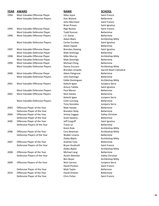| <b>YEAR</b> | <b>AWARD</b>                    | <b>NAME</b>            | <b>SCHOOL</b>        |
|-------------|---------------------------------|------------------------|----------------------|
| 1994        | Most Valuable Offensive Player  | Mike Joyce             | Saint Francis        |
|             | Most Valuable Defensive Players | Dan Wytock             | Bellarmine           |
|             |                                 | John Merchant          | Saint Francis        |
|             |                                 | <b>Brian Proses</b>    | Saint Ignatiu        |
| 1995        | Most Valuable Offensive Player  | <b>Rigo Bustos</b>     | Saint Francis        |
|             | Most Valuable Defensive Player  | <b>Todd Duncan</b>     | <b>Bellarmine</b>    |
| 1996        | Most Valuable Offensive Players | J.V. Ganai             | Bellarmine           |
|             |                                 | Adam Black             | Archbishop I         |
|             | Most Valuable Defensive Players | Carlos Escobar         | Saint Ignatiu        |
|             |                                 | Adam Zapala            | Bellarmine           |
| 1997        | Most Valuable Offensive Player  | <b>Brendan Dewing</b>  | Saint Ignatiu        |
|             | Most Valuable Defensive Player  | Matt Domingo           | Bellarmine           |
| 1998        | Most Valuable Offensive Player  | Mike Murray            | Archbishop I         |
|             | Most Valuable Defensive Player  | Matt Domingo           | Bellarmine           |
| 1999        | Most Valuable Offensive Player  | Michael Ching          | Bellarmine           |
|             | Most Valuable Defensive Players | Danny Zuccaro          | Archbishop I         |
|             |                                 | <b>Brendan Uniacke</b> | Sacred Heart         |
| 2000        | Most Valuable Offensive Player  | Adam Palsgrove         | Bellarmine           |
|             | Most Valuable Defensive Players | John Domingo           | <b>Bellarmine</b>    |
|             |                                 | <b>Eddie Dominguez</b> | Archbishop I         |
| 2001        | Most Valuable Offensive Players | Kelechi Igwe           | Junipero Ser         |
|             |                                 | Arturo Tafolla         | Saint Ignatiu        |
|             | Most Valuable Defensive Players | Paul Moran             | Bellarmine           |
| 2002        | Most Valuable Offensive Players | Nick Hatzko            | <b>Bellarmine</b>    |
|             |                                 | Kelechi Igwe           | Junipero Ser         |
|             | Most Valuable Defensive Players | Colm Cunning           | <b>Bellarmine</b>    |
|             |                                 | <b>Tony Gonzales</b>   | Junipero Ser         |
| 2003        | Offensive Player of the Year    | <b>Matt Hatzke</b>     | Bellarmine           |
|             | Defensive Player of the Year    | <b>Brandon Stolp</b>   | Bellarmine           |
| 2004        | Offensive Player of the Year    | Jimmy Coggan           | <b>Valley Christ</b> |
|             | Defensive Player of the Year    | <b>Scott Sweeny</b>    | Bellarmine           |
| 2005        | Offensive Player of the Year    | Jeff Cosgriff          | Saint Ignatiu        |
|             | Defensive Players of the Year   | Travis Le              | Bellarmine           |
|             |                                 | Kevin Rule             | Archbishop I         |
| 2006        | Offensive Player of the Year    | Cory Bowman            | Archbishop I         |
|             | Defensive Players of the Year   | <b>Walker Linares</b>  | Bellarmine           |
|             |                                 | Zlatko Bijelic         | Archbishop I         |
| 2007        | Offensive Player of the Year    | Andrew Cota            | Bellarmine           |
|             | Defensive Players of the Year   | Bryan Giudicelli       | Saint Francis        |
|             |                                 | Zlatko Bijelic         | Archbishop I         |
| 2008        | Offensive Player of the Year    | Michael Lang           | Bellarmine           |
|             | Defensive Players of the Year   | Austin Mansker         | <b>Valley Christ</b> |
|             |                                 | Ben Boyer              | Archbishop I         |
| 2009        | Offensive Players of the Year   | Nick Carrara           | Junipero Ser         |
|             |                                 | David Preston          | Saint Francis        |
|             | Defensive Player of the Year    | Matt Taylor            | Bellarmne            |
|             |                                 |                        |                      |

2010 Offensive Player of the Year **David Ometer** David Ometer Bellarmine Defensive Player of the Year Chris Fisher Chris Fisher Saint Francis

s and Dan Wytock Bellarmine John Merchant Saint Francis Brian Proses Saint Ignatius Rigo Bustos **Most Valuable Offensive Player Saint Francis** Todd Duncan Bellarmine Adam Black **Archbishop Mitty** s Carlos Escobar Saint Ignatius Adam Zapala **Bellarmine** Brendan Dewing **Most Calle Constructs** Saint Ignatius Matt Domingo Bellarmine Mike Murray **Mike Murray Archbishop Mitty** Matt Domingo Bellarmine Michael Ching **Michael Ching Bellarmine** s **Danny Zuccaro Banny Zuccaro Banny Zuccaro Banny Archbishop Mitty** Adam Palsgrove Bellarmine s and John Domingo Bellarmine Eddie Dominguez **Archbishop Mitty** 2001 Most Valuable Offensive Players Kelechi Igwe Junipero Serra Arturo Tafolla Saint Ignatius s **Paul Moran** Bellarmine 2002 Most Valuable Offensive Players Nick Hatzko Bellarmine Kelechi Igwe **Junipero Serra** s Colm Cunning **Bellarmine** Tony Gonzales Junipero Serra 2003 Offensive Player of the Year Matt Hatzke Bellarmine Brandon Stolp Bellarmine **2004 Jimmy Coggan Valley Christian** Scott Sweeny **Bellarmine 2005 Jeff Cosgriff Saint Ignatius** Travis Le **Bellarmine** Kevin Rule **Archbishop Mitty** Cory Bowman **Archbishop Mitty** Walker Linares Bellarmine Zlatko Bijelic **Archbishop Mitty** Andrew Cota **Bellarmine** Bryan Giudicelli Saint Francis Michael Lang **Bellarmine** Austin Mansker Valley Christian 2009 Offensive Players of the Year Nick Carrara Junipero Serra David Preston Saint Francis Matt Taylor **Defensive Player Matt Taylor** Bellarmne

Brendan Uniacke Sacred Heart Cathedral Zlatko Bijelic **Archbishop Mitty** Ben Boyer **Archbishop Mitty**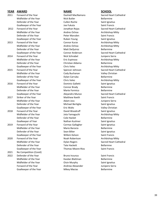### **YEAR AWARD NAME SCHOOL**

| 2011 | Forward of the Year    | Dashiell MacNamara       | Sacred Hea        |
|------|------------------------|--------------------------|-------------------|
|      | Midfielder of the Year | Nick Butler              | Bellarmine        |
|      | Defender of the Year   | Cullen Roche             | Saint Ignat       |
|      | Goalkeeper of the Year | Joe Fukuta               | Saint Franc       |
| 2012 | Forward of the Year    | Jonathan Rojas           | Sacred Hea        |
|      | Midfielder of the Year | Andres Ochoa             | Archbishop        |
|      | Defender of the Year   | Peter Marsden            | Saint Franc       |
|      | Goalkeeper of the Year | Ruben Young              | Saint Ignat       |
| 2013 | Forward of the Year    | Connor Kurze             | Archbishop        |
|      | Midfielder of the Year | Andres Ochoa             | Archbishop        |
|      | Defender of the Year   | Matt DeQuiroz            | <b>Bellarmine</b> |
|      | Goalkeeper of the Year | Connor Anderson          | Sacred Hea        |
| 2014 | Forward of the Year    | Nick Schnabel            | Junipero Se       |
|      | Midfielder of the Year | Eric Espinoza            | Archbishop        |
|      | Defender of the Year   | Christian Aldama         | Bellarmine        |
|      | Goalkeeper of the Year | Chris Velez              | Archbishop        |
| 2015 | Forward of the Year    | Spencer Johnson          | Sacred Hea        |
|      | Midfielder of the Year | Cody Buchanan            | Valley Chri       |
|      | Defender of the Year   | Dylan Carruba            | Bellarmine        |
|      | Goalkeeper of the Year | Chris Velez              | Archbishop        |
| 2016 | Forward of the Year    | Dominic Galletti         | Saint Ignat       |
|      | Midfielder of the Year | Connor Brady             | Bellarmine        |
|      | Defender of the Year   | Marte Formico            | Bellarmine        |
|      | Goalkeeper of the Year | Alejandro Munoz          | Sacred Hea        |
| 2017 | Striker of the Year    | Matthew Keeth            | Saint Franc       |
|      | Midfielder of the Year | Adam Joss                | Junipero Se       |
|      | Defender of the Year   | Michael Bertiglia        | Saint Ignat       |
|      | Goalkeeper of the Year | Eric Waltz               | Valley Chri       |
| 2018 | Forward of the Year    | David Woodruff           | Saint Ignat       |
|      | Midfielder of the Year | Jota Yamaguchi           | Archbishop        |
|      | Defender of the Year   | Cole Hacket              | Bellarmine        |
|      | Goalkeeper of Year     | Nathan Kushner           | Saint Ignat       |
| 2019 | Forward of the Year    | Cormac Gallagher         | Saint Ignat       |
|      | Midfielder of the Year | Mario Barocio            | Bellarmine        |
|      | Defender of the Year   | Sean Bilter              | Saint Ignat       |
|      | Goalkeeper of the Year | Willem Kelson            | Saint Franc       |
| 2020 | Forward of the Year    | Noah Robertson           | Archbishop        |
|      | Midfielder of the Year | <b>Dylan Rogers</b>      | Sacred Hea        |
|      | Defender of the Year   | <b>Tate Hackett</b>      | Bellarmne         |
|      | Goalkeeper of the Year | <b>Thomas Moore-Rios</b> | Saint Franc       |
| 2021 | No Competition (Covid) |                          |                   |
| 2022 | Defender of the Year   | Bruno Inzunza            | Saint Franc       |
|      | Midfielder of the Year | Kasdan Blattman          | Bellarmine        |
|      | Midfielder of the Year | Oisin Murphy             | Saint Ignat       |
|      | Forward of the Year    | Andrew Alexander         | Junipero S        |
|      |                        |                          |                   |

Cullen Roche Saint Ignatius Joe Fukuta **Saint Francis** Saint Francis Andres Ochoa **Archbishop Mitty** Peter Marsden Saint Francis Ruben Young Saint Ignatius **2013 Formula Connor Kurze Archbishop Mitty** Andres Ochoa **Archbishop Mitty** Matt DeQuiroz **Bellarmine** Nick Schnabel **Forward Serra** Junipero Serra Eric Espinoza **Archbishop Mitty** Christian Aldama Bellarmine Chris Velez **Archbishop Mitty** Cody Buchanan Valley Christian Dylan Carruba Bellarmine Chris Velez **Archbishop Mitty** Dominic Galletti Saint Ignatius Connor Brady Bellarmine Marte Formico Bellarmine **Matthew Keeth Saint Francis** Adam Joss Junipero Serra Michael Bertiglia Saint Ignatius Eric Waltz **Valley Christian** David Woodruff Saint Ignatius Jota Yamaguchi **Archbishop Mitty** Cole Hacket **Bellarmine** Nathan Kushner Saint Ignatius **2019 Formac Gallagher Saint Ignatius** Mario Barocio **Bellarmine** Sean Bilter **Carry Sean Bilter** Saint Ignatius Willem Kelson Saint Francis Noah Robertson **Archbishop Mitty** Tate Hackett **Bellarmne** Thomas Moore-Rios

2022 Defender of the Year Bruno Inzunza Saint Francis Kasdan Blattman Bellarmine Oisin Murphy Saint Ignatius Andrew Alexander **Forward Andrew Alexander** Junipero Serra Goalkeeper of the Year **Mikey Macias** Bellarmine

Dashiell MacNamara Sacred Heart Cathedral Jonathan Rojas **National Sacred Heart Cathedral** Connor Anderson Sacred Heart Cathedral Spencer Johnson Sacred Heart Cathedral Alejandro Munoz Sacred Heart Cathedral Dylan Rogers Sacred Heart Cathedral Saint Francis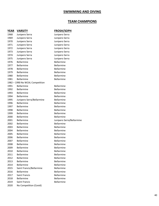# **SWIMMING AND DIVING**

# **TEAM CHAMPIONS**

| YEAR | <b>VARSITY</b>                  | <b>FROSH/SOPH</b>         |
|------|---------------------------------|---------------------------|
| 1968 | Junipero Serra                  | Junipero Serra            |
| 1969 | Junipero Serra                  | Junipero Serra            |
| 1970 | Junipero Serra                  | Junipero Serra            |
| 1971 | Junipero Serra                  | Junipero Serra            |
| 1972 | Junipero Serra                  | Junipero Serra            |
| 1973 | Junipero Serra                  | Junipero Serra            |
| 1974 | Junipero Serra                  | Junipero Serra            |
| 1975 | Junipero Serra                  | Junipero Serra            |
| 1976 | Bellarmine                      | Bellarmine                |
| 1977 | <b>Bellarmine</b>               | Bellarmine                |
| 1978 | <b>Bellarmine</b>               | Bellarmine                |
| 1979 | <b>Bellarmine</b>               | Bellarmine                |
| 1980 | <b>Bellarmine</b>               | Bellarmine                |
| 1981 | <b>Bellarmine</b>               | Bellarmine                |
|      | 1982 - 1990 No WCAL Competition |                           |
| 1991 | <b>Bellarmine</b>               | <b>Bellarmine</b>         |
| 1992 | <b>Bellarmine</b>               | Bellarmine                |
| 1993 | <b>Bellarmine</b>               | Bellarmine                |
| 1994 | <b>Bellarmine</b>               | Bellarmine                |
| 1995 | Junipero Serra/Bellarmine       | Bellarmine                |
| 1996 | <b>Bellarmine</b>               | Bellarmine                |
| 1997 | <b>Bellarmine</b>               | Bellarmine                |
| 1998 | <b>Bellarmine</b>               | Bellarmine                |
| 1999 | <b>Bellarmine</b>               | Bellarmine                |
| 2000 | <b>Bellarmine</b>               | Bellarmine                |
| 2001 | <b>Bellarmine</b>               | Junipero Serra/Bellarmine |
| 2002 | <b>Bellarmine</b>               | Bellarmine                |
| 2003 | <b>Bellarmine</b>               | Bellarmine                |
| 2004 | <b>Bellarmine</b>               | <b>Bellarmine</b>         |
| 2005 | <b>Bellarmine</b>               | <b>Bellarmine</b>         |
| 2006 | <b>Bellarmine</b>               | Bellarmine                |
| 2007 | <b>Bellarmine</b>               | Bellarmine                |
| 2008 | Bellarmine                      | Bellarmine                |
| 2009 | Bellarmine                      | Bellarmine                |
| 2010 | <b>Bellarmine</b>               | Bellarmine                |
| 2011 | <b>Bellarmine</b>               | <b>Bellarmine</b>         |
| 2012 | <b>Bellarmine</b>               | Bellarmine                |
| 2013 | <b>Bellarmine</b>               | <b>Bellarmine</b>         |
| 2014 | <b>Bellarmine</b>               | Bellarmine                |
| 2015 | Saint Francis/Bellarmine        | Bellarmine                |
| 2016 | <b>Bellarmine</b>               | Bellarmine                |
| 2017 | Saint Francis                   | <b>Bellarmine</b>         |
| 2018 | <b>Bellarmine</b>               | Bellarmine                |
| 2019 | <b>Saint Francis</b>            | Bellarmine                |
| 2020 | No Competition (Covid)          |                           |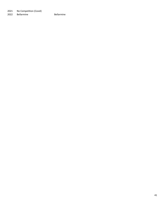2021 No Competition (Covid)<br>2022 Bellarmine 2022 Bellarmine Bellarmine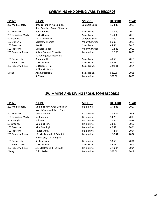# **SWIMMING AND DIVING VARSITY RECORDS**

| <b>EVENT</b>          | <b>NAME</b>                     | <b>SCHOOL</b>        | <b>RECORD</b> | <b>YEAR</b> |
|-----------------------|---------------------------------|----------------------|---------------|-------------|
| 200 Medley Relay      | Brooks Tanner, Alec Cullen      | Junipero Serra       | 1:34.36       | 2018        |
|                       | Riley Scanlan, Daniel Gilmartin |                      |               |             |
| 200 Freestyle         | Benjamin Ho                     | <b>Saint Francis</b> | 1:39.50       | 2014        |
| 200 Individual Medley | Curtis Ogren                    | Saint Francis        | 1:49.30       | 2013        |
| 50 Freestyle          | Leffie Crawford                 | Junipero Serra       | 20.70         | 1998        |
| 100 Butterfly         | Matthew Thomas                  | Valley Christian     | 50.03         | 2016        |
| 100 Freestyle         | Ben Ho                          | <b>Saint Francis</b> | 44.84         | 2015        |
| 500 Freestyle         | Michael Nunan                   | Valley Christian     | 4:28.46       | 2012        |
| 200 Freestyle Relay   | A. MacDonnell, T. Watts         | <b>Bellarmine</b>    | 1:26.63       | 2005        |
|                       | N. Buonfiglio, Scott Weltz      |                      |               |             |
| 100 Backstroke        | Benjamin Ho                     | <b>Saint Francis</b> | 49.53         | 2016        |
| 100 Breaststroke      | Curtis Ogren                    | <b>Saint Francis</b> | 56.23         | 2012        |
| 400 Freestyle Relay   | C. Ogren, D. Rei                | <b>Saint Francis</b> | 3:08.81       | 2014        |
|                       | S. Elmurib, B. Ho               |                      |               |             |
| <b>Diving</b>         | Adam Peterson                   | Saint Francis        | 585.90        | 2001        |
|                       | R. Taylor                       | <b>Bellarmine</b>    | 509.50        | 2008        |
|                       |                                 |                      |               |             |

# **SWIMMING AND DIVING FROSH/SOPH RECORDS**

| <b>EVENT</b>          | <b>NAME</b>                   | <b>SCHOOL</b>     | <b>RECORD</b> | <b>YEAR</b> |
|-----------------------|-------------------------------|-------------------|---------------|-------------|
| 200 Medley Relay      | Dominick Kirk, Greg Sifferman | Bellamine         | 1:42.85       | 2017        |
|                       | Joseph Sandoval, Luke Chen    |                   |               |             |
| 200 Freestyle         | Max Saunders                  | <b>Bellarmine</b> | 1:45.87       | 2016        |
| 100 Individual Medley | N. Buonfiglio                 | <b>Bellarmine</b> | 54.23         | 2003        |
| 50 Freestyle          | Erik Lee                      | <b>Bellarmine</b> | 21.86         | 1998        |
| 50 Butterfly          | Dominick Kirk                 | <b>Bellarmine</b> | 23.95         | 2017        |
| 100 Freestyle         | Nick Buonfiglio               | <b>Bellarmine</b> | 47.49         | 2004        |
| 500 Freestyle         | <b>Taylor Smith</b>           | <b>Bellarmine</b> | 4:42.04       | 2004        |
| 200 Freestyle Relay   | J.P. MacDonnell, K. Schnidt   | <b>Bellarmine</b> | 1:30.41       | 2004        |
|                       | B. McCoid, N. Buonfiglio      |                   |               |             |
| 100 Backstroke        | Scott Jackson                 | <b>Bellarmine</b> | 53.55         | 2004        |
| 100 Breaststroke      | Curtis Ogren                  | Saint Francis     | 55.71         | 2012        |
| 400 Freestyle Relay   | J.P. MacDonell, K. Schnidt    | <b>Bellarmine</b> | 3:19.84       | 2004        |
| <b>Diving</b>         | Collin Pollard                | <b>Bellarmine</b> | 578.00        | 2012        |
|                       |                               |                   |               |             |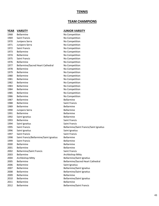### **TENNIS**

### **TEAM CHAMPIONS**

### **YEAR VARSITY JUNIOR VARSITY** 1968 Bellarmine No Competition 1969 Saint Francis **No Competition** 1970 Junipero Serra No Competition 1971 Junipero Serra No Competition 1972 Saint Francis **No Competition** 1973 Bellarmine No Competition 1974 Bellarmine No Competition 1975 Saint Francis **No Competition** 1976 Bellarmine No Competition 1977 Bellarmine/Sacred Heart Cathedral No Competition 1978 Bellarmine No Competition 1979 Bellarmine No Competition 1980 Bellarmine No Competition 1981 Bellarmine No Competition 1982 Bellarmine No Competition 1983 Bellarmine No Competition 1984 Bellarmine No Competition 1985 Bellarmine No Competition 1986 Bellarmine **No Competition** 1987 Bellarmine **Bellarmine** 1988 Bellarmine Saint Francis 1989 Bellarmine **Bellarmine** 1990 Junipero Serra **Bellarmine** 1991 Bellarmine Bellarmine 1992 Saint Ignatius **Bellarmine** 1993 Bellarmine Saint Francis 1994 Saint Ignatius **Saint Francis** Saint Francis 1995 Saint Francis Bellarmine/Saint Francis/Saint Ignatius 1996 Saint Ignatius **Saint Ignatius** Saint Ignatius 1997 Saint Francis **Saint Francis** Saint Francis 1998 Saint Francis/Bellarmine/Saint Ignatius Bellarmine 1999 Saint Francis **Bellarmine** 2000 Bellarmine **Bellarmine** 2001 Bellarmine Bellarmine 2002 Bellarmine/Saint Francis Saint Francis 2003 Bellarmine **Archbishop Mitty** 2004 Archbishop Mitty **Bellarmine/Saint Ignatius** 2005 Bellarmine **Bellarmine** Bellarmine/Sacred Heart Cathedral 2006 Bellarmine Saint Ignatius 2007 Bellarmine **Bellarmine** Bellarmine/Saint Ignatius 2008 Bellarmine **Bellarmine** Bellarmine/Saint Ignatius 2009 Bellarmine **Bellarmine** 2010 Bellarmine **Bellarmine** Bellarmine/Saint Ignatius 2011 Bellarmine Bellarmine 2012 Bellarmine **Bellarmine**/Saint Francis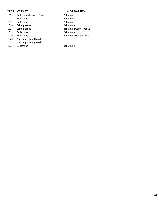### **YEAR VARSITY JUNIOR VARSITY**

2013 Bellarmine/Junipero Serra Bellarmine 2014 Bellarmine **Bellarmine** 2015 Bellarmine **Bellarmine** 2016 Saint Ignatius **Bellarmine** 2017 Saint Ignatius **Bellarmine/Saint Ignatius** Bellarmine/Saint Ignatius 2018 Bellarmine **Bellarmine** 2019 Bellarmine **Bellarmine** Bellarmine/Saint Francis 2020 No Competition (Covid) 2021 No Competition (Covid) 2022 Bellarmine Bellarmine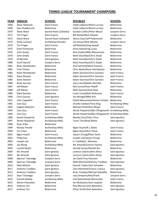### **TENNIS LEAGUE TOURNAMENT CHAMPIONS**

### **YEAR SINGLES SCHOOL DOUBLES SCHOOL**

1998 Ryan Ariko Bellarmine 1999 Nicolas Previte Archbishop Mitty Ngon Huynh/R.J. Bates Saint Francis

1968 Steve Stefanski Saint Francis Clyde LeBaron/Ward La Cava Bellarmine Dan Chadbourne Bellarmine Clyde LeBaron/Ward La Cava Bellarmine Steve Ward Sacred Heart Cathedral Gordon Collins/Peter Meuel Junipero Serra Tim Finger Saint Francis Bill Randal/Nick Sikeotis Junipero Serra Steve Ward Sacred Heart Cathedral Henry Chan/Jeff Pedemonte Bellarmine Andy Luchessi Archbishop Riordan Jim Dwyer/Nick Sikeotis Junipero Serra Tim Finger Saint Francis Jeff Bedolla/Greg Rowell Bellarmine 1975 Dave Portwood Bellarmine Kevin Kelly/Greg Lucey Bellarmine John Sevely Saint Francis Rick Snyder/Mike Wasserman Bellarmine John Sevely Saint Francis Mark Daschbach/Eric Doyle Bellarmine Ed Baretto Saint Ignatius Mark Daschbach/Eric Doyle Bellarmine Scott Vipond Junipero Serra Mark Daschbach/Eric Doyle Bellarmine Brian Heimbecker Bellarmine Paul Schmidt/Mark Guevara Bellarmine Fred Thome Bellarmine Chris Abate/Brian Heimbecker Bellarmine Brian Heimbecker Bellarmine Adam Sanchez/Chris Sanchez Saint Francis 1984 Dave Stewart **Bellarmine** Adam Sanchez/Chris Sanchez Saint Francis Dave Stewart Bellarmine Adam Sanchez/Chris Sanchez Saint Francis Brian Garrow Saint Francis Gary Lane/Robbie Wendell Bellarmine Jeff Meyer Saint Francis Rick Carrie/Peter Roloff Saint Francis Jeff Meyer Saint Francis Matt Quinlan/Zack Reid Bellarmine Matt Quinlan Bellarmine Justin Crow/Matt McKensie Saint Francis Chris Zonnas Saint Ignatius Jon Mungal/Mike Kim Bellarmine 1991 John Cappelitti Saint Francis David Matsumoto/Jimmy Tombor Bellarmine 1992 Cory Guy Saint Francis Charlie Esteban/Tony King Archbishop Mitty Eugene Balshem Bellarmine Michael Smith/Karl Meyer Saint Francis Cory Guy Saint Francis Derek Fitzpatrick/Ben Ellingsworth Archbishop Mitty Cory Guy Saint Francis Derek Fitzpatrick/Ben Ellingsworth Archbishop Mitty Derek Fitzpatrick Archbishop Mitty Wesley Chu/Victor Chun Saint Ignatius Derek Fitzpatrick Archbishop Mitty Tomo Tom/Brad White Saint Ignatius

 Eric Chen Bellarmine Ngon Huynh/Eric Chow Saint Francis Ngon Huynh Saint Francis Jayson Chung/Ethan Davis Bellarmine 2002 Philip Kao **Archbishop Mitty** Joseph Lok/Jayson Chung Bellarmine Joseph Lok Bellarmine K. Credelle/C. Moreton Bellarmine Jay Wong Archbishop Mitty Nic Amaroli/Connor Feeney Saint Ignatius Leonid Rozkin Bellarmine Donald James/Ronald Wu Bellarmine Nic Amaroli Saint Ignatius Lorenzo Cabrera/Ron Alivia Saint Ignatius Nic Amaroli Saint Ignatius Lorenzo Cabrera/Ron Alivia Saint Ignatius 2008 Spencer Talmadge Junipero Serra Ian Clark/Troy Heisman Bellarmine Spencer Talmadge Junipero Serra Matt Mitchell/Anthony Tsodikov Saint Ignatius 2010 Matt Micheli Saint Ignatius Garrett Taylor/Jack Schoebel Bellarmine Anthony Tsodikov Saint Ignatius Zach Monettal/Francis Cuenca Saint Ignatius Anthony Tsodikov Saint Ignatius Brian Tashjlan/Michael Standifer Bellarmine Sean Talmadge Junipero Serra Joey Simpson/Alex/Frank Junipero Serra Everett Maltby Archbishop Mitty Erik Ratta/Daniel Morissette Saint Francis 2015 Adrian Chamdani Bellarmine Ian McGowen/Josh Leopoid Bellarmine Andrew Ton Bellarmine Rob Werner/Josh Belandres Saint Ignatius Andrew Ton Bellarmine Ethan Smith/Josh Belandres Saint Ignatius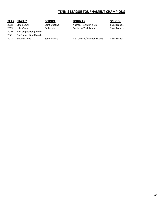# **TENNIS LEAGUE TOURNAMENT CHAMPIONS**

### **YEAR SINGLES SCHOOL DOUBLES SCHOOL** 2018 Ethan Smity Saint Ignatius Nathan Tran/Curtis Lin Saint Francis 2019 Luke Caspar **Bellarmine** Curtis Lin/Zach Lamm Saint Francis 2020 No Competition (Covid) 2021 No Competition (Covid) 2022 Shiven Mehta Saint Francis Neil Chulani/Brandon Huang Saint Francis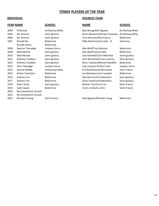# **TENNIS PLAYERS OF THE YEAR**

### **YEAR NAME SCHOOL SCHOOL SCHOOL SCHOOL**

| 2004 | Philip Kao             |
|------|------------------------|
| 2005 | Nic Amaroli            |
| 2006 | Nic Amaroli            |
| 2007 | Ronald Wu              |
|      | Donald James           |
| 2008 | Spencer Talmadge       |
| 2009 | Matt Micheli           |
| 2010 | Matt Micheli           |
| 2011 | Anthony Tsodikov       |
| 2012 | Anthony Tsodikov       |
| 2013 | Sean Talmadge          |
| 2014 | Everett Maltby         |
| 2015 | Adrian Chamdani        |
| 2016 | Andrew Ton             |
| 2017 | <b>Andrew Ton</b>      |
| 2018 | Ethan Smity            |
| 2019 | Luke Casper            |
| 2020 | No Competition (Covid) |
| 2021 | No Competition (Covid) |
| 2022 | Brandon Huang          |

**Bellarmine** 

### **INDIVIDUAL DOUBLES TEAM**

Archbishop Mitty **Max Bunag/Nick Nguyen** Archbishop Mitty Saint Ignatius **Nic Amaroli Saint Ignatius** Kevin Allustiarti/Ashwin Pushpala Archbishop Mitty Saint Ignatius **Nic Amaroli Saint Ignatius** Troy Helsman/Nick Fraccia Bellarmine Bellarmine **2007** Mike McGinnis/Ian Clark B ellarmine

Junipero Serra **2008 Spencer Talmadge Junipero Serra Alex Wall/Troy Helsman** Bellarmine Saint Ignatius **Alex Wall/Tommy Wall** Bellarmine Saint Ignatius **Chriti Saint Ignatius** Jack Schoebel/Zach Monettal Saint Ignatius Saint Ignatius **Theory Transform Team** Zach Monettal/Francis Cuenca Saint Ignatius Saint Ignatius **2012 Brian Tashjian/Michael Standifer** Bellarmine 2013 Sean Talmadge Junipero Serra Joey Simpson & Alex Frank Junipero Serra Archbishop Mitty **Erik Ratta/Daniel Morissette** Saint Francis 2015 Adrian Chamdani Bellarmine Ian McGowen/Josh Leopold Bellarmine 2016 Andrew Ton Bellarmine Rob Werner/Josh Belandres Saint Ignatius 2017 Andrew Ton Bellarmine Ethan Smith/Josh Belandres Saint Ignatius **2018 Saint Ignatius Communisty Saint Ignatius** Nathan Tran/Curtis Lin Saint Francis **2019 Bellarmine** Curtis Lin/Zach Lamm Saint Francis

2022 Saint Francis **2022 Brandon Huang Saint Francis** Alex Nguyen/Brendan Tsang Bellarmine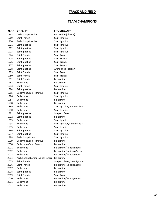# **TRACK AND FIELD**

# **TEAM CHAMPIONS**

| <u>YEAR</u> | <b>VARSITY</b>                   | <b>FROSH/SOPH</b>                |
|-------------|----------------------------------|----------------------------------|
| 1968        | Archbishop Riordan               | Bellarmine (Class B)             |
| 1969        | <b>Saint Francis</b>             | Saint Ignatius                   |
| 1970        | Archbishop Riordan               | Saint Ignatius                   |
| 1971        | Saint Ignatius                   | Saint Ignatius                   |
| 1972        | Saint Ignatius                   | Saint Ignatius                   |
| 1973        | Saint Ignatius                   | Saint Ignatius                   |
| 1974        | <b>Saint Francis</b>             | <b>Saint Francis</b>             |
| 1975        | Saint Ignatius                   | Saint Francis                    |
| 1976        | Saint Ignatius                   | Saint Francis                    |
| 1977        | Saint Ignatius                   | <b>Saint Francis</b>             |
| 1978        | Saint Ignatius                   | Archbishop Riordan               |
| 1979        | Saint Francis                    | Saint Francis                    |
| 1980        | <b>Saint Francis</b>             | <b>Saint Francis</b>             |
| 1981        | <b>Saint Francis</b>             | <b>Bellarmine</b>                |
| 1982        | <b>Bellarmine</b>                | Bellarmine                       |
| 1983        | Saint Francis                    | Saint Ignatius                   |
| 1984        | Saint Ignatius                   | <b>Bellarmine</b>                |
| 1985        | <b>Bellarmine/Saint Ignatius</b> | Saint Ignatius                   |
| 1986        | <b>Bellarmine</b>                | Saint Ignatius                   |
| 1987        | <b>Bellarmine</b>                | Bellarmine                       |
| 1988        | <b>Bellarmine</b>                | <b>Bellarmine</b>                |
| 1989        | <b>Bellarmine</b>                | Saint Ignatius/Junipero Serra    |
| 1990        | <b>Bellarmine</b>                | Saint Ignatius                   |
| 1991        | Saint Ignatius                   | Junipero Serra                   |
| 1992        | Saint Ignatius                   | <b>Bellarmine</b>                |
| 1993        | <b>Bellarmine</b>                | Saint Ignatius                   |
| 1994        | <b>Bellarmine</b>                | Saint Ignatius/Saint Francis     |
| 1995        | <b>Bellarmine</b>                | Saint Ignatius                   |
| 1996        | Saint Ignatius                   | Saint Ignatius                   |
| 1997        | Saint Ignatius                   | Saint Ignatius                   |
| 1998        | Archbishop Mitty                 | Saint Ignatius                   |
| 1999        | <b>Bellarmine/Saint Ignatius</b> | <b>Bellarmine</b>                |
| 2000        | <b>Bellarmine/Saint Francis</b>  | <b>Bellarmine</b>                |
| 2001        | Bellarmine                       | Bellarmine/Saint Ignatius        |
| 2002        | <b>Bellarmine</b>                | Bellarmine/Junipero Serra        |
| 2003        | Bellarmine                       | <b>Bellarmine/Saint Ignatius</b> |
| 2004        | Archbishop Riordan/Saint Francis | <b>Bellarmine</b>                |
| 2005        | <b>Saint Francis</b>             | Junipero Serra/Saint Ignatius    |
| 2006        | <b>Saint Francis</b>             | <b>Bellarmine/Saint Ignatius</b> |
| 2007        | Bellarmine                       | <b>Bellarmine</b>                |
| 2008        | Saint Ignatius                   | Bellarmine                       |
| 2009        | <b>Saint Francis</b>             | <b>Saint Francis</b>             |
| 2010        | <b>Bellarmine</b>                | <b>Bellarmine/Saint Ignatius</b> |
| 2011        | Bellarmine                       | Bellarmine                       |
| 2012        | Bellarmine                       | Bellarmine                       |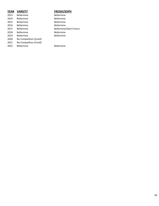| <b>YEAR</b> | <b>VARSITY</b>         | <b>FROSH/SOPH</b>               |
|-------------|------------------------|---------------------------------|
| 2013        | <b>Bellarmine</b>      | <b>Bellarmine</b>               |
| 2014        | <b>Bellarmine</b>      | <b>Bellarmine</b>               |
| 2015        | <b>Bellarmine</b>      | <b>Bellarmine</b>               |
| 2016        | <b>Bellarmine</b>      | <b>Bellarmine</b>               |
| 2017        | <b>Bellarmine</b>      | <b>Bellarmine/Saint Francis</b> |
| 2018        | <b>Bellarmine</b>      | <b>Bellarmine</b>               |
| 2019        | <b>Bellarmine</b>      | <b>Bellarmine</b>               |
| 2020        | No Competition (Covid) |                                 |
| 2021        | No Competition (Covid) |                                 |
| 2022        | <b>Bellarmine</b>      | <b>Bellarmine</b>               |
|             |                        |                                 |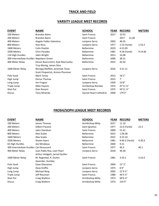# **TRACK AND FIELD**

# **VARSITY LEAGUE MEET RECORDS**

| <b>EVENT</b>                            | <b>NAME</b>                      | <b>SCHOOL</b>          | <b>YEAR</b> | <b>RECORD</b> | <b>METERS</b> |
|-----------------------------------------|----------------------------------|------------------------|-------------|---------------|---------------|
| 100 Meters                              | <b>Brandon Bains</b>             | Saint Francis          | 2017        | 10.55         |               |
| 200 Meters                              | <b>Brandon Bains</b>             | Saint Francis          |             | 2017<br>21,46 |               |
| 400 Meters                              | Angelo Fobbs-Valentino           | Junipero Serra         | 2003        | 48.35         |               |
| 800 Meters                              | Stan Ross                        | Junipero Serra         | 1977        | 1:53 (Yards)  | 1:53.2        |
| 1600 Meters                             | Colin Peattie                    | <b>Bellarmine</b>      | 2019        | 4:15.09       |               |
| 3200 Meters                             | <b>Chris Paredes</b>             | Bellarmine             | 1981        | 9:18 (Yards)  | 9:14.60       |
| 110 High Hurdles                        | Jalen Wright                     | Bellarmine             | 2013        | 14.08         |               |
| 300 Intermediate Hurdles Napoleon Green |                                  | <b>Bellarmine</b>      | 2006        | 38.31         |               |
| 400 Meter Relay                         | Devon Buenrostro, Kyle MacCauley | <b>Bellarmine</b>      | 2015        | 42.02         |               |
|                                         | Troy Martig, James Silva         |                        |             |               |               |
| 1600 Meter Relay                        | Noriega Moffett, Jeremiah Testa  | Junipero Serra         | 2016        | 3:21.11       |               |
|                                         | Scott Fitzpatrick, Armon Plummer |                        |             |               |               |
| Pole Vault                              | Mark Toney                       | Saint Francis          | 2013        | 16'1''        |               |
| High Jump                               | Darius Thomas                    | Saint Francis          | 2015        | 7'            |               |
| Long Jump                               | Jim Fregosi                      | Junipero Serra         | 1959        | 23'8''        |               |
| Triple Jump                             | Mike Haynes                      | Archbishop Riordan     | 1975        | 47'11 %"      |               |
| Shot Put                                | Gian Rossini                     | Saint Francis          | 1975        | 59'11 %"      |               |
| Discus                                  | Tony Miranda                     | Sacred Heart Cathedral | 2000        | 179'2"        |               |

# **FROSH/SOPH LEAGUE MEET RECORDS**

| <b>EVENT</b>                            | <b>NAME</b>                    | <b>SCHOOL</b>        | <b>YEAR</b> | <b>RECORD</b>         | <b>METERS</b> |
|-----------------------------------------|--------------------------------|----------------------|-------------|-----------------------|---------------|
| 100 Meters                              | James Thomas                   | Archbishop Mitty     | 2017        | 11.10                 |               |
| 200 Meters                              | Gilbert Pacaiso                | Saint Ignatius       | 1977        | 22.6 (Yards)          | 22.5          |
| 400 Meters                              | Jalen Davidson                 | <b>Saint Francis</b> | 2009        | 51.41                 |               |
| 800 Meters                              | <b>Alex Scales</b>             | <b>Bellarmine</b>    | 2015        | 1:58.38               |               |
| 1600 Meters                             | <b>Alex Scales</b>             | <b>Bellarmine</b>    | 2015        | 4:23.10               |               |
| 3200 Meters                             | Shawn Ayers                    | <b>Bellarmne</b>     | 1981        | 9:49.2 (Yards)        | 4:30.9        |
| 65 High Hurdles                         | Joe Mirabeau                   | Bellarmine           | 2004        | 9.21                  |               |
| 300 Intermediate Hurdles Carl Broussard |                                | <b>Saint Francis</b> | 1977        | 40.3                  | 40.1          |
| 400 Meter Relay                         | Juan Pablo Roa, Liam Pearl     | Junipero Serra       | 2018        | 44.36                 |               |
|                                         | Arthur Hodgett, Jarred Quilter |                      |             |                       |               |
| 1600 Meter Relay                        | M. Regimbal, R. Durkin         | Saint Francis        | 1981        | 3:33.1                | 3:32.0        |
|                                         | Awender, Guntley               |                      |             |                       |               |
| Pole Vault                              | Dave Glassanos                 | <b>Saint Francis</b> | 2004        | $13'$ $2''$           |               |
| High Jump                               | Dave Kniffin                   | Junipero Serra       | 1975        | 6'4''                 |               |
| Long Jump                               | Michael Borg                   | Junipero Serra       | 2005        | 21'9 1/2"             |               |
| Triple Jump                             | Jeff Rossman                   | Saint Francis        | 1980        | 44'3 1/2"             |               |
| Shot Put                                | Craig Watkins                  | Archbishop Mitty     | 1973        | $60'6\,\frac{1}{2}''$ |               |
| <b>Discus</b>                           | Craig Watkins                  | Archbishop Mitty     | 1973        | 155'5"                |               |
|                                         |                                |                      |             |                       |               |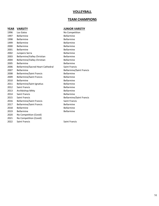### **VOLLEYBALL**

# **TEAM CHAMPIONS**

# **YEAR VARSITY JUNIOR VARSTIY**

| 1996 | Los Gatos                                | No Competition                  |
|------|------------------------------------------|---------------------------------|
| 1997 | <b>Bellarmine</b>                        | <b>Bellarmine</b>               |
| 1998 | <b>Bellarmine</b>                        | <b>Bellarmine</b>               |
| 1999 | <b>Bellarmine</b>                        | <b>Bellarmine</b>               |
| 2000 | <b>Bellarmine</b>                        | Bellarmine                      |
| 2001 | <b>Bellarmine</b>                        | <b>Bellarmine</b>               |
| 2002 | Junipero Serra                           | <b>Bellarmine</b>               |
| 2003 | Bellarmine/Valley Christian              | <b>Bellarmine</b>               |
| 2004 | Bellarmine/Valley Christian              | Bellarmine                      |
| 2005 | <b>Bellarmine</b>                        | <b>Bellarmine</b>               |
| 2006 | <b>Bellarmine/Sacred Heart Cathedral</b> | <b>Saint Francis</b>            |
| 2007 | <b>Bellarmine</b>                        | <b>Bellarmine/Saint Francis</b> |
| 2008 | <b>Bellarmine/Saint Francis</b>          | <b>Bellarmine</b>               |
| 2009 | <b>Bellarmine/Saint Francis</b>          | Bellarmine                      |
| 2010 | <b>Bellarmine</b>                        | Bellarmine                      |
| 2011 | Bellarmine/Saint Ignatius                | <b>Bellarmine</b>               |
| 2012 | Saint Francis                            | Bellarmine                      |
| 2013 | Archbishop Mitty                         | <b>Bellarmine</b>               |
| 2014 | Saint Francis                            | <b>Bellarmine</b>               |
| 2015 | <b>Saint Francis</b>                     | <b>Bellarmine/Saint Francis</b> |
| 2016 | <b>Bellarmine/Saint Francis</b>          | <b>Saint Francis</b>            |
| 2017 | <b>Bellarmine/Saint Francis</b>          | <b>Bellarmine</b>               |
| 2018 | Bellarmine                               | Bellarmine                      |
| 2019 | <b>Bellarmine</b>                        | <b>Bellarmine</b>               |
| 2020 | No Competition (Covid)                   |                                 |
| 2021 | No Competition (Covid)                   |                                 |
|      |                                          |                                 |

2022 Saint Francis Saint Francis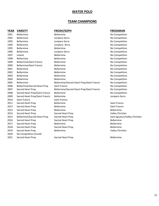# **WATER POLO**

### **TEAM CHAMPIONS**

| <b>YEAR</b> | <b>VARSITY</b>                      | <b>FROSH/SOPH</b>                          | <b>FRESHMA</b>       |
|-------------|-------------------------------------|--------------------------------------------|----------------------|
| 1991        | <b>Bellarmine</b>                   | <b>Bellarmine</b>                          | No Competit          |
| 1992        | <b>Bellarmine</b>                   | Junipero Serra                             | No Competit          |
| 1993        | <b>Bellarmine</b>                   | Junipero Serra                             | No Competit          |
| 1994        | <b>Bellarmine</b>                   | Junipero. Serra                            | No Competit          |
| 1995        | <b>Bellarmine</b>                   | <b>Bellarmine</b>                          | No Competit          |
| 1996        | <b>Bellarmine</b>                   | Junipero Serra                             | No Competit          |
| 1997        | Leland                              | <b>Bellarmine</b>                          | No Competit          |
| 1998        | Bellarmine                          | Bellarmine                                 | No Competit          |
| 1999        | <b>Bellarmine/Saint Francis</b>     | Bellarmine                                 | No Competit          |
| 2000        | <b>Bellarmine/Saint Francis</b>     | <b>Bellarmine</b>                          | No Competit          |
| 2001        | <b>Bellarmine</b>                   | <b>Bellarmine</b>                          | No Competit          |
| 2002        | <b>Bellarmine</b>                   | <b>Bellarmine</b>                          | No Competit          |
| 2003        | <b>Bellarmine</b>                   | <b>Bellarmine</b>                          | No Competit          |
| 2004        | <b>Bellarmine</b>                   | Bellarmine                                 | No Competit          |
| 2005        | <b>Bellarmine</b>                   | Bellarmine/Sacred Heart Prep/Saint Francis | No Competit          |
| 2006        | <b>Bellarmine/Sacred Heart Prep</b> | <b>Saint Francis</b>                       | No Competit          |
| 2007        | Sacred Heart Prep                   | Bellarmine/Sacred Heart Prep/Saint Francis | No Competit          |
| 2008        | Sacred Heart Prep/Saint Francis     | <b>Bellarmine</b>                          | No Competit          |
| 2009        | Sacred Heart Prep/Saint Francis     | <b>Bellarmine</b>                          | Junipero Ser         |
| 2010        | Saint Francis                       | Saint Francis                              |                      |
| 2011        | Sacred Heart Prep                   | <b>Bellarmine</b>                          | <b>Saint Francis</b> |
| 2012        | Sacred Heart Prep                   | <b>Bellarmine</b>                          | <b>Saint Francis</b> |
| 2013        | Sacred Heart Prep                   | <b>Bellarmine</b>                          | <b>Bellarmine</b>    |
| 2014        | Sacred Heart Prep                   | Sacred Heart Prep                          | <b>Valley Christ</b> |
| 2015        | <b>Bellarmine/Sacred Heart Prep</b> | Sacred Heart Prep                          | Saint Ignatiu        |
| 2016        | Sacred Heart Prep                   | Sacred Heart Prep                          | <b>Bellarmine</b>    |
| 2017        | Sacred Heart Prep                   | <b>Bellarmine</b>                          | <b>Bellarmine</b>    |
| 2018        | Sacred Heart Prep                   | Sacred Heart Prep                          | <b>Bellarmine</b>    |
| 2019        | Sacred Heart Prep                   | Bellarmine                                 | <b>Valley Christ</b> |
| 2020        | No Competition (Covid)              |                                            |                      |
| 2021        | Sacred Heart Prep                   | Sacred Heart Prep                          | Bellarmine           |

### **FRESHMAN** No Competition

No Competition No Competition No Competition No Competition No Competition No Competition No Competition No Competition No Competition No Competition No Competition No Competition No Competition No Competition No Competition No Competition No Competition Junipero Serra

Valley Christian

Valley Christian

Saint Ignatius/Valley Christian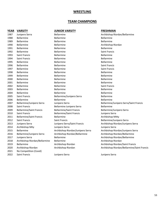# **WRESTLING**

# **TEAM CHAMPIONS**

| <b>YEAR</b> | <b>VARSITY</b>                  | <b>JUNIOR VARSITY</b>             | <b>FRESHMAN</b>                             |
|-------------|---------------------------------|-----------------------------------|---------------------------------------------|
| 1987        | Junipero Serra                  | Bellarmine                        | Archbishop Riordan/Bellarmine               |
| 1988        | <b>Bellarmine</b>               | Bellarmine                        | <b>Bellarmine</b>                           |
| 1989        | <b>Bellarmine</b>               | <b>Bellarmine</b>                 | Bellarmine                                  |
| 1990        | Bellarmine                      | Bellarmine                        | Archbishop Riordan                          |
| 1991        | <b>Bellarmine</b>               | Bellarmine                        | <b>Bellarmine</b>                           |
| 1992        | <b>Bellarmine</b>               | Bellarmine                        | <b>Saint Francis</b>                        |
| 1993        | Saint Francis                   | <b>Bellarmine</b>                 | <b>Bellarmine</b>                           |
| 1994        | Saint Francis                   | <b>Bellarmine</b>                 | Bellarmine                                  |
| 1995        | <b>Bellarmine</b>               | Bellarmine                        | <b>Bellarmine</b>                           |
| 1996        | <b>Bellarmine</b>               | Bellarmine                        | Saint Francis                               |
| 1997        | Bellarmine                      | <b>Bellarmine</b>                 | Saint Francis                               |
| 1998        | Bellarmine                      | Bellarmine                        | <b>Bellarmine</b>                           |
| 1999        | Bellarmine                      | Bellarmine                        | <b>Bellarmine</b>                           |
| 2000        | <b>Bellarmine</b>               | <b>Bellarmine</b>                 | Bellarmine                                  |
| 2001        | Bellarmine                      | Bellarmine                        | Bellarmine                                  |
| 2002        | Bellarmine                      | Bellarmine                        | <b>Saint Francis</b>                        |
| 2003        | <b>Bellarmine</b>               | Bellarmine                        | <b>Bellarmine</b>                           |
| 2004        | Bellarmine                      | <b>Bellarmine</b>                 | <b>Bellarmine</b>                           |
| 2005        | <b>Saint Francis</b>            | Bellarmine/Junipero Serra         | <b>Bellarmine</b>                           |
| 2006        | <b>Bellarmine</b>               | Bellarmine                        | Bellarmine                                  |
| 2007        | Bellarmine/Junipero Serra       | Junipero Serra                    | Bellarmine/Junipero Serra/Saint Francis     |
| 2008        | <b>Saint Francis</b>            | Bellarmine Junipero Serra         | <b>Bellarmine</b>                           |
| 2009        | <b>Bellarmine/Saint Francis</b> | <b>Bellarmine/Saint Francis</b>   | Bellarmine/Junipero Serra                   |
| 2010        | <b>Saint Francis</b>            | <b>Bellarmine/Saint Francis</b>   | Junipero Serra                              |
| 2011        | <b>Bellarmine/Saint Francis</b> | <b>Bellarmine</b>                 | Archbishop Mitty                            |
| 2012        | Saint Francis                   | Saint Francis                     | Bellarmine/Junipero Serra                   |
| 2013        | Junipero Serra                  | Junipero Serra/Saint Francis      | Archbishop Riordan/Junipero Serra           |
| 2014        | Archbishop Mity                 | Junipero Serra                    | Junipero Serra                              |
| 2015        | <b>Bellarmine</b>               | Archbishop Riordan/Junipero Serra | Archbishop Riordan/Junipero Serra           |
| 2016        | Bellarmine/Junipero Serra       | Archbishop Riordan/Bellarmine     | Archbishop Riordan/Bellarmine               |
| 2017        | Junipero Serra                  | Bellarmine                        | Archbishop Riordan/Bellarmine               |
| 2018        | Archbishop Riordan/Bellarmine   | <b>Bellarmine</b>                 | Archbishop Riordan                          |
| 2019        | Bellarmine                      | Archbishop Riordan                | Archbishop Riordan/Saint Francis            |
| 2020        | Archbishop Riordan              | Archbishop Riordan                | Archbishop Riordan/Bellarmine/Saint Francis |
| 2021        | No Competition (Covid)          |                                   |                                             |
| 2022        | Saint Francis                   | Junipero Serra                    | Junipero Serra                              |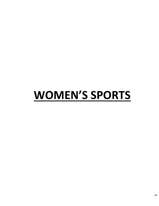# **WOMEN'S SPORTS**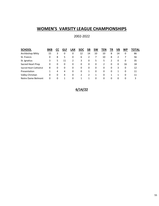# **WOMEN'S VARSITY LEAGUE CHAMPIONSHIPS**

# 2002-2022

| <b>SCHOOL</b>          | BKB |   | GLF | LAX | <b>SOC</b> | SΒ | <b>SW</b> | TEN | ΤR | VB | WP | TOTAL |
|------------------------|-----|---|-----|-----|------------|----|-----------|-----|----|----|----|-------|
| Archbishop Mitty       | 15  | 3 | 0   | 0   | 12         | 14 | 10        | 10  | 8  | 14 | 0  | 86    |
| St. Francis            | 0   | 8 | 5   | 0   | 6          |    |           | 10  | 8  |    |    | 56    |
| St. Ignatius           | 3   | 5 | 11  |     | 3          | 0  | 5         | 5   |    | 0  | 0  | 35    |
| Sacred Heart Prep      | 0   | 0 | 0   | 0   | 0          | 0  | 0         | 2   | 0  | 0  | 16 | 18    |
| Sacred Heart Cathedral | 8   | 0 | 0   | 0   | 0          | 0  | 0         | 0   | 0  | 3  | 0  | 12    |
| Presentation           |     | 4 | 4   | 0   | 0          |    | 0         | 0   | 0  |    | 0  | 11    |
| Valley Christian       | 0   | 0 | 4   | 0   | 2          |    |           | 0   |    |    | 0  | 11    |
| Notre Dame Belmont     | 0   | 0 | 1   | 0   |            |    | 0         | 0   | 0  | 0  | 0  | 3     |

**6/14/22**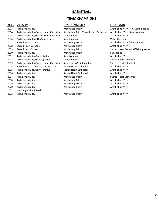# **BASKETBALL**

# **TEAM CHAMPIONS**

### **YEAR VARSITY JUNIOR VARSITY FRESHMAN**

| 2003 | Archbishop Mitty                        | Archbishop Mitty                        | Archbishop Mitty/SHC/Saint Ignatius   |
|------|-----------------------------------------|-----------------------------------------|---------------------------------------|
| 2004 | Archbishop Mitty/Sacred Heart Cathedral | Archbishop Mitty/Sacred Heart Cathedral | Archbishop Mitty/Saint Ignatius       |
| 2005 | Archbishop Mitty/Sacred Heart Cathedral | Saint Ignatius                          | Archbishop Mitty                      |
| 2006 | Archbishop Mitty/SHC/Saint Ignatius     | Saint Ignatius                          | Valley Christian                      |
| 2007 | Sacred Heart Cathedral                  | Archbishop Mitty                        | Archbishop Mitty/Saint Ignatius       |
| 2008 | Sacred Heart Cathedral                  | Archbishop Mitty                        | Archbishop Mitty                      |
| 2009 | Sacred Heart Cathedral                  | Archbishop Mitty                        | Sacred Heart Cathedral/Saint Ignatius |
| 2010 | Archbishop Mitty                        | Archbishop Mitty                        | Saint Francis                         |
| 2011 | Archbishop Mitty/Presentation           | Saint Ignatius                          | Archbishop Mitty                      |
| 2012 | Archbishop Mitty/Saint Ignatius         | Saint Ignatius                          | Sacred Heart Cathedral                |
| 2013 | Archbishop Mitty/Sacred Heart Cathedral | Saint Francis/Saint Ignatius            | Sacred Heart Cathedral                |
| 2014 | Sacred Heart Cathedral/Saint Ignatius   | Sacred Heart Cathedral                  | Archbishop Mitty                      |
| 2015 | Archbishop Mitty/Saint Ignatius         | Sacred Heart Cathedral                  | Archbishop Mitty                      |
| 2016 | Archbishop Mitty                        | Sacred Heart Cathedral                  | Archbishop Mitty                      |
| 2017 | Archbishop Mitty                        | Archbishop Mitty                        | Sacred Heart Cathedral                |
| 2018 | Archbishop Mitty                        | Archbishop Mitty                        | Archbishop Mitty                      |
| 2019 | Archbishop Mitty                        | Archbishop Mitty                        | Archbishop Mitty                      |
| 2020 | Archbishop Mitty                        | Archbishop Mitty                        | Archbishop Mitty                      |
| 2021 | No Competition (Covid)                  |                                         |                                       |
| 2022 | Archbishop Mitty                        | Archbishop Mitty                        | Archbishop Mitty                      |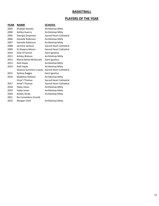### **BASKETBALL**

### **PLAYERS OF THE YEAR**

### **YEAR NAME SCHOOL** 2003 Khalilah Daniels Archbishop Mitty 2004 Ashley Guerra Archbishop Mitty 2005 Georgia Onyemen Sacred Heart Cathedral 2006 Danielle Robinson Archbishop Mitty 2007 Danielle Robinson Archbishop Mitty 2008 Jazmine Jackson Sacred Heart Cathedral 2009 Ki-Shawna Moore Sacred Heart Cathedral 2010 Elise O'Connor Saint Ignatius 2011 Ashley Watson Archbishop Mitty 2012 Maria Kemiji-McDonald Saint Ignatius 2013 Kelli Hayes Archbishop Mitty 2014 Kelli Hayes **Archbishop Mitty** Geanna Summers-Luaulu Sacred Heart Cathedral 2015 Sydney Raggio Saint Ignatius 2016 Madeline Holland Archbishop Mitty IImar'I Thomas Sacred Heart Cathedral 2017 Ilmar'l Thomas Sacred Heart Cathedral 2018 Haley Jones **Archbishop Mitty** 2019 Haley Jones Archbishop Mitty 2020 Ashley Hiraki Archbishop Mitty 2021 No Cometition (Covid) 2022 Morgan Cheli Archbishop Mitty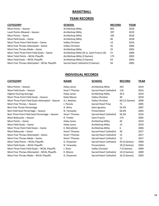# **BASKETBALL**

# **TEAM RECORDS**

| Most Points – Season                       |
|--------------------------------------------|
| Least Points Allowed – Season              |
| Most Points – Game                         |
| Most Field Goals – Game                    |
| Most Three Point Field Goals – Game        |
| Most Free Throws Attempted – Game          |
| Most Free Throws Made - Game               |
| Most Total Three Point Field Goals – Game  |
| Most Total Points – WCAL Playoffs          |
| Most Field Goals – WCAL Playoffs           |
| Most Free Throws Attempted – WCAL Playoffs |

|--|--|

| <b>SCHOOL</b><br><b>RECORD</b><br><b>CATEGORY</b><br><b>YEAR</b><br>Archbishop Mitty<br>Most Points - Season<br>803<br>2018<br>Archbishop Mitty<br>Least Points Allowed - Season<br>397<br>2019<br>Archbishop Mitty<br>Most Points – Game<br>2018<br>105<br>Archbishop Mitty<br>2018<br>Most Field Goals – Game<br>40<br>Valley Christian<br>Most Three Point Field Goals - Game<br>2016<br>14<br>Most Free Throws Attempted - Game<br>Valley Christian<br>2006<br>35<br>Archbishop Mitty<br>Most Free Throws Made – Game<br>25<br>2003<br>Archbishop Mitty (9) vs. Saint Francis (6)<br>Most Total Three Point Field Goals - Game<br>15<br>2006<br>Archbishop Mitty (3 Games)<br>Most Total Points - WCAL Playoffs<br>173<br>2003<br>Most Field Goals - WCAL Playoffs<br>Archbishop Mitty (3 Games)<br>63<br>2003<br>Sacred Heart Cathedral (3 Games)<br>Most Free Throws Attempted - WCAL Playoffs<br>56<br>2005 |  |  |
|--------------------------------------------------------------------------------------------------------------------------------------------------------------------------------------------------------------------------------------------------------------------------------------------------------------------------------------------------------------------------------------------------------------------------------------------------------------------------------------------------------------------------------------------------------------------------------------------------------------------------------------------------------------------------------------------------------------------------------------------------------------------------------------------------------------------------------------------------------------------------------------------------------------------|--|--|
|                                                                                                                                                                                                                                                                                                                                                                                                                                                                                                                                                                                                                                                                                                                                                                                                                                                                                                                    |  |  |
|                                                                                                                                                                                                                                                                                                                                                                                                                                                                                                                                                                                                                                                                                                                                                                                                                                                                                                                    |  |  |
|                                                                                                                                                                                                                                                                                                                                                                                                                                                                                                                                                                                                                                                                                                                                                                                                                                                                                                                    |  |  |
|                                                                                                                                                                                                                                                                                                                                                                                                                                                                                                                                                                                                                                                                                                                                                                                                                                                                                                                    |  |  |
|                                                                                                                                                                                                                                                                                                                                                                                                                                                                                                                                                                                                                                                                                                                                                                                                                                                                                                                    |  |  |
|                                                                                                                                                                                                                                                                                                                                                                                                                                                                                                                                                                                                                                                                                                                                                                                                                                                                                                                    |  |  |
|                                                                                                                                                                                                                                                                                                                                                                                                                                                                                                                                                                                                                                                                                                                                                                                                                                                                                                                    |  |  |
|                                                                                                                                                                                                                                                                                                                                                                                                                                                                                                                                                                                                                                                                                                                                                                                                                                                                                                                    |  |  |
|                                                                                                                                                                                                                                                                                                                                                                                                                                                                                                                                                                                                                                                                                                                                                                                                                                                                                                                    |  |  |
|                                                                                                                                                                                                                                                                                                                                                                                                                                                                                                                                                                                                                                                                                                                                                                                                                                                                                                                    |  |  |
|                                                                                                                                                                                                                                                                                                                                                                                                                                                                                                                                                                                                                                                                                                                                                                                                                                                                                                                    |  |  |
|                                                                                                                                                                                                                                                                                                                                                                                                                                                                                                                                                                                                                                                                                                                                                                                                                                                                                                                    |  |  |

# **INDIVIDUAL RECORDS**

| <b>CATEGORY</b>                                 | <b>NAME</b>        | <b>SCHOOL</b>           | <b>RECORD</b> | <b>YEAR</b> |
|-------------------------------------------------|--------------------|-------------------------|---------------|-------------|
| Most Points - Season                            | Haley Jones        | <b>Archbishop Mitty</b> | 293           | 2019        |
| Most Field Goals - Season                       | Ilmar'l Thomas     | Sacred Heart Cathedral  | 116           | 2016        |
| <b>Highest Scoring Average</b>                  | <b>Haley Jones</b> | Archbishop Mitty        | 29.3          | 2019        |
| Most Three Point Field Goals - Season           | Katie Mason        | Valley Christian        | 30            | 2018        |
| Most Three Point Field Goals Attempted - Season | A.J. Newton        | Valley Christian        | 66 (12 Games) | 2009        |
| Most Free Throws - Season                       | J. Pecota          | Sacred Heart Prep       | 71            | 2005        |
| Best Free Throw Percentage                      | A. Shivo           | Saint Ignatius          | 54.3%         | 2007        |
| Best Field Goal Percentage - Season             | N. Yarwasky        | Presentation            | 64.0%         | 2003        |
| Best Three Point Field Goal Percentage - Season | Ilmar'l Thomas     | Sacred Heart Cathedral  | 56.3%         | 2016        |
| Most Rebounds - Season                          | R. Trotter         | Saint Francis           | 174           | 2005        |
| Most Points – Game                              | Haley Jones        | Archbishop Mitty        | 43            | 2019        |
| Most Field Goals - Game                         | <b>Haley Jones</b> | Archbishop Mitty        | 15            | 2019        |
| Most Three Point Field Goals - Game             | K. McCallsiter     | Archbishop Mitty        | 6             | 2006        |
| Most Rebounds - Game                            | Ilmar'l Thomas     | Sacred Heart Cathedral  | 20            | 2017        |
| Most Free Throws Attempted - Game               | Ilmar'l Thomas     | Sacred Heart Cathedral  | 15            | 2017        |
| Most Free Throws Made - Game                    | Ilmar'l Thomas     | Sacred Heart Cathedral  | 12            | 2017        |
| Most Total Points - WCAL Playoffs               | G. Onyemen         | Sacred Heart Cathedral  | 43 (3 Games)  | 2009        |
| Most Field Goals - WCAL Playoffs                | N. Yarwasky        | Presentation            | 19 (3 Games)  | 2003        |
| Most Three Point Field Goals - WCAL Playoffs    | J. Davis           | Valley Christian        | 7 (3 Games)   | 2009        |
| Most Free Throws Attempted - WCAL Playoffs      | K. Moore           | Sacred Heart Cathedral  | 14 (3 Games)  | 2009        |
| Most Free Throws Made - WCAL Playoffs           | G. Onyemen         | Sacred Heart Cathedral  | 16 (3 Games)  | 2003        |
|                                                 |                    |                         |               |             |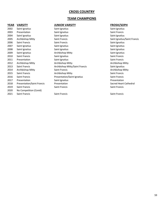### **CROSS COUNTRY**

### **TEAM CHAMPIONS**

### **YEAR VARSITY JUNIOR VARSITY FROSH/SOPH**

2002 Saint Ignatius Saint Ignatius Saint Ignatius 2003 Presentation Saint Ignatius Saint Francis 2004 Saint Ignatius Saint Ignatius Saint Ignatius Saint Ignatius Saint Ignatius 2005 Archbishop Mitty Saint Francis Saint Ignatius/Saint Francis 2006 Saint Francis Saint Francis Saint Ignatius 2007 Saint Ignatius Saint Ignatius Saint Ignatius Saint Ignatius Saint Ignatius Saint Ignatius 2008 Saint Ignatius Saint Ignatius Saint Ignatius 2009 Saint Ignatius **Archbishop Mitty** Communist Saint Ignatius Saint Ignatius Saint Ignatius 2010 Saint Francis Saint Ignatius Saint Francis 2011 Presentation Saint Ignatius Saint Francis 2012 Archbishop Mitty Archbishop Mitty Archbishop Mitty 2013 Saint Francis **Archbishop Mitty/Saint Francis** Saint Ignatius Saint Ignatius 2014 Archbishop Mitty Saint Francis Communication Archbishop Mitty 2015 Saint Francis **Saint Francis** Archbishop Mitty Saint Saint Francis 2016 Saint Francis **Communist Presentation/Saint Ignatius** Saint Francis Saint Francis 2017 Presentation Saint Ignatius Saint Ignatius Presentation 2018 Presentation/Saint Francis Presentation Sacred Heart Cathedral 2019 Saint Francis Saint Francis Saint Francis 2020 No Competition (Covid) 2021 Saint Francis Saint Francis Saint Francis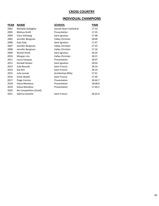# **CROSS COUNTRY**

# **INDIVIDUAL CHAMPIONS**

| YEAR | <b>NAME</b>            | <b>SCHOOL</b>          | TIME    |
|------|------------------------|------------------------|---------|
| 2002 | Michelle Gallagher     | Sacred Heart Cathedral | 17:33   |
| 2003 | Melissa Grelli         | Presentation           | 17:33   |
| 2004 | Ciara Viehweg          | Saint Ignatius         | 17:48   |
| 2005 | Jennifer Bergman       | Valley Christian       | 18:00   |
| 2006 | Katy Daly              | Saint Ignatius         | 17:47   |
| 2007 | Jennifer Bergman       | Valley Christian       | 17:25   |
| 2008 | Jennifer Bergman       | Valley Christian       | 17:16   |
| 2009 | <b>Rachel Hinds</b>    | Saint Ignatius         | 18:24   |
| 2010 | Morgan Lira            | Valley Christian       | 18:21   |
| 2011 | Laura Vazquez          | Presentation           | 18:07   |
| 2012 | Kendall Hacker         | Saint Ignatius         | 18:03   |
| 2013 | Julia Bounds           | Saint Francis          | 18:14   |
| 2014 | Gia Kim                | Saint Francis          | 18:14   |
| 2015 | Julia Lemak            | Archbishop Mitty       | 17:41   |
| 2016 | <b>Emily Skahill</b>   | <b>Saint Francis</b>   | 17:59   |
| 2017 | Paige Comiso           | Presentation           | 18:44.7 |
| 2018 | Giana Mendoza          | Presentation           | 18:08.8 |
| 2019 | Giana Mendoza          | Presentation           | 17:44.3 |
| 2020 | No Competition (Covid) |                        |         |
| 2021 | Sabrina Zanetto        | Saint Francis          | 18:25.0 |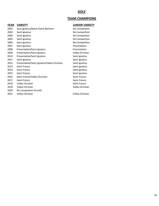# **GOLF**

# **TEAM CHAMPIONS**

### **YEAR VARSITY JUNIOR VARSITY**

| 2002 | Sant Ignatius/Notre Dame Belmont             | No Competition   |
|------|----------------------------------------------|------------------|
| 2003 | Saint Ignatius                               | No Competition   |
| 2004 | Saint Ignatius                               | No Competition   |
| 2005 | Saint Ignatius                               | No Competition   |
| 2006 | Saint Ignatius                               | No Competition   |
| 2007 | Saint Ignatius                               | Presentation     |
| 2008 | Presentation/Saint Ignatius                  | Presentation     |
| 2009 | Presentation/Saint Ignatius                  | Valley Christian |
| 2010 | Presentation/Saint Ignatius                  | Saint Ignatius   |
| 2011 | Saint Ignatius                               | Saint Ignatius   |
| 2012 | Presentation/Saint Ignatius/Valley Christian | Saint Ignatius   |
| 2013 | Saint Francis                                | Saint Ignatius   |
| 2014 | <b>Saint Francis</b>                         | Saint Ignatius   |
| 2015 | Saint Francis                                | Saint Ignatius   |
| 2016 | Saint Francis/Valley Christian               | Saint Francis    |
| 2017 | <b>Saint Francis</b>                         | Saint Francis    |
| 2018 | Valley Christian                             | Saint Francis    |
| 2019 | Valley Christian                             | Valley Christian |
| 2020 | No Competition (Covid)                       |                  |
| 2021 | Valley Christian                             | Valley Christian |
|      |                                              |                  |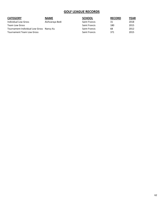# **GOLF LEAGUE RECORDS**

| <b>CATEGORY</b>                          | <b>NAME</b>     | <b>SCHOOL</b>        | <b>RECORD</b> | <b>YEAR</b> |
|------------------------------------------|-----------------|----------------------|---------------|-------------|
| Individual Low Gross                     | Aishvaraya Bedi | <b>Saint Francis</b> | 31            | 2018        |
| Team Low Gross                           |                 | <b>Saint Francis</b> | 180           | 2015        |
| Tournament Individual Low Gross Nancy Xu |                 | <b>Saint Francis</b> | 68            | 2012        |
| Tournament Team Low Gross                |                 | <b>Saint Francis</b> | 371           | 2015        |
|                                          |                 |                      |               |             |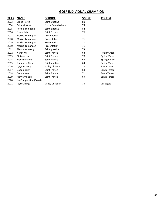# **GOLF INDIVIDUAL CHAMPION**

| <b>YEAR</b> | <b>NAME</b>            | SCHOOL             | <b>SCORE</b> | <b>COURSE</b>        |
|-------------|------------------------|--------------------|--------------|----------------------|
| 2003        | <b>Elaine Harris</b>   | Saint Ignatius     | 80           |                      |
| 2004        | Erica Moston           | Notre Dame Belmont | 75           |                      |
| 2005        | Rosalie Tolentino      | Saint Ignatius     | 82           |                      |
| 2006        | Nicole Lata            | Saint Francis      | 76           |                      |
| 2007        | Mariko Tumangan        | Presentation       | 71           |                      |
| 2008        | Mariko Tumangan        | Presentation       | 71           |                      |
| 2009        | Mariko Tumangan        | Presentation       | 77           |                      |
| 2010        | Mariko Tumangan        | Presentation       | 71           |                      |
| 2011        | Alexandra Wong         | Saint Ignatius     | 73           |                      |
| 2012        | Nancy Xu               | Saint Francis      | 68           | Poplar Creek         |
| 2013        | Bibilana Liu           | Saint Francis      | 70           | Spring Valley        |
| 2014        | Maya Pugatch           | Saint Francis      | 69           | Spring Valley        |
| 2015        | Samantha Gong          | Saint Ignatius     | 69           | <b>Spring Valley</b> |
| 2016        | Quynn Duong            | Valley Christian   | 72           | Santa Teresa         |
| 2017        | Doodle Yuen            | Saint Francis      | 69           | Santa Teresa         |
| 2018        | Doodle Yuen            | Saint Francis      | 71           | Santa Teresa         |
| 2019        | Aishvarya Bedi         | Saint Francis      | 69           | Santa Teresa         |
| 2020        | No Competition (Covid) |                    |              |                      |
| 2021        | Joyce Zhang            | Valley Christian   | 73           | Los Lagos            |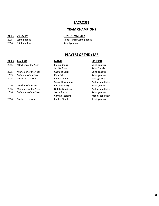### **LACROSSE**

### **TEAM CHAMPIONS**

### **YEAR VARSITY JUNIOR VARSITY**

2015 Saint Ignatius Saint Francis/Saint Ignatius 2016 Saint Ignatius **Saint Ignatius** Saint Ignatius

# **PLAYERS OF THE YEAR**

### **YEAR AWARD NAME SCHOOL**

# 2015 Attackers of the Year **Emma Knaus** Emma Knaus Saint Ignatius 2015 Midfielder of the Year Catriona Barry Saint Ignatius 2015 Defender of the Year Kyra Pelton Saint Ignatius 2015 Goalies of the Year **Emilee Pineda** Sant Ignatius 2016 Attacker of the Year Catriona Barry Saint Ignatius 2016 Midfielder of the Year Natalie Goodson Archbishop Mitty 2016 Defenders of the Year Jacyln Barry Saint Ignatius 2016 Goalie of the Year **Emilee Pineda** Saint Ignatius

Jessika Bassi Saint Francis

Samantha Zamora **Archbishop Mitty** Corrina Spalding **Archbishop Mitty**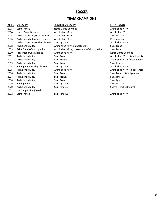### **SOCCER**

### **TEAM CHAMPIONS**

### **YEAR VARSITY JUNIOR VARSITY FRESHMAN**

| 2003 | Saint Francis                     | Notre Dame Belmont                           | Archbishop Mitty   |
|------|-----------------------------------|----------------------------------------------|--------------------|
| 2004 | Notre Dame Belmont                | Archbishop Mitty                             | Archbishop Mitty   |
| 2005 | Archbishop Mitty/Saint Francis    | Archbishop Mitty                             | Saint Ignatius     |
| 2006 | Archbishop Mitty/Saint Francis    | Archbishop Mitty                             | Presentation       |
| 2007 | Archbishop Mitty/Valley Christian | Saint Ignatius                               | Archbishop Mitty   |
| 2008 | Archbishop Mitty                  | Archbishop Mitty/Saint Ignatius              | Saint Francis      |
| 2009 | Saint Francis/Saint Ignatius      | Archbishop Mitty/Presentation/Saint Ignatius | Saint Francis      |
| 2010 | <b>Presentation/Saint Francis</b> | Archbishop Mitty                             | Notre Dame Belm    |
| 2011 | Archbishop Mitty                  | Saint Francis                                | Archbishop Mitty   |
| 2012 | Archbishop Mitty                  | Saint Francis                                | Archbishop Mitty   |
| 2013 | Archbishop Mitty                  | Saint Francis                                | Saint Ignatius     |
| 2014 | Saint Ignatius/Valley Christian   | Saint Ignatius                               | Archbishop Mitty   |
| 2015 | Archbishop Mitty                  | Archbishop Mitty                             | Archbishop Mitty   |
| 2016 | Archbishop Mitty                  | Saint Francis                                | Saint Francis/Sain |
| 2017 | Archbishop Mitty                  | Saint Francis                                | Saint Ignatius     |
| 2018 | Archbishop Mitty                  | Saint Francis                                | Saint Ignatius     |
| 2019 | Saint Ignatius                    | Saint Ignatius                               | Saint Ignatius     |
| 2020 | Archbishop Mitty                  | Saint Ignatius                               | Sacred Heart Cath  |
| 2021 | No Competition (Covid)            |                                              |                    |
| 2022 | Saint Francis                     | Saint Ignatius                               | Archbishop Mitty   |

Archbishop Mitty Archbishop Mitty Saint Ignatius Archbishop Mitty Notre Dame Belmont Archbishop Mitty/Saint Francis Archbishop Mitty/Presentation Saint Ignatius Archbishop Mitty Archbishop Mitty/Saint Francis Saint Francis/Saint Ignatius Saint Ignatius Saint Ignatius Saint Ignatius Sacred Heart Cathedral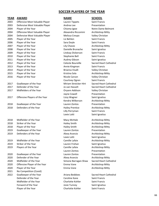### **SOCCER PLAYERS OF THE YEAR**

### **YEAR AWARD NAME SCHOOL**

| 2003 | Offensive Most Valuable Player |
|------|--------------------------------|
| 2003 | Defensive Most Valuable Player |
| 2004 | Player of the Year             |
| 2004 | Offensive Most Valuable Player |
| 2004 | Defensive Most Valuable Player |
| 2005 | Player of the Year             |
| 2006 | Player of the Year             |
| 2007 | Player of the Year             |
| 2008 | Player of the Year             |
| 2009 | Player of the Year             |
| 2010 | Player of the Year             |
| 2011 | Player of the Year             |
| 2012 | Player of the Year             |
| 2013 | Player of the Year             |
| 2014 | Player of the Year             |
| 2015 | Player of the Year             |
| 2016 | Player of the Year             |
|      |                                |
| 2017 | Goalkeeper of the Year         |
| 2017 | Defender of the Year           |
| 2017 | Midfielders of the Year        |
| 2017 | Offensive Players of the Year  |
|      |                                |
| 2018 | Goalkeeper of the Year         |
| 2018 | Defenders of the Year          |
|      |                                |
| 2018 | Midfielder of the Year         |
| 2018 | Striker of the Year            |
| 2018 | Player of the Year             |
| 2019 | Goalkeeper of the Year         |
| 2019 | Defenders of the Year          |
|      |                                |
| 2019 | Midfielder of the Year         |
| 2019 | Striker of the Year            |
| 2019 | Players of the Year            |
| 2020 | Goalkeeper of the Year         |
| 2020 | Defender of the Year           |
| 2020 | Midfielder of the Year         |
| 2020 | Offensive Player of the Year   |
| 2020 | Player of the Year             |
| 2021 | No Competition (Covid)         |
| 2022 | Goalkeeper of the Year         |
|      | Defender of the Year           |
|      | Midfielder of the Year         |
|      | Forward of the Year            |
|      | war af tha Van                 |

Lauren Tippets Saint Francis Andrea Lee Presentation Alexandra Riccomini Archbishop Mitty Melissa Crespo Valley Christian Liz Behlen Saint Francis **2006** Saint Francis Lily Chavez **Archbishop Mitty** Danielle Brunache Saint Ignatius Lindsay Dickerson Saint Francis Stephanie Bell Saint Francis Audrey Gibson Saint Ignatius Annie Kingman Saint Francis Brianna Visalli Valley Christian Kristina Sola **Archbishop Mitty** Nicole Carson Valley Christian Courtney Ogren Saint Francis Oryann Addison Valley Christian Jayne Cowell Presentation Lizzy Wagner Saint Ignatius Kendra Wilkerson Archbishop Mitty Lauren Zontos Presentation Hailey Prentice **Archbishop Mitty** Lilly Perryman Saint Francis Lexie Lotti Saint Ignatius Macy McHale **Archbishop Mitty** 

Hailey Smith Archbishop Mitty Hailey Smith Archbishop Mitty Lauren Zontos Presentation Alexa Arancio **Archbishop Mitty** Lexie Lotti Saint Ignatius Camille Lafaix **Archbishop Mitty** Lauren Frohan Saint Ignatius Camille Lafaix **Archbishop Mitty** Lauren Zontos Presentation Lauren Zontos Presentation Alexa Arancio **Archbishop Mitty** Simone Barragan-Shaw Sacred Heart Cathedral Emma Vane **Archbishop Mitty** Emma Vane **Archbishop Mitty** 

Caroline Kane Saint Francis Charlotte Kohler Saint Francis Josie Tunney Saint Ignatius Player of the Year **Charlotte Kohler** Charlotte Kohler Saint Francis

Chioma Igwe **Notre Dame Belmont** Celeste Boureille Sacred Heart Cathedral Miriam Streicker-Hirt Sacred Heart Cathedral Jo van Hasselt Sacred Heart Cathedral

Ariana Beddoes Sacred Heart Cathedral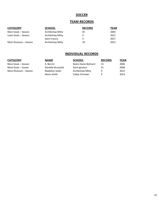# **SOCCER**

### **TEAM RECORDS**

| <b>CATEGORY</b>        | <b>SCHOOL</b>        | <b>RECORD</b> | YEAR |
|------------------------|----------------------|---------------|------|
| Most Goals – Season    | Archbishop Mitty     | 45            | 2004 |
| Least Goals – Season   | Archbishop Mitty     | 3             | 2012 |
|                        | <b>Saint Francis</b> | 3             | 2017 |
| Most Shutouts – Season | Archbishop Mitty     | 10            | 2013 |

# **INDIVIDUAL RECORDS**

| ٠ | и | ۰. |
|---|---|----|
|   |   |    |

| SLH  |
|------|
| Notr |

| <b>CATEGORY</b>        | <b>NAME</b>       | <b>SCHOOL</b>      | <b>RECORD</b> | <b>YEAR</b> |
|------------------------|-------------------|--------------------|---------------|-------------|
| Most Goals - Season    | K. Berrini        | Notre Dame Belmont | 15            | 2006        |
| Most Goals – Career    | Danielle Brunache | Saint Ignatius     | 51            | 2008        |
| Most Shutouts - Season | Madeline Julian   | Archbishop Mitty   | q             | 2013        |
|                        | Alexis Smith      | Valley Christian   | q             | 2014        |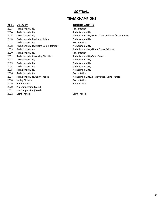### **SOFTBALL**

# **TEAM CHAMPIONS**

### **YEAR VARSITY JUNIOR VARSITY**

| 2003 | Archbishop Mitty                  |
|------|-----------------------------------|
| 2004 | <b>Archbishop Mitty</b>           |
| 2005 | Archbishop Mitty                  |
| 2006 | Archbishop Mitty/Presentation     |
| 2007 | Archbishop Mitty                  |
| 2008 | Archbishop Mitty/Notre Dame Belm  |
| 2009 | Archbishop Mitty                  |
| 2010 | Archbishop Mitty                  |
| 2011 | Archbishop Mitty/Valley Christian |
| 2012 | Archbishop Mitty                  |
| 2013 | Archbishop Mitty                  |
| 2014 | Archbishop Mitty                  |
| 2015 | Archbishop Mitty                  |
| 2016 | Archbishop Mitty                  |
| 2017 | Archbishop Mitty/Saint Francis    |
| 2018 | Valley Christian                  |
| 2019 | <b>Saint Francis</b>              |
| 2020 | No Competition (Covid)            |
| 2021 | No Competition (Covid)            |
| 2022 | Saint Francis                     |

Presentation Archbishop Mitty Archbishop Mitty/Notre Dame Belmont/Presentation Archbishop Mitty Presentation ont Archbishop Mitty Archbishop Mitty/Notre Dame Belmont Presentation Archbishop Mitty/Saint Francis Archbishop Mitty Archbishop Mitty Archbishop Mitty Archbishop Mitty **Presentation** Archbishop Mitty/Presentation/Saint Francis **Presentation** Saint Francis

Saint Francis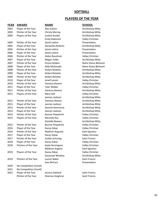### **SOFTBALL**

### **PLAYERS OF THE YEAR**

### **YEAR AWARD NAME SCHOOL**

2003 Player of the Year Alex Sutton Archbishop Mitty 2003 Pitcher of the Year Christy Murray Christy Milty 2004 Players of the Year Justine Kunkel **Archargie Archbishop Mitty** 2004 Pitcher of the Year Jamie Lettire **Presentation** 2005 Player of the Year Samantha Ricketts **Samantha Ricketts** Archbishop Mitty 2005 Pitcher of the Year Jamie Lettire **Presentation** 2006 Player of the Year Jamie Lettire **Presentation** 2006 Pitcher of the Year Kailyn Raushnot Valley Christian 2007 Player of the Year Megan Yolke **Archbishop Mitty** 2007 Pitcher of the Year Emma Holden **Notre Dame Belmont** 2008 Player of the Year Kelly McDonald Notre Dame Belmont 2008 Pitcher of the Year Keilani Ricketts **Archbishop Mitty** 2009 Player of the Year Keilani Ricketts **Archause Archbishop Mitty** 2009 Pitcher of the Year Keilani Ricketts **Archause Archbishop Mitty** 2010 Player of the Year Janell Laront Christian Valley Christian 2010 Pitcher of the Year Vanessa Alvarez **Archbishop Mitty** 2011 Player of the Year Tyler Walker The Tyler Walley Christian 2011 Pitcher of the Year Vanessa Alvarez **Archbishop Mitty** 2012 Players of the Year Mary Hall Valley Christian 2012 Pitcher of the Year Vanessa Alvarez Channel Archbishop Mitty 2013 Player of the Year Jazmyn Jackson Archbishop Mitty 2013 Pitcher of the Year Desiree Severance **Designess** Archbishop Mitty 2014 Player of the Year Jazmyn Jackson Archbishop Mitty 2014 Pitcher of the Year Brynne Fitzpatrick Valley Christian 2015 Players of the Year Marcella Kay Christian Marcella Kay Valley Christian 2015 Pitcher of the Year Brynne Fitzpatrick The Valley Christian 2016 Player of the Year Kacey Zobac Valley Christian 2016 Pitcher of the Year Madison Augusto Saint Ignatius 2017 Player of the Year Kacey Zobac Kacey Zobac Valley Christian 2017 Pitcher of the Year Jordan Schuring Saint Francis 2018 Player of the Year Kacey Zobac Christian Valley Christian 2018 Pitchers of the Year Kayla Dominguez **Valley Christian** 2019 Players of the Year Kacey Zobac Kacey Zobac Valley Christian 2019 Pitchers of the Year Lauren Baker Saint Francis 2020 No Competition (Covid) 2021 No Competition (Covid) 2022 Player of the Year Jessica Oakland Saint Francis

Emily Radonich Valley Christian Jazmyn Jackson **Archbishop Mitty** Danielle Bowers **Archbishop Mitty** Madison Augisto Saint Ignatius Savannah Whatley **Archbishop Mitty** Kaia McCaul **Presentation** 

Pitcher of the Year Shannon Keighran Shannon Saint Francis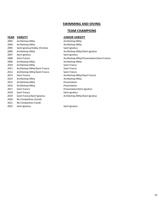# **TEAM CHAMPIONS**

# **YEAR VARSITY JUNIOR VARSITY**

| ' די |                                 |
|------|---------------------------------|
| 2003 | Archbishop Mitty                |
| 2004 | Archbishop Mitty                |
| 2005 | Saint Ignatius/Valley Christian |
| 2006 | Archbishop Mitty                |
| 2007 | Saint Ignatius                  |
| 2008 | Saint Francis                   |
| 2009 | Archbishop Mitty                |
| 2010 | Archbishop Mitty                |
| 2011 | Archbishop Mitty/Saint Francis  |
| 2012 | Archbishop Mitty/Saint Francis  |
| 2013 | <b>Saint Francis</b>            |
| 2014 | Archbishop Mitty                |
| 2015 | <b>Archbishop Mitty</b>         |
| 2016 | Archbishop Mitty                |
| 2017 | <b>Saint Francis</b>            |
| 2018 | <b>Saint Francis</b>            |
| 2019 | Saint Francis/Saint Ignatius    |
| 2020 | No Competition (Covid)          |
| 2021 | No Competition Covid)           |
|      |                                 |

2022 Saint Ignatius Saint Ignatius Saint Ignatius

Archbishop Mitty Archbishop Mitty Saint Ignatius Archbishop Mitty/Saint Ignatius Saint Ignatius Archbishop Mitty/Presentation/Saint Francis Archbishop Mitty Saint Francis Saint Francis Saint Francis Archbishop Mitty/Saint Francis Archbishop Mitty **Presentation** Presentation Presentation/Saint Ignatius Saint Ignatius Archbishop Mitty/Saint Ignatius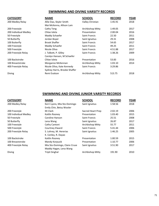# **SWIMMING AND DIVING VARSITY RECORDS**

| <b>CATEGORY</b>       | <b>NAME</b>                   | <b>SCHOOL</b>        | <b>RECORD</b> | <b>YEAR</b> |
|-----------------------|-------------------------------|----------------------|---------------|-------------|
| 200 Medley Relay      | Allie Dao, Skyler Smith       | Valley Christian     | 1:45.91       | 2018        |
|                       | Mai McKenna, Allison Lam      |                      |               |             |
| 200 Freestyle         | Cathy Teng                    | Archbishop Mitty     | 1:49.05       | 2017        |
| 200 Individual Medley | Chloe Isleta                  | Presentation         | 2:00.04       | 2016        |
| 50 Freestyle          | Maddy Schaefer                | Saint Francis        | 22.50         | 2011        |
| 50 Butterfly          | Jordan Boyer                  | Saint Ignatius       | 29.31         | 2008        |
| 100 Butterfly         | <b>Brook Shaffer</b>          | Saint Francis        | 54.65         | 2017        |
| 100 Freestyle         | Maddy Schaefer                | Saint Francis        | 49.25         | 2011        |
| 500 Freestyle         | Nicole Oliva                  | Saint Francis        | 4:51.88       | 2017        |
| 200 Freestyle Relay   | J. Talbott, P. Gilley         | Saint Francis        | 1:38.26       | 2009        |
|                       | Carolyn Hansen, M Schaefer    |                      |               |             |
| 100 Backstroke        | Chloe Isleta                  | Presentation         | 53.83         | 2016        |
| 100 Breaststroke      | Morganne McKennan             | Archbishop Mitty     | 1:03.10       | 2014        |
| 400 Freestyle Relay   | Nicole Oliva, Kate Kennedy    | <b>Saint Francis</b> | 3:29.86       |             |
|                       | Sydney Harris, Brooke Shaffer |                      |               |             |
| Diving                | Remi Evalson                  | Archbishop Mitty     | 513.75        | 2018        |

# **SWIMMING AND DIVING JUNIOR VARSITY RECORDS**

| <b>CATEGORY</b>       | <b>NAME</b>                   | <b>SCHOOL</b>     | <b>RECORD</b> | <b>YEAR</b> |
|-----------------------|-------------------------------|-------------------|---------------|-------------|
| 200 Medley Relay      | Kerri Lyons, Mia Sto-Domingo  | Saint Ignatius    | 1:58.56       | 2018        |
|                       | Emily Chin, Betsy Wooler      |                   |               |             |
| 200 Freestyle         | <b>KK Clark</b>               | Sacred Heart Prep | 2:02.19       | 2006        |
| 100 Individual Medlev | Kaitlin Rooney                | Presentation      | 1:03.40       | 2015        |
| 50 Freestyle          | Caroline Hanson               | Saint Francis     | 25.51         | 2008        |
| 50 Butterfly          | Lena Wang                     | Saint Ignatius    | 26.87         | 2017        |
| 100 Freestyle         | Cathy Cantoni                 | Archbishop Mitty  | 55.77         | 2011        |
| 500 Freestyle         | Courtney Elward               | Saint Francis     | 5:41.44       | 2006        |
| 200 Freestyle Relay   | S. Lohrey, M. Hererias        | Saint Ignatius    | 1:46.25       | 2005        |
|                       | K. Conley, R. Dayao           |                   |               |             |
| 100 Backstroke        | Kaitlin Rooney                | Presentation      | 1:00.59       | 2015        |
| 100 Breaststroke      | Mandy Korpusik                | Presentation      | 1:10.77       | 2006        |
| 400 Freestyle Relay   | Mia Sto-Domingo, Claire Cruse | Saint Ignatius    | 3:51.90       | 2017        |
|                       | Maddy Hagan, Lena Wang        |                   |               |             |
| Diving                | Tripti Singhal                | Archbishop Mitty  | 191.90        | 2010        |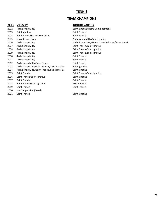# **TENNIS**

# **TEAM CHAMPIONS**

| 2002 | Archbishop Mitty                              | Saint Ignatius, |
|------|-----------------------------------------------|-----------------|
| 2003 | Saint Ignatius                                | Saint Francis   |
| 2004 | Saint Francis/Sacred Heart Prep               | Saint Francis   |
| 2005 | Sacred Heart Prep                             | Archbishop M    |
| 2006 | Archbishop Mitty                              | Archbishop M    |
| 2007 | Archbishop Mitty                              | Saint Francis/  |
| 2008 | Archbishop Mitty                              | Saint Francis/  |
| 2009 | Archbishop Mitty                              | Saint Francis/  |
| 2010 | Archbishop Mitty                              | Saint Francis   |
| 2011 | Archbishop Mitty                              | Saint Francis   |
| 2012 | Archbishop Mitty/Saint Francis                | Saint Francis   |
| 2013 | Archbishop Mitty/Saint Francis/Saint Ignatius | Saint Ignatius  |
| 2014 | Archbishop Mitty/Saint Francis/Saint Ignatius | Saint Ignatius  |
| 2015 | <b>Saint Francis</b>                          | Saint Francis/  |
| 2016 | Saint Francis/Saint Ignatius                  | Saint Ignatius  |
| 2017 | Saint Francis                                 | Saint Francis   |
| 2018 | Saint Francis/Saint Ignatius                  | Presentation    |
| 2019 | <b>Saint Francis</b>                          | Saint Francis   |
| 2020 | No Competition (Covid)                        |                 |
| 2021 | <b>Saint Francis</b>                          | Saint Ignatius  |

### **YEAR VARSITY JUNIOR VARSITY**

Saint Ignatius/Notre Dame Belmont Archbishop Mitty/Saint Ignatius Archbishop Mitty/Notre Dame Belmont/Saint Francis Saint Francis/Saint Ignatius Saint Francis/Saint Ignatius Saint Francis/Saint Ignatius Saint Francis Saint Francis Saint Francis Saint Ignatius Saint Ignatius Saint Francis/Saint Ignatius Saint Francis **Presentation** Saint Francis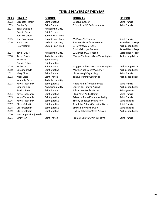# **TENNIS PLAYERS OF THE YEAR**

| <b>YEAR</b> | <b>SINGLES</b>         | <b>SCHOOL</b>        | <b>DOUBLES</b>                    | <b>SCHOOL</b>     |
|-------------|------------------------|----------------------|-----------------------------------|-------------------|
| 2002        | Elizabeth Plotkin      | Saint Ignatius       | Bauer/Boutacoff                   | Saint Francis     |
| 2003        | Denise Dy              | <b>Saint Francis</b> | S. Schnitter/M.DeBustamente       | Saint Francis     |
| 2004        | Tanvi Dudhela          | Archbishop Mitty     |                                   |                   |
|             | Robbie Englert         | <b>Saint Francis</b> |                                   |                   |
|             | Sam Rosekrans          | Sacred Heart Prep    |                                   |                   |
| 2005        | Sam Rosekrans          | Sacred Heart Prep    | M. Payne/E. Troedson              | Saint Francis     |
| 2006        | <b>Taylor Davis</b>    | Archbishop Mitty     | Sam Rosekrans/Haley Hemm          | Sacred Heart Prep |
|             | Haley Hemm             | Sacred Heart Prep    | B. Neveras/A. Greene              | Archbishop Mitty  |
|             |                        |                      | E. McMahon/A. Robson              | Sacred Heart Prep |
| 2007        | <b>Taylor Davis</b>    | Archbishop Mitty     | E. McMahon/A. Robson              | Sacred Heart Prep |
| 2008        | <b>Taylor Davis</b>    | Archbishop Mitty     | Maggie Yudkevich/Tara Vanooteghem | Archbishop Mitty  |
|             | Kelly Chui             | <b>Saint Francis</b> |                                   |                   |
|             | Natalie Dillon         | Saint Ignatius       |                                   |                   |
| 2009        | Kelly Chui             | Saint Francis        | Maggie Yudkevich/Tara Vanooteghem | Archbishop Mitty  |
| 2010        | Caroline Doyle         | Saint Ignatius       | Maggie Yudkevich/M. Akhter        | Archbishop Mitty  |
| 2011        | <b>Mary Closs</b>      | <b>Saint Francis</b> | Illiana Yang/Megan Png            | Saint Francis     |
| 2012        | Mary Closs             | Saint Francis        | Tanaya Puranik/Lauren To          | Archbishop Mitty  |
|             | <b>Kennedy Davis</b>   | Archbishop Mitty     |                                   |                   |
| 2013        | Katya Tabachnik        | Saint Ignatius       | Audie Hamm/Jordan Barrett         | Saint Francis     |
|             | Catalino Rico          | Archbishop Mitty     | Lauren To/Tanaya Puranik          | Archbishop Mitty  |
|             | Paulina Bajet          | Saint Francis        | Julia Arnett/Kelly Martin         | Saint Ignatius    |
| 2014        | Katya Tabachnik        | Saint Ignatius       | Illina Yang/Andie Hamm            | Saint Francis     |
| 2015        | Katya Tabachnik        | Saint Ignatius       | Priyankia Pabari/Vandana Reddy    | Saint Francis     |
| 2016        | Katya Tabachnik        | Saint Ignatius       | Tiffany Boudagain/Anna Roy        | Saint Ignatius    |
| 2017        | Claire Galerkin        | Saint Ignatius       | Akanksha Pabari/Catherine Liston  | Saint Francis     |
| 2018        | Claire Galerkin        | Saint Ignatius       | Emma Pell/Martha Quin             | Saint Ignatius    |
| 2019        | Claire Galerkin        | Saint Ignatius       | Hailiey Roberson/Kayla Nguyen     | Archbishop Mitty  |
| 2020        | No Competition (Covid) |                      |                                   |                   |
| 2021        | <b>Emily Tan</b>       | <b>Saint Francis</b> | Pramati Barath/Emily Williams     | Saint Francis     |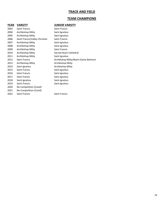# **TRACK AND FIELD**

# **TEAM CHAMPIONS**

# **YEAR VARSITY JUNIOR VARSITY**

| 2003 | Saint Francis                  | Saint Francis                       |
|------|--------------------------------|-------------------------------------|
| 2004 | Archbishop Mitty               | Saint Ignatius                      |
| 2005 | Archbishop Mitty               | Saint Ignatius                      |
| 2006 | Saint Francis/Valley Christian | Saint Francis                       |
| 2007 | Archbishop Mitty               | Saint Ignatius                      |
| 2008 | Archbishop Mitty               | Saint Ignatius                      |
| 2009 | Archbishop Mitty               | Saint Francis                       |
| 2010 | Archbishop Mitty               | Sacred Heart Cathedral              |
| 2011 | Archbishop Mitty               | Saint Ignatius                      |
| 2012 | Saint Francis                  | Archbishop Mitty/Notre Dame Belmont |
| 2013 | Archbishop Mitty               | Archbishop Mitty                    |
| 2014 | Saint Ignatius                 | Archbishop Mitty                    |
| 2015 | Saint Francis                  | Saint Ignatius                      |
| 2016 | Saint Francis                  | Saint Ignatius                      |
| 2017 | Saint Francis                  | Saint Ignatius                      |
| 2018 | Saint Ignatius                 | Saint Ignatius                      |
| 2019 | Saint Francis                  | Saint Ignatius                      |
| 2020 | No Competition (Covid)         |                                     |
| 2021 | No Competition (Covid)         |                                     |
| 2022 | Saint Francis                  | Saint Francis                       |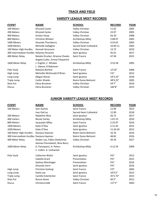# **TRACK AND FIELD**

# **VARSITY LEAGUE MEET RECORDS**

| <b>EVENT</b>                              | <b>NAME</b>                     | <b>SCHOOL</b>          | <b>RECORD</b> | <b>YEAR</b> |
|-------------------------------------------|---------------------------------|------------------------|---------------|-------------|
| 100 Meters                                | Khrystal Carter                 | Valley Christian       | 11.62         | 2005        |
| 200 Meters                                | Khrystal Carter                 | Valley Christian       | 23.97         | 2005        |
| 400 Meters                                | Kristen Houp                    | Valley Christian       | 56.20         | 2008        |
| 800 Meters                                | Christine Whalen                | Archbishop Mitty       | 2:08.97       | 2005        |
| 1600 Meters                               | Amanda Thornberry               | Valley Christian       | 4:53.65       | 2003        |
| 3200 Meters                               | Michelle Gallagher              | Sacred Heart Cathedral | 10:49.11      | 2003        |
| 100 Meter High Hurdles                    | Hannah Goranson                 | Valley Christian       | 13.72         | 2010        |
| 300 Intermediate Hurdles Delaney Peranich |                                 | Saint Ignatius         | 45.01         | 2017        |
| 400 Meter Relay                           | Natalie Drucker, Brianna Cheeks | Saint Francis          | 47.94         | 2015        |
|                                           | Angela Cutler, Emma Fitzpatrick |                        |               |             |
| 1600 Meter Relay                          | J. English, C. Whalen           | Archbishop Mitty       | 3:53.28       | 2005        |
|                                           | L. Owens, R Robinson            |                        |               |             |
| Pole Vault                                | Natasha Barthel                 | <b>Saint Francis</b>   | 12'10"        | 2006        |
| High Jump                                 | Michellie McDonald-O'Brien      | Saint Ignatius         | 5'6''         | 2012        |
| Long Jump                                 | Megan Ronan                     | Saint Ignatius         | 18'3.25"      | 2018        |
| Triple Jump                               | Caitlin Shields                 | Notre Dame Belmont     | 38'9.25"      | 2005        |
| Shot Put                                  | Elena Bruckner                  | Valley Christian       | 54'7"         | 2016        |
| <b>Discus</b>                             | Elena Bruckner                  | Valley Christian       | 182'8"        | 2015        |

# **JUNIOR VARSITY LEAGUE MEET RECORDS**

| <b>EVENT</b>                            | <b>NAME</b>                   | <b>SCHOOL</b>          | <b>RECORD</b> | <b>YEAR</b> |
|-----------------------------------------|-------------------------------|------------------------|---------------|-------------|
| 100 Meters                              | Sam Garlick                   | <b>Saint Francis</b>   | 12.90         | 2015        |
|                                         | <b>Inez DaCruz</b>            | Sacred Heart Cathedral | 12.90         | 2018        |
| 200 Meters                              | Madeline Woo                  | Saint Ignatius         | 26.72         | 2017        |
| 400 meters                              | Nicole Fairley                | Archbishop Mitty       | 1:01.53       | 2010        |
| 800 Meters                              | Jacquelyn Miley               | Saint Francis          | 2:23.97       | 2016        |
| 1600 Meters                             | Katie O'Dea                   | Saint Ignatius         | 5:11.45       | 2015        |
| 3200 Meters                             | Katie O'Dea                   | Saint Ignatius         | 11:26.59      | 2015        |
| 100 Meter High Hurdles                  | Daviana Hayman                | Notre Dame Belmont     | 16.76         | 2016        |
| 300 Intermediate Hurdles Daviana Hayman |                               | Notre Dame Belmont     | 48.82         | 2016        |
| 400 Meter Relay                         | Amber Lao, Fallon Dexheimer   | Valley Christian       | 50.34         | 2017        |
|                                         | Aamani Ponnekanti, Nina Barry |                        |               |             |
| 1600 Meter Relay                        | G. Pancipanci, A. Peters      | Archbishop Mitty       | 4:12.54       | 2009        |
|                                         | C. Cullen, A. Lockwood        |                        |               |             |
| Pole Vault                              | Catherine Welsh               | Saint Ignatius         | 9'6''         | 2012        |
|                                         | Isabella Grant                | Presentation           | 9'6''         | 2015        |
|                                         | Sydney Ahlschlager            | Presentation           | 9'6''         | 2016        |
|                                         | Amanda Varni                  | Saint Ignatius         | 9'6''         | 2016        |
| High Jump                               | <b>Christine Szelong</b>      | Saint Francis          | 5'0''         | 2003        |
| Long Jump                               | Kaela Lee                     | Saint Ignatius         | 16'9.5"       | 2015        |
| Triple Jump                             | Camille Esterlecher           | Saint Francis          | 35'5.75"      | 2015        |
| Shot Put                                | Ronne Stone                   | Valley Christian       | 36'2''        | 2012        |
| <b>Discus</b>                           | Christina Kidd                | <b>Saint Francis</b>   | 117'5"        | 2003        |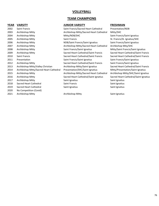# **VOLLEYBALL**

# **TEAM CHAMPIONS**

| 2002 | Saint Francis                           | Saint Francis/Sacred Heart Cathedral    | Presentati  |
|------|-----------------------------------------|-----------------------------------------|-------------|
| 2003 | Archbishop Mitty                        | Archbishop Mitty/Sacred Heart Cathedral | Mitty/SHC   |
| 2004 | Archbishop Mitty                        | Mitty/NDB/SHC                           | Saint Fran  |
| 2005 | Archbishop Mitty                        | Saint Francis                           | St. Francis |
| 2006 | Archbishop Mitty                        | NDB/Saint Francis/Saint Ignatius        | Saint Fran  |
| 2007 | Archbishop Mitty                        | Archbishop Mitty/Sacred Heart Cathedral | Archbisho   |
| 2008 | Archbishop Mitty                        | Saint Francis/Saint Ignatius            | Mitty/Sain  |
| 2009 | Archbishop Mitty                        | Sacred Heart Cathedral/Saint Francis    | Sacred He   |
| 2010 | Saint Francis                           | Sacred Heart Cathedral/Saint Francis    | Sacred He   |
| 2011 | Presentation                            | Saint Francis/Saint Ignatius            | Saint Fran  |
| 2012 | Archbishop Mitty                        | Sacred Heart Cathedral/Saint Francis    | Saint Fran  |
| 2013 | Archbishop Mitty/Valley Christian       | Archbishop Mitty/Saint Ignatius         | Sacred He   |
| 2014 | Archbishop Mitty/Sacred Heart Cathedral | Presentation/SHC/Saint Ignatius         | Mitty/Pres  |
| 2015 | Archbishop Mitty                        | Archbishop Mitty/Sacred Heart Cathedral | Archbisho   |
| 2016 | Archbishop Mitty                        | Sacred Heart Cathedral/Saint Ignatius   | Sacred He   |
| 2017 | Archbishop Mitty                        | Saint Ignatius                          | Saint Ignat |
| 2018 | Sacred Heart Cathedral                  | Saint Francis                           | Saint Ignat |
| 2019 | Sacred Heart Cathedral                  | Saint Ignatius                          | Saint Ignat |
| 2020 | No Competition (Covid)                  |                                         |             |
| 2021 | Archbishop Mitty                        | Archbishop Mitty                        | Saint Ignat |
|      |                                         |                                         |             |

# **YEAR VARSITY JUNIOR VARSITY FRESHMAN**

| Saint Francis/Sacred Heart Cathedral    | Presentation/NDB                      |
|-----------------------------------------|---------------------------------------|
| Archbishop Mitty/Sacred Heart Cathedral | Mitty/SHC                             |
| Mitty/NDB/SHC                           | Saint Francis/Saint Ignatius          |
| Saint Francis                           | St. Francis/St. Ignatius/SHC          |
| NDB/Saint Francis/Saint Ignatius        | Saint Francis/Saint Ignatius          |
| Archbishop Mitty/Sacred Heart Cathedral | Archbishop Mity/SHC                   |
| Saint Francis/Saint Ignatius            | Mitty/Saint Francis/Saint Ignatius    |
| Sacred Heart Cathedral/Saint Francis    | Sacred Heart Cathedral/Saint Francis  |
| Sacred Heart Cathedral/Saint Francis    | Sacred Heart Cathedral/Saint Francis  |
| Saint Francis/Saint Ignatius            | Saint Francis/Saint Ignatius          |
| Sacred Heart Cathedral/Saint Francis    | Saint Francis/Saint Ignatius          |
| Archbishop Mitty/Saint Ignatius         | Sacred Heart Cathedral/Saint Francis  |
| Presentation/SHC/Saint Ignatius         | Mitty/Presentation/Saint Ignatius     |
| Archbishop Mitty/Sacred Heart Cathedral | Archbishop Mitty/SHC/Saint Ignatius   |
| Sacred Heart Cathedral/Saint Ignatius   | Sacred Heart Cathedral/Saint Ignatius |
| Saint Ignatius                          | Saint Ignatius                        |
| Saint Francis                           | Saint Ignatius                        |
| Saint Ignatius                          | Saint Ignatius                        |
|                                         |                                       |

Archbishop Mitty **Archaus** Saint Ignatius

76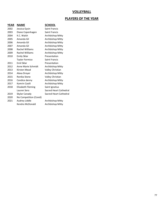# **VOLLEYBALL**

# **PLAYERS OF THE YEAR**

| YEAR | <b>NAME</b>            | <b>SCHOOL</b>          |
|------|------------------------|------------------------|
| 2002 | Jessica Gysin          | <b>Saint Francis</b>   |
| 2003 | Diane Copenhagen       | <b>Saint Francis</b>   |
| 2004 | K.C. Walsh             | Archbishop Mitty       |
| 2005 | Amanda Gil             | Archbishop Mitty       |
| 2006 | Amanda Gil             | Archbishop Mitty       |
| 2007 | Amanda Gil             | Archbishop Mitty       |
| 2008 | Rachel Williams        | Archbishop Mitty       |
| 2009 | Rachel Williams        | Archbishop Mitty       |
| 2010 | <b>Emily Sklar</b>     | Presentation           |
|      | Taylor Formico         | Saint Francis          |
| 2011 | Emil Sklar             | Presentation           |
| 2012 | Anne Marie Schmidt     | Archbishop Mitty       |
| 2013 | Kirsten Mead           | Valley Christian       |
| 2014 | Alexa Dreyer           | Archbishop Mitty       |
| 2015 | Ronika Stone           | Valley Christian       |
| 2016 | Candice denny          | Archbishop Mitty       |
| 2017 | Kamrin Caoili          | Archbishop Mitty       |
| 2018 | Elizabeth Fleming      | Saint Ignatius         |
|      | Lauren Sera            | Sacred Heart Cathedral |
| 2019 | Skylar Canady          | Sacred Heart Cathedral |
| 2020 | No Competition (Covid) |                        |
| 2021 | Audrey Liddle          | Archbishop Mitty       |
|      | Kendra McDonald        | Archbishop Mitty       |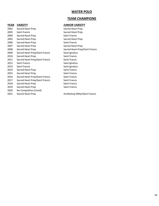# **WATER POLO**

# **TEAM CHAMPIONS**

# **YEAR VARSITY JUNIOR VARSITY**

| 2002 | Sacred Heart Prep               | Sacred Heart Prep               |
|------|---------------------------------|---------------------------------|
| 2003 | Saint Francis                   | Sacred Heart Prep               |
| 2004 | Sacred Heart Prep               | Saint Francis                   |
| 2005 | Sacred Heart Prep               | Sacred Heart Prep               |
| 2006 | Sacred Heart Prep               | <b>Saint Francis</b>            |
| 2007 | Sacred Heart Prep               | Sacred Heart Prep               |
| 2008 | Sacred Heart Prep               | Sacred Heart Prep/Saint Francis |
| 2009 | Sacred Heart Prep/Saint Francis | Saint Ignatius                  |
| 2010 | Sacred Heart Prep               | <b>Saint Francis</b>            |
| 2011 | Sacred Heart Prep/Saint Francis | Saint Francis                   |
| 2012 | Saint Francis                   | Saint Ignatius                  |
| 2013 | Saint Francis                   | Saint Ignatius                  |
| 2014 | Sacred Heart Prep               | Saint Francis                   |
| 2015 | Sacred Heart Prep               | Saint Francis                   |
| 2016 | Sacred Heart Prep/Saint Francis | <b>Saint Francis</b>            |
| 2017 | Sacred Heart Prep/Saint Francis | Saint Francis                   |
| 2018 | Sacred Heart Prep               | Saint Francis                   |
| 2019 | Sacred Heart Prep               | Saint Francis                   |
| 2020 | No Competition (Covid)          |                                 |
| 2021 | Sacred Heart Prep               | Archbishop Mitty/Saint Francis  |
|      |                                 |                                 |

Sacred Heart Prep Sacred Heart Prep/Saint Francis Saint Francis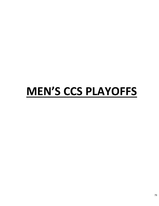# **MEN'S CCS PLAYOFFS**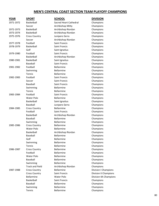| <b>YEAR</b> | <b>SPORT</b>           | <b>SCHOOL</b>          | <b>DIVISION</b>             |
|-------------|------------------------|------------------------|-----------------------------|
| 1971-1972   | Basketball             | Sacred Heart Cathedral | Champions                   |
|             | Soccer                 | Archbishop Mitty       | Champions                   |
| 1972-1973   | Basketball             | Archbishop Riordan     | Champions                   |
| 1973-1974   | <b>Basketball</b>      | Archbishop Riordan     | Champions                   |
| 1975-1976   | <b>Cross Country</b>   | Junipero Serra         | Champions                   |
|             | Soccer                 | Archbishop Riordan     | Champions                   |
| 1977-1978   | Football               | <b>Saint Francis</b>   | Champions                   |
| 1978-1979   | Basketball             | Saint Francis          | Champions                   |
|             | Golf                   | Saint Ignatius         | Champions                   |
| 1979-1980   | Football               | <b>Saint Francis</b>   | Champions                   |
|             | Basketball             | Archbishop Riordan     | Champions                   |
| 1980-1981   | Basketball             | Saint Ignatius         | Champions                   |
|             | Baseball               | <b>Saint Francis</b>   | Champions                   |
| 1981-1982   | Football               | <b>Bellarmine</b>      | Champions                   |
|             | Swimming               | <b>Bellarmine</b>      | Champions                   |
|             | Tennis                 | <b>Bellarmine</b>      | Champions                   |
| 1982-1983   | Football               | Saint Francis          | Champions                   |
|             | Soccer                 | Saint Francis          | Champions                   |
|             | <b>Baseball</b>        | <b>Saint Francis</b>   | Champions                   |
|             | Swimming               | <b>Bellarmine</b>      | Champions                   |
|             | Tennis                 | <b>Bellarmine</b>      | Champions                   |
| 1983-1984   | Football               | <b>Saint Francis</b>   | Champions                   |
|             | Water Polo             | <b>Bellarmine</b>      | Champions                   |
|             | Basketball             | Saint Ignatius         | Champions                   |
|             | Baseball               | Junipero Serra         | Champions                   |
| 1984-1985   | <b>Cross Country</b>   | <b>Bellarmine</b>      | Champions                   |
|             | Football               | Saint Francis          | Champions                   |
|             | Basketball             | Archbishop Riordan     | Champions                   |
|             | Baseball               | <b>Bellarmine</b>      | Champions                   |
|             | Swimming               | <b>Bellarmine</b>      | Champions                   |
| 1985-1986   | <b>Cross Country</b>   | Bellarmine             | Champions                   |
|             | <b>Water Polo</b>      | <b>Bellarmine</b>      | Champions                   |
|             | Basketball             | Archbishop Riordan     | Champions                   |
|             | Baseball               | Bellarmine             | Champions                   |
|             | Golf                   | <b>Bellarmine</b>      | Champions                   |
|             | Swimming               | <b>Bellarmine</b>      | Champions                   |
|             | Tennis                 | <b>Bellarmine</b>      | Champions                   |
| 1986-1987   | <b>Cross Country</b>   | <b>Bellarmine</b>      | Champions                   |
|             | Football               | <b>Bellarmine</b>      | Champions                   |
|             | Water Polo             | <b>Bellarmine</b>      | Champions                   |
|             | <b>Baseball</b>        | Bellarmine             | Champions                   |
|             | Swimming               | <b>Bellarmine</b>      | Champions                   |
|             | <b>Track and Field</b> | Archbishop Riordan     | Champions                   |
| 1987-1988   | <b>Cross Country</b>   | <b>Bellarmine</b>      | <b>Division I Champions</b> |
|             | <b>Cross Country</b>   | <b>Saint Francis</b>   | Division II Champions       |
|             | <b>Bellarmine</b>      | Water Polo             | Division 4A Champions       |
|             | Basketball             | Saint Francis          | Champions                   |
|             | Baseball               | <b>Bellarmine</b>      | Champions                   |
|             | Swimming               | <b>Bellarmine</b>      | Champions                   |
|             | Tennis                 | Bellarmine             | Champions                   |
|             |                        |                        |                             |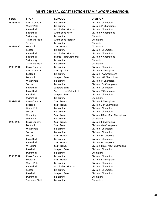| YEAR      | <b>SPORT</b>           | <b>SCHOOL</b>          | <b>DIVISION</b>                 |
|-----------|------------------------|------------------------|---------------------------------|
| 1988-1989 | <b>Cross Country</b>   | <b>Bellarmine</b>      | <b>Division I Champions</b>     |
|           | <b>Water Polo</b>      | <b>Bellarmine</b>      | Division 4A Champions           |
|           | Basketball             | Archbishop Riordan     | <b>Division I Champions</b>     |
|           | Basketball             | Archbishop Mitty       | Division IV Champions           |
|           | Swimming               | <b>Bellarmine</b>      | Champions                       |
|           | <b>Track and Field</b> | Archbishop Riordan     | Champions                       |
|           | Tennis                 | <b>Bellarmine</b>      | Champions                       |
| 1989-1990 | Football               | <b>Saint Francis</b>   | Champions                       |
|           | Soccer                 | <b>Bellarmine</b>      | <b>Division I Champions</b>     |
|           | Basketball             | Archbishop Riordan     | <b>Division I Champions</b>     |
|           | Basketball             | Sacred Heart Cathedral | Division IV Champions           |
|           | Swimming               | <b>Bellarmine</b>      | Champions                       |
|           | <b>Track and Field</b> | <b>Bellarmine</b>      | Champions                       |
| 1990-1991 | <b>Cross Country</b>   | <b>Bellarmine</b>      | <b>Division I Champions</b>     |
|           | <b>Cross Country</b>   | Saint Ignatius         | <b>Division III Champions</b>   |
|           | Football               | <b>Bellarmine</b>      | Division I-4A Champions         |
|           | Football               | Junipero Serra         | Division 1-3A Champions         |
|           | <b>Water Polo</b>      | <b>Bellarmine</b>      | Division 4A Champions           |
|           | Soccer                 | <b>Bellarmine</b>      | <b>Division I Co-Champions</b>  |
|           | Basketball             | Junipero Serra         | <b>Division I Champions</b>     |
|           | Basketball             | Sacred Heart Cathedral | Division IV Champions           |
|           | <b>Baseball</b>        | Junipero Serra         | <b>Division I Champions</b>     |
|           | Swimming               | <b>Bellarmine</b>      | Champions                       |
| 1991-1992 | <b>Cross Country</b>   | Saint Francis          | Division III Champions          |
|           | Football               | <b>Saint Francis</b>   | Division 1-4A Champions         |
|           | <b>Water Polo</b>      | <b>Bellarmine</b>      | <b>Division I Champions</b>     |
|           | Soccer                 | <b>Bellarmine</b>      | <b>Division I Champions</b>     |
|           | Wrestling              | Saint Francis          | Division II Dual Meet Champions |
|           | Swimming               | <b>Bellarmine</b>      | Champions                       |
| 1992-1993 | <b>Cross Country</b>   | Saint Francis          | Division III Champions          |
|           | Football               | <b>Saint Francis</b>   | Division I-4A Champions         |
|           | <b>Water Polo</b>      | <b>Bellarmine</b>      | <b>Division I Champions</b>     |
|           | Soccer                 | <b>Bellarmine</b>      | <b>Division I Champions</b>     |
|           | Soccer                 | Saint Francis          | Division II Champions           |
|           | Basketball             | <b>Bellarmine</b>      | <b>Division I Champions</b>     |
|           | Basketball             | Saint Francis          | <b>Division II Champions</b>    |
|           | Wrestling              | Saint Francis          | Division II Dual Meet Champions |
|           | <b>Baseball</b>        | Junipero Serra         | <b>Division I Champions</b>     |
|           | Swimming               | <b>Bellarmine</b>      | Champions                       |
| 1993-1994 | <b>Cross Country</b>   | Bellarmine             | <b>Division I Champions</b>     |
|           | Football               | Saint Francis          | Division III Champions          |
|           | Water Polo             | Bellarmine             | <b>Division I Champions</b>     |
|           | Basketball             | Archbishop Riordan     | <b>Division I Champions</b>     |
|           | Soccer                 | Bellarmine             | <b>Division I Champions</b>     |
|           | <b>Baseball</b>        | Junipero Serra         | <b>Division I Champions</b>     |
|           | Swimming               | Bellarmine             | Champions                       |
|           | <b>Track and Field</b> | Bellarmine             | Champions                       |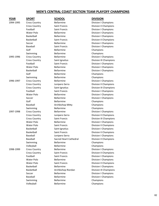| YEAR      | <b>SPORT</b>         | <b>SCHOOL</b>          | <b>DIVISION</b>              |
|-----------|----------------------|------------------------|------------------------------|
| 1994-1995 | <b>Cross Country</b> | <b>Bellarmine</b>      | <b>Division I Champions</b>  |
|           | <b>Cross Country</b> | <b>Saint Francis</b>   | Division II Champions        |
|           | Football             | <b>Saint Francis</b>   | <b>Division I Champions</b>  |
|           | Water Polo           | <b>Bellarmine</b>      | Division I Champions         |
|           | Basketball           | <b>Bellarmine</b>      | <b>Division I Champions</b>  |
|           | Basketball           | <b>Saint Francis</b>   | Division II Champions        |
|           | Soccer               | <b>Bellarmine</b>      | <b>Division I Champions</b>  |
|           | Baseball             | <b>Saint Francis</b>   | <b>Division I Champions</b>  |
|           | Golf                 | <b>Bellarmine</b>      | Champions                    |
|           | Swimming             | <b>Bellarmine</b>      | Champions                    |
| 1995-1996 | <b>Cross Country</b> | <b>Bellarmine</b>      | <b>Division I Champions</b>  |
|           | <b>Cross Country</b> | Saint Ignatius         | Division III Champions       |
|           | Football             | <b>Saint Francis</b>   | <b>Division I Champions</b>  |
|           | <b>Water Polo</b>    | <b>Bellarmine</b>      | <b>Division I Champions</b>  |
|           | Basketball           | <b>Bellarmine</b>      | Division I Champions         |
|           | Golf                 | <b>Bellarmine</b>      | Champions                    |
|           | Swimming             | <b>Bellarmine</b>      | Champions                    |
| 1996-1997 | <b>Cross Country</b> | <b>Bellarmine</b>      | <b>Division I Champions</b>  |
|           | <b>Cross Country</b> | Junipero Serra         | Division II Champions        |
|           | <b>Cross Country</b> | Saint Ignatius         | Division III Champions       |
|           | Football             | <b>Saint Francis</b>   | <b>Division I Champions</b>  |
|           | Water Polo           | <b>Bellarmine</b>      | <b>Division I Champions</b>  |
|           | Soccer               | <b>Bellarmine</b>      | <b>Division I Champions</b>  |
|           | Golf                 | <b>Bellarmine</b>      | Champions                    |
|           | Baseball             | Archbishop Mitty       | Champions                    |
|           | Swimming             | <b>Bellarmine</b>      | Champions                    |
| 1997-1998 | <b>Cross Country</b> | <b>Bellarmine</b>      | <b>Division I Champions</b>  |
|           | <b>Cross Country</b> | Junipero Serra         | Division II Champions        |
|           | <b>Cross Country</b> | Saint Francis          | Division III Champions       |
|           | <b>Water Polo</b>    | <b>Bellarmine</b>      | <b>Division I Champions</b>  |
|           | Water Polo           | <b>Saint Francis</b>   | <b>Division II Champions</b> |
|           | Basketball           | Saint Ignatius         | <b>Division I Champions</b>  |
|           | <b>Basketball</b>    | <b>Saint Francis</b>   | <b>Division II Champions</b> |
|           | Baseball             | Junipero Serra         | <b>Division I Champions</b>  |
|           | Baseball             | Sacred Heart Cathedral | Division II Champions        |
|           | Swimming             | <b>Bellarmine</b>      | Champions                    |
|           | Volleyball           | Bellarmine             | Champions                    |
| 1998-1999 | <b>Cross Country</b> | <b>Bellarmine</b>      | <b>Division I Champions</b>  |
|           | <b>Cross Country</b> | Saint Francis          | Division II Champions        |
|           | Football             | Saint Francis          | Division I Champions         |
|           | Water Polo           | Bellarmine             | <b>Division I Champions</b>  |
|           | Water Polo           | <b>Saint Francis</b>   | <b>Division II Champions</b> |
|           | Basketball           | <b>Bellarmine</b>      | <b>Division I Champions</b>  |
|           | Basketball           | Archbishop Riordan     | Division III Champions       |
|           | Soccer               | <b>Bellarmine</b>      | <b>Division I Champions</b>  |
|           | Baseball             | <b>Bellarmine</b>      | <b>Division I Champions</b>  |
|           | Swimming             | <b>Bellarmine</b>      | Champions                    |
|           | Volleyball           | Bellarmine             | Champions                    |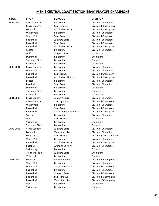| YEAR      | <u>SPORT</u>           | <b>SCHOOL</b>          | <b>DIVISION</b>               |
|-----------|------------------------|------------------------|-------------------------------|
| 1999-2000 | <b>Cross Country</b>   | Bellarmine             | <b>Division I Champions</b>   |
|           | <b>Cross Country</b>   | Saint Ignatius         | <b>Division III Champions</b> |
|           | Football               | Archbishop Mitty       | Division III Champions        |
|           | <b>Water Polo</b>      | <b>Bellarmine</b>      | <b>Division I Champions</b>   |
|           | Water Polo             | <b>Saint Francis</b>   | <b>Division II Champions</b>  |
|           | Basketball             | Junipero Serra         | <b>Division I Champions</b>   |
|           | Basketball             | <b>Saint Francis</b>   | Division II Champions         |
|           | Basketball             | Archbishop Mitty       | Division III Champions        |
|           | Soccer                 | <b>Bellarmine</b>      | <b>Division I Champions</b>   |
|           | Golf                   | Junipero Serra         | Champions                     |
|           | Swimming               | Bellarmine             | Champions                     |
|           | <b>Track and Field</b> | <b>Bellarmine</b>      | Champions                     |
|           | Volleyball             | <b>Bellarmine</b>      | Champions                     |
| 2000-2001 | <b>Cross Country</b>   | <b>Bellarmine</b>      | <b>Division I Champions</b>   |
|           | Water Polo             | <b>Bellarmine</b>      | <b>Division I Champions</b>   |
|           | Basketball             | <b>Saint Francis</b>   | <b>Division II Champions</b>  |
|           | Basketball             | Archbishop Riordan     | Division III Champions        |
|           | Soccer                 | <b>Bellarmine</b>      | <b>Division I Champions</b>   |
|           | Baseball               | <b>Saint Francis</b>   | <b>Division I Champions</b>   |
|           | Swimming               | <b>Bellarmine</b>      | Champions                     |
|           | <b>Track and Field</b> | <b>Bellarmine</b>      | Champions                     |
|           | Volleyball             | <b>Bellarmine</b>      | Champions                     |
| 2001-2002 | <b>Cross Country</b>   | Junipero Serra         | <b>Division I Champions</b>   |
|           | <b>Cross Country</b>   | Saint Ignatius         | <b>Division II Champions</b>  |
|           | <b>Water Polo</b>      | <b>Bellarmine</b>      | <b>Division I Champions</b>   |
|           | Basketball             | Saint Francis          | <b>Division II Champions</b>  |
|           | Basketball             | Sacred Heart Cathedral | Division III Champions        |
|           | Soccer                 | <b>Bellarmine</b>      | <b>Division I Champions</b>   |
|           | Golf                   | <b>Saint Francis</b>   | Champions                     |
|           | Swimming               | <b>Bellarmine</b>      | Champions                     |
|           | <b>Track and Field</b> | <b>Bellarmine</b>      | Champions                     |
| 2002-2003 | <b>Cross Country</b>   | Junipero Serra         | Division I Champions          |
|           | Football               | Valley Christian       | <b>Division I Champions</b>   |
|           | Football               | Saint Francis          | Division III Co-Champions     |
|           | Water Polo             | <b>Bellarmine</b>      | <b>Division I Champions</b>   |
|           | Basketball             | Archbishop Mitty       | <b>Division III Champions</b> |
|           | Baseball               | Archbishop Mitty       | <b>Division I Champions</b>   |
|           | Swimming               | <b>Bellarmine</b>      | Champions                     |
|           | <b>Track and Field</b> | Junipero Serra         | Champions                     |
|           | Volleyball             | <b>Bellarmine</b>      | Champions                     |
| 2003-2004 | Football               | Valley Christian       | Division IV Champions         |
|           | <b>Water Polo</b>      | <b>Bellarmine</b>      | <b>Division I Champions</b>   |
|           | Water Polo             | Sacred Heart Prep      | Division II Champions         |
|           | Basketball             | Bellarmine             | <b>Division I Champions</b>   |
|           | Basketball             | Junipero Serra         | Division II Champions         |
|           | Basketball             | Saint Ignatius         | Division III Champions        |
|           | Basketball             | Valley Christian       | Division IV Champions         |
|           | Golf                   | <b>Bellarmine</b>      | Champions                     |
|           | Swimming               | Bellarmine             | Champions                     |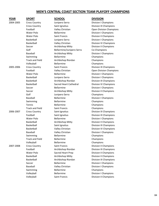| <b>YEAR</b> | <b>SPORT</b>                       | <b>SCHOOL</b>                           | <b>DIVISION</b>                                |
|-------------|------------------------------------|-----------------------------------------|------------------------------------------------|
| 2004-2005   | <b>Cross Country</b>               | Junipero Serra                          | <b>Division I Champions</b>                    |
|             | <b>Cross Country</b>               | Saint Ignatius                          | <b>Division III Champions</b>                  |
|             | Football                           | Valley Christian                        | <b>Open Division Champions</b>                 |
|             | <b>Water Polo</b>                  | <b>Bellarmine</b>                       | Division I Champions                           |
|             | Water Polo                         | Saint Francis                           | Division II Champions                          |
|             | Basketball                         | Junipero Serra                          | Division I Champions                           |
|             | Basketball                         | Valley Christian                        | Division IV Champions                          |
|             | Soccer                             | Archbishop Mitty                        | <b>Division II Champions</b>                   |
|             | Golf                               | Bellarmine/Junipero Serra               | Co-Champions                                   |
|             | Baseball                           | Archbishop Mitty                        | <b>Division I Champions</b>                    |
|             | Swimming                           | <b>Bellarmine</b>                       | Champions                                      |
|             | <b>Track and Field</b>             | Archbishop Riordan                      | Champions                                      |
|             | Volleyball                         | <b>Bellarmine</b>                       | Champions                                      |
| 2005-2006   | <b>Cross Country</b>               | Saint Francis                           | Division III Champions                         |
|             | Football                           | Valley Christian                        | Open Division Champions                        |
|             | Water Polo                         | Bellarmine                              | <b>Division I Champions</b>                    |
|             | Basketball                         | Junipero Serra                          | <b>Division I Champions</b>                    |
|             | Basketball                         | Archbishop Riordan                      | Division III Champions                         |
|             | Basketball                         | <b>Sacred Heart Cathedral</b>           | Division IV Champions                          |
|             | Soccer                             | <b>Bellarmine</b>                       | <b>Division I Champions</b>                    |
|             | Soccer                             | Archbishop Mitty                        | Division II Champions                          |
|             | Golf                               | Junipero Serra                          | Champions                                      |
|             | Baseball                           | <b>Bellarmine</b>                       | <b>Division I Champions</b>                    |
|             | Swimming                           | Bellarmine                              | Champions                                      |
|             | Tennis                             | Bellarmine                              | Champions                                      |
|             | <b>Track and Field</b>             | Saint Francis                           | Champions                                      |
| 2006-2007   | <b>Cross Country</b>               | Saint Ignatius                          | Division III Champions                         |
|             | Football                           | Saint Ignatius                          | Division III Champions                         |
|             | Water Polo                         | <b>Bellarmine</b>                       | <b>Division I Champions</b>                    |
|             | Basketball                         | Archbishop Mitty                        | <b>Division II Champions</b>                   |
|             | Basketball                         | Saint Ignatius                          | Division III Champions                         |
|             | Basketball                         | Valley Christian                        | Division IV Champions                          |
|             | <b>Baseball</b>                    | Valley Christian                        | Division I Champions                           |
|             | Swimming                           | <b>Bellarmine</b>                       | Champions                                      |
|             | <b>Track and Field</b>             | <b>Bellarmine</b>                       | Champions                                      |
|             | Volleyball<br><b>Cross Country</b> | <b>Bellarmine</b>                       | Champions                                      |
| 2007-2008   |                                    | Saint Francis                           | Division II Champions                          |
|             | Football                           | Archbishop Riordan<br>Sacred Heart Prep | Division III Champions                         |
|             | Water Polo<br>Basketball           |                                         | Division II Champions<br>Division II Champions |
|             | Basketball                         | Archbishop Mitty<br>Archbishop Riordan  | Division III Champions                         |
|             |                                    | Bellarmine                              |                                                |
|             | Soccer                             |                                         | <b>Division I Champions</b>                    |
|             | <b>Baseball</b>                    | Valley Christian<br>Bellarmine          | <b>Division I Champions</b>                    |
|             | Swimming                           | <b>Bellarmine</b>                       | Champions                                      |
|             | Volleyball                         |                                         | <b>Division I Champions</b>                    |
|             | Volleyball                         | Saint Francis                           | Division II Champions                          |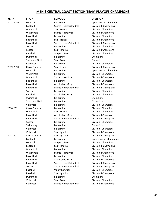| <b>YEAR</b> | <b>SPORT</b>           | <b>SCHOOL</b>                 | <b>DIVISION</b>                |
|-------------|------------------------|-------------------------------|--------------------------------|
| 2008-2009   | Football               | <b>Bellarmine</b>             | <b>Open Division Champions</b> |
|             | Football               | Sacred Heart Cathedral        | Division III Champions         |
|             | <b>Water Polo</b>      | <b>Saint Francis</b>          | <b>Division I Champions</b>    |
|             | Water Polo             | Sacred Heart Prep             | Division II Champions          |
|             | <b>Basketball</b>      | <b>Bellarmine</b>             | <b>Division I Champions</b>    |
|             | <b>Basketball</b>      | <b>Saint Francis</b>          | <b>Division II Champions</b>   |
|             | Basketball             | <b>Sacred Heart Cathedral</b> | <b>Division III Champions</b>  |
|             | Soccer                 | <b>Bellarmine</b>             | <b>Division I Champions</b>    |
|             | Soccer                 | Saint Ignatius                | <b>Division II Champions</b>   |
|             | Baseball               | Junipero Serra                | <b>Division I Champions</b>    |
|             | Swimming               | <b>Bellarmine</b>             | Champions                      |
|             | <b>Track and Field</b> | <b>Saint Francis</b>          | Champions                      |
|             | Volleyball             | <b>Bellarmine</b>             | <b>Division I Champions</b>    |
| 2009-2010   | <b>Cross Country</b>   | Saint Ignatius                | Division III Champions         |
|             | Football               | <b>Bellarmine</b>             | Open Division Champions        |
|             | <b>Water Polo</b>      | <b>Bellarmine</b>             | <b>Division I Champions</b>    |
|             | <b>Water Polo</b>      | Sacred Heart Prep             | <b>Division II Champions</b>   |
|             | Basketball             | <b>Bellarmine</b>             | <b>Division I Champions</b>    |
|             | Basketball             | Archbishop Mitty              | <b>Division II Champions</b>   |
|             | Basketball             | Sacred Heart Cathedral        | Division III Champions         |
|             | Soccer                 | <b>Bellarmine</b>             | <b>Division I Champions</b>    |
|             | Baseball               | Archbishop Mitty              | <b>Division I Champions</b>    |
|             | Swimming               | <b>Bellarmine</b>             | Champions                      |
|             | <b>Track and Field</b> | <b>Bellarmine</b>             | Champions                      |
|             | Volleyball             | <b>Bellarmine</b>             | <b>Division I Champions</b>    |
| 2010-2011   | <b>Cross Country</b>   | <b>Bellarmine</b>             | <b>Division I Champions</b>    |
|             | <b>Water Polo</b>      | <b>Saint Francis</b>          | <b>Division I Champions</b>    |
|             | Basketball             | Archbishop Mitty              | <b>Division II Champions</b>   |
|             | Basketball             | Sacred Heart Cathedral        | <b>Division III Champions</b>  |
|             | Soccer                 | <b>Bellarmine</b>             | <b>Division I Champions</b>    |
|             | Swimming               | <b>Bellarmine</b>             | Champions                      |
|             | Volleyball             | <b>Bellarmine</b>             | <b>Division I Champions</b>    |
|             | Volleyball             | Saint Ignatius                | Division II Champions          |
| 2011-2012   | <b>Cross Country</b>   | Saint Ignatius                | Division III Champions         |
|             | Football               | Bellarmine                    | Open Division Champions        |
|             | Football               | Junipero Serra                | <b>Division I Champions</b>    |
|             | Football               | Saint Ignatius                | Division III Champions         |
|             | Water Polo             | <b>Bellarmine</b>             | <b>Division I Champions</b>    |
|             | Water Polo             | Sacred Heart Prep             | <b>Division II Champions</b>   |
|             | Basketball             | <b>Bellarmine</b>             | <b>Division I Champions</b>    |
|             | Basketball             | Archbishop Mitty              | Division II Champions          |
|             | Basketball             | Sacred Heart Cathedral        | Division III Champions         |
|             | Soccer                 | Sacred Heart Cathedral        | Division III Champions         |
|             | <b>Baseball</b>        | Valley Christian              | <b>Division I Champions</b>    |
|             | <b>Baseball</b>        | Saint Ignatius                | <b>Division II Champions</b>   |
|             | Swimming               | Bellarmine                    | Champions                      |
|             | Volleyball             | Saint Francis                 | <b>Division I Champions</b>    |
|             | Volleyball             | Sacred Heart Cathedral        | <b>Division II Champions</b>   |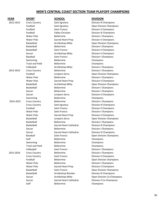| YEAR      | <b>SPORT</b>           | <b>SCHOOL</b>          | <b>DIVISION</b>                |
|-----------|------------------------|------------------------|--------------------------------|
| 2012-2013 | <b>Cross Country</b>   | Saint Ignatius         | Division III Champions         |
|           | Football               | Saint Ignatius         | <b>Open Division Champions</b> |
|           | Football               | <b>Saint Francis</b>   | <b>Division II Champions</b>   |
|           | Football               | Valley Christian       | Division III Champions         |
|           | <b>Water Polo</b>      | <b>Bellarmine</b>      | <b>Division I Champions</b>    |
|           | <b>Water Polo</b>      | Sacred Heart Prep      | <b>Division II Champions</b>   |
|           | Basketball             | Archbishop Mitty       | Open Division Champions        |
|           | Basketball             | <b>Bellarmine</b>      | <b>Division I Champions</b>    |
|           | Basketball             | <b>Saint Francis</b>   | <b>Division II Champions</b>   |
|           | Soccer                 | Archbishop Mitty       | <b>Division II Champions</b>   |
|           | Baseball               | <b>Saint Francis</b>   | <b>Division I Champions</b>    |
|           | Swimming               | <b>Bellarmine</b>      | Champions                      |
|           | <b>Track and Field</b> | <b>Bellarmine</b>      | Champions                      |
|           | Volleyball             | Archbishop Mitty       | <b>Division I Champions</b>    |
| 2013-2014 | <b>Cross Country</b>   | <b>Bellarmine</b>      | <b>Division I Champions</b>    |
|           | Football               | Junipero Serra         | Open Division Champions        |
|           | <b>Water Polo</b>      | <b>Bellarmine</b>      | <b>Division I Champions</b>    |
|           | <b>Water Polo</b>      | Sacred Heart Prep      | <b>Division II Champions</b>   |
|           | Basketball             | Archbishop Mitty       | Open Division Champions        |
|           | Basketball             | <b>Bellarmine</b>      | <b>Division I Champions</b>    |
|           | Soccer                 | <b>Bellarmine</b>      | <b>Division I Champions</b>    |
|           | Soccer                 | Junipero Serra         | <b>Division II Champions</b>   |
|           | Swimming               | <b>Bellarmine</b>      | Champions                      |
| 2014-2015 | <b>Cross Country</b>   | <b>Bellarmine</b>      | <b>Division I Champions</b>    |
|           | <b>Cross Country</b>   | Saint Ignatius         | Division III Champions         |
|           | Football               | Saint Francis          | <b>Division II Champions</b>   |
|           | <b>Water Polo</b>      | Saint Francis          | <b>Division I Champions</b>    |
|           | <b>Water Polo</b>      | Sacred Heart Prep      | <b>Division II Champions</b>   |
|           | Basketball             | Junipero Serra         | Open Division Champions        |
|           | Basketball             | <b>Bellarmine</b>      | <b>Division I Champions</b>    |
|           | Basketball             | Sacred Heart Cathedral | Division III Champions         |
|           | Soccer                 | <b>Bellarmine</b>      | <b>Division I Champions</b>    |
|           | Soccer                 | Sacred Heart Cathedral | Division III Champions         |
|           | Baseball               | Saint Francis          | <b>Open Division Champions</b> |
|           | Golf                   | <b>Bellarmine</b>      | Champions                      |
|           | Swimming               | <b>Bellarmine</b>      | Champions                      |
|           | <b>Track and Field</b> | Bellarmine             | Champions                      |
|           | Volleyball             | Saint Francis          | <b>Division I Champions</b>    |
| 2015-2016 | <b>Cross Country</b>   | Bellarmine             | <b>Division I Champions</b>    |
|           | <b>Cross Country</b>   | Saint Francis          | Division II Champions          |
|           | Football               | Bellarmine             | <b>Open Division Champions</b> |
|           | Water Polo             | <b>Bellarmine</b>      | <b>Division I Champions</b>    |
|           | Water Polo             | Sacred Heart Prep      | <b>Division II Champions</b>   |
|           | Basketball             | Saint Francis          | Open Division Champions        |
|           | Basketball             | Archbishop Riordan     | Division III Champions         |
|           | Soccer                 | Archbishop Mitty       | Open Division Co-Champions     |
|           | Soccer                 | Sacred Heart Cathedral | Division II Co-Champions       |
|           | Golf                   | Bellarmine             | Champions                      |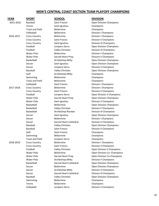| YEAR      | <b>SPORT</b>           | <b>SCHOOL</b>          | <b>DIVISION</b>                |
|-----------|------------------------|------------------------|--------------------------------|
| 2015-2016 | <b>Baseball</b>        | Saint Francis          | Open Division Champions        |
|           | Tennis                 | Saint Ignatius         | Champions                      |
|           | <b>Track and Field</b> | <b>Bellarmine</b>      | Champions                      |
|           | Volleyball             | <b>Bellarmine</b>      | <b>Division I Champions</b>    |
| 2016-2017 | <b>Cross Country</b>   | <b>Bellarmine</b>      | <b>Division I Champions</b>    |
|           | <b>Cross Country</b>   | Saint Francis          | Division II Champions          |
|           | <b>Cross Country</b>   | Saint Ignatius         | Division III Champions         |
|           | Football               | Junipero Serra         | Open Division Champions        |
|           | Football               | Valley Christian       | Division III Champions         |
|           | <b>Water Polo</b>      | <b>Bellarmine</b>      | <b>Division I Champions</b>    |
|           | Water Polo             | Sacred Heart Prep      | <b>Division II Champions</b>   |
|           | Basketball             | Archbishop Mitty       | Open Division Champions        |
|           | Soccer                 | Saint Ignatius         | Open Division Champions        |
|           | Soccer                 | Junipero Serra         | <b>Division II Champions</b>   |
|           | Baseball               | Valley Christian       | <b>Open Division Champions</b> |
|           | Golf                   | Archbishop Mitty       | Champions                      |
|           | Swimming               | <b>Bellarmine</b>      | Champions                      |
|           | <b>Track and Field</b> | <b>Bellarmine</b>      | Champions                      |
|           | Volleyball             | Saint Francis          | <b>Division I Champions</b>    |
| 2017-2018 | <b>Cross Country</b>   | <b>Bellarmine</b>      | <b>Division I Champions</b>    |
|           | <b>Cross Country</b>   | Saint Francis          | <b>Division II Champions</b>   |
|           | Football               | Junipero Serra         | Open Division II Champions     |
|           | Water Polo             | Sacred Heart Prep      | Open Division Champions        |
|           | Water Polo             | Saint Ignatius         | <b>Division II Champions</b>   |
|           | <b>Basketball</b>      | <b>Bellarmine</b>      | Open Division Champions        |
|           | Basketball             | Valley Christian       | Division II Champions          |
|           | Basketball             | Archbishop Riordan     | Division III Champions         |
|           | Soccer                 | Saint Ignatius         | Open Division Champions        |
|           | Soccer                 | <b>Bellarmine</b>      | <b>Division I Champions</b>    |
|           | Soccer                 | Sacred Heart Cathedral | Division II Champions          |
|           | <b>Baseball</b>        | Valley Christian       | Open Division Champions        |
|           | Baseball               | <b>Saint Francis</b>   | Division II Champions          |
|           | Golf                   | Saint Francis          | Champions                      |
|           | Swimming               | <b>Bellarmine</b>      | Champions                      |
|           | <b>Track and Field</b> | Junipero Serra         | Champions                      |
| 2018-2019 | <b>Cross Country</b>   | <b>Bellarmine</b>      | <b>Division I Champions</b>    |
|           | <b>Cross Country</b>   | Saint Francis          | Division II Champions          |
|           | Football               | Valley Christian       | Open Division II Champions     |
|           | <b>Water Polo</b>      | <b>Bellarmine</b>      | Open Division Co--Champions    |
|           | Water Polo             | Sacred Heart Prep      | Open Division Co-Champions     |
|           | Water Polo             | Archbishop Mitty       | Division II Champions          |
|           | Basketball             | Sacred Heart Cathedral | Open Division Champions        |
|           | Soccer                 | <b>Bellarmine</b>      | Open Division Champions        |
|           | Soccer                 | Archbishop Mitty       | <b>Division II Champions</b>   |
|           | Soccer                 | Sacred Heart Cathedral | Division III Champions         |
|           | <b>Baseball</b>        | Valley Christian       | Open Division Champions        |
|           | Swimming               | Bellarmine             | Champions                      |
|           | Tennis                 | Bellarmine             | Champions                      |
|           | Volleyball             | Junipero Serra         | <b>Division II Champions</b>   |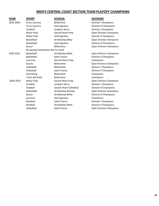| YEAR      | <b>SPORT</b>                       | <b>SCHOOL</b>          | <b>DIVISION</b>                |
|-----------|------------------------------------|------------------------|--------------------------------|
| 2019-2020 | <b>Cross Country</b>               | <b>Bellarmine</b>      | <b>Division I Champions</b>    |
|           | <b>Cross Country</b>               | Saint Ignatius         | Division III Champions         |
|           | Football                           | Junipero Serra         | Division I Champions           |
|           | Water Polo                         | Sacred Heart Prep      | Open Division Champions        |
|           | Water Polo                         | Saint Ignatius         | <b>Division II Champions</b>   |
|           | Basketball                         | Archbishop Mitty       | <b>Open Division Champions</b> |
|           | Basketball                         | Saint Ignatius         | Division III Champions         |
|           | Soccer                             | <b>Bellarmine</b>      | <b>Open Division Champions</b> |
|           | No Spring Competition due to Covid |                        |                                |
| 2020-2021 | Basketball                         | Archbishop Mitty       | Open Division Champions        |
|           | Basketball                         | Saint Francis          | Division II Champions          |
|           | Lacrosse                           | Sacred Heart Prep      | Champions                      |
|           | Soccer                             | <b>Bellarmine</b>      | Open Division Champions        |
|           | Volleyball                         | <b>Bellarmine</b>      | Division I Champions           |
|           | Volleyball                         | Saint Francis          | Division II Champions          |
|           | Swimming                           | <b>Bellarmine</b>      | Champions                      |
|           | <b>Track and Field</b>             | <b>Bellarmine</b>      | Champions                      |
| 2020-2022 | <b>Water Polo</b>                  | Sacred Heart Prep      | <b>Open Division Champions</b> |
|           | Football                           | Junipero Serra         | <b>Division I Champions</b>    |
|           | Football                           | Sacred Heart Cathedral | Division III Champions         |
|           | Basketball                         | Archbishop Riordan     | <b>Open Division Champions</b> |
|           | Soccer                             | Archbishop Mitty       | Division III Champions         |
|           | Lacrosse                           | Saint Ignatius         | Champions                      |
|           | Baseball                           | <b>Saint Francis</b>   | Division I Champions           |
|           | Baseball                           | Archbishop Mitty       | <b>Division II Champions</b>   |
|           | Volleyball                         | <b>Saint Francis</b>   | <b>Open Division Champions</b> |
|           |                                    |                        |                                |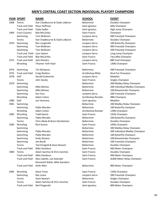|      | <b>YEAR SPORT</b>      | <b>NAME</b>                    | <b>SCHOOL</b>        | <b>EVENT</b>          |
|------|------------------------|--------------------------------|----------------------|-----------------------|
| 1968 | Tennis                 | Dan Chadbourne & Clyde LeBaron | Bellarmine           | Doubles Champion      |
|      | <b>Track and Field</b> | Klaus Hoffman                  | Saint Ignatius       | Mile Champion         |
|      | <b>Track and Field</b> | Clyde Sadler                   | Saint Ignatius       | High Jump Champion    |
| 1969 | <b>Cross Country</b>   | <b>Bob McCarthy</b>            | Saint Francis        | Champion              |
|      | Swimming               | Tom McBreen                    | Junipero Serra       | 400 Freestyle Champi  |
|      | Tennis                 | Dan Chadbourne & Clyde LeBaron | <b>Bellarmine</b>    | Doubles Champion      |
| 1970 | Swimming               | Ron Longinotti                 | Junipero Serra       | 100 Butterfly Champi  |
|      | Swimming               | Tom McBreen                    | Junipero Serra       | 400 Freestyle Champi  |
|      | Swimming               | Tom McBreen                    | Junipero Serra       | 200 Freestyle Champi  |
|      | Track and. Field       | Lynn Swann                     | Junipero Serra       | Long Jump Champion    |
|      | <b>Track and Field</b> | <b>Bob McCarthy</b>            | <b>Saint Francis</b> | Two Mile Champion     |
| 1972 | <b>Track and Field</b> | Jack Wandro                    | Junipero Serra       | 880 Yard Champion     |
|      | Wrestling              | Tihamer Toth-Fejel             | Saint Francis        | 130lb Champion        |
| 1974 | Swimming               | Tim Niclayson                  | Bellarmine           | 500 Freestyle Champi  |
| 1975 | <b>Track and Field</b> | <b>Craig Watkins</b>           | Archbishop Mitty     | Shot Put Champion     |
| 1978 | Golf                   | Gerald Gutknecht               | Junipero Serra       | Medalist              |
|      | Tennis                 | John Sevely                    | Saint Francis        | Singles Champion      |
| 1979 | Swimming               |                                | Bellarmine           | 200 Medley Relay Cha  |
|      | Swimming               | <b>Mike Belmes</b>             | Bellarmine           | 200 Individual Medley |
|      | Swimming               | Mike Belmes                    | Bellarmine           | 100 Breaststroke Char |
|      | Swimming               | Ken Foss                       | Junipero Serra       | 200 Freestyle Champi  |
|      | Wrestling              | Adam Cohen                     | Archbishop Riordan   | 98lb Champion         |
| 1980 | Golf                   | Joe Ventrano                   | Saint Ignatius       | Medalist              |
| 1981 | Swimming               |                                | <b>Bellarmine</b>    | 200 Medley Relay Cha  |
|      | Swimming               | Pablo Morales                  | Bellarmine           | 100 Butterfly champio |
|      | Wrestling              | Adam Cohen                     | Archbishop Riordan   | 129lb Champion        |
| 1982 | Wrestling              | <b>Todd Geertz</b>             | Saint Francis        | 141lb Champion        |
|      | Swimming               | Pablo Morales                  | Bellarmine           | 100 Butterfly Champi  |
|      | Tennis                 | Chris Abate & Brian Heimbecher | Bellarmine           | Doubles Champion      |
| 1983 | Wrestling              | <b>Rich Dunne</b>              | Saint Francis        | 245lb Champion        |
|      | Swimming               |                                | Bellarmine           | 200 Medley Relay Cha  |
|      | Swimming               | Pablo Morales                  | Bellarmine           | 200 Individual Medley |
|      | Swimming               | Pablo Morales                  | Bellarmine           | 100 Butterfly Champi  |
|      | Swimming               | <b>Andy Stevens</b>            | Bellarmine           | 100 Breaststroke Char |
|      | Swimming               | Joe Bondi                      | Bellarmine           | 100 Freestyle Champi  |
|      | Tennis                 | Ted Feingold & Dave Stewart    | Bellarmine           | Doubles Champion      |
|      | <b>Track and Field</b> | Mike Davidson                  | Saint Francis        | 400 Meter Champion    |
| 1984 | Tennis                 | Adam Sanchez & Chris Sanchez   | Saint Francis        | Doubles Champion      |
|      | <b>Track and Field</b> | Mike Davidson                  | Saint Francis        | 400 Meter Champion    |
|      | <b>Track and Field</b> | Alex Cabello, Joe Awender      | Saint Francis        | 4x400 Meter Relay Ch  |
|      |                        | Roosevelt Noble, Mike Davidson |                      |                       |
|      | <b>Track and Field</b> | Keith Allen                    | Bellarmine           | 800 Meter Champion    |
| 1985 | Wrestling              | <b>Steve Toves</b>             | Saint Francis        | 132lb Champion        |
|      | Swimming               | Ray Looze                      | Junipero Serra       | 200 Freestyle Champi  |
|      | Tennis                 | Dave Stewart                   | Bellarmine           | Singles Champion      |
|      | Tennis                 | Adam Sanchez & Chris Sanchez   | Saint Francis        | Doubles Champion      |
|      | <b>Track and Field</b> | Neil Fitzgerald                | Saint Ignatius       | 800 Meter Champion    |

Saint Ignatius High Jump Champion Junipero Serra 400 Freestyle Champion Junipero Serra 100 Butterfly Champion Junipero Serra 400 Freestyle Champion Junipero Serra 200 Freestyle Champion Junipero Serra Long Jump Champion Saint Francis Two Mile Champion Junipero Serra 880 Yard Champion Bellarmine 500 Freestyle Champion 1979 Swimming Bellarmine 200 Medley Relay Champion Bellarmine 200 Individual Medley Champion Bellarmine 100 Breaststroke Champion Junipero Serra 200 Freestyle Champion Bellarmine 200 Medley Relay Champion Bellarmine 100 Butterfly champion Bellarmine 100 Butterfly Champion Bellarmine 200 Medley Relay Champion Bellarmine 200 Individual Medley Champion Bellarmine 100 Butterfly Champion Bellarmine 100 Breaststroke Champion Bellarmine 100 Freestyle Champion Saint Francis **All Access And AIR** And Meter Champion Saint Francis **400 Meter Champion** Saint Francis **Ax400 Meter Relay Champion** Bellarmine 800 Meter Champion Junipero Serra 200 Freestyle Champion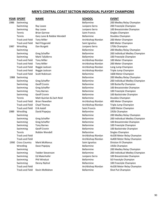|      | <b>YEAR SPORT</b>      | <b>NAME</b>                | <b>SCHOOL</b>        | <b>EVENT</b>    |
|------|------------------------|----------------------------|----------------------|-----------------|
| 1986 | Swimming               |                            | <b>Bellarmine</b>    | 200 Me          |
|      | Swimming               | Ray Looze                  | Junipero Serra       | 200 Free        |
|      | Swimming               | Ray Looze                  | Junipero Serra       | 100 Brea        |
|      | Tennis                 | <b>Brian Garrow</b>        | Saint Francis        | Singles (       |
|      | Tennis                 | Gary Lane & Robbie Wendell | <b>Bellarmine</b>    | Doubles         |
|      | <b>Track and Field</b> | <b>Tony Miller</b>         | Archbishop Riordan   | <b>200 Met</b>  |
|      | <b>Track and Field</b> | Neil Fitzgerald            | Saint Ignatius       | 800 Met         |
| 1987 | Wrestling              | Dan Burgett                | Junipero Serra       | 175lb Cl        |
|      | Swimming               |                            | Bellarmine           | 200 Me          |
|      | Swimming               | Greg Schaffer              | <b>Bellarmine</b>    | 200 Indi        |
|      | Swimming               | Mark Taliaferro            | <b>Bellarmine</b>    | 100 Free        |
|      | <b>Track and Field</b> | <b>Tony Miller</b>         | Archbishop Riordan   | 100 Met         |
|      | <b>Track and Field</b> | <b>Tony Miller</b>         | Archbishop Riordan   | 200 Met         |
|      | <b>Track and Field</b> | Reggie Jackson             | Archbishop Riordan   | Long Jur        |
|      | <b>Track and Field</b> | Reggie Jackson             | Archbishop Riordan   | Triple Ju       |
|      | <b>Track and Field</b> | Scott Robinson             | <b>Bellarmine</b>    | 1600 M          |
| 1988 | Swimming               |                            | <b>Bellarmine</b>    | 200 Me          |
|      | Swimming               | Greg Schaffer              | <b>Bellarmine</b>    | 200 Indi        |
|      | Swimming               | Geoff Cronin               | <b>Bellarmine</b>    | <b>100 Butt</b> |
|      | Swimming               | Greg Schaffer              | <b>Bellarmine</b>    | 100 Brea        |
|      | Swimming               | <b>Tony Barnes</b>         | <b>Bellarmine</b>    | 100 Free        |
|      | Swimming               | Geoff Cronin               | <b>Bellarmine</b>    | 100 Bac         |
|      | Tennis                 | Matt Quinlan & Zach Reid   | <b>Bellarmine</b>    | Doubles         |
|      | <b>Track and Field</b> | <b>Brian Flewellen</b>     | Archbishop Riordan   | <b>400 Met</b>  |
|      | <b>Track and Field</b> | <b>Chad Thomas</b>         | Archbishop Riordan   | Triple Ju       |
|      | <b>Track and Field</b> | Erik Axtell                | <b>Saint Francis</b> | 1600 M          |
| 1989 | Wrestling              | David Popejoy              | <b>Bellarmine</b>    | 191lb Ch        |
|      | Swimming               |                            | <b>Bellarmine</b>    | 200 Me          |
|      | Swimming               | Greg Schaffer              | <b>Bellarmine</b>    | <b>200 Indi</b> |
|      | Swimming               | Greg Schaffer              | <b>Bellarmine</b>    | 100 Brea        |
|      | Swimming               | <b>Tony Barnes</b>         | <b>Bellarmine</b>    | 100 Free        |
|      | Swimming               | Geoff Cronin               | <b>Bellarmine</b>    | 100 Bac         |
|      | Tennis                 | Robbie Wendell             | <b>Bellarmine</b>    | Singles (       |
|      | <b>Track and Field</b> |                            | Archbishop Riordan   | 4x100 M         |
|      | <b>Track and Field</b> |                            | Archbishop Riordan   | 4x400 N         |
| 1990 | <b>Cross Country</b>   | <b>Mark McManus</b>        | Saint Ignatius       | Division        |
|      | Wrestling              | Dave Popejoy               | Bellarmine           | 191lb Cl        |
|      | Swimming               |                            | Bellarmine           | 200 Me          |
|      | Swimming               | <b>Tedder Stevenson</b>    | Bellarmine           | 200 Indi        |
|      | Swimming               | Ed Maierhofer              | Junipero Serra       | 100 Brea        |
|      | Swimming               | Phil Windust               | Bellarmine           | 50 Frees        |
|      | Swimming               | Denny Nyitral              | <b>Bellarmine</b>    | 100 Free        |
|      | <b>Track and Field</b> |                            | Archbishop Riordan   | 4x100 M         |
|      | <b>Track and Field</b> | Kevin McMahon              | Bellarmine           | Shot Put        |

Saint Francis Singles Champion Bellarmine Doubles Champion Junipero Serra 175lb Champion Bellarmine **Doubles Champion** Bellarmine 191lb Champion Bellarmine Singles Champion Saint Ignatius **Countries Countries Countries Countries Countries Countries Countries Saint I** Champion Bellarmine 191lb Champion

Bellarmine 200 Medley Relay Champion Junipero Serra 200 Freestyle Champion Junipero Serra 100 Breaststroke Champion Archbishop Riordan 200 Meter Champion Saint Ignatius 800 Meter Champion Bellarmine 200 Medley Relay Champion Bellarmine 200 Individual Medley Champion Bellarmine 100 Freestyle Champion Archbishop Riordan 100 Meter Champion Archbishop Riordan 200 Meter Champion Archbishop Riordan Long Jump Champion Archbishop Riordan Triple Jump Champion Bellarmine 1600 Meter Champion Bellarmine 200 Medley Relay Champion Bellarmine 200 Individual Medley Champion Bellarmine 100 Butterfly Champion Bellarmine 100 Breaststroke Champion Bellarmine 100 Freestyle Champion Bellarmine 100 Backstroke Champion Archbishop Riordan 400 Meter Champion Archbishop Riordan Triple Jump Champion Saint Francis 1600 Meter Champion Bellarmine 200 Medley Relay Champion Bellarmine 200 Individual Medley Champion Bellarmine 100 Breaststroke Champion Bellarmine 100 Freestyle Champion Bellarmine 100 Backstroke Champion Archbishop Riordan 4x100 Meter Relay Champion Archbishop Riordan 4x400 Meter Relay Champion Bellarmine 200 Medley Relay Champion Bellarmine 200 Individual Medley Champion Junipero Serra 100 Breaststroke Champion Bellarmine 50 Freestyle Champion Bellarmine 100 Freestyle Champion Archbishop Riordan 4x100 Meter Relay Champion Bellarmine Shot Put Champion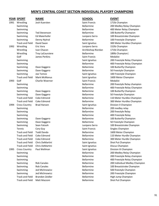|      | YEAR SPORT             | <b>NAME</b>             | <b>SCHOOL</b>        | <b>EVENT</b>    |
|------|------------------------|-------------------------|----------------------|-----------------|
| 1991 | Wrestling              | Josh Kuersten           | <b>Saint Francis</b> | 171lb Cl        |
|      | Swimming               |                         | Bellarmine           | 200 Me          |
|      | Swimming               |                         | Bellarmine           | 400 Met         |
|      | Swimming               | <b>Ted Stevenson</b>    | <b>Bellarmine</b>    | <b>100 Butt</b> |
|      | Swimming               | <b>Ed Maierhofer</b>    | Junipero Serra       | 100 Brea        |
|      | Swimming               | Denny Nyitral           | Bellarmine           | 100 Free        |
|      | <b>Track and Field</b> | David Swan              | Saint Ignatius       | 300 Met         |
| 1992 | Wrestling              | Eric Vera               | Junipero Serra       | 152lb Ch        |
|      | Wrestling              | Ivan Chacon             | Archbishop Riordan   | 171lb Cl        |
|      | Wrestling              | <b>Troy LaCoursiere</b> | Bellarmine           | 189lb Cl        |
|      | Golf                   | James Perkins           | <b>Saint Francis</b> | Medalis         |
|      | Swimming               |                         | Saint Ignatius       | 200 Free        |
|      | Swimming               |                         | <b>Bellarmine</b>    | 400 Free        |
|      | Swimming               | Dave Gaggero            | <b>Bellarmine</b>    | <b>100 But</b>  |
|      | Swimming               | Dave Gaggero            | Bellarmine           | 50 Frees        |
|      | Swimming               | Joe Tomsic              | Saint Ignatius       | 100 Free        |
|      | <b>Track and Field</b> | <b>Mark McManus</b>     | Saint Ignatius       | 1600 M          |
| 1993 | Golf                   | Charlie Woerner         | Saint Francis        | <b>Medalis</b>  |
|      | Swimming               |                         | <b>Bellarmine</b>    | 200 free        |
|      | Swimming               |                         | Bellarmine           | 400 Free        |
|      | Swimming               | Dave Gaggero            | Bellarmine           | <b>100 But</b>  |
|      | Swimming               | Dave Gaggero            | <b>Bellarmine</b>    | 50 Frees        |
|      | <b>Track and Field</b> | Coke Edmond             | Bellarmine           | <b>110 Met</b>  |
|      | <b>Track and Field</b> | Coke Edmond             | Bellarmine           | 300 Met         |
| 1994 | <b>Cross Country</b>   | <b>Brad Hansen</b>      | Saint Ignatius       | Division        |
|      | Swimming               |                         | <b>Bellarmine</b>    | 200 me          |
|      | Swimming               |                         | Bellarmine           | 200 free        |
|      | Swimming               |                         | <b>Bellarmine</b>    | 400 Free        |
|      | Swimming               | Dave Gaggero            | <b>Bellarmine</b>    | <b>100 Butt</b> |
|      | Swimming               | Dave Gaggero            | Bellarmine           | 50 Frees        |
|      | Swimming               | Sean Fatooh             | Junipero Serra       | 100 Brea        |
|      | Tennis                 | Cory Guy                | <b>Saint Francis</b> | Singles (       |
|      | <b>Track and Field</b> | <b>Todd Dando</b>       | <b>Bellarmine</b>    | 1600 M          |
|      | <b>Track and Field</b> | Coke Edmond             | Bellarmine           | <b>110 Met</b>  |
|      | <b>Track and Field</b> | Coke Edmond             | <b>Bellarmine</b>    | 300 Met         |
|      | <b>Track and Field</b> | Chris DeMartini         | Saint Ignatius       | Shot Put        |
|      | <b>Track and Field</b> | Chris DeMartini         | Saint Ignatius       | Discus C        |
| 1995 | <b>Cross Country</b>   | Paul Wellman            | Saint Ignatius       | Division        |
|      | Swimming               |                         | <b>Bellarmine</b>    | 200 Me          |
|      | Swimming               |                         | Bellarmine           | 200 Free        |
|      | Swimming               |                         | Bellarmine           | 400 Free        |
|      | Swimming               | <b>Rob Canales</b>      | <b>Bellarmine</b>    | 200 Indi        |
|      | Swimming               | <b>Rob Canales</b>      | <b>Bellarmine</b>    | 100 Brea        |
|      | Swimming               | Jed Michnowicz          | Bellarmine           | 500 free        |
|      | Swimming               | Jed Michnowicz          | Bellarmine           | 200 Free        |
|      | <b>Track and Field</b> | <b>Brandon Zeidler</b>  | Bellarmine           | High Jur        |
|      | <b>Track and Field</b> | Matt Mazzoni            | Bellarmine           | Shot Put        |

Saint Francis 171lb Champion Junipero Serra 152lb Champion Archbishop Riordan 171lb Champion e Bellarmine 189lb Champion Saint Francis Medalist 1993 Francis Charlie Charlie Saint Francis Charlie Medalist Bellarmine 200 medley relay Saint Francis Singles Champion Saint Ignatius **Discus Champion** Bellarmine Shot Put Champion

Bellarmine 200 Medley Relay Champion Bellarmine 400 Meter Relay Champion Bellarmine 100 Butterfly Champion Junipero Serra 100 Breaststroke Champion Bellarmine 100 Freestyle Champion Saint Ignatius 300 Meter Hurdles Champion Saint Ignatius 200 Freestyle Relay Champion Bellarmine 400 Freestyle Relay Champion Bellarmine 100 Butterfly Champion Bellarmine 50 Freestyle Champion Saint Ignatius 100 Freestyle Champion Saint Ignatius 1600 Meter Champion Bellarmine 200 freestyle Relay champion Bellarmine 400 Freestyle Relay Champion Bellarmine 100 Butterfly Champion Bellarmine 50 Freestyle Champion Bellarmine 110 Meter Hurdles Champion Bellarmine 300 Meter Hurdles Champion Saint Ignatius **Countries Countries Countries Countries Countries Countries Countries Countries Countries Countries** Bellarmine 200 freestyle Relay Bellarmine 400 Freestyle Relay Bellarmine 100 Butterfly Champion Bellarmine 50 Freestyle Champion Junipero Serra 100 Breaststroke Champion Bellarmine 1600 Meter Champion Bellarmine 110 Meter Hurdle Champion Bellarmine 300 Meter Hurdle Champion Saint Ignatius Shot Put Champion Saint Ignatius **Caucas** Division III Champion Bellarmine 200 Medley Relay Champion Bellarmine 200 Freestyle Relay champion Bellarmine 400 Freestyle Relay Champion Bellarmine 200 Individual Medley Champion Bellarmine 100 Breaststroke Champion Bellarmine 500 freestyle Champion Bellarmine 200 Freestyle Champion Bellarmine High Jump Champion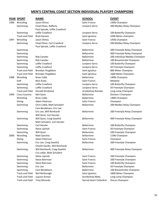|      | <u>YEAR SPORT</u>      | <b>NAME</b>                    | <b>SCHOOL</b>          | <b>EVENT</b>                   |
|------|------------------------|--------------------------------|------------------------|--------------------------------|
| 1996 | Wrestling              | Jason Olmos                    | Saint Francis          | 145lb Champion                 |
|      | Swimming               | Chad Olson, Rafferty           | Junipero Serra         | 200 Medley Relay Champion      |
|      |                        | Paul Spinale, Leffie Crawford  |                        |                                |
|      | Swimming               | Leffie Crawford                | Junipero Serra         | 100 Butterfly Champion         |
|      | <b>Track and Field</b> | <b>Brad Hansen</b>             | Saint Ignatius         | 3200 Meter champion            |
| 1997 | Wrestling              | Jason Olmos                    | Saint Francis          | 145lb Champion                 |
|      | Swimming               | Chad Olson, Carl Crawford      | Junipero Serra         | 200 Medley Relay Champion      |
|      |                        | Paul Spinale, Leffie Crawford  |                        |                                |
|      | Swimming               |                                | <b>Bellarmine</b>      | 200 Freestyle Relay Champion   |
|      | Swimming               |                                | <b>Bellarmine</b>      | 400 Freestyle Relay Champion   |
|      | Swimming               | <b>Rob Canales</b>             | Bellarmine             | 200 Individual Medley Champion |
|      | Swimming               | <b>Rob Canales</b>             | <b>Bellarmine</b>      | 100 Breaststroke Champion      |
|      | Swimming               | Leffie Crawford                | Junipero Serra         | 100 Butterfly Champion         |
|      | Swimming               | Leffie Crawford                | Junipero Serra         | 50 Freestyle Champion          |
|      | <b>Track and Field</b> | Brendan Fitzgibbon             | Saint Ignatius         | 800 Meter Champion             |
|      | <b>Track and Field</b> | Brendan Fitzgibbon             | Saint Ignatius         | 1600 Meter Champion            |
| 1998 | Wrestling              | <b>Brian Cobb</b>              | <b>Bellarmine</b>      | 140lb Champion                 |
|      | Golf                   | Nick Arata                     | Saint Francis          | Medalist                       |
|      | Swimming               | Leffie Crawford                | Junipero Serra         | 100 Butterfly Champion         |
|      | Swimming               | Leffie Crawford                | Junipero Serra         | 50 Freestyle Champion          |
|      | <b>Track and Field</b> | Donald Strickland              | Archbishop Riordan     | Long Jump Champion             |
| 1999 | <b>Cross Country</b>   | <b>Neil Davis</b>              | <b>Bellarmine</b>      | Division I Champion            |
|      | Wrestling              | <b>Brian Cobb</b>              | <b>Bellarmine</b>      | 140lb Champion                 |
|      | Diving                 | Adam Peterson                  | Saint Francis          | Champion                       |
|      | Swimming               | Chris Coble, Matt Schubert     | Bellarmine             | 200 Medley Relay Champion      |
|      |                        | Cam Bendetsen, Eric Lee        |                        |                                |
|      | Swimming               | Eric Lee, Will Reinhardt       | Bellarmine             | 200 Freestyle Relay Champion   |
|      |                        | Will Quist, Carl Hessler       |                        |                                |
|      | Swimming               | Will Quist, Craig Gawlick      | Bellarmine             | 400 Freestyle Relay Champion   |
|      |                        | Matt Schubert, Carl Hessler    |                        |                                |
|      | Swimming               | Carl Hessler                   | <b>Bellarmine</b>      | 100 Butterfly Champion         |
|      | Swimming               | Steve Lipinski                 | Saint Francis          | 50 Freestyle Champion          |
|      | Swimming               | Will Quist                     | Bellarmine             | 100 Freestyle Champion         |
| 2000 | Wrestling              | Matt Sanchez                   | Bellarmine             | 119lb Champion                 |
|      | Diving                 | Adam Peterson                  | Saint Francis          | Champion                       |
|      | Swimming               | Eric Lee, Craig Gawlick        | Bellarmine             | 200 Freestyle Champion         |
|      |                        | Charlie Gardin, Will Reinhardt |                        |                                |
|      | Swimming               | Will Reinhardt, Craig Gawlick  | <b>Bellarmine</b>      | 400 Freestyle Relay Champion   |
|      |                        | Cris coble, Matt Schubert      |                        |                                |
|      | Swimming               | Steve Lipinski                 | Saint Francis          | 100 Freestyle Champion         |
|      | Swimming               | Steve Rehrman                  | Saint Francis          | 200 Freestyle Champion         |
|      | Swimming               | Steve Rehrman                  | Saint Francis          | 100 Butterfly Champion         |
|      | Swimming               | Eric Lee                       | Bellarmine             | 50 Freestyle Champion          |
|      | Swimming               | Cam Bendetsen                  | Bellarmine             | 100 Breaststroke Champion      |
|      | <b>Track and Field</b> | Neil McDonagh                  | Saint Ignatius         | 1600 Meter Champion            |
|      | <b>Track and Field</b> | Juaune Armon                   | Archbishop Mitty       | Long Jump Champion             |
|      | <b>Track and Field</b> | Tony Miranda                   | Sacred Heart Cathedral | Discus Champion                |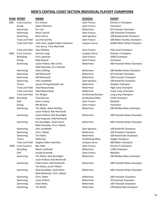|      | <b>YEAR SPORT</b>      | <b>NAME</b>                        | <b>SCHOOL</b>        | <b>EVENT</b>                 |
|------|------------------------|------------------------------------|----------------------|------------------------------|
| 2001 | <b>Cross Country</b>   | Eric Chavez                        | Saint Francis        | Division II Champion         |
|      | Diving                 | Adam Peterson                      | Saint Francis        | Champion                     |
|      | Swimming               | Eric Lee                           | Bellarmine           | 50 Freestyle Champion        |
|      | Swimming               | Steve Lipinski                     | Saint Francis        | 100 Freestyle Champion       |
|      | Swimming               | <b>Brett Simon</b>                 | Saint Ignatius       | 100 Breaststroke Champion    |
|      | <b>Track and Field</b> | Lars Kenworthy                     | Saint Francis        | 100 Meter Hurdles Champion   |
|      | <b>Track and Field</b> | Colin Gaul, Angelo Fobbs-Valentino | Junipero Serra       | 4x400 Meter Relay Champion   |
|      |                        | Tom Darcy, Tony Martinelli         |                      |                              |
|      | <b>Track and Field</b> | Kyle Williams                      | Saint Francis        | Pole Vault Champion          |
| 2002 | <b>Cross Country</b>   | Dominic Vogl                       | Junipero Serra       | Division I Champion          |
|      | Wrestling              | Chris Jaworski                     | Saint Francis        | 103lb Champion               |
|      | Diving                 | Matt Bisordi                       | Saint Francis        | Champion                     |
|      | Swimming               | Justin Pollard, Alex Ulrich        | Bellarmine           | 400 Freestyle Relay Champior |
|      |                        | Matt Reynolds, Eric Orlando        |                      |                              |
|      | Swimming               | <b>Adam Shilling</b>               | Bellarmine           | 200 Medley Relay Champion    |
|      | Swimming               | Will Reinhardt                     | Bellarmine           | 50 Freestyle Champion        |
|      | Swimming               | Will Reinhardt                     | Bellarmine           | 100 Freestyle Champion       |
|      | Swimming               | John Lendefeld                     | Saint Ignatius       | 100 Butterfly Champion       |
|      | Tennis                 | Jaysen Chung &Joseph Lok           | Bellarmine           | Doubles Champion             |
|      | <b>Track and Field</b> | Jihad Beauchamp                    | Bellarmine           | High Jump Champion           |
|      | <b>Track and Field</b> | Jihad Beauchamp                    | Bellarmine           | Triple Jump Champion         |
|      | <b>Track and Field</b> | Eric Wright                        | Archbishop Riordan   | Long Jump Champion           |
| 2003 | Wrestling              | <b>Tony Barrow</b>                 | Archbishop Mitty     | 215lb Champion               |
|      | Golf                   | <b>Kevin Lozares</b>               | <b>Saint Francis</b> | Medalist                     |
|      | Diving                 | Mtt Bisordi                        | Saint Francis        | Champion                     |
|      | Swimming               | Tim Watts, Adam Shilling           | Bellarmine           | 200 Medley Relay Champion    |
|      |                        | Justin Pollard, Rob Reinhardt      |                      |                              |
|      | Swimming               | Justin Pollard, Nick Buonfiglio    | Bellarmine           | 200 Freestyle Relay Champior |
|      |                        | Joey Ferguson, Rob Reinhardt       |                      |                              |
|      | Swimming               | Nic Buonfiglio, Chad Chasin        | Bellarmine           | 400 Freestyle Relay Champior |
|      |                        | Matt Reynolds, Chris Talbott       |                      |                              |
|      | Swimming               | John Landefeld                     | Saint Ignatius       | 100 Butterfly Champion       |
|      | Swimming               | <b>Chris Talbott</b>               | Bellarmine           | 200 Freestyle Champion       |
|      | Swimming               | Tim Watts                          | Bellarmine           | 100 Backstroke Champion      |
|      | Tennis                 | Philip Kao                         | Archbishop Mitty     | Singles Champion             |
|      | <b>Track and Field</b> | Angelo Fobbs-Valentino             | Junipero Serra       | 400 Meter Champion           |
| 2004 | <b>Cross Country</b>   | <b>Ben Sitler</b>                  | Saint Francis        | Division II Champion         |
|      | Wrestling              | Moses Guillardo                    | Bellarmine           | 119lb Champion               |
|      | Golf                   | Joseph Bramlett                    | Saint Francis        | Medalist                     |
|      | Swimming               | Tim Watts, Nick Buonfiglio         | Bellarmine           | 200 Medley Relay Champion    |
|      |                        | Justin Pollard, Rob Reinhardt      |                      |                              |
|      | Swimming               | Chad Cashin, Rob Reinhardt         | Bellarmine           | 200 Freestyle Relay Champior |
|      |                        | Tim Watts, Justin Pollard          |                      |                              |
|      | Swimming               | Nick Buonfiglio, Scott Weltz       | Bellarmine           | 400 Freestyle Relay Champior |
|      |                        | Matt McDonell, Chris Talbott       |                      |                              |
|      | Swimming               | Chris Talbot                       | Bellarmine           | 200 Freestyle Champion       |
|      | Swimming               | <b>Justin Pollard</b>              | Bellarmine           | 50 Freestyle Champion        |
|      | Swimming               | Scott Weltz                        | Bellarmine           | 100 Freestyle Champion       |
|      | Swimming               | Tim Watts                          | Bellarmine           | 100 Backstroke Champion      |

| Division II Champion       |
|----------------------------|
| Champion                   |
| 50 Freestyle Champion      |
| 100 Freestyle Champion     |
| 100 Breaststroke Champion  |
| 100 Meter Hurdles Champion |
| 4x400 Meter Relay Champion |
|                            |
| Pole Vault Champion        |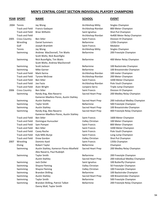# **YEAR SPORT NAME SCHOOL EVENT**

| ×<br>×<br>۰, |
|--------------|

|      | 2004 Tennis<br><b>Track and Field</b> | Jay Wong<br>Francis Gadayan                                           | Archbishop Mitty<br>Archbishop Riordan | Singles Champion<br>800 Meter Champion      |
|------|---------------------------------------|-----------------------------------------------------------------------|----------------------------------------|---------------------------------------------|
|      | <b>Track and Field</b>                | <b>Brian Wilhelm</b>                                                  | Saint Ignatius                         | Shot Put Champion                           |
|      | <b>Track and Field</b>                |                                                                       | Archbishop Riordan                     | 4x400 Meter Relay Champion                  |
| 2005 | <b>Cross Country</b>                  | <b>Ben Sitler</b>                                                     | Saint Francis                          | Division III Champion                       |
|      | Wrestling                             | <b>Daniel Summers</b>                                                 | Bellarmine                             | 125lb Champion                              |
|      | Golf                                  | Joseph Bramlett                                                       | Saint Francis                          | Medalist                                    |
|      | Tennis                                | Jay Wong                                                              | Archbishop Mitty                       | Singles Champion                            |
|      |                                       | Andrew MacDonnell, Tim Watts                                          | Bellarmine                             | 200 Freestyle Champion                      |
|      | Swimming                              | Scott Weltz, Nick Buonfiglio                                          |                                        |                                             |
|      | Swimming                              | Nick Buonfiglio, Tim Watts                                            | <b>Bellarmine</b>                      | 400 Meter Relay Champion                    |
|      |                                       | Scott Weltz, Andrew MacDonnell                                        |                                        |                                             |
|      | Swimming                              | Scott Jackson                                                         | Bellarmine                             | 100 Backstroke Champion                     |
|      | Swimming                              | <b>Mike Garner</b>                                                    | <b>Bellarmine</b>                      | 100 Breaststroke Champion                   |
|      | <b>Track and Field</b>                | Mark Ilarina                                                          | Archbishop Riordan                     | 100 meter Champion                          |
|      | <b>Track and Field</b>                | <b>Tyrone McGraw</b>                                                  | Archbishop Riordan                     | 200 Meter Champion                          |
|      | <b>Track and Field</b>                | <b>Ben Sitler</b>                                                     | Saint Francis                          | 3200 Meter Champion                         |
|      | <b>Track and Field</b>                | Joe Fazio                                                             | Archbishop Riordan                     |                                             |
|      | <b>Track and Field</b>                |                                                                       | Junipero Serra                         | Pole Vault Champion<br>Triple Jump Champion |
| 2006 | <b>Cross Country</b>                  | Aven Wright<br><b>Ben Sitler</b>                                      | <b>Saint Francis</b>                   | Division III Champion                       |
|      |                                       |                                                                       |                                        | 200 Medley Relay Champion                   |
|      | Swimming                              | Randy Ang, Alex Navarro<br>Kameron Maxfeio-Flores, Austin Stahley     | Sacred Heart Prep                      |                                             |
|      | Swimming                              | <b>Austin Stahley</b>                                                 | Sacred Heart Prep                      | 200 Individual Medley Champion              |
|      | Swimming                              | <b>Taylor Smith</b>                                                   | <b>Bellarmine</b>                      | 500 Freestyle Champion                      |
|      | Swimming                              | <b>Austin Stahley</b>                                                 | Sacred Heart Prep                      | 100 Breaststroke Champion                   |
|      | Swimming                              | Randy Ang, Alex Navarro                                               | Sacred Heart Prep                      | 400 Freestyle Relay Champion                |
|      |                                       | Kameron Maxfleio-Flores, Austin Stahley                               |                                        |                                             |
|      | <b>Track and Field</b>                | <b>Ben Sitler</b>                                                     | <b>Saint Francis</b>                   | 1600 Meter Champion                         |
|      | <b>Track and Field</b>                | Domingue Hunsucker                                                    | Valley Christian                       | 100 Meter Champion                          |
|      | <b>Track and Field</b>                | Sam Pompei                                                            | <b>Saint Francis</b>                   | 800 Meter Champion                          |
|      | <b>Track and Field</b>                | <b>Ben Sitler</b>                                                     | Saint Francis                          | 3200 Meter Champion                         |
|      | <b>Track and Field</b>                | Casey Roche                                                           | Saint Francis                          | Pole Vault Champion                         |
|      | <b>Track and Field</b>                | Kyle Mills-Bunje                                                      | Saint Francis                          | Long Jump Champion                          |
|      | Track and Field                       | Drew Gordon                                                           | Valley Christian                       | Shot Put Champion                           |
| 2007 | Wrestling                             | Dominic Kastl                                                         | Saint Francis                          | 135lb Champion                              |
|      | Diving                                | Robert Taylor                                                         | Bellarmine                             | Champion                                    |
|      | Swimming                              | Austin Stahley, Kameron Flores-Maxfield<br>Alex Navarro, Paul Rudolph | Sacred Heart Prep                      | 200 Medley Relay Champion                   |
|      | Swimming                              | <b>Taylor Smith</b>                                                   | Bellarmine                             | 200 Freestyle Champion                      |
|      |                                       | <b>Austin Stahley</b>                                                 | Sacred Heart Prep                      | 200 Individual Medley Champion              |
|      | Swimming                              | Jack Ostler                                                           | Saint Ignatius                         | 100 Butterfly Champion                      |
|      | Swimming                              | <b>Shayne Fleming</b>                                                 | Valley Christian                       | 50 Freestyler Champion                      |
|      | Swimming                              | <b>Shayne Fleming</b>                                                 | Valley Christian                       | 100 Freestyle Champion                      |
|      | Swimming                              | <b>Brandon Shilling</b>                                               | Bellarmine                             | 100 Backstroke Champion                     |
|      | Swimming                              | <b>Austin Stahley</b>                                                 | Sacred Heart Prep                      | 100 Breaststroke Champion                   |
|      | Swimming                              | <b>Taylor Smith</b>                                                   | Bellarmine                             | 500 Freestyle Champion                      |
|      | Swimming                              | Brandon Shilling, Patrick Talbot                                      | Bellarmine                             | 200 Freestyle Relay Champion                |
|      |                                       | Danny Wall, Taylor Smith                                              |                                        |                                             |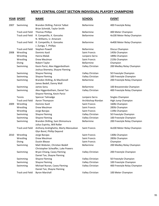|      | <b>YEAR SPORT</b>      | <b>NAME</b>                                                        | <b>SCHOOL</b>        | <b>EVENT</b>                 |
|------|------------------------|--------------------------------------------------------------------|----------------------|------------------------------|
| 2007 | Swimming               | Brandon Shilling, Patrick Talbot<br>Brian Schmidt, Taylor Smith    | <b>Bellarmine</b>    | 400 Freestyle Relay          |
|      | <b>Track and Field</b> | <b>Thomas Phillips</b>                                             | <b>Bellarmine</b>    | 400 Meter Champion           |
|      | <b>Track and Field</b> | R. Competillo, K. Gonzales<br>N. Williams, U. Amanam               | Bellarmine           | 4x100 Meter Relay Champion   |
|      | <b>Track and Field</b> | R. Competillo, K. Gonzales<br>J. Zuniga, T. Phillips               | Bellarmine           | 4x400 Meter Relay Champion   |
|      | <b>Track and Field</b> | Stephen Powell                                                     | Bellarmine           | Discus Champion              |
| 2008 | Wrestling              | Dominic Kastl                                                      | <b>Saint Francis</b> | 145lb Champion               |
|      | Wrestling              | Hanna Malak                                                        | Junipero Serra       | 189lb Champion               |
|      | Wrestling              | Drew Meulman                                                       | Saint Francis        | 215lb Champion               |
|      | Diving                 | Robert Taylor                                                      | <b>Bellarmine</b>    | Champion                     |
|      | Swimming               | Kevin Parizi, Alex Higgenbotham<br>Joshua Shemeta, Shayne Fleming  | Valley Christian     | 200 Medley Relay Champion    |
|      | Swimming               | <b>Shayne Fleming</b>                                              | Valley Christian     | 50 Freestyle Champion        |
|      | Swimming               | <b>Shayne Fleming</b>                                              | Valley Christian     | 100 Freestyle Champion       |
|      | Swimming               | Brandon Shilling, AJ MacDonell<br>James Bedell, Danny Wall         | Bellarmine           | 200 Freestyle Relay Champion |
|      | Swimming               | James Sonu                                                         | Bellarmine           | 100 Breaststroke Champion    |
|      | Swimming               | Alex Higgenbotham, Daniel Tan<br>Shayne Fleming, Kevin Parizi      | Valley Christian     | 400 Freestyle Relay Champion |
|      | Tennis                 | Spencer Talmadge                                                   | Junipero Serra       | Singles Champion             |
|      | <b>Track and Field</b> | Aaron Thompson                                                     | Archbishop Riordan   | High Jump Champion           |
| 2009 | Wrestling              | Dominic Kastl                                                      | Saint Francis        | 160lb Champion               |
|      | Wrestling              | Drew Meulman                                                       | <b>Saint Francis</b> | 285lb Champion               |
|      | Wrestling              | Jorge Barajas                                                      | Saint Francis        | 119lb Champion               |
|      | Swimming               | <b>Shayne Fleming</b>                                              | Valley Christian     | 50 Freestyle Champion        |
|      | Swimming               | <b>Shayne Fleming</b>                                              | Valley Christian     | 100 Freestyle Champion       |
|      | Swimming               | Brandon Shilling, Sam Shimomura<br>Julius Espiritu, Will Roller    | Bellarmine           | 200 Freestyle Relay Champion |
|      | <b>Track and Field</b> | Anthony Andrighetto, Marty Manoukian<br>Glyn Borel, Phillip Depond | <b>Saint Francis</b> | 4x100 Meter Relay Champion   |
| 2010 | Wrestling              | Jorge Barajas                                                      | Saint Francis        | 130lb Champion               |
|      | Wrestling              | Drew Meulman                                                       | Saint Francis        | 285lb Champion               |
|      | Diving                 | <b>Dustin Blease</b>                                               | Saint Francis        | Champion                     |
|      | Swimming               | Matt Webster, Christian Bedell                                     | Bellarmine           | 200 Medley Relay Champion    |
|      |                        | Christopher Scheaffer, Luke Powers                                 |                      |                              |
|      | Swimming               | Bryan Chiang, Casey Fleming<br>Daniel Tan, Shayne Fleming          | Valley Christian     | 200 Freestyle Champion       |
|      | Swimming               | <b>Shayne Fleming</b>                                              | Valley Christian     | 50 Freestyle Champion        |
|      | Swimming               | <b>Shayne Fleming</b>                                              | Valley Christian     | 100 Freestyle Champion       |
|      | Swimming               | Michael Nunan, Casey Fleming<br>Daniel Tan, Shayne Fleming         | Valley Christian     | 400 Freestyle Relay Champion |
|      | <b>Track and Field</b> | <b>Byron Marshall</b>                                              | Valley Christian     | 100 Meter Champion           |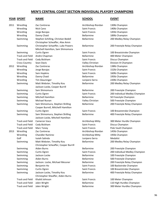# **YEAR SPORT NAME SCHOOL EVENT**

2011 Wrestling Zac Contreras **Archbishop Riordan** 130lb Champion Wrestling Nick Cano **Saint Francis** Saint Francis 140lb Champion Wrestling Jorge Barajas Saint Francis 145lb Champion Wrestling Danny Chaid **Bellarmine** 189lb Champion Swimming Stephen Schilling, Christian Bedell Bellarmine 200 Medley Relay Champion Christopher Scheaffer, Alex Amm Swimming Christopher Schaeffer, Luke Powers Bellarmine 200 Freestyle Relay Champion Mitchell Hamilton, Sam Shimomura Swimming Curtis Ogren Curtis Curtis Curtis Curtis Curtis Curtis Curtis Curtis Curtis Curtis Curtis Curtis Curt Track and Field Andre Chapman **Bellarmine** Bellarmine 400 Meter Champion Track and Field Cody Bickham Saint Francis Discus Champion Cross Country Sean Davis Valley Christian Division III Champion 2012 Wrestling Zac Contreras **Archbishop Riordan** 138lb Champion Wrestling Jorge Barajas Saint Francis 152lb Champion Wrestling Sam Hopkins Saint Francis Saint Francis Saint Francis Saint Francis Saint Francis Saint Rubber of the Saint Rubber of the Saint Rubber of the Saint Rubber of the Saint Rubber of the Saint Rubber of the Saint Rubb Wrestling Danny Chaid **Bellarmine** 195lb Champion Wrestling Tim Glauninger The Serra 220lb Champion Swimming Matt Webster, Timothy Kou Bellarmine 200 Medley Relay Champion Jackson Locke, Cooper Burrill Swimming Sam Shimomura **Bellarmine** Bellarmine 200 Freestyle Champion Swimming Curtis Ogren Curtis Curtis Curtis Curtis Curtis Curtis Curtis Curtis Curtis Curtis Curtis Curtis Curt Swimming Mitchell Hamilton **Mitchell Hamilton** Bellarmine 50 Freestyle Champion Swimming Michael Nunan Valley Christian 500 Freestyle Champion Swimming Sam Shimomura, Stephen Shilling Bellarmine 200 Freestyle Relay Champion Cooper Burrell, Mitchelll Hamilton Swimming Curtis Ogren Curtis Curtis Curtis Curtis Curtis Curtis Curtis Champion Saint Francis Champion Curtis Champion Swimming Sam Shimomura, Stephen Shilling Bellarmine 400 Freestyle Relay Champion Jackson Locke, Mitchell Hamilton Track and Field Cameron Vaca **Archbishop Mitty** 300 Meter Hurdle Champion Track and Field Cody Bickham Saint Francis Champion Communist Cody Bickham Saint Francis Discus Champion Track and Field Marc Toney **Saint Francis** Saint Francis Pole Vault Champion 2013 Wrestling Zac Contreras **Archbishop Riordan** 145lb Champion Wrestling Chandler Ramirez Chandler Ramirez Archbishop Mitty 1951b Champion Golf Isaiah Salinda **Isamu at Tunipero Serra** Medalist Swimming Matt Webster, Timothy Kou Bellarmine 200 Medley Relay Champion Christopher Scheaffer, Cooper Burrill Swimming Aiden Burns **Aiden Burns** Bellarmine 200 Freestyle Champion Swimming Curtis Ogren Curtis Curtis Curtis Curtis Curtis Curtis Curtis Curtis Curtis Curtis Curtis Curtis Curt Swimming Jackson Locke **Bellarmine** 100 Freestyle Champion Swimming Aiden Burns **Aiden Burns** Bellarmine 500 Freestyle Champion Swimming Jackson. Locke, Michael Messner Bellarmine 200 Freestyle Relay Champion Swimming Benjamin Ho **Saint Francis** 100 Backstroke Champion Swimming Curtis Ogren Curtis Curtis Curtis Curtis Curtis Curtis Curtis Champion Saint Francis Champion Curtis Champion Swimming Jackson Locke, Timothy Kou Bellarmine 400 Freestyle Relay Champion Christopher Sheaffer, Aiden Burns Track and Field Khalid Johnson Saint Francis 100 Meter Champion Track and Field Jalen Wright **Bellarmine** 110 High Hurdles Champion Track and Field Jalen Wright Bellarmine 300 Meter Hurdles Champion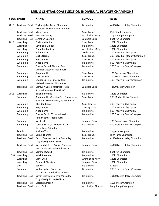| 2013<br><b>Track and Field</b><br>Taylor Njaka, Aaron Chapman<br><b>Bellarmine</b><br>4x100 Meter Relay Champion<br>Nikolai Makarov, Joey Sanfilippo<br><b>Track and Field</b><br><b>Mark Toney</b><br>Saint Francis<br>Pole Vault Champion<br><b>Track and Field</b><br>Archbishop Mitty<br>Triple Jump Champion<br>Matthew Wong<br><b>Track and Field</b><br>Shot Put Champion<br>Jonathan Beering<br>Junipero Serra<br>Christian Racimo<br><b>Saint Francis</b><br>126lb Champion<br>2014<br>Wrestling<br>Bellarmine<br>138lb Champion<br>Wrestling<br>David San Miguel<br><b>Chandler Ramirez</b><br>195lb Champion<br>Wrestling<br>Archbishop Mitty<br><b>Bellarmine</b><br>200 Freestyle Champion<br>Swimming<br>Aidan Burns<br><b>Saint Francis</b><br>200 Individual Medley Champion<br>Swimming<br>Curtis Ogren |  |
|--------------------------------------------------------------------------------------------------------------------------------------------------------------------------------------------------------------------------------------------------------------------------------------------------------------------------------------------------------------------------------------------------------------------------------------------------------------------------------------------------------------------------------------------------------------------------------------------------------------------------------------------------------------------------------------------------------------------------------------------------------------------------------------------------------------------------|--|
|                                                                                                                                                                                                                                                                                                                                                                                                                                                                                                                                                                                                                                                                                                                                                                                                                          |  |
|                                                                                                                                                                                                                                                                                                                                                                                                                                                                                                                                                                                                                                                                                                                                                                                                                          |  |
|                                                                                                                                                                                                                                                                                                                                                                                                                                                                                                                                                                                                                                                                                                                                                                                                                          |  |
|                                                                                                                                                                                                                                                                                                                                                                                                                                                                                                                                                                                                                                                                                                                                                                                                                          |  |
|                                                                                                                                                                                                                                                                                                                                                                                                                                                                                                                                                                                                                                                                                                                                                                                                                          |  |
|                                                                                                                                                                                                                                                                                                                                                                                                                                                                                                                                                                                                                                                                                                                                                                                                                          |  |
|                                                                                                                                                                                                                                                                                                                                                                                                                                                                                                                                                                                                                                                                                                                                                                                                                          |  |
|                                                                                                                                                                                                                                                                                                                                                                                                                                                                                                                                                                                                                                                                                                                                                                                                                          |  |
|                                                                                                                                                                                                                                                                                                                                                                                                                                                                                                                                                                                                                                                                                                                                                                                                                          |  |
| Saint Francis<br>100 Freestyle Champion<br>Swimming<br>Benjamin Ho                                                                                                                                                                                                                                                                                                                                                                                                                                                                                                                                                                                                                                                                                                                                                       |  |
| Swimming<br>Aidan Burns<br>Bellarmine<br>500 Freestyle Champion                                                                                                                                                                                                                                                                                                                                                                                                                                                                                                                                                                                                                                                                                                                                                          |  |
| Bellarmine<br>200 Freestyle Relay Champion<br>Swimming<br>Cooper Burrell, Thomas Reed                                                                                                                                                                                                                                                                                                                                                                                                                                                                                                                                                                                                                                                                                                                                    |  |
| Michael Messner, Aidan Burns                                                                                                                                                                                                                                                                                                                                                                                                                                                                                                                                                                                                                                                                                                                                                                                             |  |
| Benjamin Ho<br><b>Saint Francis</b><br>100 Backstroke Champion<br>Swimming                                                                                                                                                                                                                                                                                                                                                                                                                                                                                                                                                                                                                                                                                                                                               |  |
| Curtis Ogren<br>Saint Francis<br>100 Breaststroke Champion<br>Swimming                                                                                                                                                                                                                                                                                                                                                                                                                                                                                                                                                                                                                                                                                                                                                   |  |
| Cooper Burrill, Timothy Kou<br>Bellarmine<br>400 Freestyle Relay Champion<br>Swimming                                                                                                                                                                                                                                                                                                                                                                                                                                                                                                                                                                                                                                                                                                                                    |  |
| Michael Messner, Aidan Burns                                                                                                                                                                                                                                                                                                                                                                                                                                                                                                                                                                                                                                                                                                                                                                                             |  |
| <b>Track and Field</b><br>Marcus Alvarez, Jeremiah Testa<br>Junipero Serra<br>4x400 Meter Champion                                                                                                                                                                                                                                                                                                                                                                                                                                                                                                                                                                                                                                                                                                                       |  |
| Armon Plummer, Kyle Orioff                                                                                                                                                                                                                                                                                                                                                                                                                                                                                                                                                                                                                                                                                                                                                                                               |  |
| Isaiah Palomino<br>Bellarmine<br>120lb Champion<br>2015<br>Wrestling                                                                                                                                                                                                                                                                                                                                                                                                                                                                                                                                                                                                                                                                                                                                                     |  |
| Benjamin Ho, Christian Yee Yanagishita<br>Saint Francis<br>200 Medley Relay Champion<br>Swimming                                                                                                                                                                                                                                                                                                                                                                                                                                                                                                                                                                                                                                                                                                                         |  |
| Gautham Bommannan, Sean Elmurib                                                                                                                                                                                                                                                                                                                                                                                                                                                                                                                                                                                                                                                                                                                                                                                          |  |
| Sheldon Boboff<br>Swimming<br>Saint Ignatius<br>200 Freestyle Champion                                                                                                                                                                                                                                                                                                                                                                                                                                                                                                                                                                                                                                                                                                                                                   |  |
| 100 Freestyle Champion<br>Swimming<br>Benjamin Ho<br>Saint Ignatius                                                                                                                                                                                                                                                                                                                                                                                                                                                                                                                                                                                                                                                                                                                                                      |  |
| Bellarmine<br>Aidan Burns<br>500 Freestyle Champion<br>Swimming                                                                                                                                                                                                                                                                                                                                                                                                                                                                                                                                                                                                                                                                                                                                                          |  |
| Cooper Burrill, Thomas Reed<br>Bellarmine<br>200 Freestyle Relay Champion<br>Swimming                                                                                                                                                                                                                                                                                                                                                                                                                                                                                                                                                                                                                                                                                                                                    |  |
| Nathan Yates, Aidan Burns                                                                                                                                                                                                                                                                                                                                                                                                                                                                                                                                                                                                                                                                                                                                                                                                |  |
| Swimming<br>Joe Kmak<br>Junipero Serra<br>100 Breaststroke Champion                                                                                                                                                                                                                                                                                                                                                                                                                                                                                                                                                                                                                                                                                                                                                      |  |
| Bellarmine<br>Swimming<br>Cooper Burrill, Michael Messner<br>400 Freestyle Relay Champion                                                                                                                                                                                                                                                                                                                                                                                                                                                                                                                                                                                                                                                                                                                                |  |
| David Farr, Aidan Burns                                                                                                                                                                                                                                                                                                                                                                                                                                                                                                                                                                                                                                                                                                                                                                                                  |  |
| Andrew Ton<br>Bellarmine<br>Singles Champion<br>Tennis                                                                                                                                                                                                                                                                                                                                                                                                                                                                                                                                                                                                                                                                                                                                                                   |  |
| <b>Track and Field</b><br>Darius Thomas<br>Saint Francis<br>High Jump Champion                                                                                                                                                                                                                                                                                                                                                                                                                                                                                                                                                                                                                                                                                                                                           |  |
| <b>Track and Field</b><br>Bellarmine<br>4x100 Meter Relay Champion<br>Devon Buenrostro, Kyle Macauley                                                                                                                                                                                                                                                                                                                                                                                                                                                                                                                                                                                                                                                                                                                    |  |
| Troy Martig, James Silva                                                                                                                                                                                                                                                                                                                                                                                                                                                                                                                                                                                                                                                                                                                                                                                                 |  |
| <b>Track and Field</b><br>Noriega Moffett, Armon Plummer<br>Junipero Serra<br>4x400 Meter Relay Champion                                                                                                                                                                                                                                                                                                                                                                                                                                                                                                                                                                                                                                                                                                                 |  |
| Marcus Alvarez, Jeremiah Testa                                                                                                                                                                                                                                                                                                                                                                                                                                                                                                                                                                                                                                                                                                                                                                                           |  |
| <b>Track and Field</b><br><b>Marshall Godsil</b><br>Bellarmine<br>Shot Put Champion                                                                                                                                                                                                                                                                                                                                                                                                                                                                                                                                                                                                                                                                                                                                      |  |
| Isaiah Palomino<br>Bellarmine<br>Wrestling<br>126lb Champion<br>2016                                                                                                                                                                                                                                                                                                                                                                                                                                                                                                                                                                                                                                                                                                                                                     |  |
| Mark Chaid<br>Archbishop Mitty<br>182lb Champion<br>Wrestling                                                                                                                                                                                                                                                                                                                                                                                                                                                                                                                                                                                                                                                                                                                                                            |  |
| Wrestling<br>Dominick Christmas<br>Junipero Serra<br>195lb Champion                                                                                                                                                                                                                                                                                                                                                                                                                                                                                                                                                                                                                                                                                                                                                      |  |
| Golf<br><b>Bellarmine</b><br>Medalist<br>Eddy Lai                                                                                                                                                                                                                                                                                                                                                                                                                                                                                                                                                                                                                                                                                                                                                                        |  |
| Bellarmine<br>Nathan Yates, Ryan Lewis<br>200 Freestyle Relay Champion<br>Swimming                                                                                                                                                                                                                                                                                                                                                                                                                                                                                                                                                                                                                                                                                                                                       |  |
| Logan MacDonell, Thomas Reed                                                                                                                                                                                                                                                                                                                                                                                                                                                                                                                                                                                                                                                                                                                                                                                             |  |
| <b>Track and Field</b><br>Devon Buenrostro, Kyle Macauley<br>Bellarmine<br>4x100 Meter Relay Champion                                                                                                                                                                                                                                                                                                                                                                                                                                                                                                                                                                                                                                                                                                                    |  |
| Troy Martig, Earvin DaSilva                                                                                                                                                                                                                                                                                                                                                                                                                                                                                                                                                                                                                                                                                                                                                                                              |  |
| <b>Track and Field</b><br>Matt Richardson<br><b>Bellarmine</b><br>1600 Meter Champion                                                                                                                                                                                                                                                                                                                                                                                                                                                                                                                                                                                                                                                                                                                                    |  |
| <b>Track and Field</b><br>Jason Smith<br>Archbishop Riordan<br>Long Jump Champion                                                                                                                                                                                                                                                                                                                                                                                                                                                                                                                                                                                                                                                                                                                                        |  |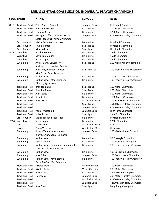# **YEAR SPORT NAME SCHOOL EVENT**

2016 Track and Field Talon Galvez-Bennett Junipero Serra Pole Vault Champion Track and Field Benjamin Micallef Bellarmine Bellarmine 800 Meter Champion Track and Field Thomas Busse **Bellarmine** Bellarmine 3200 Meter Champion Track and Field Noriega Moffett, Jeremiah Testa Junipero Serra 4x400 Meter Relay Champion Scott Fitzpatrick, Armon Plummer Cross Country Meika Beaudoin-Rousseau Bellarmine Division I Champion Cross Country Shyam Kumar Saint Francis Cross Country Shampion Cross Country Nick Hollister Saint Ignatius Division III Champion 2017 Wrestling Isaiah Palomino **Isaiah Palomino** Bellarmine 126lb Champion Wrestling David San Miguel **Bellarmine** 152lb Champion Wrestling Victor Jaquez **Bellarmine** 220lb Champion Swimming Andy Huang, Edward Ty Saint Francis 200 Medley relay Champion Andreas Nybo, Nathan Puentes Swimming Alex Sway, Connor Simpson Saint Ignatius 200 Freestyle Relay Champion Nick Cruse, Peter Lewczyk Swimming Nathan Yates **Bellarmine** 100 Backstroke Champion Swimming Nathan Yates, Max Saunders Bellarmine 400 Freestyle Relay Champion Oli Holt, Ryan Lewis Track and Field Brandon Bains **Saint Francis** Saint Francis 100 Meter Champion Track and Field Brandon Bains **Saint Francis** Saint Francis 200 Meter Champion Track and Field Alex Scales **Bellarmine** 800 Meter Champion Track and Field Alex Scales **Bellarmine** 1600 Meter Champion Track and Field Blake Rose **Archbishop Mitty** 100 High Hurdles Champion Track and Field Saint Francis 4x100 Meter Relay Champion Track and Field **Track and Field** Junipero Serra 4x400 Meter Relay Champion Track and Field Parker McDonald Junipero Serra High Jump Champion Track and Field Jaden Roberts Saint Ignatius Shot Put Champion Cross Country Meika Beaudoin-Rousseau Bellarmine Division I Champion 2018 Wrestling Victor Jaquez **Bellarmine** 220lb Champion Golf **Daniel Kim College College College Archbishop Mitty** Medalist Diving Adam Wesson Archbishop Mitty Champion Swimming Brooks Tanner, Alec Cullen Junipero Serra 200 Medley Relay Champion Riley Scanian, Daniel Gilmartin Swimming Nathan Yates **Bellarmine** 50 Freestyle Champion Swimming Max Saunders **Bellarmine** 100 Freestyle Champion Swimming Nathan Yates, Emmanuel Ngbemeneh Bellarmine 200 Freestyle Relay Champion Kevin Sichak, Max Saunders Swimming Nathan Yates **Bellarmine** 100 Backstroke Champion Swimming Alex Cohen and Alex Cohen Junipero Serra 100 Breaststroke Champion Swimming Nathan Yates, Kevin Sichak Bellarmine 400 Freestyle Relay Champion Gavin McGee, Max Saunders Track and Field Nikolas Trofort Valley Christian 100 Meter Champion Track and Field Nikolas Trofort Valley Christian 200 Meter Champion Track and Field Alex Scales **Bellarmine** 1600 Meter Champion Track and Field Tyler Mak Junipero Serra 300 Meter Hurdles Champion Track and Field **Archbishop Mitty** 4x100 Meter Relay Champion Track and Field **Track and Field** Junipero Serra 4x400 Meter Relay Champion Track and Field Alex Enos Saint Ignatius Long Jump Champion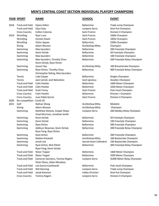|      | <b>YEAR SPORT</b>         | <b>NAME</b>                                                  | <b>SCHOOL</b>        | <b>EVENT</b>                 |
|------|---------------------------|--------------------------------------------------------------|----------------------|------------------------------|
| 2018 | <b>Track and Field</b>    | Kijana Hilton                                                | <b>Bellarmine</b>    | Triple Jump Champion         |
|      | <b>Track and Field</b>    | Elija Folau                                                  | Junipero Serra       | Shot Put Champion            |
|      | <b>Cross Country</b>      | Colton Colonna                                               | Saint Francis        | Division II Champion         |
| 2019 | Wrestling                 | Ryan Luna                                                    | Saint Francis        | 106lb Champion               |
|      | Wrestling                 | Carsten Rawls                                                | Saint Francis        | 182lb Champion               |
|      | Wrestling                 | Victor Jaquez                                                | <b>Bellarmine</b>    | 220lb Champion               |
|      | Diving                    | Adam Wesson                                                  | Archbishop Mitty     | Champion                     |
|      | Swimming                  | <b>Max Saunders</b>                                          | Bellarmine           | 200 Freestyle Champion       |
|      | Swimming                  | Kevin Sichak                                                 | Bellarmine           | 50 Freestyle Champion        |
|      | Swimming                  | <b>Max Saunders</b>                                          | <b>Bellarmine</b>    | 100 Freestyle Champion       |
|      | Swimming                  | Max Saunders, Timothy Chou<br>Kevin Sichak, Ryan Kirton      | <b>Bellarmine</b>    | 200 Freestyle Relay Champion |
|      | Swimming                  | Jassen Yep                                                   | Archbishop Mitty     | 100 Breaststroke Champion    |
|      | Swimming                  | Ryan Kirton, Timothy Chou                                    | <b>Bellarmine</b>    | 400 Freestyle Relay Champion |
|      |                           | Christopher Roling, Max Saunders                             |                      |                              |
|      | Tennis                    | Luke Casper                                                  | <b>Bellarmine</b>    | Singles Champion             |
|      | Tennis                    | Jack Carroll, Josh Belandres                                 | Saint Ignatius       | Doubles Champion             |
|      | <b>Track and Field</b>    | <b>Colin Peattie</b>                                         | <b>Bellarmine</b>    | 1600 Meter Champion          |
|      | <b>Track and Field</b>    | <b>Colin Peattie</b>                                         | <b>Bellarmine</b>    | 3200 Meter Champion          |
|      | <b>Track and Field</b>    | <b>Scott Toney</b>                                           | Saint Francis        | Pole Vault Champion          |
|      | <b>Cross Country</b>      | <b>Colin Peattie</b>                                         | Bellarmine           | Division I Champion          |
|      | <b>Cross Country</b>      | Juan Pablo Garcia                                            | <b>Saint Francis</b> | Division II Champion         |
| 2020 | No competition - Covid-19 |                                                              |                      |                              |
| 2021 | Golf                      | Nathan Wang                                                  | Archbishop Mitty     | Medalist                     |
|      | Diving                    | Adam Wesson                                                  | Archbishop Mitty     | Champion                     |
|      | Swimming                  | Matthew Honeck, Cooper Mayo<br>Chad Morrison, Jonathan Smith | Junipero Serra       | 200 Medley Relay Champion    |
|      | Swimming                  | Kevin Sichak                                                 | <b>Bellarmine</b>    | 50 Freestyle Champion        |
|      | Swimming                  | Kevin Sichak                                                 | <b>Bellarmine</b>    | 100 Freestyle Champion       |
|      | Swimming                  | Ryan Kirton                                                  | Bellarmine           | 500 Freestyle Champion       |
|      | Swimming                  | Addison Newman, Kevin Sichak                                 | Bellarmine           | 200 Freestyle Relay Champion |
|      |                           | Ryan Feng, Ryan Kirton                                       |                      |                              |
|      | Swimming                  | Ryan Kirton                                                  | <b>Bellarmine</b>    | 200 Freestyle Champion       |
|      | Swimming                  | Robbie Griswold                                              | Archbishop Mitty     | 100 Backstroke Champion      |

Ryan Feng, Kevin Sichak

Peter Olson, Aidan Mendoza

# Swimming Jonah Lee Sacred Heart Cathedral 100 Backstroke Champion Swimming Ryan Kirton, Nick Elliott Bellarmine 400 Freestyle Relay Champion Track and Field Nolan Topper Bellarmine 1600 Meter Champion Track and Field Nolan Topper Bellarmine 3200 Meter Champion Track and Field Cameron Quintero, Tommy Rogers Junipero Serra 4x400 Meter Relay Champion

Track and Field Leo Garcia-Czarkowski Bellarmine Pole Vault Champion Track and Field Will Denning Junipero Serra Triple Jump Champion Track and Field Jacob Kiesman Valley Christian Shot Put Champion Cross Country Tommy Rogers Junipero Serra Division II Champion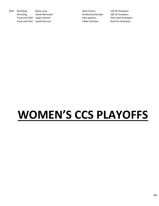2022 Wrestling Bryce Luna Saint Francis 120 LB Champion Wrestling David Aberoutte **Archbishop Riordan** 160 LB Champion Track and Field Logan Lehnert **Saint Ignatius** Saint Ignatius Pole Vault Champion Track and Field Jacob Kiesman Shot Put Champion Valley Christian Shot Put Champion

# **WOMEN'S CCS PLAYOFFS**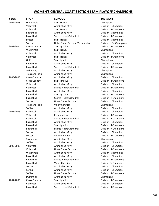| <b>YEAR</b> | <b>SPORT</b>           | <u>SCHOOL</u>                   | <b>DIVISION</b>               |
|-------------|------------------------|---------------------------------|-------------------------------|
| 2002-2003   | <b>Water Polo</b>      | <b>Saint Francis</b>            | Champions                     |
|             | Volleyball             | Archbishop Mitty                | Division II Champions         |
|             | Volleyball             | Saint Francis                   | Division III Champions        |
|             | Basketball             | Archbishop Mitty                | <b>Division I Champions</b>   |
|             | Basketball             | <b>Sacred Heart Cathedral</b>   | <b>Division III Champions</b> |
|             | Soccer                 | <b>Saint Francis</b>            | <b>Division I Champions</b>   |
|             | Soccer                 | Notre Dame Belmont/Presentation | Division II Co-Champions      |
| 2003-2004   | <b>Cross Country</b>   | Saint Ignatius                  | Division III Champions        |
|             | Water Polo             | Saint Francis                   | Champions                     |
|             | Volleyball             | Archbishop Mitty                | Division II Champions         |
|             | Volleyball             | Saint Francis                   | Division III Champions        |
|             | Golf                   | Saint Ignatius                  | Champions                     |
|             | Basketball             | Archbishop Mitty                | Division II Champions         |
|             | Basketball             | <b>Sacred Heart Cathedral</b>   | Division III Champions        |
|             | Swimming               | Archbishop Mitty                | Champions                     |
|             | <b>Track and Field</b> | Archbishop Mitty                | Champions                     |
| 2004-2005   | <b>Cross Country</b>   | Archbishop Mitty                | Division II Champions         |
|             | <b>Cross Country</b>   | Saint Ignatius                  | Division III Champions        |
|             | Volleyball             | Archbishop Mitty                | Division II Champions         |
|             | Volleyball             | Sacred Heart Cathedral          | Division III Champions        |
|             | Basketball             | Archbishop Mitty                | Division II Champions         |
|             | Basketball             | Saint Ignatius                  | Division III Champions        |
|             | Basketball             | Sacred Heart Cathedral          | Division IV Champions         |
|             | Soccer                 | Notre Dame Belmont              | Division II Champions         |
|             | <b>Track and Field</b> | Valley Christian                | Champions                     |
|             | Softball               | Archbishop Mitty                | Division II Champions         |
| 2005-2006   | Volleyball             | Archbishop Mitty                | Division II Champions         |
|             | Volleyball             | Presentation                    | Division III Champions        |
|             | Volleyball             | <b>Sacred Heart Cathedral</b>   | Division IV Champions         |
|             | Basketball             | Archbishop Mitty                | <b>Division II Champions</b>  |
|             | Basketball             | Saint Ignatius                  | Division III Champions        |
|             | Basketball             | Sacred Heart Cathedral          | Division IV Champions         |
|             | Soccer                 | Archbishop Mitty                | <b>Division II Champions</b>  |
|             | Soccer                 | Valley Christian                | Division III Champions        |
|             | Swimming               | Archbishop Mitty                | Champions                     |
|             | Softball               | Archbishop Mitty                | Division II Champions         |
| 2006-2007   | Volleyball             | Archbishop Mitty                | <b>Division II Champions</b>  |
|             | Volleyball             | Notre Dame Belmont              | Division III Champions        |
|             | Water Polo             | Archbishop Mitty                | <b>Division I Champions</b>   |
|             | Basketball             | Archbishop Mitty                | <b>Division II Champions</b>  |
|             | Basketball             | Sacred Heart Cathedral          | <b>Division III Champions</b> |
|             | Basketball             | Valley Christian                | Division IV Champions         |
|             | Soccer                 | Archbishop Mitty                | Division II Champions         |
|             | Softball               | Archbishop Mitty                | Division II Champions         |
|             | Softball               | Notre Dame Belmont              | Division III Champions        |
|             | Swimming               | Archbishop Mitty                | Champions                     |
| 2007-2008   | <b>Cross Country</b>   | Saint Ignatius                  | <b>Division III Champions</b> |
|             | Volleyball             | Archbishop Mitty                | Division II Champions         |
|             | Basketball             | Sacred Heart Cathedral          | Division III Champions        |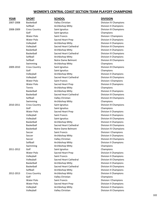| Valley Christian<br>2007-2008<br>Basketball<br>Division IV Champions<br>Softball<br>Archbishop Mitty<br>Division II Champions<br>Saint Ignatius<br>Division III Champions<br>2008-2009<br><b>Cross Country</b><br>Golf<br>Saint Ignatius<br>Champions<br>Water Polo<br>Saint Francis<br><b>Division I Champions</b><br>Water Polo<br>Sacred Heart Prep<br>Division II Champions<br>Volleyball<br>Archbishop Mitty<br><b>Division II Champions</b><br><b>Sacred Heart Cathedral</b><br>Volleyball<br>Division III Champions<br>Basketball<br>Archbishop Mitty<br>Division II Champions<br>Sacred Heart Cathedral<br>Basketball<br><b>Division III Champions</b><br>Softball<br>Archbishop Mitty<br>Division II Champions<br>Softball<br>Notre Dame Belmont<br>Division III Champions<br>Archbishop Mitty<br>Champions<br>Swimming<br><b>Cross Country</b><br>2009-2010<br>Saint Ignatius<br>Division III Champions<br>Golf<br>Saint Ignatius<br>Champions<br>Volleyball<br>Archbishop Mitty<br>Division II Champions<br>Volleyball<br>Sacred Heart Cathedral<br>Division III Champions<br>Water Polo<br><b>Division I Champions</b><br><b>Saint Francis</b><br><b>Water Polo</b><br>Sacred Heart Prep<br>Division II Champions<br>Tennis<br>Archbishop Mitty<br>Champions<br>Basketball<br>Archbishop Mitty<br>Division II Champions<br>Basketball<br>Sacred Heart Cathedral<br>Division III Champions<br>Softball<br>Valley Christian<br>Division III Champions<br>Archbishop Mitty<br>Swimming<br>Champions<br>2010-2011<br><b>Cross Country</b><br>Saint Ignatius<br>Division III Champions<br>Golf<br>Saint Ignatius<br>Champions<br><b>Water Polo</b><br>Sacred Heart Prep<br>Division II Champions<br>Saint Francis<br>Division II Champions<br>Volleyball<br>Volleyball<br><b>Division III Champions</b><br>Saint Ignatius<br>Basketball<br>Archbishop Mitty<br>Division II Champions<br>Basketball<br>Sacred Heart Cathedral<br>Division III Champions<br>Basketball<br>Notre Dame Belmont<br>Division IV Champions<br><b>Division I Champions</b><br>Soccer<br><b>Saint Francis</b><br>Archbishop Mitty<br>Soccer<br>Division II Champions<br>Valley Christian<br>Division III Champions<br>Soccer<br>Softball<br>Archbishop Mitty<br>Division II Champions<br>Archbishop Mitty<br>Swimming<br>Champions<br>Golf<br>Saint Ignatius<br>Champions<br>2011-2012<br>Sacred Heart Prep<br><b>Division II Champions</b><br>Water Polo<br>Volleyball<br>Saint Francis<br>Division II Champions<br>Volleyball<br>Sacred Heart Cathedral<br>Division III Champions<br>Basketball<br><b>Division II Champions</b><br>Archbishop Mitty<br>Basketball<br>Sacred Heart Cathedral<br>Division III Champions<br>Softball<br>Archbishop Mitty<br>Division II Champions<br>Archbishop Mitty<br>Division II Champions<br>2012-2013<br><b>Cross Country</b><br>Golf<br>Valley Christian<br>Champions<br>Water Polo<br>Saint Francis<br><b>Division I Champions</b><br>Sacred Heart Prep<br>Division II Champions<br>Water Polo<br>Volleyball<br>Archbishop Mitty<br>Division II Champions | <b>YEAR</b> | <b>SPORT</b> | <b>SCHOOL</b>    | <b>DIVISION</b>        |
|--------------------------------------------------------------------------------------------------------------------------------------------------------------------------------------------------------------------------------------------------------------------------------------------------------------------------------------------------------------------------------------------------------------------------------------------------------------------------------------------------------------------------------------------------------------------------------------------------------------------------------------------------------------------------------------------------------------------------------------------------------------------------------------------------------------------------------------------------------------------------------------------------------------------------------------------------------------------------------------------------------------------------------------------------------------------------------------------------------------------------------------------------------------------------------------------------------------------------------------------------------------------------------------------------------------------------------------------------------------------------------------------------------------------------------------------------------------------------------------------------------------------------------------------------------------------------------------------------------------------------------------------------------------------------------------------------------------------------------------------------------------------------------------------------------------------------------------------------------------------------------------------------------------------------------------------------------------------------------------------------------------------------------------------------------------------------------------------------------------------------------------------------------------------------------------------------------------------------------------------------------------------------------------------------------------------------------------------------------------------------------------------------------------------------------------------------------------------------------------------------------------------------------------------------------------------------------------------------------------------------------------------------------------------------------------------------------------------------------------------------------------------------------------------------------------------------------------------------------------------------------------------------------------------------------------------------------------------------------------------------------------------------------------------------------------------------------|-------------|--------------|------------------|------------------------|
|                                                                                                                                                                                                                                                                                                                                                                                                                                                                                                                                                                                                                                                                                                                                                                                                                                                                                                                                                                                                                                                                                                                                                                                                                                                                                                                                                                                                                                                                                                                                                                                                                                                                                                                                                                                                                                                                                                                                                                                                                                                                                                                                                                                                                                                                                                                                                                                                                                                                                                                                                                                                                                                                                                                                                                                                                                                                                                                                                                                                                                                                                |             |              |                  |                        |
|                                                                                                                                                                                                                                                                                                                                                                                                                                                                                                                                                                                                                                                                                                                                                                                                                                                                                                                                                                                                                                                                                                                                                                                                                                                                                                                                                                                                                                                                                                                                                                                                                                                                                                                                                                                                                                                                                                                                                                                                                                                                                                                                                                                                                                                                                                                                                                                                                                                                                                                                                                                                                                                                                                                                                                                                                                                                                                                                                                                                                                                                                |             |              |                  |                        |
|                                                                                                                                                                                                                                                                                                                                                                                                                                                                                                                                                                                                                                                                                                                                                                                                                                                                                                                                                                                                                                                                                                                                                                                                                                                                                                                                                                                                                                                                                                                                                                                                                                                                                                                                                                                                                                                                                                                                                                                                                                                                                                                                                                                                                                                                                                                                                                                                                                                                                                                                                                                                                                                                                                                                                                                                                                                                                                                                                                                                                                                                                |             |              |                  |                        |
|                                                                                                                                                                                                                                                                                                                                                                                                                                                                                                                                                                                                                                                                                                                                                                                                                                                                                                                                                                                                                                                                                                                                                                                                                                                                                                                                                                                                                                                                                                                                                                                                                                                                                                                                                                                                                                                                                                                                                                                                                                                                                                                                                                                                                                                                                                                                                                                                                                                                                                                                                                                                                                                                                                                                                                                                                                                                                                                                                                                                                                                                                |             |              |                  |                        |
|                                                                                                                                                                                                                                                                                                                                                                                                                                                                                                                                                                                                                                                                                                                                                                                                                                                                                                                                                                                                                                                                                                                                                                                                                                                                                                                                                                                                                                                                                                                                                                                                                                                                                                                                                                                                                                                                                                                                                                                                                                                                                                                                                                                                                                                                                                                                                                                                                                                                                                                                                                                                                                                                                                                                                                                                                                                                                                                                                                                                                                                                                |             |              |                  |                        |
|                                                                                                                                                                                                                                                                                                                                                                                                                                                                                                                                                                                                                                                                                                                                                                                                                                                                                                                                                                                                                                                                                                                                                                                                                                                                                                                                                                                                                                                                                                                                                                                                                                                                                                                                                                                                                                                                                                                                                                                                                                                                                                                                                                                                                                                                                                                                                                                                                                                                                                                                                                                                                                                                                                                                                                                                                                                                                                                                                                                                                                                                                |             |              |                  |                        |
|                                                                                                                                                                                                                                                                                                                                                                                                                                                                                                                                                                                                                                                                                                                                                                                                                                                                                                                                                                                                                                                                                                                                                                                                                                                                                                                                                                                                                                                                                                                                                                                                                                                                                                                                                                                                                                                                                                                                                                                                                                                                                                                                                                                                                                                                                                                                                                                                                                                                                                                                                                                                                                                                                                                                                                                                                                                                                                                                                                                                                                                                                |             |              |                  |                        |
|                                                                                                                                                                                                                                                                                                                                                                                                                                                                                                                                                                                                                                                                                                                                                                                                                                                                                                                                                                                                                                                                                                                                                                                                                                                                                                                                                                                                                                                                                                                                                                                                                                                                                                                                                                                                                                                                                                                                                                                                                                                                                                                                                                                                                                                                                                                                                                                                                                                                                                                                                                                                                                                                                                                                                                                                                                                                                                                                                                                                                                                                                |             |              |                  |                        |
|                                                                                                                                                                                                                                                                                                                                                                                                                                                                                                                                                                                                                                                                                                                                                                                                                                                                                                                                                                                                                                                                                                                                                                                                                                                                                                                                                                                                                                                                                                                                                                                                                                                                                                                                                                                                                                                                                                                                                                                                                                                                                                                                                                                                                                                                                                                                                                                                                                                                                                                                                                                                                                                                                                                                                                                                                                                                                                                                                                                                                                                                                |             |              |                  |                        |
|                                                                                                                                                                                                                                                                                                                                                                                                                                                                                                                                                                                                                                                                                                                                                                                                                                                                                                                                                                                                                                                                                                                                                                                                                                                                                                                                                                                                                                                                                                                                                                                                                                                                                                                                                                                                                                                                                                                                                                                                                                                                                                                                                                                                                                                                                                                                                                                                                                                                                                                                                                                                                                                                                                                                                                                                                                                                                                                                                                                                                                                                                |             |              |                  |                        |
|                                                                                                                                                                                                                                                                                                                                                                                                                                                                                                                                                                                                                                                                                                                                                                                                                                                                                                                                                                                                                                                                                                                                                                                                                                                                                                                                                                                                                                                                                                                                                                                                                                                                                                                                                                                                                                                                                                                                                                                                                                                                                                                                                                                                                                                                                                                                                                                                                                                                                                                                                                                                                                                                                                                                                                                                                                                                                                                                                                                                                                                                                |             |              |                  |                        |
|                                                                                                                                                                                                                                                                                                                                                                                                                                                                                                                                                                                                                                                                                                                                                                                                                                                                                                                                                                                                                                                                                                                                                                                                                                                                                                                                                                                                                                                                                                                                                                                                                                                                                                                                                                                                                                                                                                                                                                                                                                                                                                                                                                                                                                                                                                                                                                                                                                                                                                                                                                                                                                                                                                                                                                                                                                                                                                                                                                                                                                                                                |             |              |                  |                        |
|                                                                                                                                                                                                                                                                                                                                                                                                                                                                                                                                                                                                                                                                                                                                                                                                                                                                                                                                                                                                                                                                                                                                                                                                                                                                                                                                                                                                                                                                                                                                                                                                                                                                                                                                                                                                                                                                                                                                                                                                                                                                                                                                                                                                                                                                                                                                                                                                                                                                                                                                                                                                                                                                                                                                                                                                                                                                                                                                                                                                                                                                                |             |              |                  |                        |
|                                                                                                                                                                                                                                                                                                                                                                                                                                                                                                                                                                                                                                                                                                                                                                                                                                                                                                                                                                                                                                                                                                                                                                                                                                                                                                                                                                                                                                                                                                                                                                                                                                                                                                                                                                                                                                                                                                                                                                                                                                                                                                                                                                                                                                                                                                                                                                                                                                                                                                                                                                                                                                                                                                                                                                                                                                                                                                                                                                                                                                                                                |             |              |                  |                        |
|                                                                                                                                                                                                                                                                                                                                                                                                                                                                                                                                                                                                                                                                                                                                                                                                                                                                                                                                                                                                                                                                                                                                                                                                                                                                                                                                                                                                                                                                                                                                                                                                                                                                                                                                                                                                                                                                                                                                                                                                                                                                                                                                                                                                                                                                                                                                                                                                                                                                                                                                                                                                                                                                                                                                                                                                                                                                                                                                                                                                                                                                                |             |              |                  |                        |
|                                                                                                                                                                                                                                                                                                                                                                                                                                                                                                                                                                                                                                                                                                                                                                                                                                                                                                                                                                                                                                                                                                                                                                                                                                                                                                                                                                                                                                                                                                                                                                                                                                                                                                                                                                                                                                                                                                                                                                                                                                                                                                                                                                                                                                                                                                                                                                                                                                                                                                                                                                                                                                                                                                                                                                                                                                                                                                                                                                                                                                                                                |             |              |                  |                        |
|                                                                                                                                                                                                                                                                                                                                                                                                                                                                                                                                                                                                                                                                                                                                                                                                                                                                                                                                                                                                                                                                                                                                                                                                                                                                                                                                                                                                                                                                                                                                                                                                                                                                                                                                                                                                                                                                                                                                                                                                                                                                                                                                                                                                                                                                                                                                                                                                                                                                                                                                                                                                                                                                                                                                                                                                                                                                                                                                                                                                                                                                                |             |              |                  |                        |
|                                                                                                                                                                                                                                                                                                                                                                                                                                                                                                                                                                                                                                                                                                                                                                                                                                                                                                                                                                                                                                                                                                                                                                                                                                                                                                                                                                                                                                                                                                                                                                                                                                                                                                                                                                                                                                                                                                                                                                                                                                                                                                                                                                                                                                                                                                                                                                                                                                                                                                                                                                                                                                                                                                                                                                                                                                                                                                                                                                                                                                                                                |             |              |                  |                        |
|                                                                                                                                                                                                                                                                                                                                                                                                                                                                                                                                                                                                                                                                                                                                                                                                                                                                                                                                                                                                                                                                                                                                                                                                                                                                                                                                                                                                                                                                                                                                                                                                                                                                                                                                                                                                                                                                                                                                                                                                                                                                                                                                                                                                                                                                                                                                                                                                                                                                                                                                                                                                                                                                                                                                                                                                                                                                                                                                                                                                                                                                                |             |              |                  |                        |
|                                                                                                                                                                                                                                                                                                                                                                                                                                                                                                                                                                                                                                                                                                                                                                                                                                                                                                                                                                                                                                                                                                                                                                                                                                                                                                                                                                                                                                                                                                                                                                                                                                                                                                                                                                                                                                                                                                                                                                                                                                                                                                                                                                                                                                                                                                                                                                                                                                                                                                                                                                                                                                                                                                                                                                                                                                                                                                                                                                                                                                                                                |             |              |                  |                        |
|                                                                                                                                                                                                                                                                                                                                                                                                                                                                                                                                                                                                                                                                                                                                                                                                                                                                                                                                                                                                                                                                                                                                                                                                                                                                                                                                                                                                                                                                                                                                                                                                                                                                                                                                                                                                                                                                                                                                                                                                                                                                                                                                                                                                                                                                                                                                                                                                                                                                                                                                                                                                                                                                                                                                                                                                                                                                                                                                                                                                                                                                                |             |              |                  |                        |
|                                                                                                                                                                                                                                                                                                                                                                                                                                                                                                                                                                                                                                                                                                                                                                                                                                                                                                                                                                                                                                                                                                                                                                                                                                                                                                                                                                                                                                                                                                                                                                                                                                                                                                                                                                                                                                                                                                                                                                                                                                                                                                                                                                                                                                                                                                                                                                                                                                                                                                                                                                                                                                                                                                                                                                                                                                                                                                                                                                                                                                                                                |             |              |                  |                        |
|                                                                                                                                                                                                                                                                                                                                                                                                                                                                                                                                                                                                                                                                                                                                                                                                                                                                                                                                                                                                                                                                                                                                                                                                                                                                                                                                                                                                                                                                                                                                                                                                                                                                                                                                                                                                                                                                                                                                                                                                                                                                                                                                                                                                                                                                                                                                                                                                                                                                                                                                                                                                                                                                                                                                                                                                                                                                                                                                                                                                                                                                                |             |              |                  |                        |
|                                                                                                                                                                                                                                                                                                                                                                                                                                                                                                                                                                                                                                                                                                                                                                                                                                                                                                                                                                                                                                                                                                                                                                                                                                                                                                                                                                                                                                                                                                                                                                                                                                                                                                                                                                                                                                                                                                                                                                                                                                                                                                                                                                                                                                                                                                                                                                                                                                                                                                                                                                                                                                                                                                                                                                                                                                                                                                                                                                                                                                                                                |             |              |                  |                        |
|                                                                                                                                                                                                                                                                                                                                                                                                                                                                                                                                                                                                                                                                                                                                                                                                                                                                                                                                                                                                                                                                                                                                                                                                                                                                                                                                                                                                                                                                                                                                                                                                                                                                                                                                                                                                                                                                                                                                                                                                                                                                                                                                                                                                                                                                                                                                                                                                                                                                                                                                                                                                                                                                                                                                                                                                                                                                                                                                                                                                                                                                                |             |              |                  |                        |
|                                                                                                                                                                                                                                                                                                                                                                                                                                                                                                                                                                                                                                                                                                                                                                                                                                                                                                                                                                                                                                                                                                                                                                                                                                                                                                                                                                                                                                                                                                                                                                                                                                                                                                                                                                                                                                                                                                                                                                                                                                                                                                                                                                                                                                                                                                                                                                                                                                                                                                                                                                                                                                                                                                                                                                                                                                                                                                                                                                                                                                                                                |             |              |                  |                        |
|                                                                                                                                                                                                                                                                                                                                                                                                                                                                                                                                                                                                                                                                                                                                                                                                                                                                                                                                                                                                                                                                                                                                                                                                                                                                                                                                                                                                                                                                                                                                                                                                                                                                                                                                                                                                                                                                                                                                                                                                                                                                                                                                                                                                                                                                                                                                                                                                                                                                                                                                                                                                                                                                                                                                                                                                                                                                                                                                                                                                                                                                                |             |              |                  |                        |
|                                                                                                                                                                                                                                                                                                                                                                                                                                                                                                                                                                                                                                                                                                                                                                                                                                                                                                                                                                                                                                                                                                                                                                                                                                                                                                                                                                                                                                                                                                                                                                                                                                                                                                                                                                                                                                                                                                                                                                                                                                                                                                                                                                                                                                                                                                                                                                                                                                                                                                                                                                                                                                                                                                                                                                                                                                                                                                                                                                                                                                                                                |             |              |                  |                        |
|                                                                                                                                                                                                                                                                                                                                                                                                                                                                                                                                                                                                                                                                                                                                                                                                                                                                                                                                                                                                                                                                                                                                                                                                                                                                                                                                                                                                                                                                                                                                                                                                                                                                                                                                                                                                                                                                                                                                                                                                                                                                                                                                                                                                                                                                                                                                                                                                                                                                                                                                                                                                                                                                                                                                                                                                                                                                                                                                                                                                                                                                                |             |              |                  |                        |
|                                                                                                                                                                                                                                                                                                                                                                                                                                                                                                                                                                                                                                                                                                                                                                                                                                                                                                                                                                                                                                                                                                                                                                                                                                                                                                                                                                                                                                                                                                                                                                                                                                                                                                                                                                                                                                                                                                                                                                                                                                                                                                                                                                                                                                                                                                                                                                                                                                                                                                                                                                                                                                                                                                                                                                                                                                                                                                                                                                                                                                                                                |             |              |                  |                        |
|                                                                                                                                                                                                                                                                                                                                                                                                                                                                                                                                                                                                                                                                                                                                                                                                                                                                                                                                                                                                                                                                                                                                                                                                                                                                                                                                                                                                                                                                                                                                                                                                                                                                                                                                                                                                                                                                                                                                                                                                                                                                                                                                                                                                                                                                                                                                                                                                                                                                                                                                                                                                                                                                                                                                                                                                                                                                                                                                                                                                                                                                                |             |              |                  |                        |
|                                                                                                                                                                                                                                                                                                                                                                                                                                                                                                                                                                                                                                                                                                                                                                                                                                                                                                                                                                                                                                                                                                                                                                                                                                                                                                                                                                                                                                                                                                                                                                                                                                                                                                                                                                                                                                                                                                                                                                                                                                                                                                                                                                                                                                                                                                                                                                                                                                                                                                                                                                                                                                                                                                                                                                                                                                                                                                                                                                                                                                                                                |             |              |                  |                        |
|                                                                                                                                                                                                                                                                                                                                                                                                                                                                                                                                                                                                                                                                                                                                                                                                                                                                                                                                                                                                                                                                                                                                                                                                                                                                                                                                                                                                                                                                                                                                                                                                                                                                                                                                                                                                                                                                                                                                                                                                                                                                                                                                                                                                                                                                                                                                                                                                                                                                                                                                                                                                                                                                                                                                                                                                                                                                                                                                                                                                                                                                                |             |              |                  |                        |
|                                                                                                                                                                                                                                                                                                                                                                                                                                                                                                                                                                                                                                                                                                                                                                                                                                                                                                                                                                                                                                                                                                                                                                                                                                                                                                                                                                                                                                                                                                                                                                                                                                                                                                                                                                                                                                                                                                                                                                                                                                                                                                                                                                                                                                                                                                                                                                                                                                                                                                                                                                                                                                                                                                                                                                                                                                                                                                                                                                                                                                                                                |             |              |                  |                        |
|                                                                                                                                                                                                                                                                                                                                                                                                                                                                                                                                                                                                                                                                                                                                                                                                                                                                                                                                                                                                                                                                                                                                                                                                                                                                                                                                                                                                                                                                                                                                                                                                                                                                                                                                                                                                                                                                                                                                                                                                                                                                                                                                                                                                                                                                                                                                                                                                                                                                                                                                                                                                                                                                                                                                                                                                                                                                                                                                                                                                                                                                                |             |              |                  |                        |
|                                                                                                                                                                                                                                                                                                                                                                                                                                                                                                                                                                                                                                                                                                                                                                                                                                                                                                                                                                                                                                                                                                                                                                                                                                                                                                                                                                                                                                                                                                                                                                                                                                                                                                                                                                                                                                                                                                                                                                                                                                                                                                                                                                                                                                                                                                                                                                                                                                                                                                                                                                                                                                                                                                                                                                                                                                                                                                                                                                                                                                                                                |             |              |                  |                        |
|                                                                                                                                                                                                                                                                                                                                                                                                                                                                                                                                                                                                                                                                                                                                                                                                                                                                                                                                                                                                                                                                                                                                                                                                                                                                                                                                                                                                                                                                                                                                                                                                                                                                                                                                                                                                                                                                                                                                                                                                                                                                                                                                                                                                                                                                                                                                                                                                                                                                                                                                                                                                                                                                                                                                                                                                                                                                                                                                                                                                                                                                                |             |              |                  |                        |
|                                                                                                                                                                                                                                                                                                                                                                                                                                                                                                                                                                                                                                                                                                                                                                                                                                                                                                                                                                                                                                                                                                                                                                                                                                                                                                                                                                                                                                                                                                                                                                                                                                                                                                                                                                                                                                                                                                                                                                                                                                                                                                                                                                                                                                                                                                                                                                                                                                                                                                                                                                                                                                                                                                                                                                                                                                                                                                                                                                                                                                                                                |             |              |                  |                        |
|                                                                                                                                                                                                                                                                                                                                                                                                                                                                                                                                                                                                                                                                                                                                                                                                                                                                                                                                                                                                                                                                                                                                                                                                                                                                                                                                                                                                                                                                                                                                                                                                                                                                                                                                                                                                                                                                                                                                                                                                                                                                                                                                                                                                                                                                                                                                                                                                                                                                                                                                                                                                                                                                                                                                                                                                                                                                                                                                                                                                                                                                                |             |              |                  |                        |
|                                                                                                                                                                                                                                                                                                                                                                                                                                                                                                                                                                                                                                                                                                                                                                                                                                                                                                                                                                                                                                                                                                                                                                                                                                                                                                                                                                                                                                                                                                                                                                                                                                                                                                                                                                                                                                                                                                                                                                                                                                                                                                                                                                                                                                                                                                                                                                                                                                                                                                                                                                                                                                                                                                                                                                                                                                                                                                                                                                                                                                                                                |             |              |                  |                        |
|                                                                                                                                                                                                                                                                                                                                                                                                                                                                                                                                                                                                                                                                                                                                                                                                                                                                                                                                                                                                                                                                                                                                                                                                                                                                                                                                                                                                                                                                                                                                                                                                                                                                                                                                                                                                                                                                                                                                                                                                                                                                                                                                                                                                                                                                                                                                                                                                                                                                                                                                                                                                                                                                                                                                                                                                                                                                                                                                                                                                                                                                                |             |              |                  |                        |
|                                                                                                                                                                                                                                                                                                                                                                                                                                                                                                                                                                                                                                                                                                                                                                                                                                                                                                                                                                                                                                                                                                                                                                                                                                                                                                                                                                                                                                                                                                                                                                                                                                                                                                                                                                                                                                                                                                                                                                                                                                                                                                                                                                                                                                                                                                                                                                                                                                                                                                                                                                                                                                                                                                                                                                                                                                                                                                                                                                                                                                                                                |             |              |                  |                        |
|                                                                                                                                                                                                                                                                                                                                                                                                                                                                                                                                                                                                                                                                                                                                                                                                                                                                                                                                                                                                                                                                                                                                                                                                                                                                                                                                                                                                                                                                                                                                                                                                                                                                                                                                                                                                                                                                                                                                                                                                                                                                                                                                                                                                                                                                                                                                                                                                                                                                                                                                                                                                                                                                                                                                                                                                                                                                                                                                                                                                                                                                                |             |              |                  |                        |
|                                                                                                                                                                                                                                                                                                                                                                                                                                                                                                                                                                                                                                                                                                                                                                                                                                                                                                                                                                                                                                                                                                                                                                                                                                                                                                                                                                                                                                                                                                                                                                                                                                                                                                                                                                                                                                                                                                                                                                                                                                                                                                                                                                                                                                                                                                                                                                                                                                                                                                                                                                                                                                                                                                                                                                                                                                                                                                                                                                                                                                                                                |             |              |                  |                        |
|                                                                                                                                                                                                                                                                                                                                                                                                                                                                                                                                                                                                                                                                                                                                                                                                                                                                                                                                                                                                                                                                                                                                                                                                                                                                                                                                                                                                                                                                                                                                                                                                                                                                                                                                                                                                                                                                                                                                                                                                                                                                                                                                                                                                                                                                                                                                                                                                                                                                                                                                                                                                                                                                                                                                                                                                                                                                                                                                                                                                                                                                                |             |              |                  |                        |
|                                                                                                                                                                                                                                                                                                                                                                                                                                                                                                                                                                                                                                                                                                                                                                                                                                                                                                                                                                                                                                                                                                                                                                                                                                                                                                                                                                                                                                                                                                                                                                                                                                                                                                                                                                                                                                                                                                                                                                                                                                                                                                                                                                                                                                                                                                                                                                                                                                                                                                                                                                                                                                                                                                                                                                                                                                                                                                                                                                                                                                                                                |             |              |                  |                        |
|                                                                                                                                                                                                                                                                                                                                                                                                                                                                                                                                                                                                                                                                                                                                                                                                                                                                                                                                                                                                                                                                                                                                                                                                                                                                                                                                                                                                                                                                                                                                                                                                                                                                                                                                                                                                                                                                                                                                                                                                                                                                                                                                                                                                                                                                                                                                                                                                                                                                                                                                                                                                                                                                                                                                                                                                                                                                                                                                                                                                                                                                                |             |              |                  |                        |
|                                                                                                                                                                                                                                                                                                                                                                                                                                                                                                                                                                                                                                                                                                                                                                                                                                                                                                                                                                                                                                                                                                                                                                                                                                                                                                                                                                                                                                                                                                                                                                                                                                                                                                                                                                                                                                                                                                                                                                                                                                                                                                                                                                                                                                                                                                                                                                                                                                                                                                                                                                                                                                                                                                                                                                                                                                                                                                                                                                                                                                                                                |             |              |                  |                        |
|                                                                                                                                                                                                                                                                                                                                                                                                                                                                                                                                                                                                                                                                                                                                                                                                                                                                                                                                                                                                                                                                                                                                                                                                                                                                                                                                                                                                                                                                                                                                                                                                                                                                                                                                                                                                                                                                                                                                                                                                                                                                                                                                                                                                                                                                                                                                                                                                                                                                                                                                                                                                                                                                                                                                                                                                                                                                                                                                                                                                                                                                                |             |              |                  |                        |
|                                                                                                                                                                                                                                                                                                                                                                                                                                                                                                                                                                                                                                                                                                                                                                                                                                                                                                                                                                                                                                                                                                                                                                                                                                                                                                                                                                                                                                                                                                                                                                                                                                                                                                                                                                                                                                                                                                                                                                                                                                                                                                                                                                                                                                                                                                                                                                                                                                                                                                                                                                                                                                                                                                                                                                                                                                                                                                                                                                                                                                                                                |             | Volleyball   | Valley Christian | Division III Champions |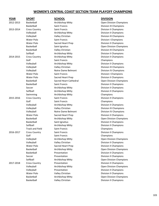| YEAR      | <b>SPORT</b>           | <b>SCHOOL</b>          | <b>DIVISION</b>                |
|-----------|------------------------|------------------------|--------------------------------|
| 2012-2013 | Basketball             | Archbishop Mitty       | <b>Open Division Champions</b> |
|           | Basketball             | Saint Francis          | <b>Division III Champions</b>  |
| 2013-2014 | <b>Cross Country</b>   | Saint Francis          | <b>Division II Champions</b>   |
|           | Volleyball             | Archbishop Mitty       | <b>Division II Champions</b>   |
|           | Volleyball             | Valley Christian       | Division III Champions         |
|           | Water Polo             | Saint Francis          | <b>Division I Champions</b>    |
|           | Water Polo             | Sacred Heart Prep      | Division II Champions          |
|           | Basketball             | Saint Ignatius         | Open Division Champions        |
|           | Basketball             | Valley Christian       | Division III Champions         |
|           | Softball               | Archbishop Mitty       | Division II Champions          |
| 2014-2015 | <b>Cross Country</b>   | Archbishop Mitty       | Division II Champions          |
|           | Golf                   | <b>Saint Francis</b>   | Champions                      |
|           | Volleyball             | Archbishop Mitty       | <b>Division II Champions</b>   |
|           | Volleyball             | Valley Christian       | Division III Champions         |
|           | Volleyball             | Notre Dame Belmont     | Division IV Champions          |
|           | Water Polo             | Saint Francis          | <b>Division I Champions</b>    |
|           | <b>Water Polo</b>      | Sacred Heart Prep      | <b>Division II Champions</b>   |
|           | Basketball             | Sacred Heart Cathedral | Open Division Champions        |
|           | Basketball             | Saint Francis          | <b>Division II Champions</b>   |
|           | Soccer                 | Archbishop Mitty       | Division II Champions          |
|           | Softball               | Archbishop Mitty       | Division II Champions          |
|           | Swimming               | Archbishop Mitty       | Champions                      |
| 2015-2016 | <b>Cross Country</b>   | Saint Francis          | <b>Division II Champions</b>   |
|           | Golf                   | Saint Francis          | Champions                      |
|           | Volleyball             | Archbishop Mitty       | Division II Champions          |
|           | Volleyball             | Valley Christian       | Division III Champions         |
|           | Volleyball             | Notre Dame Belmont     | Division IV Champions          |
|           | Water Polo             | Sacred Heart Prep      | <b>Division II Champions</b>   |
|           | Basketball             | Archbishop Mitty       | Open Division Champions        |
|           | Basketball             | Saint Ignatius         | Division II Champions          |
|           | Softball               | Archbishop Mitty       | <b>Division II Champions</b>   |
|           | <b>Track and Field</b> | Saint Francis          | Champions                      |
| 2016-2017 | <b>Cross Country</b>   | Saint Francis          | Division II Champions          |
|           | Golf                   | Saint Francis          | Champions                      |
|           | Volleyball             | Archbishop Mitty       | Open Division Champions        |
|           | Volleyball             | Valley Christian       | <b>Division II Champions</b>   |
|           | Water Polo             | Sacred Heart Prep      | <b>Division II Champions</b>   |
|           | Basketball             | Archbishop Mitty       | <b>Open Division Champions</b> |
|           | Basketball             | Presentation           | Division II Champions          |
|           | Soccer                 | Presentation           | <b>Division II Champions</b>   |
|           | Softball               | Archbishop Mitty       | <b>Open Division Champions</b> |
| 2017-2018 | <b>Cross Country</b>   | Presentation           | <b>Division II Champions</b>   |
|           | Volleyball             | Archbishop Mitty       | <b>Open Division Champions</b> |
|           | Volleyball             | Presentation           | <b>Division II Champions</b>   |
|           | Water Polo             | Valley Christian       | <b>Division II Champions</b>   |
|           | Basketball             | Archbishop Mitty       | <b>Open Division Champions</b> |
|           | Basketball             | Valley Christian       | Division II Champions          |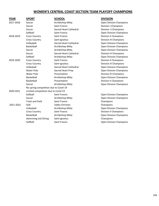| YEAR      | <b>SPORT</b>                          | <b>SCHOOL</b>                 | <b>DIVISION</b>                |  |
|-----------|---------------------------------------|-------------------------------|--------------------------------|--|
| 2017-2018 | Soccer                                | Archbishop Mitty              | <b>Open Division Champions</b> |  |
|           | Soccer                                | <b>Saint Francis</b>          | <b>Division I Champions</b>    |  |
|           | Soccer                                | Sacred Heart Cathedral        | Division II Champions          |  |
|           | Softball                              | <b>Saint Francis</b>          | <b>Open Division Champions</b> |  |
| 2018-2019 | <b>Cross Country</b>                  | <b>Saint Francis</b>          | <b>Division II Champions</b>   |  |
|           | <b>Cross Country</b>                  | Saint Ignatius                | Division III Champions         |  |
|           | Volleyball                            | Sacred Heart Cathedral        | <b>Open Division Champions</b> |  |
|           | Basketball                            | Archbishop Mitty              | Open Division Champions        |  |
|           | Soccer                                | Archbishop Mitty              | <b>Open Division Champions</b> |  |
|           | Soccer                                | <b>Sacred Heart Cathedral</b> | Division III Champions         |  |
|           | Softball                              | Archbishop Mitty              | <b>Open Division Champions</b> |  |
| 2019-2020 | <b>Cross Country</b>                  | <b>Saint Francis</b>          | <b>Division II Champions</b>   |  |
|           | <b>Cross Country</b>                  | Saint Ignatius                | Division III Champions         |  |
|           | Volleyball                            | Sacred Heart Cathedral        | <b>Open Division Champions</b> |  |
|           | Water Polo                            | Sacred Heart Prep             | <b>Open Division Champions</b> |  |
|           | Water Polo                            | Presentation                  | Division III Champions         |  |
|           | Basketball                            | Archbishop Mitty              | <b>Open Division Champions</b> |  |
|           | Basketball                            | Presentation                  | <b>Division II Champions</b>   |  |
|           | Soccer                                | Archbishop Mitty              | <b>Open Division Champions</b> |  |
|           | No spring competition due to Covid-19 |                               |                                |  |
| 2020-2021 | Limited competition due to Covid-19   |                               |                                |  |
|           | Softball                              | <b>Saint Francis</b>          | Open Division Champions        |  |
|           | Soccer                                | Archbishop Mitty              | <b>Open Division Champions</b> |  |
|           | <b>Track and Field</b>                | <b>Saint Francis</b>          | Champions                      |  |
| 2021-2022 | Golf                                  | Valley Christian              | Champions                      |  |
|           | Volleyball                            | Archbishop Mitty              | Open Division Champions        |  |
|           | <b>Cross Country</b>                  | Saint Francis                 | <b>Division II Champions</b>   |  |
|           | Basketball                            | Archbishop Mitty              | <b>Open Division Champions</b> |  |
|           | Swimming and Diving                   | Saint Ignatius                | Champions                      |  |
|           | Softball                              | Saint Francis                 | <b>Open Division Champions</b> |  |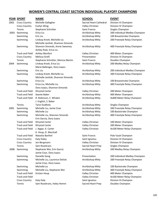|      | <b>YEAR SPORT</b>      | <b>NAME</b>                        | <b>SCHOOL</b>          | <b>EVENT</b>                   |
|------|------------------------|------------------------------------|------------------------|--------------------------------|
| 2002 | <b>Cross Country</b>   | Michelle Gallagher                 | Sacred Heart Cathedral | Division III Champion          |
|      | <b>Cross Country</b>   | Evelyn Wing                        | Valley Christian       | Division IV Champion           |
|      | Tennis                 | Stephanie Schnitter                | Saint Francis          | Singles Champion               |
| 2003 | Swimming               | Erica Liu                          | Archbishop Mitty       | 200 Individual Medley Champion |
|      | Swimming               | Eric Liu                           | Archbishop Mitty       | 100 Breaststroke Champion      |
|      | Swimming               | Lindsay Knott, Michelle Liu        | Archbishop Mitty       | 200 Freestyle Relay Champion   |
|      |                        | Michelle Janitski, Shannon Simonds |                        |                                |
|      | Swimming               | Shannon Simonds, Annie Sweeney     | Archbishop Mitty       | 400 Freestyle Relay Champion   |
|      |                        | Ashley Rule, Erica Liu             |                        |                                |
|      | <b>Track and Field</b> | Ashley Monfort                     | Valley Christian       | 400 Meter Champion             |
|      | <b>Cross Country</b>   | Melissa Grelli                     | Presentation           | Division III Champion          |
|      | Tennis                 | Stephanie Schnitter, Monica Martin | Saint Francis          | Doubles Champion               |
| 2004 | Swimming               | Lindsay Knott, Erica Liu           | Archbishop Mitty       | 200 Medley Relay Champion      |
|      |                        | Marie Ballenger, Dory Isaacs       |                        |                                |
|      | Swimming               | Eric Liu                           | Archbishop Mitty       | 200 Individual Medley Champion |
|      | Swimming               | Lindsay Knott, Michelle Liu        | Archbishop Mitty       | 200 Freestyle Relay Champion   |
|      |                        | Michelle Janitski, Shannon Simonds |                        |                                |
|      | Swimming               | Erica Liu                          | Archbishop Mitty       | 100 Breaststroke Champion      |
|      | Swimming               | Erica Liu, Michelle Liu            | Archbishop Mitty       | 400 Freestyle Relay Champion   |
|      |                        | Dory Isaacs, Shannon Simonds       |                        |                                |
|      | <b>Track and Field</b> | Khrystal Carter                    | Valley Christian       | 200 Meter Champion             |
|      | <b>Track and Field</b> | Seante Baker                       | Archbishop Mitty       | 400 Meter Champion             |
|      | <b>Track and Field</b> | R. Robinson, C. Whalen             | Archbishop Mitty       | 4x400 Meter Relay Champion     |
|      |                        | J. English, S. Baker               |                        |                                |
|      | Tennis                 | Tanvi Dudhela                      | Archbishop Mitty       | Singles Champion               |
| 2005 | Swimming               | Michelle Liu, Jamie Cisar          | Archbishop Mitty       | 200 Freestyle Relay Champion   |
|      | Swimming               | Michelle Liu                       | Archbishop Mitty       | 100 Backstroke Champion        |
|      | Swimming               | Michelle Liu, Shannon Simonds      | Archbishop Mitty       | 400 Freestyle Relay Champion   |
|      |                        | Erin Garcia, Dory Isaacs           |                        |                                |
|      | <b>Track and Field</b> | Khrystal Carter                    | Valley Christian       | 100 Meter Champion             |
|      | <b>Track and Field</b> | Khrystal Carter                    | Valley Christian       | 200 Meter Champion             |
|      | <b>Track and Field</b> | J. Apgar, K. Carter                | Valley Christian       | 4x100 Meter Relay Champion     |
|      |                        | K. Houp, D. Marshall               |                        |                                |
|      | <b>Track and Field</b> | Natasha Barthel                    | Saint Francis          | Pole Vault Champion            |
|      | <b>Cross Country</b>   | Katy Daley                         | Saint Ignatius         | Division III Champion          |
|      | <b>Cross Country</b>   | Jen Bergmann                       | Valley Christian       | Division IV Champion           |
|      | Tennis                 | Sam Rosekrans                      | Sacred Heart Prep      | Singles Champion               |
| 2006 | Swimming               | Stephanie Wei, Erin Garcia         | Archbishop Mitty       | 200 Medley Relay Champion      |
|      |                        | Jamie Cisar, Dory Isaacs           |                        |                                |
|      | Swimming               | Danielle Gong                      | Presentation           | 200 Individual Medley Champion |
|      | Swimming               | Michelle Liu, Laurence Delisle     | Archbishop Mitty       | 200 Freestyle Relay Champion   |
|      |                        | Jamie Cisar, Dory Isaacs           |                        |                                |
|      | Swimming               | Michelle Liu                       | Archbishop Mitty       | 100 Backstroke Champion        |
|      | Swimming               | Michelle Liu, Stephanie Wei        | Archbishop Mitty       | 400 Freestyle Relay Champion   |
|      | <b>Track and Field</b> | Kristen Houp                       | Valley Christian       | 400 Meter Champion             |
|      | <b>Track and Field</b> |                                    | Valley Christian       | 4x100 Meter Relay Champion     |
|      | <b>Cross Country</b>   | Katy Daly                          | Saint Ignatius         | Division III Champion          |
|      | Tennis                 | Sam Rosekrans, Haley Hemm          | Sacred Heart Prep      | Doubles Champion               |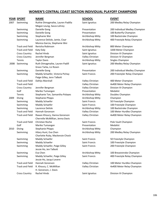|      | <u>YEAR_SPORT</u>      | <b>NAME</b>                       | <b>SCHOOL</b>        | <b>EVENT</b>                   |
|------|------------------------|-----------------------------------|----------------------|--------------------------------|
| 2007 | Swimming               | Ruthie Dimagmaliw, Lauren Padilla | Saint Ignatius       | 200 Medley Relay Champion      |
|      |                        | Megan Leung, Sasza Lohrey         |                      |                                |
|      | Swimming               | Danielle Gong                     | Presentation         | 200 Individual Medley Champion |
|      | Swimming               | Danielle Gong                     | Presentation         | 100 Butterfly Champion         |
|      | Swimming               | Stephanie Wei                     | Archbishop Mitty     | 100 Backstroke Champion        |
|      | Swimming               | Laurence Delisle, Jamie, Cisar    | Archbishop Mitty     | 400 Freestyle Relay Champion   |
|      |                        | Monica Garcia, Stephanie Wei      |                      |                                |
|      | <b>Track and Field</b> | Renisha Robinson                  | Archbishop Mitty     | 800 Meter Champion             |
|      | <b>Track and Field</b> | Katy Daly                         | Saint Ignatius       | 3200 Meter Champion            |
|      | <b>Cross Country</b>   | <b>Rachel Hinds</b>               | Saint Ignatius       | Division III Champion          |
|      | <b>Cross Country</b>   | Jennifer Bergman                  | Valley Christian     | Division IV Champion           |
|      | Tennis                 | <b>Taylor Davis</b>               | Archbishop Mitty     | Singles Champion               |
| 2008 | Swimming               | Ruth Dimagmaliw, Lauren Padill    | Saint Ignatius       | 200 Medley Relay Champion      |
|      |                        | Grace Tarka, Liz Rosen            |                      |                                |
|      | Swimming               | Danielle Gong                     | Presentation         | 200 Individual Medley Champion |
|      | Swimming               | Maddy Schaefer, Victoria Pichay   | <b>Saint Francis</b> | 200 Freestyler Relay Champion  |
|      |                        | Paige Gilley, Jenn Talbott        |                      |                                |
|      | <b>Track and Field</b> | Dahlys Marshall                   | Valley Christian     | 400 Meter Champion             |
|      | <b>Track and Field</b> |                                   | Valley Christian     | 4x400 Meter Relay Champion     |
|      | <b>Cross Country</b>   | Jennifer Bergman                  | Valley Christian     | Division III Champion          |
|      | Golf                   | Mariko Tumangan                   | Presentation         | Medalist                       |
|      | Tennis                 | Stephanie Ton, Samantha Polayes   | Archbishop Mitty     | Doubles Champion               |
| 2009 | Diving                 | <b>Stephanie Phipps</b>           | Archbishop Mitty     | Champion                       |
|      | Swimming               | Maddy Schaefer                    | <b>Saint Francis</b> | 50 Freestyle Champion          |
|      | Swimming               | Maddy Schaefer                    | Saint Francis        | 100 Freestyle Champion         |
|      | Swimming               | Laurence Delisle                  | Archbishop Mitty     | 100 Backstroke Champion        |
|      | <b>Track and Field</b> | Hannah Goranson                   | Valley Christian     | 100 Meter Hurdles Champion     |
|      | <b>Track and Field</b> | Rawan Khoury, Hanna Goranson      | Valley Christian     | 4x400 Meter Relay Champion     |
|      |                        | Cherrelle McMillian, Jenna Davis  |                      |                                |
|      | <b>Track and Field</b> | Christian Roche                   | <b>Saint Francis</b> | Pole Vault Champion            |
|      | Golf                   | Mariko Tumangan                   | Presentation         | Medalist                       |
| 2010 | Diving                 | <b>Stephanie Phipps</b>           | Archbishop Mitty     | Champion                       |
|      | Swimming               | Hilary Hunt, Eva Chen             | Archbishop Mitty     | 200 Medley Relay Champion      |
|      |                        | Charlotte Ruby, Mackenzie Chock   |                      |                                |
|      | Swimming               | Maddy Schaefer                    | Saint Francis        | 50 Freestyle Champion          |
|      | Swimming               | Maddy Schaefer                    | <b>Saint Francis</b> | 100 Freestyle Champion         |
|      | Swimming               | Maddy Schaefer, Paige Gilley      | Saint Francis        | 200 Freestyle Champion         |
|      |                        | Jessie Ho, Jen Talbott            |                      |                                |
|      | Swimming               | Eva Chen                          | Archbishop Mitty     | 100 Breaststroke Champion      |
|      | Swimming               | Maddy Schaefer, Paige Gilley      | Saint Francis        | 400 Freestyle Relay Champion   |
|      |                        | Jessie Ho, Jacqui Levere          |                      |                                |
|      | <b>Track and Field</b> | Hannah Goranson                   | Valley Christian     | 100 Meter Hurdles Champion     |
|      | <b>Track and Field</b> | R. Khoury, C. McMillian           | Valley Christian     | 4x400 Meter Relay Champion     |
|      |                        | H. Goranson, J. Davis             |                      |                                |
|      | <b>Cross Country</b>   | Rachel Hinds                      | Saint Ignatius       | Division III Champion          |
|      |                        |                                   |                      |                                |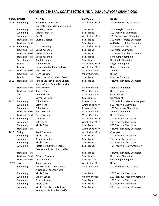|      | <b>YEAR SPORT</b>      | <b>NAME</b>                     | <b>SCHOOL</b>        | <b>EVENT</b>    |  |
|------|------------------------|---------------------------------|----------------------|-----------------|--|
| 2011 | Swimming               | Haley Smith, Eva Chen           | Archbishop Mitty     | 200 Me          |  |
|      |                        | Charlotte Ruby, Mackenzie Chock |                      |                 |  |
|      | Swimming               | Maddy Schaefer                  | <b>Saint Francis</b> | 50 Frees        |  |
|      | Swimming               | Maddy Schaefer                  | <b>Saint Francis</b> | 100 Free        |  |
|      | Swimming               | Eva Chen                        | Archbishop Mitty     | 100 Brea        |  |
|      | <b>Track and Field</b> | Lauren Madigan                  | Saint Francis        | 300 Met         |  |
|      | <b>Track and Field</b> |                                 | <b>Saint Francis</b> | 4x400 M         |  |
| 2012 | Swimming               | Charlotte Ruby                  | Archbishop Mitty     | 500 Free        |  |
|      | <b>Track and Field</b> | Micha Auzenne                   | Saint Francis        | 100 Met         |  |
|      | <b>Track and Field</b> | Micha Auzenne                   | Saint Francis        | 100 Met         |  |
|      | <b>Track and Field</b> | Micha Auzenne                   | Saint Francis        | Long Jur        |  |
|      | <b>Cross Country</b>   | Kendall Hacker                  | Saint Ignatius       | Division        |  |
|      | Tennis                 | <b>Kennedy Davis</b>            | Archbishop Mitty     | Singles (       |  |
|      | Tennis                 | Falicity Maltby, Catalina Rico  | Archbishop Mitty     | Doubles         |  |
| 2014 | Track and Field        | Elena Bruckner                  | Valley Christian     | Shot Put        |  |
|      | <b>Track and Field</b> | Elena Bruckner                  | Valley Christian     | Discus          |  |
|      | Tennis                 | Cate Liston, Christine McCarthy | Saint Francis        | Doubles         |  |
| 2015 | <b>Track and Field</b> | Natalie Drucker, Brianna Cheeks | Saint Francis        | 4x100 M         |  |
|      |                        | Angela Cutler, Emma Fitzpatrick |                      |                 |  |
|      | <b>Track and Field</b> | Elena Buckner                   | Valley Christian     | Shot Put        |  |
|      | <b>Track and Field</b> | Ronna Stone                     | Valley Christian     | Discus C        |  |
|      | Golf                   | Quynn Duong                     | Valley Christian     | Co-Med          |  |
|      | Golf                   | Samantha Gong                   | Saint Ignatius       | Co-Med          |  |
| 2016 | Swimming               | Chloe Isleta                    | Presentation         | 200 Indi        |  |
|      | Swimming               | Cathy Teng                      | Archbishop Mitty     | 500 Free        |  |
|      | Swimming               | Chloe Isleta                    | Presentation         | 100 Bac         |  |
|      | <b>Track and Field</b> | Elena Bruckner                  | Valley Christian     | Shot Put        |  |
|      | <b>Track and Field</b> | Elena Bruckner                  | Valley Christian     | Discus C        |  |
| 2017 | Swimming               | Cathy Teng                      | Archbishop Mitty     | 200 Free        |  |
|      | Swimming               | Cathy Teng                      | Archbishop Mitty     | 100 Free        |  |
|      | Swimming               | Nicole Oliva                    | Saint Francis        | 500 Free        |  |
|      | <b>Track and Field</b> |                                 | Archbishop Mitty     | 4x100 M         |  |
| 2018 | Diving                 | Remi Edvalson                   | Archbishop Mitty     | Champio         |  |
|      | Swimming               | Nicole Oliva                    | Saint Francis        | 200 Free        |  |
|      | Swimming               | <b>Brooke Schaffer</b>          | <b>Saint Francis</b> | <b>100 Butt</b> |  |
|      | Swimming               | Nicole Oliva                    | Saint Francis        | 500 Free        |  |
|      | Swimming               | Nicole Oliva, Sydney Harris     | Saint Francis        | 400 Free        |  |
|      |                        | Kate Kennedy, Brooke Schaffer   |                      |                 |  |
|      | <b>Track and Field</b> |                                 | Saint Francis        | 4x400 M         |  |
|      | <b>Track and Field</b> | Delaney Peranich                | Saint Ignatius       | High Jur        |  |
|      | <b>Track and Field</b> | Megan Ronan                     | Saint Ignatius       | Long Jur        |  |
| 2019 | Diving                 | Remi Edvalson                   | Archbishop Mitty     | Diving          |  |
|      | Swimming               | Mai McKenna, Skyler Smith       | Valley Christian     | 200 Me          |  |
|      |                        | Allison Lam, Keenan Yates       |                      |                 |  |
|      | Swimming               | Nicole Oliva                    | Saint Francis        | 200 Free        |  |
|      | Swimming               | Mai McKenna                     | Valley Christian     | 200 Indi        |  |
|      | Swimming               | <b>Brooke Schafer</b>           | Saint Francis        | 100 Free        |  |
|      | Swimming               | Nicole Oliva                    | Saint Francis        | 500 Free        |  |
|      | Swimming               | Nicole Oliva, Megan La Croix    | Saint Francis        | 200 Free        |  |
|      |                        |                                 |                      |                 |  |

Sydney Harris, Brooke Schaffer

Archbishop Mitty Singles Champion Valley Christian Shot Put Valley Christian Discus

Valley Christian Discus Champion Valley Christian Co-Medalist Saint Ignatius Co-Medalist Valley Christian Discus Champion Archbishop Mitty Champion

Archbishop Mitty 200 Medley Relay Champion

Saint Francis 50 Freestyle Champion Saint Francis 100 Freestyler Champion Archbishop Mitty 100 Breaststroke Champion Saint Francis 300 Meter Hurdles Champion Saint Francis **4x400 Meter Relay Champion** Archbishop Mitty 500 Freestyle Champion Saint Francis 100 Meter Champion Saint Francis 100 Meter Hurdles Champion Saint Francis **Long Jump Champion** Saint Ignatius **Cauntri Edward Bass Countries Countries Countries Countries Saint Ignation** Archbishop Mitty Doubles Champion Saint Francis **Champion** Doubles Champion Saint Francis **Ax100 Meter Relay Champion** 

Valley Christian Shot Put Champion Presentation 200 Individual Medley Champion Archbishop Mitty 500 Freestyle Champion Presentation 100 Backstroke Champion Valley Christian Shot Put Champion Archbishop Mitty 200 Freestyle Champion Archbishop Mitty 100 Freestyle Champion Saint Francis 500 Freestyle Champion Archbishop Mitty 4x100 Meter Relay Champion Saint Francis 200 Freestyle Champion Saint Francis 100 Butterfly Champion Saint Francis 500 Freestyle Champion Saint Francis **Ainming Alicole Olivanes Advisors** A00 Freestyle Relay Champion

Saint Francis **Ax400 Meter Relay Champion** Saint Ignatius **High Jump Champion** Saint Ignatius **Long Jump Champion** Valley Christian 200 Medley Relay Champion

Saint Francis 200 Freestyle Champion Valley Christian 200 Individual Medley Champion Saint Francis 100 Freestyle Champion Saint Francis 500 Freestyle Champion Saint Francis 200 Freestyle Relay Champion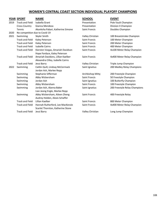|      | <b>YEAR SPORT</b>              | <b>NAME</b>                                                            | <b>SCHOOL</b>        | <b>EVENT</b>                  |  |  |
|------|--------------------------------|------------------------------------------------------------------------|----------------------|-------------------------------|--|--|
| 2019 | <b>Track and Field</b>         | Isabella Grant                                                         | Presentation         | Pole Vault Champion           |  |  |
|      | <b>Cross Country</b>           | Gianna Mendoza                                                         | Presentation         | Division II Champion          |  |  |
|      | Tennis                         | Akanksha Pabari, Katherine Simone                                      | Saint Francis        | Doubles Champion              |  |  |
| 2020 | No competition due to Covid-19 |                                                                        |                      |                               |  |  |
| 2021 | Swimming                       | Skyler Smith                                                           | Valley Christian     | 100 Breaststroke Champion     |  |  |
|      | <b>Track and Field</b>         | Kaley Peterson                                                         | <b>Saint Francis</b> | 100 Meter Champion            |  |  |
|      | <b>Track and Field</b>         | Kaley Peterson                                                         | Saint Francis        | 200 Meter Champion            |  |  |
|      | <b>Track and Field</b>         | <b>Isabelle Cairns</b>                                                 | <b>Saint Francis</b> | 400 Meter Champion            |  |  |
|      | <b>Track and Field</b>         | Kiersten Vargas, Amariah Davidson<br>Hope Fordyce, Kaley Peterson      | Saint Francis        | 4x100 Meter Relay Champion    |  |  |
|      | <b>Track and Field</b>         | Amariah Davidons, Lillian Kaelber<br>Alexandra Cilley, Isabelle Cairns | <b>Saint Francis</b> | 4x400 Meter Relay Champion    |  |  |
|      | <b>Track and Field</b>         | Jessi Barry                                                            | Valley Christian     | Triple Jump Champion          |  |  |
| 2022 | Swimming                       | Caitlin Quill, Lindsay McCormack<br>Jordan Ash, Marlee Repp            | Saint Ignatius       | 200 Medley Relay Champions    |  |  |
|      | Swimming                       | Stephanie Sifferman                                                    | Archbishop Mitty     | 200 Freestyle Champion        |  |  |
|      | Swimming                       | Abby Wickersham                                                        | <b>Saint Francis</b> | 50 Freestyle Champion         |  |  |
|      | Swimming                       | Jordan Ash                                                             | Saint Ignatius       | 100 Butterfly Champion        |  |  |
|      | Swimming                       | Abby Wickersham                                                        | <b>Saint Francis</b> | 100 Freestyle Champion        |  |  |
|      | Swimming                       | Jordan Ash, Alanna Baker<br>Lian Jeong Engle, Marlee Repp              | Saint Ignatius       | 200 Freestyle Relay Champions |  |  |
|      | Swimming                       | Abby Wickersham, Aileen Zheng<br>Audrey Holden, Alexis Schaffer        | Saint Francis        | 400 Freestyle Relay           |  |  |
|      | <b>Track and Field</b>         | Lillian Kaelber                                                        | <b>Saint Francis</b> | 800 Meter Champion            |  |  |
|      | <b>Track and Field</b>         | Hannah Rutherford, Lee MacKenzie<br>Scarlet Thornton, Katherine Stone  | Saint Francis        | 4x400 Meter Relay Champion    |  |  |
|      | <b>Track and Field</b>         | Jessi Barry                                                            | Valley Christian     | Long Jump Champion            |  |  |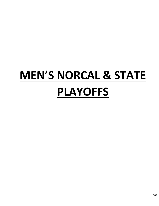## **MEN'S NORCAL & STATE PLAYOFFS**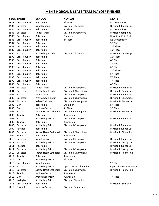## **MEN'S NORCAL & STATE TEAM PLAYOFF FINISHES**

## **YEAR SPORT SCHOOL NORCAL STATE**

1983 Cross Country Bellarmine 5th Place 1984 Basketball Saint Ignatius Division I Champion Division I Runner-up 1984 Cross Country Bellarmine 3rd Place 1985 Basketball Saint Francis Division II Champions Division Champions 1986 Cross Country Bellarmine 4th Place 1987 Cross Country Bellarmine 1988 Cross Country Bellarmine 10th Place 10th Place 10th Place 1989 Cross Country Bellarmine 10th Place 10th Place 10th Place 1990 Basketball Archbishop Riordan Division I Champion Division I Runner-up 1992 Cross Country Bellarmine 10th Place 10th Place 10th Place 1993 Cross Country Bellarmine 1994 Cross Country Bellarmine 1995 Cross Country Bellarmine 1996 Cross Country Bellarmine 10th Place 10th Place 10th Place 1997 Cross Country Bellarmine 1998 Cross Country Bellarmine 1999 Cross Country Bellarmine 2000 Cross Country Bellarmine 2005 Golf Junipero Serra 2006 Tennis Bellarmine Runner-up 2007 Tennis Bellarmine Runner-up 2009 Football Bellarmine **Bellarmine Bullarmine Division I Runner-up Division I Runner-up** 2009 Tennis Bellarmine Runner-up 2011 Basketball Archbishop Mitty Division II Champions Division II Champion 2011 Football Bellarmine **Bellarmine Bullarmine Division I Runner-up Division I Runner-up** 2012 Tennis Bellarmine Runner-up 2012 Golf Archbishop Mitty 2012 Cross Country Saint Ignatius 2013 Tennis Junipero Serra Runner-up 2013 Golf **Archbishop Mitty** Runner-up 2013 Volleyball Archbishop Mitty Division I Champions 2013 Cross Country Bellarmine 2013 Football Junipero Serra Division I Runner-up

2001 Basketball Archbishop Riordan Division III Champions Division III Runner-up 2002 Basketball Saint Francis Division II Champions Division II Runner-up 2002 Basketball Archbishop Riordan Division III Champions Division III Champions 2002 Basketball Valley Christian Division IV Champions Division IV Runner-up 2005 Golf **Bellarmine Champion 5** 3rd Place 2006 Basketball Sacred Heart Cathedral Division IV Champions **Division IV Runner-up** 2007 Basketball Archbishop Mitty Division II Champions Division II Runner-up 2008 Basketball Archbishop Mitty Division II Champions Division II Runner-up

5<sup>th</sup> Place

2013 Basketball Sacred Heart Cathedral Division III Champion Division III Runner-up

No Competition No Competition 1985 Cross Country Bellarmine Champions Champions Unofficial #1 in State No Competition 3rd Place 4<sup>th</sup> Place 3rd Place 6<sup>th</sup> Place 6<sup>th</sup> Place 7<sup>th</sup> Place 4<sup>th</sup> Place 4<sup>th</sup> Place 2001 Basketball Saint Francis Division II Champions Division II Runner-up 5<sup>th</sup> Place rd Place 2009 Basketball Sacred Heart Cathedral Division III Champions Division III Champions 2010 Basketball Saint Francis Division II Champions Division II Runner-up 2012 Basketball Archbishop Mitty Division II Champions Division II Champions 2012 Basketball Sacred Heart Cathedral Division III Champions Division III Runner-up gth Place 2013 Basketball Archbishop Mitty Open Division Champion Open Division Runner-up 4<sup>th</sup> Place

Division I - 6<sup>th</sup> Place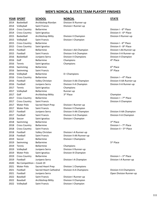## **MEN'S NORCAL & STATE TEAM PLAYOFF FINISHES**

### **YEAR SPORT SCHOOL NORCAL STATE**

2014 Basketball Archbishop Riordan Division III Runner-up 2014 Volleyball Saint Francis Division I Runner-up 2014 Cross Country Bellarmine 2014 Cross Country Saint Ignatius 2015 Basketball Archbishop Mitty Division II Champion Division II Runner-up 2015 Volleyball Saint Francis Division I Champion 2015 Cross Country Bellarmine 2015 Cross Country Saint Ignatius 2015 Football Saint Francis Division II-A Champion Division II-A Runner-up 2016 Basketball Junipero Serra Division II Champions Division II Champion 2016 Golf Bellarmine Champions 2016 Tennis Saint Ignatius Champions 2016 Swimming Bellarmine 6 2016 Swimming Saint Francis 9 2016 Volleyball Bellarmine D I Champions 2016 Cross Country Bellarmine 2017 Tennis Saint Ignatius Champions 2017 Volleyball Bellarmine Runner-up 2017 Golf Archbishop Mitty 3rd Place 2017 Cross Country Bellarmine 2017 Cross Country Saint Francis Division II Champion 2017 Water Polo Sacred Heart Prep Division I Runner-up 2017 Water Polo Saint Francis Division II Champion 2018 Soccer Saint Ignatius Division I Champion 2018 Swimming Bellarmine 3 2018 Cross Country Bellarmine 2018 Cross Country Saint Francis 2018 Football Valley Christian Division I-A Runner-up 2019 Soccer Bellarmine Division I Champions 2019 Swimming Bellarmine **5** 2019 Tennis Bellarmine Champions 2019 Volleyball Junipero Serra Division II Runner-up 2019 Water Polo Saint Ignatius Division III Champion 2019 Cross Country Bellarmine 2019 Football Junipero Serra Division I-A Champion Division I-A Runner-up 2020 No Competition – Covid-19 2021 Water Polo Sacred Heart Prep Division 1 Champions 2021 Football Sacred Heart Cathedral Division 4-A Champions Division 4-A Champions 2022 Baseball Saint Francis Division I Runner-up 2022 Baseball Archbishop Mitty Division II Champion 2022 Volleyball Saint Francis Division I Champion

2016 Football Junipero Serra Division II-A Champion Division II-A Runner-up

2017 Football Junipero Serra Division II-AA Champion Division II-AA Champion 2017 Football Saint Francis Division II-A Champion Division II-A Champion

2018 Football Saint Francis Division II-AA Runner-up

Division I - 6<sup>th</sup> Place Division II - 6<sup>th</sup> Place

Division I - 6<sup>th</sup> Place Division II - 8<sup>th</sup> Place 2015 Football Bellarmine Division I-AA Champion Division I-AA Runner-up 4<sup>th</sup> Place

> 6<sup>th</sup> Place 9<sup>th</sup> Place

Division  $I - 4<sup>th</sup>$  Place 2016 Football Valley Christian Division II-AA Champion Division II-AA Runner-up

> Champion Division  $I - 7<sup>th</sup>$  Place

3rd Place Division  $I - 7<sup>th</sup>$  Place Division II -  $5<sup>th</sup>$  Place

### 5<sup>th</sup> Place

Division  $I - 3<sup>rd</sup>$  Place

2021 Football Junipero Serra Open Division Runner-up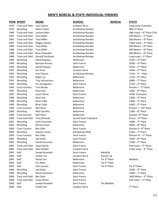## **YEAR SPORT NAME SCHOOL NORCAL STATE** 1970 Track and Field Lynn Swann Junipero Serra Long Jump Champion 1979 Wrestling Adam Cohen Archbishop Riordan Archbishop Riordan Archbishop Riordan and Archbishop Riordan Arch 1986 Track and Field Lamont Allen Archbishop Riordan Archbishop Riordan 1987 Track and Field Tony Miller **Archbishop Riordan** Archbishop Riordan 1987 Track and Field Tony Miller **Archause 1987** Archbishop Riordan 1987 Track and Field Reggie Jackson **Archbishop Riordan** 1988 Track and Field Tony Miller **Archause 100 Meters – 6 Meters – 6 Meters – 6 Meters – 6 Meters – 6 Meters – 6 Meters – 6 Meters – 6 Meters – 6 Meters – 6 Meters – 6 Meters – 6 Meters – 6 Meters – 6 Meters – 6 Meters – 6** 1988 Track and Field Tony Miller **Archause 1988** Track and Field Tony Miller 1988 Track and Field Brian Flewellen Archbishop Riordan 1988 Track and Field Donald Strickland Manuel Archbishop Riordan 1989 Wrestling David Popejoy **Bellarmine** 1990 Wrestling Barnard Arcinas Caint Francis 1990 Wrestling David Popejoy **Bellarmine** 1910 - 2 1991 Wrestling Eric Vera Junipero Serra 145lb – 3 1992 Wrestling Ivan Chacon **IVAN Chacon** Archbishop Riordan 1992 Wrestling Roger Liu **Relamine 171lb – 8** and 171lb – 8 1992 Wrestling Troy LaCoursiere Troub Bellarmine 1993 Wrestling Eric Daragnano Saint Francis 1994 Cross Country Tom Becker **Constructs** Bellarmine 1997 Wrestling Kenji Arai 1251 - Bellarmine 1251 - 6 1251 - 6 1251 - 6 1251 - 6 1251 - 6 1251 - 6 12 1997 Wrestling Jason Olmos Saint Francis 145lb Champion 1998 Wrestling Kenji Arai Bellarmine 130lb – 4 1998 Wrestling Brian Cobb Bellarmine **140lb – 3** 1999 Wrestling Brian Cobb Bellarmine **140lb – 2** 1999 Cross Country Neil Davis **Country Relage Cross Country Neil Davis Country Relage Cross Country Neil Davis** 2000 Wrestling Matt Sanchez Bellarmine **119lb** – 8 2000 Cross Country Neil Davis **Bellarmine Bellarmine Division I 4th Place** Division I 4th Place 2000 Track and Field Tony Miranda Sacred Heart Cathedral Cathedral 2001 Wrestling Carlo Franciotti Saint Francis Number 2001 Wrestling 140lb – 7 2002 Wrestling Richard Faiva Bellarmine **Bellarmine** 2851b – 8 2004 Cross Country Ben Sitler Saint Francis 2004 Wrestling Joaquin Carlos **Archbishop Mitty** 2005 Cross Country Ben Sitler Saint Francis Countries of the Saint Francis Countries of the Sivision III – 2 2005 Wrestling Joel Shaw Saint Francis 2005 Wrestling 1451b – 8 2005 Wrestling Daniel Summers Bellarmine **Bellarmine** 119lb – 7 2005 Track and Field Casey Roche Saint Francis Pole Vault – 5 2005 Track and Field Neen Wright November 2005 (Junipero Serra New York 1995) 1986 Triple Jump – 3<sup>rd</sup> Place 2005 Golf Joseph Bramlett Saint Francis Medalist 2005 Golf Jordan Cox Junipero Serra Runner-up 2005 Golf Daniel Lim Bellarmine Tie 3rd Place Medalist 2005 Golf **Example Example Example 2006** Bellarmine Tie 3<sup>rd</sup> Place 2005 Golf Chris Jensen Saint Francis Tie 3rd Place Tie 2nd Place 2006 Wrestling Joel Shaw Saint Francis 2006 Wrestling 1451b – 8 2006 Wrestling Daniel Summers Bellarmine 2006 Frack and Field Ben Sitler Saint Francis And Saint Francis And The Saint Francis And The Saint Prancis And The Saint Prancis And The Saint Prancis And The Saint Prancis And The Saint Prancis And The Saint Prancis And 2006 Track and Field Casey Roche Saint Francis Pole Vault – 3 2006 Golf Solid Joseph Bramlett Saint Francis Tie Medalist 2006 Golf Jordan Cox Junipero Serra 2

High Jump  $-4$ <sup>th</sup> Place (Tie) 100 Meters  $-5$ <sup>th</sup> Place  $200$  Meters  $-4$ <sup>th</sup> Place Triple Jump  $-3$ <sup>rd</sup> Place 100 Meters  $-6$ <sup>th</sup> Place 200 Meters  $-6$ <sup>th</sup> Place 400 Meters  $-6$ <sup>th</sup> Place Long Jump  $-5$ <sup>th</sup> Place 191 $\mathsf{Ib}$  – 5<sup>th</sup> Place  $103$ lb -  $3<sup>rd</sup>$  Place 191 $\mathsf{lb}$  - 2<sup>nd</sup> Place  $145$ lb - 3rd Place rd Place  $171$ lb -  $8<sup>th</sup>$  Place  $189$ lb -  $7<sup>th</sup>$  Place  $171$ lb - 4<sup>th</sup> Place Division  $I - 7<sup>th</sup>$  Place  $125$ lb - 6<sup>th</sup> Place  $130$ lb -  $4<sup>th</sup>$  Place  $140$ lb -  $3<sup>rd</sup>$  Place  $140$ lb -  $2<sup>nd</sup>$  Place  $119$ lb -  $8<sup>th</sup>$  Place Discus  $-6$ <sup>th</sup> Place  $140$ lb -  $7<sup>th</sup>$  Place  $285$ lb -  $8<sup>th</sup>$  Place Division II-4<sup>th</sup> Place  $125$ lb -  $7<sup>th</sup>$  Place Division III -  $2<sup>nd</sup>$  Place  $145$ lb -  $8<sup>th</sup>$  Place  $119$ lb -  $7<sup>th</sup>$  Place Pole Vault  $-5$ <sup>th</sup> Place

 $145$ lb -  $8<sup>th</sup>$  Place  $130$ lb -  $7<sup>th</sup>$  Place 1600 Meter -  $3<sup>rd</sup>$  Place Pole Vault - 3rd Place

2<sup>nd</sup> Place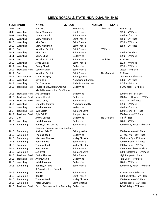|      | <b>YEAR SPORT</b>      | <b>SCHOOL</b><br><b>NAME</b>     |                      | <b>NORCAL</b> | <b>STATE</b>              |                                           |
|------|------------------------|----------------------------------|----------------------|---------------|---------------------------|-------------------------------------------|
| 2007 | Golf                   | Eric Mina                        | Bellarmine           |               | 4 <sup>th</sup> Place     | Runner-up                                 |
| 2008 | Wrestling              | Drew Meulman                     | <b>Saint Francis</b> |               |                           | $215$ lb - $7th$ Place                    |
| 2009 | Wrestling              | Dominic Kastl                    | <b>Saint Francis</b> |               |                           | 160lb $-7$ <sup>th</sup> Place            |
| 2009 | Wrestling              | Drew Meulman                     | <b>Saint Francis</b> |               |                           | $215$ lb - $2nd$ Place                    |
| 2010 | Wrestling              | Nick Cano                        | <b>Saint Francis</b> |               |                           | $135$ lb - $3rd$ Place                    |
| 2010 | Wrestling              | Drew Meulman                     | Saint Francis        |               |                           | $285$ lb - $2nd$ Place                    |
| 2010 | Golf                   | Jonathan Garrick                 | <b>Saint Francis</b> |               | 3rd Place                 |                                           |
| 2011 | Wrestling              | Nick Cano                        | Saint Francis        |               |                           | $140$ lb - $2nd$ Place                    |
| 2011 | Wrestling              | Danny Chad                       | Bellarmine           |               |                           | 189lb $-8$ <sup>th</sup> Place            |
| 2011 | Golf                   | Jonathan Garrick                 | <b>Saint Francis</b> |               | Medalist                  | 3rd Place                                 |
| 2012 | Wrestling              | Jorge Barajas                    | Saint Francis        |               |                           | 152lb $-$ 4 <sup>th</sup> Place           |
| 2012 | Wrestling              | Danny Chaid                      | Bellarmine           |               |                           | $195$ lb - $3$ <sup>rd</sup> Place        |
| 2012 | <b>Track and Field</b> | Cody Bickman                     | <b>Saint Francis</b> |               |                           | Discus - 7 <sup>th</sup> Place            |
| 2012 | Golf                   | Jonathan Garrick                 | Saint Francis        |               | <b>Tie Medalist</b>       | 5 <sup>th</sup> Place                     |
| 2012 | <b>Cross Country</b>   | Ciaran Murphy                    | Saint Ignatius       |               |                           | Division III - $9th$ Place                |
| 2013 | Wrestling              | David Elija                      | Archbishop Riordan   |               |                           | $138$ lb - $2nd$ Place                    |
| 2013 | Wrestling              | Zac Contreras                    | Archbishop Riordan   |               |                           | 145 $Ib - 4$ <sup>th</sup> Place          |
| 2013 | <b>Track and Field</b> | Taylor Mjaka, Aaron Chapma       | Bellarmine           |               |                           | $4x100$ Relay - $6th$ Place               |
|      |                        | Nikolai Makarov, Joey Sanfilippo |                      |               |                           |                                           |
| 2013 | <b>Track and Field</b> | Joe Sanfilippo                   | Bellarmine           |               |                           | 100 Meters - 8 <sup>th</sup> Place        |
| 2013 | <b>Track and Field</b> | Jaylen Wright                    | Bellarmine           |               |                           | 110 Meter Hurdles - 5th Place             |
| 2013 | <b>Track and Field</b> | Marc Toney                       | Saint Francis        |               |                           | Pole Vault - 6 <sup>th</sup> Place        |
| 2014 | Wrestling              | <b>Chandler Ramirez</b>          | Archbishop Mitty     |               |                           | 195 $lb - 3$ <sup>rd</sup> Place          |
| 2014 | Wrestling              | Isaiah Palomino                  | Bellarmine           |               |                           | 120lb $-7$ <sup>th</sup> Place            |
| 2014 | <b>Track and Field</b> | Kyle Orloff                      | Junipero Serra       |               |                           | 400 Meters - 5 <sup>th</sup> Place        |
| 2014 | <b>Track and Field</b> | Kyle Orloff                      | Junipero Serra       |               |                           | 200 Meters - 9th Place                    |
| 2014 | Golf                   | Jimmy Castles                    | Bellarmine           |               | Tie 9 <sup>th</sup> Place | Tie 4 <sup>th</sup> Place                 |
| 2015 | Wrestling              | Isaiah Palomino                  | Bellarmine           |               |                           | 120lb $-$ 4 <sup>th</sup> Place           |
| 2015 | Swimming               | Ben Ho, Christian Yee            | Saint Francis        |               |                           | 200 Medley Relay $-7$ <sup>th</sup> Place |
|      |                        | Gautham Bommannan, Jordan Ford   |                      |               |                           |                                           |
| 2015 | Swimming               | Sheldon Baboff                   | Saint Ignatius       |               |                           | 200 Freestyle - $6th$ Place               |
| 2015 | Swimming               | <b>Thomas Reed</b>               | Bellarmine           |               |                           | 50 Freestyle - 10th Place                 |
| 2015 | Swimming               | <b>Matthew Thomas</b>            | Valley Christian     |               |                           | 100 Butterfly - 7 <sup>th</sup> Place     |
| 2015 | Swimming               | Benjamin Ho                      | Saint Francis        |               |                           | 100 Freestyle - 4th Place                 |
| 2015 | Swimming               | <b>Thomas Reed</b>               | Valley Christian     |               |                           | 100 Freestyle - 9th Place                 |
| 2015 | Swimming               | Benjamin Ho                      | Saint Francis        |               |                           | 100 Backstroke - 2 <sup>nd</sup> Place    |
| 2015 | Swimming               | Joe Kmak                         | Junipero Serra       |               |                           | 100 Breaststroke - 3rd Place              |
| 2015 | <b>Track and Field</b> | Darius Thomas                    | Saint Francis        |               |                           | High Jump $-6$ <sup>th</sup> Place        |
| 2015 | <b>Track and Field</b> | Andrew Lind                      | Bellarmine           |               |                           | Pole Vault - 7 <sup>th</sup> Place        |
| 2016 | Wrestling              | Isaiah Palomino                  | Bellarmine           |               |                           | $120$ lb - $6th$ Place                    |
| 2016 | Swimming               | Ben Ho, A Nybo                   | Saint Francis        |               |                           | 200 Medley Relay - 4th Place              |
|      |                        | K. Swardenski, J. Elmurib        |                      |               |                           |                                           |
| 2016 | Swimming               | Ben Ho                           | <b>Saint Francis</b> |               |                           | 50 Freestyle - 3rd Place                  |
| 2016 | Swimming               | Ben Ho                           | Saint Francis        |               |                           | 100 Backstroke - 2nd Place                |
| 2016 | Swimming               | <b>Thomas Reed</b>               | Valley Christian     |               |                           | 100 Freestyle - 5 <sup>th</sup> Place     |
| 2016 | Swimming               | Peter Lewczyk                    | Saint Ignatius       |               |                           | 100 Freestyle - 11 <sup>th</sup> Place    |
| 2016 | <b>Track and Field</b> | Devon Beunrostro, Kyle Macauley  | Bellarmine           |               |                           | 4x100 Relay - 3rd Place                   |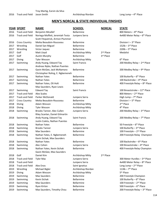|      | <b>YEAR SPORT</b>      | <b>NAME</b>                      | <b>SCHOOL</b>      | <b>NORCAL</b>         | <b>STATE</b>                                 |
|------|------------------------|----------------------------------|--------------------|-----------------------|----------------------------------------------|
| 2016 | <b>Track and Field</b> | Benjamin Micallef                | Bellarmine         |                       | 800 Meters - 8 <sup>th</sup> Place           |
| 2016 | <b>Track and Field</b> | Noriega Moffett, Jeremiah Testa  | Junipero Serra     |                       | 4x400 Meter Relay - 6th Place                |
|      |                        | Scott Fitzpatrick, Armon Plummer |                    |                       |                                              |
| 2016 | <b>Cross Country</b>   | Meika Beaudoin-Rousseau          | Bellarmine         |                       | Division I-3rd Place                         |
| 2017 | Wrestling              | Daniel San Miguel                | Bellarmine         |                       | 152lb - 3rd Place                            |
| 2017 | Wrestling              | Victor Jaquez                    | Bellarmine         |                       | $220$ lb - $5th$ Place                       |
| 2017 | Golf                   | Matt Lloyd                       | Archbishop Mitty   | 2 <sup>nd</sup> Place | Medalist                                     |
| 2017 | Golf                   | <b>Austin Murphy</b>             | Bellarmine         | 3rd Place             |                                              |
| 2017 | Diving                 | <b>Tyler Wesson</b>              | Archbishop Mitty   |                       | 6 <sup>th</sup> Place                        |
| 2017 | Swimming               | Andy Huang, Edward Tay           | Saint Francis      |                       | 200 Medley Relay - 2nd Place                 |
|      |                        | Andreas Nybo, Nathan Puentes     |                    |                       |                                              |
| 2017 | Swimming               | Gavin McGee, Jack McNamara       | Bellarmine         |                       | 200 Medley Relay $-9$ <sup>th</sup> Place    |
|      |                        | Christopher Roling, E. Ngbemeneh |                    |                       |                                              |
| 2017 | Swimming               | Nathan Yates                     | Bellarmine         |                       | 100 Butterfly $-6$ <sup>th</sup> Place       |
| 2017 | Swimming               | Nathan Yates                     | Bellarmine         |                       | 100 Backstroke - 4 <sup>th</sup> Place       |
| 2017 | Swimming               | Nathan Yates, Oli Holt           | Bellarmine         |                       | 400 Freestyle Relay $-8$ <sup>th</sup> Place |
|      |                        | Max Saunders, Ryan Lewis         |                    |                       |                                              |
| 2017 | Swimming               | Edward Tay                       | Saint Francis      |                       | 100 Breaststroke - 11 <sup>th</sup> Place    |
| 2017 | <b>Track and Field</b> | <b>Alex Scales</b>               |                    |                       | 800 Meters - 2 <sup>nd</sup> Place           |
| 2017 | <b>Track and Field</b> | Parker McDonald                  | Junipero Serra     |                       | High Jump $-7th$ Place                       |
| 2017 | <b>Cross Country</b>   | Meika Beaudoin-Rousseau          | <b>Bellarmine</b>  |                       | Division I - 5 <sup>th</sup> Place           |
| 2018 | Diving                 | Adam Wesson                      | Archbishop Mitty   |                       | 2 <sup>nd</sup> Place                        |
| 2018 | Diving                 | <b>Tyler Wesson</b>              | Archbishop Mitty   |                       | 4 <sup>th</sup> Place                        |
| 2018 | Swimming               | Brooks Tanner, Alec Cullen       | Junipero Serra     |                       | 200 Medley Relay - 3rd Place                 |
|      |                        | Riley Scanlan, Daniel Gilmartin  |                    |                       |                                              |
| 2018 | Swimming               | Andy Huang, Edward Tay           | Saint Francis      |                       | 200 Medley Relay $-7$ <sup>th</sup> Place    |
|      |                        | Justin Culetu, Nathan Puentes    |                    |                       |                                              |
| 2018 | Swimming               | Nathan Yates                     | <b>Bellarmine</b>  |                       | 50 Freestyle $-6$ <sup>th</sup> Place        |
| 2018 | Swimming               | <b>Brooks Tanner</b>             | Junipero Serra     |                       | 100 Butterfly - 3rd Place                    |
| 2018 | Swimming               | <b>Max Saunders</b>              | <b>Bellarmine</b>  |                       | 100 Freestyle - 2 <sup>nd</sup> Place        |
| 2018 | Swimming               | Nathan Yates, E. Ngbemeneh       | Bellarmine         |                       | 200 Freestyle Relay Champion                 |
|      |                        | Kevin Sichak, Max Saunders       |                    |                       |                                              |
| 2018 | Swimming               | Nathan Yates                     | <b>Bellarmine</b>  |                       | 100 Backstroke - 6 <sup>th</sup> Place       |
| 2018 | Swimming               | Alec Cohen                       | Junipero Serra     |                       | 100 Breaststroke - 4 <sup>th</sup> Place     |
| 2018 | Swimming               | Nathan Yates, Kevin Sichak       | Bellarmine         |                       | 400 Freestyle Relay Champion                 |
|      |                        | Gavin McGee, Max Saunders        |                    |                       |                                              |
| 2018 | Golf                   | Daniel Kim                       | Archbishop Mitty   | 2 <sup>nd</sup> Place |                                              |
| 2018 | <b>Track and Field</b> | <b>Tyler Mac</b>                 | Junipero Serra     |                       | 300 Meter Hurdles - 3rd Place                |
| 2018 | <b>Track and Field</b> |                                  | Junipero Serra     |                       | 4x400 Meter Relay - 8th Place                |
| 2018 | <b>Track and Field</b> | Alex Enos                        | Saint Ignatius     |                       | Long Jump $-2nd$ Place                       |
| 2019 | Wrestling              | Michael Bigler                   | Archbishop Riordan |                       | $113$ lb - $7th$ Place                       |
| 2019 | Diving                 | Adam Wesson                      | Archbishop Mitty   |                       | 5 <sup>th</sup> Place                        |
| 2019 | Swimming               | <b>Max Saunders</b>              | Bellarmine         |                       | 200 Freestyle Champion                       |
| 2019 | Swimming               | Kevin Sichak                     | Bellarmine         |                       | 100 Butterfly $-6$ <sup>th</sup> Place       |
| 2019 | Swimming               | Max Saunders                     | Bellarmine         |                       | 100 Freestyle - 2nd Place                    |
| 2019 | Swimming               | Ryan Kirton                      | Bellarmine         |                       | 500 Freestyle - 6 <sup>th</sup> Place        |
| 2019 | Swimming               | Max Saunders, Timothy Chou       | Bellarmine         |                       | 200 Freestyle Relay - 3rd Place              |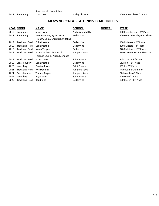|      | <b>YEAR SPORT</b>      | <b>NAME</b>                      | <b>SCHOOL</b>     | <b>NORCAL</b> | <b>STATE</b>                                 |
|------|------------------------|----------------------------------|-------------------|---------------|----------------------------------------------|
| 2019 | Swimming               | Jassen Yep                       | Archbishop Mitty  |               | 100 Breaststroke – 4 <sup>th</sup> Place     |
| 2019 | Swimming               | Max Saunders, Ryan Kirton        | <b>Bellarmine</b> |               | 400 Freestyle Relay $-3$ <sup>rd</sup> Place |
|      |                        | Timothy Chou, Christopher Roling |                   |               |                                              |
| 2019 | <b>Track and Field</b> | Colin Peattie                    | <b>Bellarmine</b> |               | 1600 Meters $-2nd$ Place                     |
| 2019 | Track and Field        | Colin Peattie                    | <b>Bellarmine</b> |               | 3200 Meters – 8 <sup>th</sup> Place          |
| 2019 | <b>Track and Field</b> | Nolan Topper                     | <b>Bellarmine</b> |               | 3200 Meters – 10 <sup>th</sup> Place         |
| 2019 | <b>Track and Field</b> | Nate Sanchez, Liam Pearl         | Junipero Serra    |               | 4x400 Meter Relay - 8 <sup>th</sup> Place    |
|      |                        | Terence Loville, Aiden Mendoza   |                   |               |                                              |
| 2019 | <b>Track and Field</b> | <b>Scott Toney</b>               | Saint Francis     |               | Pole Vault - 3rd Place                       |
| 2019 | <b>Cross Country</b>   | Colin Peattie                    | <b>Bellarmine</b> |               | Division I - 9 <sup>th</sup> Place           |
| 2020 | Wrestling              | Carsten Rawls                    | Saint Francis     |               | 182 $\mathsf{lb} - 8^{\mathsf{th}}$ Place    |
| 2021 | <b>Track and Field</b> | Will Denning                     | Junipero Serra    |               | Triple Jump Champion                         |
| 2021 | <b>Cross Country</b>   | <b>Tommy Rogers</b>              | Junipero Serra    |               | Division II – $4th$ Place                    |
| 2022 | Wrestling              | Bryce Luna                       | Saint Francis     |               | 120 LB $-$ 4 <sup>th</sup> Place             |
| 2022 | <b>Track and Field</b> | <b>Ben Pinkel</b>                | <b>Bellarmine</b> |               | 800 Meter $-8$ <sup>th</sup> Place           |
|      |                        |                                  |                   |               |                                              |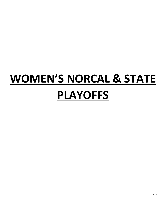## **WOMEN'S NORCAL & STATE PLAYOFFS**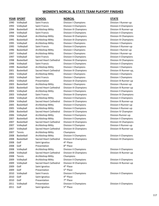## **WOMEN'S NORCAL & STATE TEAM PLAYOFF FINISHES**

### **YEAR SPORT SCHOOL NORCAL STATE**

2008 Golf Saint Ignatius 2008 Golf Presentation 2009 Golf Saint Ignatius 2009 Golf Presentation 2010 Golf Saint Ignatius 2010 Golf Presentation 2011 Golf Saint Ignatius

 Tennis Archbishop Mitty Champions Tennis Archbishop Mitty Champions

 Volleyball Saint Francis Division I Champions Division I Runner-up Volleyball Saint Francis Division II Champions Division II Champions Basketball Archbishop Mitty Division III Champions Division III Runner-up Volleyball Saint Francis Division II Champions Division II Champions Volleyball Archbishop Mitty Division III Champions Division III Champions Basketball Archbishop Mitty Division III Champions Division III Champions Volleyball Archbishop Mitty Division I Champions Division I Champions Volleyball Saint Francis Division II Champions Division II Runner-up Basketball Archbishop Mitty Division I Champions Division I Runner-up Volleyball Archbishop Mitty Division I Champions Division I Runner-up Volleyball Saint Francis Division II Champions Division II Champions Basketball Sacred Heart Cathedral Division III Champions Division III Champions Volleyball Saint Francis Division II Champions Division II Champions Basketball Archbishop Mitty Division I Champions Division I Champions Basketball Sacred Heart Cathedral Division III Champions Division III Runner-up, Volleyball Archbishop Mitty Division I Champions Division I Champions Volleyball Saint Francis Division I Champions Division I Champions Volleyball Presentation Division III Champions Division III Runner-up 2003 Basketball Archbishop Mitty Division I Champions Division I Runner-up Basketball Sacred Heart Cathedral Division III Champions Division III Runner-up Volleyball Archbishop Mitty Division II Champions Division II Champions Volleyball Saint Francis Division III Champions Division III Champions Volleyball Archbishop Mitty Division II Champions Division II Champions Volleyball Sacred Heart Cathedral Division III Champions Division III Runner-up 2005 Basketball Archbishop Mitty Division II Champions Champions Division II Runner-up 2005 Volleyball Archbishop Mitty Division II Champions Division II Runner-up Basketball Sacred Heart Cathedral Division IV Champions Division IV Champion Volleyball Archbishop Mitty Division II Champions Division Runner-up Basketball Archbishop Mitty Division II Champions Division II Champions Basketball Sacred Heart Cathedral Division III Champions Division III Champions Volleyball Archbishop Mitty Division II Champion Division II Runner-up Volleyball Sacred Heart Cathedral Division III Champions Division III Runner-up Basketball Archbishop Mitty Division II Champions Division II Champions Basketball Sacred Heart Cathedral Division III Champions Division III Champions 4<sup>th</sup> Place 8<sup>th</sup> Place Volleyball Archbishop Mitty Division II Champions Division II Champions Volleyball Sacred Heart Cathedral Division III Champions Division III Runner-up Volleyball Archbishop Mitty Division II Champions Division II Champions 2009 Volleyball Sacred Heart Cathedral Division III Champions **Division III Runner-up** 4<sup>th</sup> Place 5<sup>th</sup> Place Volleyball Saint Francis Division II Champions Division II Champions 4<sup>th</sup> Place 7<sup>th</sup> Place Volleyball Presentation Division II Champions Division II Champions 5<sup>th</sup> Place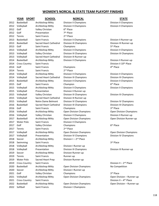## **WOMEN'S NORCAL & STATE TEAM PLAYOFF FINISHES**

# 2012 Golf Valley Christian 2012 Golf Presentation 2012 Tennis Saint Francis 2 2014 Tennis Saint Francis 2 2017 Tennis Saint Francis 2018 Soccer Archbishop Mitty 2018 Swimming Saint Francis 2019 Cross Country Saint Francis 2021 Cross Country Saint Francis

2013 Golf Saint Francis Champions 2013 Volleyball Sacred Heart Cathedral Division III Runner-up 2015 Golf Saint Francis Champion 2015 Volleyball Presentation Division II Runner-up 2015 Volleyball Sacred Heart Cathedral Division III Runner-up 2016 Golf Saint Francis Champions 2017 Water Polo Saint Francis Division II Champions 2017 Golf Valley Christian Champions 2018 Volleyball Archbishop Mitty Division I Runner-up 2018 Volleyball Presentation Division III Champions Division III Runner-up 2019 Soccer Archbishop Mitty Division Runner-up 2019 Tennis Saint Francis Runner-up 2019 Water Polo Sacred Heart Prep Division Runner-up 2020 Soccer Archbishop Mitty Division I Runner-up 2021 Golf Valley Christian Champions 2022 Softball Saint Francis Division I Champions

## **YEAR SPORT SCHOOL NORCAL STATE**

2012 Basketball Archbishop Mitty Division II Champions Division II Champions 2012 Volleyball Archbishop Mitty Division II Champions Division II Champions 6<sup>th</sup> Place 7<sup>th</sup> Place 2<sup>nd</sup> Place 2013 Basketball Saint Francis Division II Champions Division II Runner-up 2013 Basketball Sacred Heart Cathedral Division III Champions Division III Runner-up 2013 Volleyball Archbishop Mitty Division II Champions Division II Champions 2013 Volleyball Valley Christian Division III Champions Division III Champions 2014 Basketball Archbishop Mitty Division II Champions Division II Runner-up 2014 Cross Country Saint Francis **Division II 10th Place** Division II 10th Place 2014 Golf Saint Francis Champions 2014 Golf 4 2<sup>nd</sup> Place 2014 Volleyball Archbishop Mitty Division II Champions Division II Champions 2014 Volleyball Sacred Heart Cathedral Division III Champions Division III Champions

 Basketball Archbishop Mitty Division II Champions Division II Champions Volleyball Archbishop Mitty Division II Champions Division II Champions Volleyball Valley Christian Division III Champions Division III Champions Volleyball Notre Dame Belmont Division IV Champions Division IV Champions Basketball Sacred Heart Cathedral Division III Champions Division III Champions Volleyball Archbishop Mitty Open Division Champions Open Division Champions Volleyball Valley Christian Division II Champions Division II Runner-up Basketball Archbishop Mitty Open Division Champions Open Division Runner-up 2<sup>nd</sup> Place Volleyball Archbishop Mitty Open Division Champions Open Division Champions Volleyball Presentation Division IV Champions Division IV Champions Division  $I - 2<sup>nd</sup>$  Place

2020 Basketball Archbishop Mitty Open Division Champions No Competition

5<sup>th</sup> Place

4<sup>th</sup> Place

6<sup>th</sup> Place

3rd Place

th Place

3rd Place

Division II -  $2<sup>nd</sup>$  Place

3rd Place 2021 Volleyball Archbishop Mitty Open Division Champions Open Division – Runner-up Division II -  $4<sup>th</sup>$  Place 2022 Basketball Archbishop Mitty Open Division Champions Open Division – Runner-up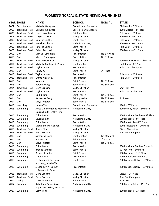|      | <u>YEAR SPORT</u>      | <u>NAME</u>                                              | <u>SCHOOL</u>          | <b>NORCAL</b>             | <b>STATE</b>                                  |
|------|------------------------|----------------------------------------------------------|------------------------|---------------------------|-----------------------------------------------|
| 2002 | <b>Cross Country</b>   | Michelle Gallagher                                       | Sacred Heart Cathedral |                           | Division III - $3rd$ Place                    |
| 2003 | <b>Track and Field</b> | Michelle Gallagher                                       | Sacred Heart Cathedral |                           | 3200 Meters - 4th Place                       |
| 2005 | <b>Track and Field</b> | Loza Lozovatskaya                                        | Saint Ignatius         |                           | Pole Vault - 6 <sup>th</sup> Place            |
| 2006 | <b>Track and Field</b> | Khrystal Carter                                          | Valley Christian       |                           | 200 Meters - 4 <sup>th</sup> Place            |
| 2006 | <b>Track and Field</b> | Natasha Barthel                                          | <b>Saint Francis</b>   |                           | Pole Vault - 3rd Place                        |
| 2007 | <b>Track and Field</b> | Renisha Robinson                                         | Archbishop Mitty       |                           | 800 Meters - 8th Place                        |
| 2007 | <b>Track and Field</b> | Natasha Barthel                                          | Saint Francis          |                           | Pole Vault - 3rd Place                        |
| 2008 | <b>Track and Field</b> | Dahlys Marshall                                          | Valley Christian       |                           | 200 Meters - 5 <sup>th</sup> Place            |
| 2009 | Golf                   | Mariko Tumangan                                          | Presentation           | Tie 2 <sup>nd</sup> Place |                                               |
| 2010 | Golf                   | Mariko Tumangan                                          | Presentation           | Tie 6 <sup>th</sup> Place |                                               |
| 2010 | <b>Track and Field</b> | Hannah Gorenson                                          | Valley Christian       |                           | 100 Meter Hurdles $-$ 4 <sup>th</sup> Place   |
| 2011 | <b>Track and Field</b> | Michelle McDonald O'Brien                                | Saint Ignatius         |                           | High Jump $-8$ <sup>th</sup> Place            |
| 2012 | <b>Track and Field</b> | Taylor Jaques                                            | Presentation           |                           | Pole Vault Champion                           |
| 2012 | Golf                   | Nancy Xu                                                 | <b>Saint Francis</b>   | 2 <sup>nd</sup> Place     |                                               |
| 2013 | <b>Track and Field</b> | <b>Taylor Jaques</b>                                     | Presentation           |                           | Pole Vault - 4 <sup>th</sup> Place            |
| 2013 | <b>Track and Field</b> | Emma McCarthy                                            | Presentation           |                           | Pole Vault - 8 <sup>th</sup> Place            |
| 2013 | Golf                   | Nancy Xu                                                 | Saint Francis          | Tie 6 <sup>th</sup> Place |                                               |
| 2013 | Golf                   | Valerie Wang                                             | Saint Francis          | Tie 6 <sup>th</sup> Place |                                               |
| 2014 | <b>Track and Field</b> | Elena Bruckner                                           | Valley Christian       |                           | Shot Put $-4$ <sup>th</sup>                   |
| 2014 | <b>Track and Field</b> | <b>Taylor Jaques</b>                                     | Presentation           |                           | Pole Vault - 4 <sup>th</sup> Place            |
| 2014 | Golf                   | Liu Bibilani                                             | Saint Francis          | Tie 6 <sup>th</sup> Place |                                               |
| 2014 | Golf                   | Samantha Gong                                            | Saint Ignatius         | Tie 8 <sup>th</sup> Place | 8 <sup>th</sup> Place                         |
| 2014 | Golf                   | Maya Pugatch                                             | <b>Saint Francis</b>   | Tie 8 <sup>th</sup> Place |                                               |
| 2015 | Wrestling              | Lauren Zee                                               | Sacred Heart Cathedral |                           | 116lb - $6th$ Place                           |
| 2015 | Swimming               | Joyce Lin, Morganne McKennan<br>Lauren Smith, Cathy Teng | Archbishop Mitty       |                           | 200 Medley Relay - 5 <sup>th</sup> Place      |
| 2015 | Swimming               | Chloe Isleta                                             | Presentation           |                           | 200 Individual Medley - 5 <sup>th</sup> Place |
| 2015 | Swimming               | Lauren Smith                                             | Archbishop Mitty       |                           | 500 Freestyle - 9th Place                     |
| 2015 | Swimming               | Chloe Isleta                                             | Presentation           |                           | 100 Backstroke - 8 <sup>th</sup> Place        |
| 2015 | Swimming               | Morganne MacKennan                                       | Archbishop Mity        |                           | 100 Breaststroke - 9th Place                  |
| 2015 | <b>Track and Field</b> | Ronna Stone                                              | Valley Christian       |                           | Discus Champion                               |
| 2015 | <b>Track and Field</b> | Elena Bruckner                                           | Valley Christian       |                           | Shot Put Champion                             |
| 2015 | Golf                   | Samantha Gong                                            | Saint Ignatius         | <b>Tie Medalist</b>       |                                               |
| 2015 | Golf                   | Bibilani Liu                                             | Saint Francis          | 4 <sup>th</sup> Place     |                                               |
| 2015 | Golf                   | Maya Pugatch                                             | Saint Francis          | Tie 9 <sup>th</sup> Place |                                               |
| 2016 | Swimming               | Chloe Isleta                                             | Presentation           |                           | 200 Individual Medley Champion                |
| 2016 | Swimming               | <b>Brooke Schaffer</b>                                   | Saint Francis          |                           | 50 Freestyle - 5 <sup>th</sup> Place          |
| 2016 | Swimming               | <b>Brooke Schaffer</b>                                   | Saint Francis          |                           | 100 Freestyle - 11 <sup>th</sup> Place        |
| 2016 | Swimming               | Chloe Isleta                                             | Presentation           |                           | 100 Backstroke - 3rd Place                    |
| 2016 | Swimming               | F. Llaguno, K. Kennedy                                   | Saint Francis          |                           | 200 Freestyle Relay - 15th Place              |
|      |                        | A.Truong, B. Schaffer                                    |                        |                           |                                               |
| 2016 | Swimming               | S. Blankley, A. Berner                                   | Presentation           |                           | 200 Freestyle Relay - 16th Place              |
|      |                        | L. Powers, A. Tzou                                       |                        |                           |                                               |
| 2016 | <b>Track and Field</b> | Elena Bruckner                                           | Valley Christian       |                           | Discus - 2 <sup>nd</sup> Place                |
| 2016 | <b>Track and Field</b> | Elena Bruckner                                           | Valley Christian       |                           | Shot Put Champion                             |
| 2017 | Diving                 | <b>Claire Greenlow</b>                                   | Saint Francis          |                           | 7 <sup>th</sup> Place                         |
| 2017 | Swimming               | Kylie Juan, Sarah Savage<br>Sophia Sebastian, Joyce Lin  | Archbishop Mitty       |                           | 200 Medley Relay - 15th Place                 |
| 2017 | Swimming               | Cathy Tang                                               | Archbishop Mitty       |                           | 200 Freestyle - 2nd Place                     |